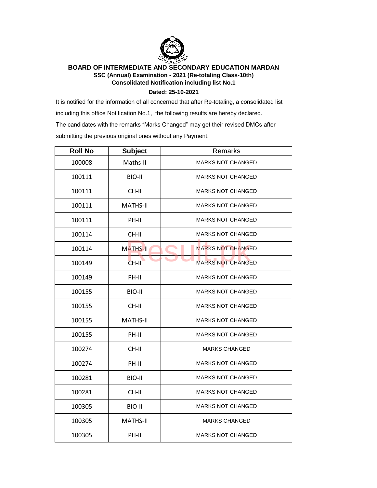

## **BOARD OF INTERMEDIATE AND SECONDARY EDUCATION MARDAN SSC (Annual) Examination - 2021 (Re-totaling Class-10th) Consolidated Notification including list No.1**

**Dated: 25-10-2021**

It is notified for the information of all concerned that after Re-totaling, a consolidated list including this office Notification No.1, the following results are hereby declared. The candidates with the remarks "Marks Changed" may get their revised DMCs after submitting the previous original ones without any Payment.

| <b>Roll No</b> | <b>Subject</b>  | Remarks                  |
|----------------|-----------------|--------------------------|
| 100008         | Maths-II        | <b>MARKS NOT CHANGED</b> |
| 100111         | BIO-II          | <b>MARKS NOT CHANGED</b> |
| 100111         | CH-II           | <b>MARKS NOT CHANGED</b> |
| 100111         | MATHS-II        | <b>MARKS NOT CHANGED</b> |
| 100111         | PH-II           | <b>MARKS NOT CHANGED</b> |
| 100114         | CH-II           | <b>MARKS NOT CHANGED</b> |
| 100114         | <b>MATHS-II</b> | <b>MARKS NOT CHANGED</b> |
| 100149         | CH-II           | <b>MARKS NOT CHANGED</b> |
| 100149         | PH-II           | <b>MARKS NOT CHANGED</b> |
| 100155         | BIO-II          | <b>MARKS NOT CHANGED</b> |
| 100155         | CH-II           | <b>MARKS NOT CHANGED</b> |
| 100155         | <b>MATHS-II</b> | <b>MARKS NOT CHANGED</b> |
| 100155         | PH-II           | <b>MARKS NOT CHANGED</b> |
| 100274         | CH-II           | <b>MARKS CHANGED</b>     |
| 100274         | PH-II           | <b>MARKS NOT CHANGED</b> |
| 100281         | BIO-II          | <b>MARKS NOT CHANGED</b> |
| 100281         | CH-II           | <b>MARKS NOT CHANGED</b> |
| 100305         | BIO-II          | <b>MARKS NOT CHANGED</b> |
| 100305         | <b>MATHS-II</b> | <b>MARKS CHANGED</b>     |
| 100305         | PH-II           | <b>MARKS NOT CHANGED</b> |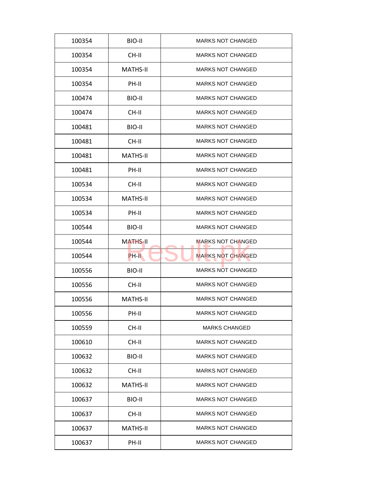| 100354 | BIO-II          | <b>MARKS NOT CHANGED</b> |
|--------|-----------------|--------------------------|
| 100354 | CH-II           | <b>MARKS NOT CHANGED</b> |
| 100354 | <b>MATHS-II</b> | <b>MARKS NOT CHANGED</b> |
| 100354 | PH-II           | <b>MARKS NOT CHANGED</b> |
| 100474 | BIO-II          | <b>MARKS NOT CHANGED</b> |
| 100474 | CH-II           | <b>MARKS NOT CHANGED</b> |
| 100481 | BIO-II          | <b>MARKS NOT CHANGED</b> |
| 100481 | CH-II           | <b>MARKS NOT CHANGED</b> |
| 100481 | <b>MATHS-II</b> | <b>MARKS NOT CHANGED</b> |
| 100481 | PH-II           | <b>MARKS NOT CHANGED</b> |
| 100534 | CH-II           | <b>MARKS NOT CHANGED</b> |
| 100534 | <b>MATHS-II</b> | <b>MARKS NOT CHANGED</b> |
| 100534 | PH-II           | <b>MARKS NOT CHANGED</b> |
| 100544 | BIO-II          | <b>MARKS NOT CHANGED</b> |
| 100544 | <b>MATHS-II</b> | <b>MARKS NOT CHANGED</b> |
| 100544 | PH-II           | <b>MARKS NOT CHANGED</b> |
| 100556 | BIO-II          | <b>MARKS NOT CHANGED</b> |
| 100556 | CH-II           | <b>MARKS NOT CHANGED</b> |
| 100556 | <b>MATHS-II</b> | <b>MARKS NOT CHANGED</b> |
| 100556 | PH-II           | <b>MARKS NOT CHANGED</b> |
| 100559 | CH-II           | <b>MARKS CHANGED</b>     |
| 100610 | CH-II           | <b>MARKS NOT CHANGED</b> |
| 100632 | BIO-II          | <b>MARKS NOT CHANGED</b> |
| 100632 | CH-II           | <b>MARKS NOT CHANGED</b> |
| 100632 | <b>MATHS-II</b> | <b>MARKS NOT CHANGED</b> |
| 100637 | BIO-II          | <b>MARKS NOT CHANGED</b> |
| 100637 |                 | <b>MARKS NOT CHANGED</b> |
|        | CH-II           |                          |
| 100637 | <b>MATHS-II</b> | <b>MARKS NOT CHANGED</b> |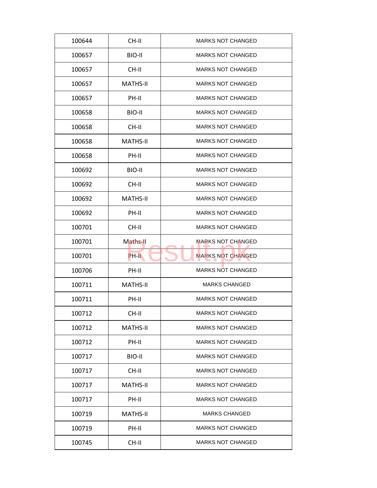| 100644 | CH-II           | <b>MARKS NOT CHANGED</b> |
|--------|-----------------|--------------------------|
| 100657 | BIO-II          | <b>MARKS NOT CHANGED</b> |
| 100657 | CH-II           | <b>MARKS NOT CHANGED</b> |
| 100657 | <b>MATHS-II</b> | <b>MARKS NOT CHANGED</b> |
| 100657 | PH-II           | <b>MARKS NOT CHANGED</b> |
| 100658 | BIO-II          | <b>MARKS NOT CHANGED</b> |
| 100658 | CH-II           | <b>MARKS NOT CHANGED</b> |
| 100658 | <b>MATHS-II</b> | <b>MARKS NOT CHANGED</b> |
| 100658 | PH-II           | <b>MARKS NOT CHANGED</b> |
| 100692 | BIO-II          | <b>MARKS NOT CHANGED</b> |
| 100692 | CH-II           | <b>MARKS NOT CHANGED</b> |
| 100692 | <b>MATHS-II</b> | <b>MARKS NOT CHANGED</b> |
| 100692 | PH-II           | <b>MARKS NOT CHANGED</b> |
| 100701 | CH-II           | <b>MARKS NOT CHANGED</b> |
| 100701 | Maths-II        | <b>MARKS NOT CHANGED</b> |
| 100701 | PH-II           | <b>MARKS NOT CHANGED</b> |
| 100706 | PH-II           | <b>MARKS NOT CHANGED</b> |
| 100711 | <b>MATHS-II</b> | <b>MARKS CHANGED</b>     |
| 100711 | PH-II           | <b>MARKS NOT CHANGED</b> |
| 100712 | CH-II           | <b>MARKS NOT CHANGED</b> |
| 100712 | <b>MATHS-II</b> | <b>MARKS NOT CHANGED</b> |
| 100712 | PH-II           | <b>MARKS NOT CHANGED</b> |
| 100717 | BIO-II          | <b>MARKS NOT CHANGED</b> |
| 100717 | CH-II           | <b>MARKS NOT CHANGED</b> |
| 100717 | <b>MATHS-II</b> | <b>MARKS NOT CHANGED</b> |
| 100717 | PH-II           | <b>MARKS NOT CHANGED</b> |
| 100719 | <b>MATHS-II</b> | <b>MARKS CHANGED</b>     |
|        |                 |                          |
| 100719 | PH-II           | <b>MARKS NOT CHANGED</b> |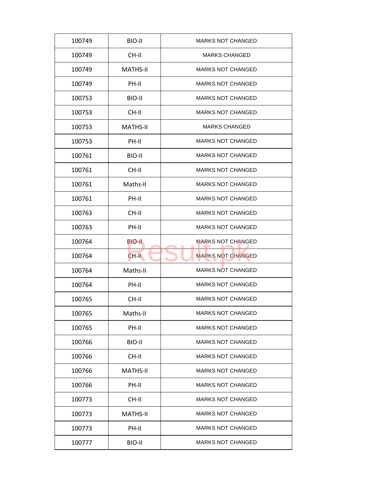| 100749 | BIO-II          | <b>MARKS NOT CHANGED</b> |
|--------|-----------------|--------------------------|
| 100749 | CH-II           | <b>MARKS CHANGED</b>     |
| 100749 | <b>MATHS-II</b> | <b>MARKS NOT CHANGED</b> |
| 100749 | PH-II           | <b>MARKS NOT CHANGED</b> |
| 100753 | BIO-II          | MARKS NOT CHANGED        |
| 100753 | CH-II           | <b>MARKS NOT CHANGED</b> |
| 100753 | <b>MATHS-II</b> | <b>MARKS CHANGED</b>     |
| 100753 | PH-II           | <b>MARKS NOT CHANGED</b> |
| 100761 | BIO-II          | <b>MARKS NOT CHANGED</b> |
| 100761 | CH-II           | <b>MARKS NOT CHANGED</b> |
| 100761 | Maths-II        | <b>MARKS NOT CHANGED</b> |
| 100761 | PH-II           | <b>MARKS NOT CHANGED</b> |
| 100763 | CH-II           | <b>MARKS NOT CHANGED</b> |
| 100763 | PH-II           | <b>MARKS NOT CHANGED</b> |
| 100764 | BIO-II          | MARKS NOT CHANGED        |
| 100764 | $CH-H$          | <b>MARKS NOT CHANGED</b> |
| 100764 | Maths-II        | <b>MARKS NOT CHANGED</b> |
| 100764 | PH-II           | <b>MARKS NOT CHANGED</b> |
| 100765 | CH-II           | <b>MARKS NOT CHANGED</b> |
| 100765 | Maths-II        | <b>MARKS NOT CHANGED</b> |
| 100765 | PH-II           | <b>MARKS NOT CHANGED</b> |
| 100766 | BIO-II          | <b>MARKS NOT CHANGED</b> |
| 100766 | CH-II           | <b>MARKS NOT CHANGED</b> |
| 100766 | <b>MATHS-II</b> | <b>MARKS NOT CHANGED</b> |
| 100766 | PH-II           | MARKS NOT CHANGED        |
| 100773 | CH-II           | <b>MARKS NOT CHANGED</b> |
| 100773 | <b>MATHS-II</b> | <b>MARKS NOT CHANGED</b> |
| 100773 | PH-II           | <b>MARKS NOT CHANGED</b> |
| 100777 | BIO-II          | <b>MARKS NOT CHANGED</b> |
|        |                 |                          |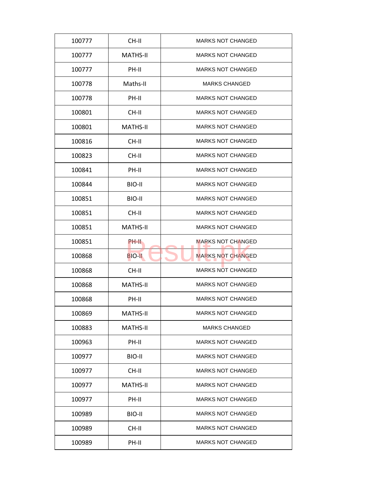| 100777 | CH-II           | <b>MARKS NOT CHANGED</b> |
|--------|-----------------|--------------------------|
| 100777 | <b>MATHS-II</b> | <b>MARKS NOT CHANGED</b> |
| 100777 | PH-II           | <b>MARKS NOT CHANGED</b> |
| 100778 | Maths-II        | <b>MARKS CHANGED</b>     |
| 100778 | PH-II           | <b>MARKS NOT CHANGED</b> |
| 100801 | $CH-H$          | <b>MARKS NOT CHANGED</b> |
| 100801 | <b>MATHS-II</b> | <b>MARKS NOT CHANGED</b> |
| 100816 | CH-II           | <b>MARKS NOT CHANGED</b> |
| 100823 | CH-II           | <b>MARKS NOT CHANGED</b> |
| 100841 | PH-II           | <b>MARKS NOT CHANGED</b> |
| 100844 | BIO-II          | <b>MARKS NOT CHANGED</b> |
| 100851 | BIO-II          | <b>MARKS NOT CHANGED</b> |
| 100851 | CH-II           | <b>MARKS NOT CHANGED</b> |
| 100851 | <b>MATHS-II</b> | <b>MARKS NOT CHANGED</b> |
| 100851 | PH-II           | <b>MARKS NOT CHANGED</b> |
| 100868 | <b>BIO-II</b>   | <b>MARKS NOT CHANGED</b> |
| 100868 | CH-II           | <b>MARKS NOT CHANGED</b> |
| 100868 | <b>MATHS-II</b> | <b>MARKS NOT CHANGED</b> |
| 100868 | PH-II           | <b>MARKS NOT CHANGED</b> |
| 100869 | <b>MATHS-II</b> | <b>MARKS NOT CHANGED</b> |
| 100883 | <b>MATHS-II</b> | <b>MARKS CHANGED</b>     |
| 100963 | PH-II           | <b>MARKS NOT CHANGED</b> |
| 100977 | BIO-II          | <b>MARKS NOT CHANGED</b> |
| 100977 | CH-II           | <b>MARKS NOT CHANGED</b> |
| 100977 | <b>MATHS-II</b> | <b>MARKS NOT CHANGED</b> |
| 100977 | PH-II           | <b>MARKS NOT CHANGED</b> |
| 100989 | BIO-II          | <b>MARKS NOT CHANGED</b> |
|        |                 | <b>MARKS NOT CHANGED</b> |
| 100989 | CH-II           |                          |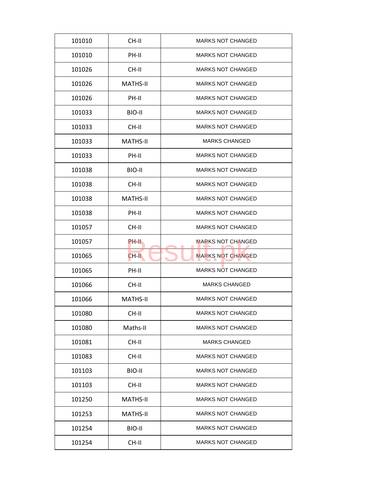| 101010 | CH-II           | <b>MARKS NOT CHANGED</b> |
|--------|-----------------|--------------------------|
| 101010 | PH-II           | <b>MARKS NOT CHANGED</b> |
| 101026 | CH-II           | <b>MARKS NOT CHANGED</b> |
| 101026 | <b>MATHS-II</b> | <b>MARKS NOT CHANGED</b> |
| 101026 | PH-II           | <b>MARKS NOT CHANGED</b> |
| 101033 | BIO-II          | <b>MARKS NOT CHANGED</b> |
| 101033 | CH-II           | <b>MARKS NOT CHANGED</b> |
| 101033 | <b>MATHS-II</b> | <b>MARKS CHANGED</b>     |
| 101033 | PH-II           | <b>MARKS NOT CHANGED</b> |
| 101038 | BIO-II          | <b>MARKS NOT CHANGED</b> |
| 101038 | CH-II           | <b>MARKS NOT CHANGED</b> |
| 101038 | <b>MATHS-II</b> | <b>MARKS NOT CHANGED</b> |
| 101038 | PH-II           | <b>MARKS NOT CHANGED</b> |
| 101057 | CH-II           | <b>MARKS NOT CHANGED</b> |
| 101057 | PH-II           | <b>MARKS NOT CHANGED</b> |
| 101065 | CH-II           | <b>MARKS NOT CHANGED</b> |
| 101065 | PH-II           | <b>MARKS NOT CHANGED</b> |
| 101066 | CH-II           | <b>MARKS CHANGED</b>     |
| 101066 | <b>MATHS-II</b> | <b>MARKS NOT CHANGED</b> |
| 101080 | CH-II           | <b>MARKS NOT CHANGED</b> |
| 101080 | Maths-II        | <b>MARKS NOT CHANGED</b> |
| 101081 | CH-II           | <b>MARKS CHANGED</b>     |
| 101083 | CH-II           | <b>MARKS NOT CHANGED</b> |
| 101103 | BIO-II          | <b>MARKS NOT CHANGED</b> |
| 101103 | CH-II           | <b>MARKS NOT CHANGED</b> |
| 101250 | <b>MATHS-II</b> | <b>MARKS NOT CHANGED</b> |
| 101253 | <b>MATHS-II</b> | <b>MARKS NOT CHANGED</b> |
|        | BIO-II          | <b>MARKS NOT CHANGED</b> |
| 101254 |                 |                          |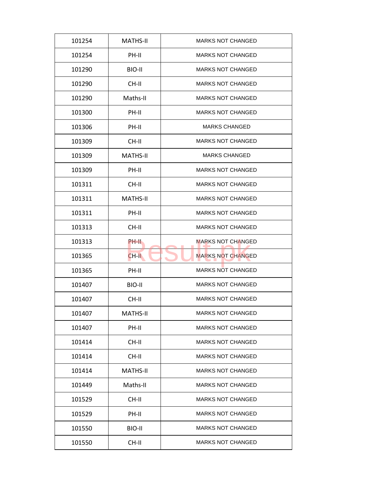| 101254 | <b>MATHS-II</b> | <b>MARKS NOT CHANGED</b> |
|--------|-----------------|--------------------------|
| 101254 | PH-II           | <b>MARKS NOT CHANGED</b> |
| 101290 | BIO-II          | <b>MARKS NOT CHANGED</b> |
| 101290 | CH-II           | <b>MARKS NOT CHANGED</b> |
| 101290 | Maths-II        | <b>MARKS NOT CHANGED</b> |
| 101300 | PH-II           | <b>MARKS NOT CHANGED</b> |
| 101306 | PH-II           | MARKS CHANGED            |
| 101309 | CH-II           | <b>MARKS NOT CHANGED</b> |
| 101309 | <b>MATHS-II</b> | <b>MARKS CHANGED</b>     |
| 101309 | PH-II           | <b>MARKS NOT CHANGED</b> |
| 101311 | CH-II           | <b>MARKS NOT CHANGED</b> |
| 101311 | <b>MATHS-II</b> | <b>MARKS NOT CHANGED</b> |
| 101311 | PH-II           | <b>MARKS NOT CHANGED</b> |
| 101313 | CH-II           | <b>MARKS NOT CHANGED</b> |
| 101313 | PH-II           | MARKS NOT CHANGED        |
| 101365 | $CH-H$          | <b>MARKS NOT CHANGED</b> |
| 101365 | PH-II           | MARKS NOT CHANGED        |
| 101407 | BIO-II          | <b>MARKS NOT CHANGED</b> |
| 101407 | CH-II           | <b>MARKS NOT CHANGED</b> |
| 101407 | <b>MATHS-II</b> | <b>MARKS NOT CHANGED</b> |
| 101407 | PH-II           | <b>MARKS NOT CHANGED</b> |
| 101414 | CH-II           | <b>MARKS NOT CHANGED</b> |
| 101414 | CH-II           | <b>MARKS NOT CHANGED</b> |
| 101414 | <b>MATHS-II</b> | <b>MARKS NOT CHANGED</b> |
| 101449 | Maths-II        | MARKS NOT CHANGED        |
| 101529 | CH-II           | MARKS NOT CHANGED        |
| 101529 | PH-II           | MARKS NOT CHANGED        |
| 101550 | BIO-II          | <b>MARKS NOT CHANGED</b> |
| 101550 | CH-II           | <b>MARKS NOT CHANGED</b> |
|        |                 |                          |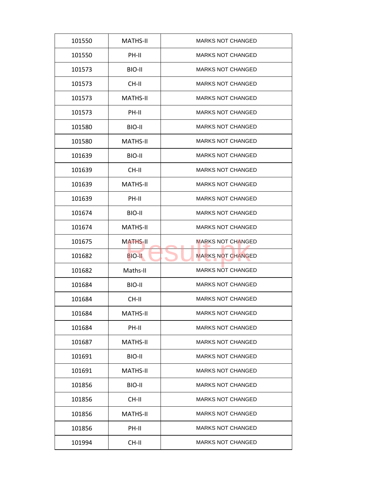| 101550 | <b>MATHS-II</b> | <b>MARKS NOT CHANGED</b> |
|--------|-----------------|--------------------------|
| 101550 | PH-II           | <b>MARKS NOT CHANGED</b> |
| 101573 | BIO-II          | <b>MARKS NOT CHANGED</b> |
| 101573 | CH-II           | <b>MARKS NOT CHANGED</b> |
| 101573 | <b>MATHS-II</b> | <b>MARKS NOT CHANGED</b> |
| 101573 | PH-II           | <b>MARKS NOT CHANGED</b> |
| 101580 | BIO-II          | <b>MARKS NOT CHANGED</b> |
| 101580 | <b>MATHS-II</b> | <b>MARKS NOT CHANGED</b> |
| 101639 | BIO-II          | <b>MARKS NOT CHANGED</b> |
| 101639 | CH-II           | <b>MARKS NOT CHANGED</b> |
| 101639 | <b>MATHS-II</b> | <b>MARKS NOT CHANGED</b> |
| 101639 | PH-II           | <b>MARKS NOT CHANGED</b> |
| 101674 | BIO-II          | <b>MARKS NOT CHANGED</b> |
| 101674 | <b>MATHS-II</b> | <b>MARKS NOT CHANGED</b> |
| 101675 | <b>MATHS-II</b> | <b>MARKS NOT CHANGED</b> |
| 101682 | <b>BIO-II</b>   | <b>MARKS NOT CHANGED</b> |
| 101682 | Maths-II        | <b>MARKS NOT CHANGED</b> |
| 101684 | BIO-II          | <b>MARKS NOT CHANGED</b> |
| 101684 | CH-II           | <b>MARKS NOT CHANGED</b> |
| 101684 | <b>MATHS-II</b> | <b>MARKS NOT CHANGED</b> |
| 101684 | PH-II           | <b>MARKS NOT CHANGED</b> |
| 101687 | <b>MATHS-II</b> | <b>MARKS NOT CHANGED</b> |
| 101691 | BIO-II          | <b>MARKS NOT CHANGED</b> |
| 101691 | <b>MATHS-II</b> | <b>MARKS NOT CHANGED</b> |
| 101856 | BIO-II          | <b>MARKS NOT CHANGED</b> |
| 101856 | CH-II           | <b>MARKS NOT CHANGED</b> |
| 101856 | <b>MATHS-II</b> | <b>MARKS NOT CHANGED</b> |
|        |                 | <b>MARKS NOT CHANGED</b> |
| 101856 | PH-II           |                          |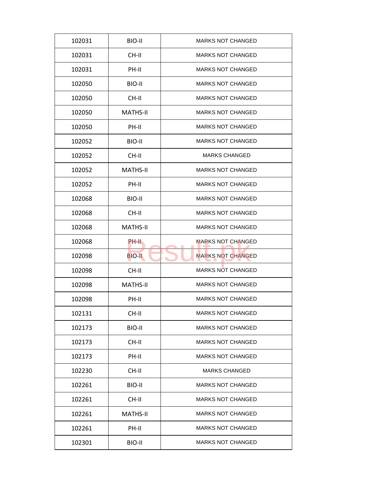| 102031 | BIO-II          | <b>MARKS NOT CHANGED</b> |
|--------|-----------------|--------------------------|
| 102031 | CH-II           | <b>MARKS NOT CHANGED</b> |
| 102031 | PH-II           | <b>MARKS NOT CHANGED</b> |
| 102050 | BIO-II          | <b>MARKS NOT CHANGED</b> |
| 102050 | CH-II           | <b>MARKS NOT CHANGED</b> |
| 102050 | <b>MATHS-II</b> | <b>MARKS NOT CHANGED</b> |
| 102050 | PH-II           | <b>MARKS NOT CHANGED</b> |
| 102052 | BIO-II          | <b>MARKS NOT CHANGED</b> |
| 102052 | CH-II           | <b>MARKS CHANGED</b>     |
| 102052 | <b>MATHS-II</b> | <b>MARKS NOT CHANGED</b> |
| 102052 | PH-II           | <b>MARKS NOT CHANGED</b> |
| 102068 | BIO-II          | <b>MARKS NOT CHANGED</b> |
| 102068 | CH-II           | <b>MARKS NOT CHANGED</b> |
| 102068 | <b>MATHS-II</b> | <b>MARKS NOT CHANGED</b> |
| 102068 | PH-II           | <b>MARKS NOT CHANGED</b> |
| 102098 | <b>BIO-II</b>   | <b>MARKS NOT CHANGED</b> |
| 102098 | CH-II           | <b>MARKS NOT CHANGED</b> |
| 102098 | <b>MATHS-II</b> | <b>MARKS NOT CHANGED</b> |
| 102098 | PH-II           | <b>MARKS NOT CHANGED</b> |
| 102131 | CH-II           | <b>MARKS NOT CHANGED</b> |
| 102173 | BIO-II          | <b>MARKS NOT CHANGED</b> |
| 102173 | CH-II           | <b>MARKS NOT CHANGED</b> |
| 102173 | PH-II           | <b>MARKS NOT CHANGED</b> |
| 102230 | CH-II           | <b>MARKS CHANGED</b>     |
| 102261 | BIO-II          | <b>MARKS NOT CHANGED</b> |
| 102261 | CH-II           | <b>MARKS NOT CHANGED</b> |
|        |                 | <b>MARKS NOT CHANGED</b> |
| 102261 | <b>MATHS-II</b> |                          |
| 102261 | PH-II           | <b>MARKS NOT CHANGED</b> |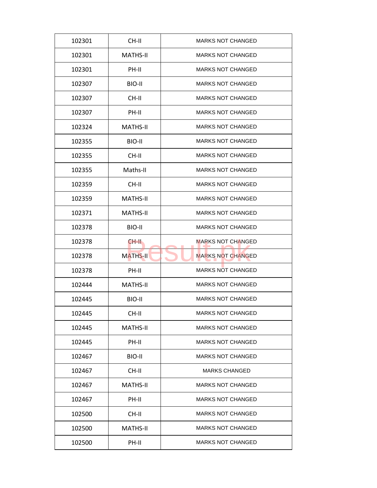| 102301 | CH-II           | <b>MARKS NOT CHANGED</b> |
|--------|-----------------|--------------------------|
| 102301 | <b>MATHS-II</b> | <b>MARKS NOT CHANGED</b> |
| 102301 | PH-II           | <b>MARKS NOT CHANGED</b> |
| 102307 | BIO-II          | <b>MARKS NOT CHANGED</b> |
| 102307 | CH-II           | <b>MARKS NOT CHANGED</b> |
| 102307 | PH-II           | <b>MARKS NOT CHANGED</b> |
| 102324 | <b>MATHS-II</b> | <b>MARKS NOT CHANGED</b> |
| 102355 | BIO-II          | <b>MARKS NOT CHANGED</b> |
| 102355 | CH-II           | <b>MARKS NOT CHANGED</b> |
| 102355 | Maths-II        | <b>MARKS NOT CHANGED</b> |
| 102359 | CH-II           | <b>MARKS NOT CHANGED</b> |
| 102359 | <b>MATHS-II</b> | <b>MARKS NOT CHANGED</b> |
| 102371 | <b>MATHS-II</b> | <b>MARKS NOT CHANGED</b> |
| 102378 | BIO-II          | <b>MARKS NOT CHANGED</b> |
| 102378 | CH-II.          | <b>MARKS NOT CHANGED</b> |
| 102378 | <b>MATHS-II</b> | <b>MARKS NOT CHANGED</b> |
| 102378 | PH-II           | <b>MARKS NOT CHANGED</b> |
| 102444 | <b>MATHS-II</b> | <b>MARKS NOT CHANGED</b> |
| 102445 | BIO-II          | <b>MARKS NOT CHANGED</b> |
| 102445 | CH-II           | <b>MARKS NOT CHANGED</b> |
| 102445 | <b>MATHS-II</b> | <b>MARKS NOT CHANGED</b> |
| 102445 | PH-II           | <b>MARKS NOT CHANGED</b> |
| 102467 | BIO-II          | <b>MARKS NOT CHANGED</b> |
| 102467 | CH-II           | <b>MARKS CHANGED</b>     |
| 102467 | <b>MATHS-II</b> | <b>MARKS NOT CHANGED</b> |
| 102467 | PH-II           | <b>MARKS NOT CHANGED</b> |
| 102500 | CH-II           | <b>MARKS NOT CHANGED</b> |
|        |                 |                          |
| 102500 | <b>MATHS-II</b> | <b>MARKS NOT CHANGED</b> |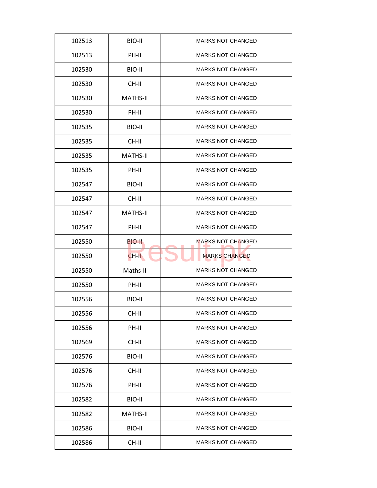| 102513 | BIO-II          | <b>MARKS NOT CHANGED</b> |
|--------|-----------------|--------------------------|
| 102513 | PH-II           | <b>MARKS NOT CHANGED</b> |
| 102530 | BIO-II          | <b>MARKS NOT CHANGED</b> |
| 102530 | CH-II           | <b>MARKS NOT CHANGED</b> |
| 102530 | <b>MATHS-II</b> | <b>MARKS NOT CHANGED</b> |
| 102530 | PH-II           | <b>MARKS NOT CHANGED</b> |
| 102535 | BIO-II          | <b>MARKS NOT CHANGED</b> |
| 102535 | CH-II           | <b>MARKS NOT CHANGED</b> |
| 102535 | <b>MATHS-II</b> | <b>MARKS NOT CHANGED</b> |
| 102535 | PH-II           | <b>MARKS NOT CHANGED</b> |
| 102547 | BIO-II          | <b>MARKS NOT CHANGED</b> |
| 102547 | CH-II           | <b>MARKS NOT CHANGED</b> |
| 102547 | <b>MATHS-II</b> | <b>MARKS NOT CHANGED</b> |
| 102547 | PH-II           | <b>MARKS NOT CHANGED</b> |
| 102550 | BIO-II          | <b>MARKS NOT CHANGED</b> |
| 102550 | CH-II           | <b>MARKS CHANGED</b>     |
| 102550 | Maths-II        | <b>MARKS NOT CHANGED</b> |
| 102550 | PH-II           | <b>MARKS NOT CHANGED</b> |
| 102556 | BIO-II          | <b>MARKS NOT CHANGED</b> |
| 102556 | CH-II           | <b>MARKS NOT CHANGED</b> |
| 102556 | PH-II           | <b>MARKS NOT CHANGED</b> |
| 102569 | CH-II           | <b>MARKS NOT CHANGED</b> |
| 102576 | BIO-II          | <b>MARKS NOT CHANGED</b> |
| 102576 | CH-II           | <b>MARKS NOT CHANGED</b> |
| 102576 | PH-II           | <b>MARKS NOT CHANGED</b> |
| 102582 | BIO-II          | <b>MARKS NOT CHANGED</b> |
|        |                 |                          |
| 102582 | <b>MATHS-II</b> | <b>MARKS NOT CHANGED</b> |
| 102586 | BIO-II          | <b>MARKS NOT CHANGED</b> |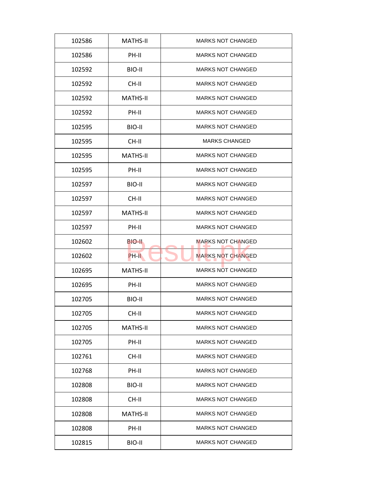| 102586 | <b>MATHS-II</b> | <b>MARKS NOT CHANGED</b> |
|--------|-----------------|--------------------------|
| 102586 | PH-II           | <b>MARKS NOT CHANGED</b> |
| 102592 | BIO-II          | <b>MARKS NOT CHANGED</b> |
| 102592 | CH-II           | <b>MARKS NOT CHANGED</b> |
| 102592 | <b>MATHS-II</b> | <b>MARKS NOT CHANGED</b> |
| 102592 | PH-II           | <b>MARKS NOT CHANGED</b> |
| 102595 | BIO-II          | <b>MARKS NOT CHANGED</b> |
| 102595 | CH-II           | <b>MARKS CHANGED</b>     |
| 102595 | <b>MATHS-II</b> | <b>MARKS NOT CHANGED</b> |
| 102595 | PH-II           | <b>MARKS NOT CHANGED</b> |
| 102597 | BIO-II          | <b>MARKS NOT CHANGED</b> |
| 102597 | CH-II           | <b>MARKS NOT CHANGED</b> |
| 102597 | <b>MATHS-II</b> | <b>MARKS NOT CHANGED</b> |
| 102597 | PH-II           | <b>MARKS NOT CHANGED</b> |
| 102602 | BIO-II          | <b>MARKS NOT CHANGED</b> |
| 102602 | PH-II           | <b>MARKS NOT CHANGED</b> |
| 102695 | <b>MATHS-II</b> | <b>MARKS NOT CHANGED</b> |
| 102695 | PH-II           | <b>MARKS NOT CHANGED</b> |
| 102705 | BIO-II          | <b>MARKS NOT CHANGED</b> |
| 102705 | CH-II           | <b>MARKS NOT CHANGED</b> |
| 102705 | <b>MATHS-II</b> | <b>MARKS NOT CHANGED</b> |
| 102705 | PH-II           | <b>MARKS NOT CHANGED</b> |
| 102761 | CH-II           | <b>MARKS NOT CHANGED</b> |
| 102768 | PH-II           | MARKS NOT CHANGED        |
| 102808 | BIO-II          | <b>MARKS NOT CHANGED</b> |
| 102808 | CH-II           | MARKS NOT CHANGED        |
| 102808 | <b>MATHS-II</b> | <b>MARKS NOT CHANGED</b> |
| 102808 | PH-II           | <b>MARKS NOT CHANGED</b> |
| 102815 | BIO-II          | <b>MARKS NOT CHANGED</b> |
|        |                 |                          |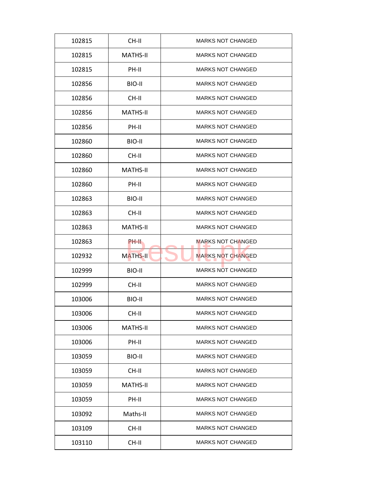| 102815 | CH-II           | <b>MARKS NOT CHANGED</b> |
|--------|-----------------|--------------------------|
| 102815 | MATHS-II        | <b>MARKS NOT CHANGED</b> |
| 102815 | PH-II           | <b>MARKS NOT CHANGED</b> |
| 102856 | BIO-II          | <b>MARKS NOT CHANGED</b> |
| 102856 | CH-II           | <b>MARKS NOT CHANGED</b> |
| 102856 | <b>MATHS-II</b> | <b>MARKS NOT CHANGED</b> |
| 102856 | PH-II           | <b>MARKS NOT CHANGED</b> |
| 102860 | BIO-II          | <b>MARKS NOT CHANGED</b> |
| 102860 | CH-II           | <b>MARKS NOT CHANGED</b> |
| 102860 | MATHS-II        | <b>MARKS NOT CHANGED</b> |
| 102860 | PH-II           | <b>MARKS NOT CHANGED</b> |
| 102863 | BIO-II          | <b>MARKS NOT CHANGED</b> |
| 102863 | CH-II           | <b>MARKS NOT CHANGED</b> |
| 102863 | <b>MATHS-II</b> | <b>MARKS NOT CHANGED</b> |
| 102863 | PH-II           | <b>MARKS NOT CHANGED</b> |
| 102932 | <b>MATHS-II</b> | <b>MARKS NOT CHANGED</b> |
| 102999 | BIO-II          | <b>MARKS NOT CHANGED</b> |
| 102999 | CH-II           | <b>MARKS NOT CHANGED</b> |
| 103006 | BIO-II          | <b>MARKS NOT CHANGED</b> |
| 103006 | CH-II           | <b>MARKS NOT CHANGED</b> |
| 103006 | <b>MATHS-II</b> | <b>MARKS NOT CHANGED</b> |
| 103006 | PH-II           | <b>MARKS NOT CHANGED</b> |
| 103059 | BIO-II          | <b>MARKS NOT CHANGED</b> |
| 103059 | CH-II           | <b>MARKS NOT CHANGED</b> |
| 103059 | <b>MATHS-II</b> | <b>MARKS NOT CHANGED</b> |
| 103059 | PH-II           | <b>MARKS NOT CHANGED</b> |
| 103092 | Maths-II        | <b>MARKS NOT CHANGED</b> |
| 103109 | CH-II           | <b>MARKS NOT CHANGED</b> |
| 103110 | CH-II           | <b>MARKS NOT CHANGED</b> |
|        |                 |                          |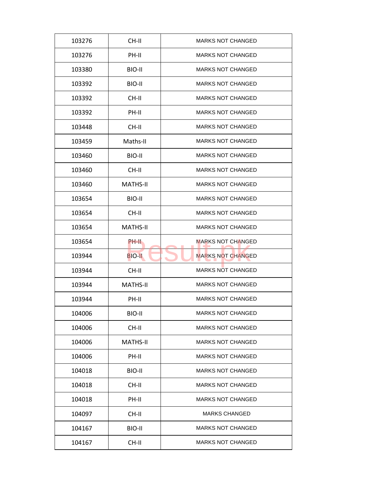| 103276 | CH-II           | <b>MARKS NOT CHANGED</b> |
|--------|-----------------|--------------------------|
| 103276 | PH-II           | <b>MARKS NOT CHANGED</b> |
| 103380 | BIO-II          | <b>MARKS NOT CHANGED</b> |
| 103392 | BIO-II          | <b>MARKS NOT CHANGED</b> |
| 103392 | CH-II           | <b>MARKS NOT CHANGED</b> |
| 103392 | PH-II           | <b>MARKS NOT CHANGED</b> |
| 103448 | CH-II           | <b>MARKS NOT CHANGED</b> |
| 103459 | Maths-II        | <b>MARKS NOT CHANGED</b> |
| 103460 | BIO-II          | <b>MARKS NOT CHANGED</b> |
| 103460 | CH-II           | <b>MARKS NOT CHANGED</b> |
| 103460 | <b>MATHS-II</b> | <b>MARKS NOT CHANGED</b> |
| 103654 | BIO-II          | <b>MARKS NOT CHANGED</b> |
| 103654 | CH-II           | <b>MARKS NOT CHANGED</b> |
| 103654 | <b>MATHS-II</b> | <b>MARKS NOT CHANGED</b> |
| 103654 | PH-II           | <b>MARKS NOT CHANGED</b> |
| 103944 | <b>BIO-II</b>   | <b>MARKS NOT CHANGED</b> |
| 103944 | CH-II           | <b>MARKS NOT CHANGED</b> |
| 103944 | <b>MATHS-II</b> | <b>MARKS NOT CHANGED</b> |
| 103944 | PH-II           | <b>MARKS NOT CHANGED</b> |
| 104006 | BIO-II          | <b>MARKS NOT CHANGED</b> |
| 104006 | CH-II           | <b>MARKS NOT CHANGED</b> |
| 104006 | <b>MATHS-II</b> | <b>MARKS NOT CHANGED</b> |
| 104006 | PH-II           | <b>MARKS NOT CHANGED</b> |
| 104018 | BIO-II          | <b>MARKS NOT CHANGED</b> |
| 104018 | CH-II           | <b>MARKS NOT CHANGED</b> |
| 104018 | PH-II           | <b>MARKS NOT CHANGED</b> |
|        |                 | <b>MARKS CHANGED</b>     |
| 104097 | CH-II           |                          |
| 104167 | BIO-II          | <b>MARKS NOT CHANGED</b> |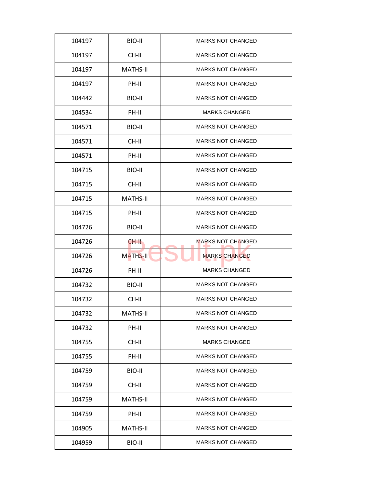| 104197 | BIO-II          | <b>MARKS NOT CHANGED</b> |
|--------|-----------------|--------------------------|
| 104197 | CH-II           | <b>MARKS NOT CHANGED</b> |
| 104197 | <b>MATHS-II</b> | <b>MARKS NOT CHANGED</b> |
| 104197 | PH-II           | <b>MARKS NOT CHANGED</b> |
| 104442 | BIO-II          | <b>MARKS NOT CHANGED</b> |
| 104534 | PH-II           | <b>MARKS CHANGED</b>     |
| 104571 | BIO-II          | <b>MARKS NOT CHANGED</b> |
| 104571 | CH-II           | <b>MARKS NOT CHANGED</b> |
| 104571 | PH-II           | <b>MARKS NOT CHANGED</b> |
| 104715 | BIO-II          | <b>MARKS NOT CHANGED</b> |
| 104715 | CH-II           | <b>MARKS NOT CHANGED</b> |
| 104715 | <b>MATHS-II</b> | <b>MARKS NOT CHANGED</b> |
| 104715 | PH-II           | <b>MARKS NOT CHANGED</b> |
| 104726 | BIO-II          | <b>MARKS NOT CHANGED</b> |
| 104726 | CH-II.          | <b>MARKS NOT CHANGED</b> |
| 104726 | <b>MATHS-II</b> | <b>MARKS CHANGED</b>     |
| 104726 | PH-II           | <b>MARKS CHANGED</b>     |
| 104732 | BIO-II          | <b>MARKS NOT CHANGED</b> |
| 104732 | CH-II           | <b>MARKS NOT CHANGED</b> |
| 104732 | <b>MATHS-II</b> | <b>MARKS NOT CHANGED</b> |
| 104732 | PH-II           | <b>MARKS NOT CHANGED</b> |
| 104755 | CH-II           | <b>MARKS CHANGED</b>     |
| 104755 | PH-II           | <b>MARKS NOT CHANGED</b> |
| 104759 | BIO-II          | <b>MARKS NOT CHANGED</b> |
| 104759 | CH-II           | <b>MARKS NOT CHANGED</b> |
|        | <b>MATHS-II</b> | <b>MARKS NOT CHANGED</b> |
| 104759 |                 |                          |
| 104759 | PH-II           | <b>MARKS NOT CHANGED</b> |
| 104905 | <b>MATHS-II</b> | <b>MARKS NOT CHANGED</b> |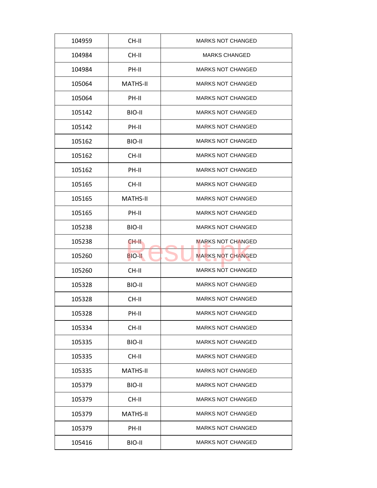| 104959 | CH-II           | <b>MARKS NOT CHANGED</b> |
|--------|-----------------|--------------------------|
| 104984 | CH-II           | <b>MARKS CHANGED</b>     |
| 104984 | PH-II           | <b>MARKS NOT CHANGED</b> |
| 105064 | <b>MATHS-II</b> | <b>MARKS NOT CHANGED</b> |
| 105064 | PH-II           | <b>MARKS NOT CHANGED</b> |
| 105142 | BIO-II          | <b>MARKS NOT CHANGED</b> |
| 105142 | PH-II           | <b>MARKS NOT CHANGED</b> |
| 105162 | BIO-II          | <b>MARKS NOT CHANGED</b> |
| 105162 | CH-II           | <b>MARKS NOT CHANGED</b> |
| 105162 | PH-II           | <b>MARKS NOT CHANGED</b> |
| 105165 | CH-II           | <b>MARKS NOT CHANGED</b> |
| 105165 | <b>MATHS-II</b> | <b>MARKS NOT CHANGED</b> |
| 105165 | PH-II           | <b>MARKS NOT CHANGED</b> |
| 105238 | BIO-II          | <b>MARKS NOT CHANGED</b> |
| 105238 | CH-II           | <b>MARKS NOT CHANGED</b> |
| 105260 | <b>BIO-II</b>   | <b>MARKS NOT CHANGED</b> |
| 105260 | CH-II           | <b>MARKS NOT CHANGED</b> |
| 105328 | BIO-II          | <b>MARKS NOT CHANGED</b> |
| 105328 | CH-II           | <b>MARKS NOT CHANGED</b> |
| 105328 | PH-II           | <b>MARKS NOT CHANGED</b> |
| 105334 | CH-II           | <b>MARKS NOT CHANGED</b> |
| 105335 | BIO-II          | <b>MARKS NOT CHANGED</b> |
| 105335 | CH-II           | <b>MARKS NOT CHANGED</b> |
| 105335 | <b>MATHS-II</b> | <b>MARKS NOT CHANGED</b> |
| 105379 | BIO-II          | <b>MARKS NOT CHANGED</b> |
| 105379 | CH-II           | <b>MARKS NOT CHANGED</b> |
| 105379 | <b>MATHS-II</b> | <b>MARKS NOT CHANGED</b> |
| 105379 | PH-II           | <b>MARKS NOT CHANGED</b> |
| 105416 | BIO-II          | <b>MARKS NOT CHANGED</b> |
|        |                 |                          |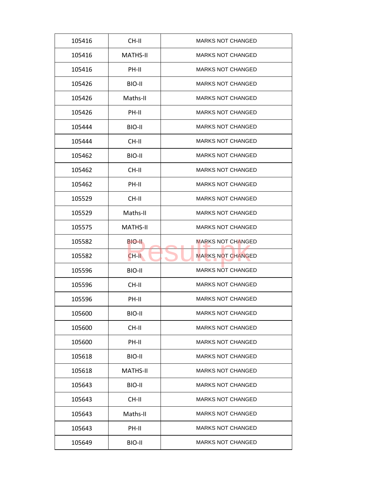| 105416 | CH-II           | <b>MARKS NOT CHANGED</b> |
|--------|-----------------|--------------------------|
| 105416 | <b>MATHS-II</b> | <b>MARKS NOT CHANGED</b> |
| 105416 | PH-II           | <b>MARKS NOT CHANGED</b> |
| 105426 | BIO-II          | <b>MARKS NOT CHANGED</b> |
| 105426 | Maths-II        | <b>MARKS NOT CHANGED</b> |
| 105426 | PH-II           | <b>MARKS NOT CHANGED</b> |
| 105444 | BIO-II          | <b>MARKS NOT CHANGED</b> |
| 105444 | CH-II           | <b>MARKS NOT CHANGED</b> |
| 105462 | BIO-II          | <b>MARKS NOT CHANGED</b> |
| 105462 | CH-II           | <b>MARKS NOT CHANGED</b> |
| 105462 | PH-II           | <b>MARKS NOT CHANGED</b> |
| 105529 | CH-II           | <b>MARKS NOT CHANGED</b> |
| 105529 | Maths-II        | <b>MARKS NOT CHANGED</b> |
| 105575 | <b>MATHS-II</b> | <b>MARKS NOT CHANGED</b> |
| 105582 | BIO-II          | <b>MARKS NOT CHANGED</b> |
| 105582 | CH-II           | <b>MARKS NOT CHANGED</b> |
| 105596 | BIO-II          | <b>MARKS NOT CHANGED</b> |
| 105596 | CH-II           | <b>MARKS NOT CHANGED</b> |
| 105596 | PH-II           | <b>MARKS NOT CHANGED</b> |
| 105600 | BIO-II          | <b>MARKS NOT CHANGED</b> |
| 105600 | CH-II           | <b>MARKS NOT CHANGED</b> |
| 105600 | PH-II           | <b>MARKS NOT CHANGED</b> |
| 105618 | BIO-II          | <b>MARKS NOT CHANGED</b> |
| 105618 | <b>MATHS-II</b> | <b>MARKS NOT CHANGED</b> |
| 105643 | BIO-II          | <b>MARKS NOT CHANGED</b> |
| 105643 | CH-II           | <b>MARKS NOT CHANGED</b> |
| 105643 | Maths-II        | <b>MARKS NOT CHANGED</b> |
|        |                 |                          |
| 105643 | PH-II           | <b>MARKS NOT CHANGED</b> |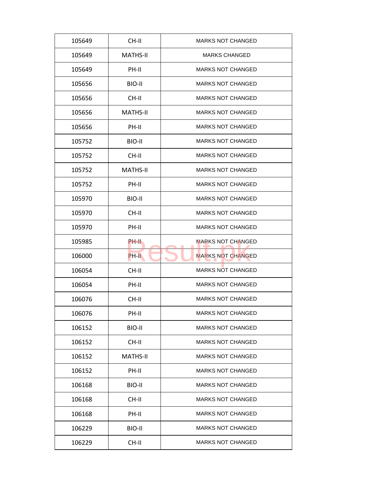| 105649 | CH-II           | <b>MARKS NOT CHANGED</b> |
|--------|-----------------|--------------------------|
| 105649 | <b>MATHS-II</b> | <b>MARKS CHANGED</b>     |
| 105649 | PH-II           | <b>MARKS NOT CHANGED</b> |
| 105656 | BIO-II          | <b>MARKS NOT CHANGED</b> |
| 105656 | CH-II           | <b>MARKS NOT CHANGED</b> |
| 105656 | <b>MATHS-II</b> | <b>MARKS NOT CHANGED</b> |
| 105656 | PH-II           | <b>MARKS NOT CHANGED</b> |
| 105752 | BIO-II          | <b>MARKS NOT CHANGED</b> |
| 105752 | CH-II           | <b>MARKS NOT CHANGED</b> |
| 105752 | <b>MATHS-II</b> | <b>MARKS NOT CHANGED</b> |
| 105752 | PH-II           | <b>MARKS NOT CHANGED</b> |
| 105970 | BIO-II          | <b>MARKS NOT CHANGED</b> |
| 105970 | CH-II           | <b>MARKS NOT CHANGED</b> |
| 105970 | PH-II           | <b>MARKS NOT CHANGED</b> |
| 105985 | PH-II           | <b>MARKS NOT CHANGED</b> |
| 106000 | PH-II           | <b>MARKS NOT CHANGED</b> |
| 106054 | CH-II           | <b>MARKS NOT CHANGED</b> |
| 106054 | PH-II           | <b>MARKS NOT CHANGED</b> |
| 106076 | CH-II           | <b>MARKS NOT CHANGED</b> |
| 106076 | PH-II           | <b>MARKS NOT CHANGED</b> |
| 106152 | BIO-II          | <b>MARKS NOT CHANGED</b> |
| 106152 | CH-II           | <b>MARKS NOT CHANGED</b> |
| 106152 | <b>MATHS-II</b> | <b>MARKS NOT CHANGED</b> |
| 106152 | PH-II           | <b>MARKS NOT CHANGED</b> |
| 106168 | BIO-II          | <b>MARKS NOT CHANGED</b> |
| 106168 | CH-II           | <b>MARKS NOT CHANGED</b> |
| 106168 | PH-II           | <b>MARKS NOT CHANGED</b> |
|        |                 |                          |
| 106229 | BIO-II          | <b>MARKS NOT CHANGED</b> |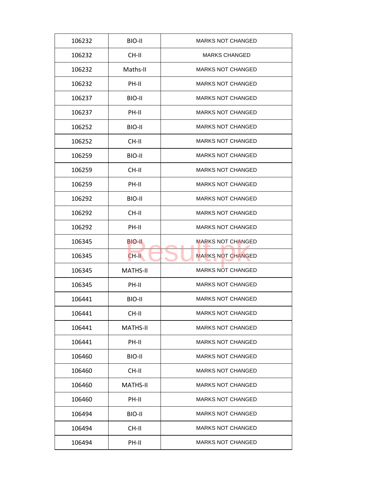| 106232 | BIO-II          | <b>MARKS NOT CHANGED</b> |
|--------|-----------------|--------------------------|
| 106232 | CH-II           | <b>MARKS CHANGED</b>     |
| 106232 | Maths-II        | <b>MARKS NOT CHANGED</b> |
| 106232 | PH-II           | <b>MARKS NOT CHANGED</b> |
| 106237 | BIO-II          | <b>MARKS NOT CHANGED</b> |
| 106237 | PH-II           | <b>MARKS NOT CHANGED</b> |
| 106252 | BIO-II          | <b>MARKS NOT CHANGED</b> |
| 106252 | CH-II           | <b>MARKS NOT CHANGED</b> |
| 106259 | BIO-II          | <b>MARKS NOT CHANGED</b> |
| 106259 | CH-II           | <b>MARKS NOT CHANGED</b> |
| 106259 | PH-II           | <b>MARKS NOT CHANGED</b> |
| 106292 | BIO-II          | <b>MARKS NOT CHANGED</b> |
| 106292 | CH-II           | <b>MARKS NOT CHANGED</b> |
| 106292 | PH-II           | <b>MARKS NOT CHANGED</b> |
| 106345 | BIO-II          | <b>MARKS NOT CHANGED</b> |
| 106345 | CH-II           | <b>MARKS NOT CHANGED</b> |
| 106345 | <b>MATHS-II</b> | <b>MARKS NOT CHANGED</b> |
| 106345 | PH-II           | <b>MARKS NOT CHANGED</b> |
| 106441 | BIO-II          | <b>MARKS NOT CHANGED</b> |
| 106441 | CH-II           | <b>MARKS NOT CHANGED</b> |
| 106441 | <b>MATHS-II</b> | <b>MARKS NOT CHANGED</b> |
| 106441 | PH-II           | <b>MARKS NOT CHANGED</b> |
| 106460 | BIO-II          | <b>MARKS NOT CHANGED</b> |
| 106460 | CH-II           | <b>MARKS NOT CHANGED</b> |
| 106460 | <b>MATHS-II</b> | <b>MARKS NOT CHANGED</b> |
| 106460 | PH-II           | <b>MARKS NOT CHANGED</b> |
| 106494 | BIO-II          | <b>MARKS NOT CHANGED</b> |
| 106494 | CH-II           | <b>MARKS NOT CHANGED</b> |
|        |                 |                          |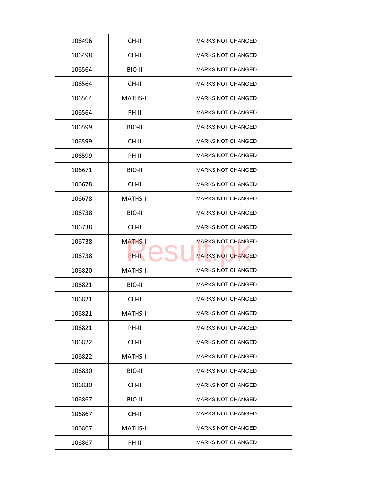| 106496 | CH-II           | <b>MARKS NOT CHANGED</b> |
|--------|-----------------|--------------------------|
| 106498 | CH-II           | <b>MARKS NOT CHANGED</b> |
| 106564 | BIO-II          | <b>MARKS NOT CHANGED</b> |
| 106564 | CH-II           | <b>MARKS NOT CHANGED</b> |
| 106564 | <b>MATHS-II</b> | <b>MARKS NOT CHANGED</b> |
| 106564 | PH-II           | <b>MARKS NOT CHANGED</b> |
| 106599 | BIO-II          | <b>MARKS NOT CHANGED</b> |
| 106599 | CH-II           | <b>MARKS NOT CHANGED</b> |
| 106599 | PH-II           | <b>MARKS NOT CHANGED</b> |
| 106671 | BIO-II          | <b>MARKS NOT CHANGED</b> |
| 106678 | CH-II           | <b>MARKS NOT CHANGED</b> |
| 106678 | <b>MATHS-II</b> | <b>MARKS NOT CHANGED</b> |
| 106738 | BIO-II          | <b>MARKS NOT CHANGED</b> |
| 106738 | CH-II           | <b>MARKS NOT CHANGED</b> |
| 106738 | <b>MATHS-II</b> | <b>MARKS NOT CHANGED</b> |
| 106738 | PH-II           | <b>MARKS NOT CHANGED</b> |
| 106820 | <b>MATHS-II</b> | <b>MARKS NOT CHANGED</b> |
| 106821 | BIO-II          | <b>MARKS NOT CHANGED</b> |
| 106821 | CH-II           | <b>MARKS NOT CHANGED</b> |
| 106821 | <b>MATHS-II</b> | <b>MARKS NOT CHANGED</b> |
| 106821 | PH-II           | <b>MARKS NOT CHANGED</b> |
| 106822 | CH-II           | <b>MARKS NOT CHANGED</b> |
| 106822 | <b>MATHS-II</b> | <b>MARKS NOT CHANGED</b> |
| 106830 | BIO-II          | <b>MARKS NOT CHANGED</b> |
| 106830 | CH-II           | <b>MARKS NOT CHANGED</b> |
| 106867 | BIO-II          | <b>MARKS NOT CHANGED</b> |
|        |                 |                          |
| 106867 | CH-II           | <b>MARKS NOT CHANGED</b> |
| 106867 | <b>MATHS-II</b> | <b>MARKS NOT CHANGED</b> |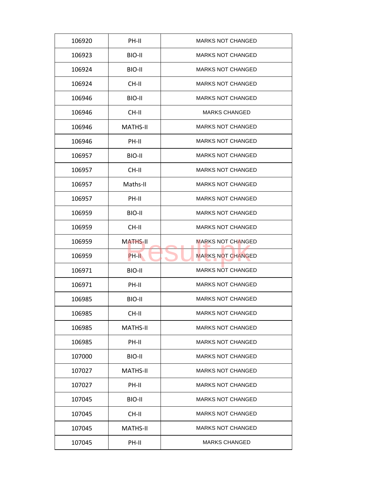| 106920 | PH-II           | <b>MARKS NOT CHANGED</b> |
|--------|-----------------|--------------------------|
| 106923 | BIO-II          | <b>MARKS NOT CHANGED</b> |
| 106924 | BIO-II          | <b>MARKS NOT CHANGED</b> |
| 106924 | CH-II           | <b>MARKS NOT CHANGED</b> |
| 106946 | BIO-II          | <b>MARKS NOT CHANGED</b> |
| 106946 | CH-II           | <b>MARKS CHANGED</b>     |
| 106946 | <b>MATHS-II</b> | <b>MARKS NOT CHANGED</b> |
| 106946 | PH-II           | <b>MARKS NOT CHANGED</b> |
| 106957 | BIO-II          | <b>MARKS NOT CHANGED</b> |
| 106957 | CH-II           | <b>MARKS NOT CHANGED</b> |
| 106957 | Maths-II        | <b>MARKS NOT CHANGED</b> |
| 106957 | PH-II           | <b>MARKS NOT CHANGED</b> |
| 106959 | BIO-II          | <b>MARKS NOT CHANGED</b> |
| 106959 | CH-II           | <b>MARKS NOT CHANGED</b> |
| 106959 | <b>MATHS-II</b> | <b>MARKS NOT CHANGED</b> |
| 106959 | PH-II           | <b>MARKS NOT CHANGED</b> |
| 106971 | BIO-II          | <b>MARKS NOT CHANGED</b> |
| 106971 | PH-II           | <b>MARKS NOT CHANGED</b> |
| 106985 | BIO-II          | <b>MARKS NOT CHANGED</b> |
| 106985 | CH-II           | <b>MARKS NOT CHANGED</b> |
| 106985 | <b>MATHS-II</b> | <b>MARKS NOT CHANGED</b> |
| 106985 | PH-II           | <b>MARKS NOT CHANGED</b> |
| 107000 | BIO-II          | <b>MARKS NOT CHANGED</b> |
| 107027 | <b>MATHS-II</b> | <b>MARKS NOT CHANGED</b> |
| 107027 | PH-II           | <b>MARKS NOT CHANGED</b> |
| 107045 | BIO-II          | <b>MARKS NOT CHANGED</b> |
| 107045 | CH-II           | <b>MARKS NOT CHANGED</b> |
| 107045 | <b>MATHS-II</b> | MARKS NOT CHANGED        |
| 107045 | PH-II           | <b>MARKS CHANGED</b>     |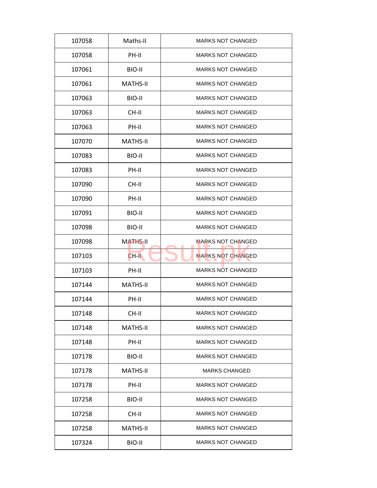| 107058 | Maths-II        | <b>MARKS NOT CHANGED</b> |
|--------|-----------------|--------------------------|
| 107058 | PH-II           | <b>MARKS NOT CHANGED</b> |
| 107061 | BIO-II          | <b>MARKS NOT CHANGED</b> |
| 107061 | <b>MATHS-II</b> | <b>MARKS NOT CHANGED</b> |
| 107063 | BIO-II          | <b>MARKS NOT CHANGED</b> |
| 107063 | CH-II           | <b>MARKS NOT CHANGED</b> |
| 107063 | PH-II           | <b>MARKS NOT CHANGED</b> |
| 107070 | <b>MATHS-II</b> | <b>MARKS NOT CHANGED</b> |
| 107083 | BIO-II          | <b>MARKS NOT CHANGED</b> |
| 107083 | PH-II           | <b>MARKS NOT CHANGED</b> |
| 107090 | CH-II           | <b>MARKS NOT CHANGED</b> |
| 107090 | PH-II           | <b>MARKS NOT CHANGED</b> |
| 107091 | BIO-II          | <b>MARKS NOT CHANGED</b> |
| 107098 | BIO-II          | <b>MARKS NOT CHANGED</b> |
| 107098 | <b>MATHS-II</b> | <b>MARKS NOT CHANGED</b> |
| 107103 | $CH-H$          | <b>MARKS NOT CHANGED</b> |
| 107103 | PH-II           | <b>MARKS NOT CHANGED</b> |
| 107144 | <b>MATHS-II</b> | <b>MARKS NOT CHANGED</b> |
| 107144 | PH-II           | <b>MARKS NOT CHANGED</b> |
| 107148 | CH-II           | <b>MARKS NOT CHANGED</b> |
| 107148 | MATHS-II        | <b>MARKS NOT CHANGED</b> |
| 107148 | PH-II           | <b>MARKS NOT CHANGED</b> |
| 107178 | BIO-II          | <b>MARKS NOT CHANGED</b> |
| 107178 | <b>MATHS-II</b> | <b>MARKS CHANGED</b>     |
| 107178 | PH-II           | <b>MARKS NOT CHANGED</b> |
| 107258 | BIO-II          | <b>MARKS NOT CHANGED</b> |
| 107258 | CH-II           | <b>MARKS NOT CHANGED</b> |
| 107258 | MATHS-II        | <b>MARKS NOT CHANGED</b> |
|        |                 |                          |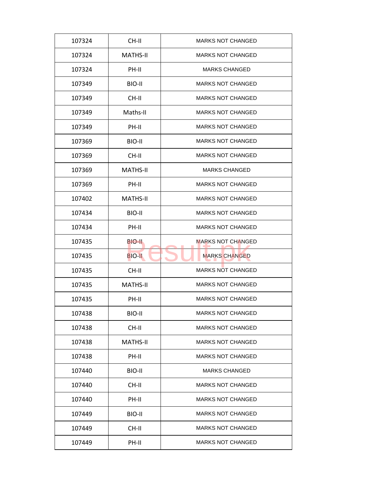| 107324 | CH-II           | <b>MARKS NOT CHANGED</b> |
|--------|-----------------|--------------------------|
| 107324 | <b>MATHS-II</b> | <b>MARKS NOT CHANGED</b> |
| 107324 | PH-II           | <b>MARKS CHANGED</b>     |
| 107349 | BIO-II          | <b>MARKS NOT CHANGED</b> |
| 107349 | CH-II           | <b>MARKS NOT CHANGED</b> |
| 107349 | Maths-II        | <b>MARKS NOT CHANGED</b> |
| 107349 | PH-II           | <b>MARKS NOT CHANGED</b> |
| 107369 | BIO-II          | <b>MARKS NOT CHANGED</b> |
| 107369 | CH-II           | <b>MARKS NOT CHANGED</b> |
| 107369 | <b>MATHS-II</b> | <b>MARKS CHANGED</b>     |
| 107369 | PH-II           | <b>MARKS NOT CHANGED</b> |
| 107402 | <b>MATHS-II</b> | <b>MARKS NOT CHANGED</b> |
| 107434 | BIO-II          | <b>MARKS NOT CHANGED</b> |
| 107434 | PH-II           | <b>MARKS NOT CHANGED</b> |
| 107435 | BIO-II          | <b>MARKS NOT CHANGED</b> |
| 107435 | <b>BIO-II</b>   | <b>MARKS CHANGED</b>     |
| 107435 | CH-II           | <b>MARKS NOT CHANGED</b> |
| 107435 | <b>MATHS-II</b> | <b>MARKS NOT CHANGED</b> |
| 107435 | PH-II           | <b>MARKS NOT CHANGED</b> |
| 107438 | BIO-II          | <b>MARKS NOT CHANGED</b> |
| 107438 | CH-II           | <b>MARKS NOT CHANGED</b> |
| 107438 | <b>MATHS-II</b> | <b>MARKS NOT CHANGED</b> |
| 107438 | PH-II           | <b>MARKS NOT CHANGED</b> |
| 107440 | BIO-II          | <b>MARKS CHANGED</b>     |
| 107440 | CH-II           | <b>MARKS NOT CHANGED</b> |
| 107440 | PH-II           | <b>MARKS NOT CHANGED</b> |
| 107449 | BIO-II          | <b>MARKS NOT CHANGED</b> |
|        |                 |                          |
| 107449 | CH-II           | <b>MARKS NOT CHANGED</b> |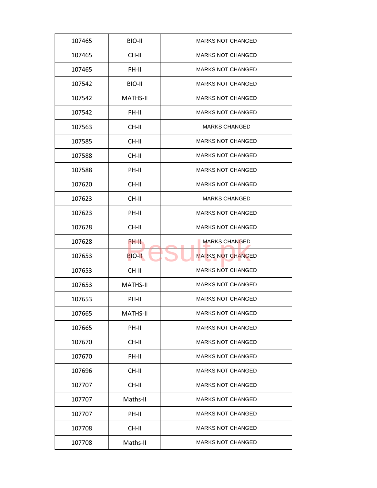| 107465 | BIO-II          | <b>MARKS NOT CHANGED</b> |
|--------|-----------------|--------------------------|
| 107465 | CH-II           | <b>MARKS NOT CHANGED</b> |
| 107465 | PH-II           | <b>MARKS NOT CHANGED</b> |
| 107542 | BIO-II          | <b>MARKS NOT CHANGED</b> |
| 107542 | <b>MATHS-II</b> | MARKS NOT CHANGED        |
| 107542 | PH-II           | <b>MARKS NOT CHANGED</b> |
| 107563 | CH-II           | <b>MARKS CHANGED</b>     |
| 107585 | CH-II           | <b>MARKS NOT CHANGED</b> |
| 107588 | CH-II           | <b>MARKS NOT CHANGED</b> |
| 107588 | PH-II           | <b>MARKS NOT CHANGED</b> |
| 107620 | CH-II           | <b>MARKS NOT CHANGED</b> |
| 107623 | CH-II           | <b>MARKS CHANGED</b>     |
| 107623 | PH-II           | <b>MARKS NOT CHANGED</b> |
| 107628 | CH-II           | <b>MARKS NOT CHANGED</b> |
| 107628 | PH-II           | <b>MARKS CHANGED</b>     |
| 107653 | <b>BIO-II</b>   | <b>MARKS NOT CHANGED</b> |
| 107653 | CH-II           | <b>MARKS NOT CHANGED</b> |
| 107653 | <b>MATHS-II</b> | <b>MARKS NOT CHANGED</b> |
| 107653 | PH-II           | <b>MARKS NOT CHANGED</b> |
| 107665 | <b>MATHS-II</b> | <b>MARKS NOT CHANGED</b> |
| 107665 | PH-II           | <b>MARKS NOT CHANGED</b> |
| 107670 | CH-II           | <b>MARKS NOT CHANGED</b> |
| 107670 | PH-II           | <b>MARKS NOT CHANGED</b> |
| 107696 | CH-II           | <b>MARKS NOT CHANGED</b> |
| 107707 | CH-II           | <b>MARKS NOT CHANGED</b> |
| 107707 | Maths-II        | <b>MARKS NOT CHANGED</b> |
| 107707 | PH-II           | <b>MARKS NOT CHANGED</b> |
| 107708 | CH-II           | <b>MARKS NOT CHANGED</b> |
| 107708 | Maths-II        | <b>MARKS NOT CHANGED</b> |
|        |                 |                          |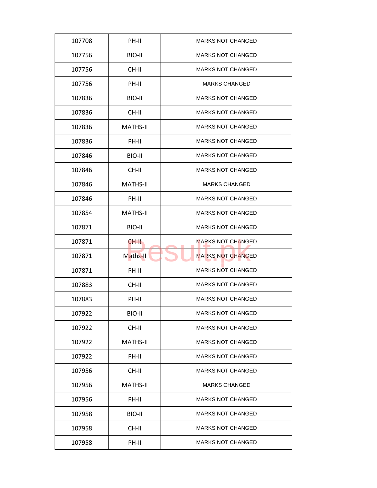| 107708 | PH-II           | <b>MARKS NOT CHANGED</b> |
|--------|-----------------|--------------------------|
| 107756 | BIO-II          | <b>MARKS NOT CHANGED</b> |
| 107756 | CH-II           | <b>MARKS NOT CHANGED</b> |
| 107756 | PH-II           | <b>MARKS CHANGED</b>     |
| 107836 | BIO-II          | <b>MARKS NOT CHANGED</b> |
| 107836 | CH-II           | <b>MARKS NOT CHANGED</b> |
| 107836 | <b>MATHS-II</b> | <b>MARKS NOT CHANGED</b> |
| 107836 | PH-II           | <b>MARKS NOT CHANGED</b> |
| 107846 | BIO-II          | <b>MARKS NOT CHANGED</b> |
| 107846 | CH-II           | <b>MARKS NOT CHANGED</b> |
| 107846 | <b>MATHS-II</b> | <b>MARKS CHANGED</b>     |
| 107846 | PH-II           | <b>MARKS NOT CHANGED</b> |
| 107854 | <b>MATHS-II</b> | <b>MARKS NOT CHANGED</b> |
| 107871 | BIO-II          | <b>MARKS NOT CHANGED</b> |
| 107871 | CH-II.          | <b>MARKS NOT CHANGED</b> |
| 107871 | Maths-II        | <b>MARKS NOT CHANGED</b> |
| 107871 | PH-II           | <b>MARKS NOT CHANGED</b> |
| 107883 | CH-II           | <b>MARKS NOT CHANGED</b> |
| 107883 | PH-II           | <b>MARKS NOT CHANGED</b> |
| 107922 | BIO-II          | <b>MARKS NOT CHANGED</b> |
| 107922 | CH-II           | <b>MARKS NOT CHANGED</b> |
| 107922 | <b>MATHS-II</b> | <b>MARKS NOT CHANGED</b> |
| 107922 | PH-II           | <b>MARKS NOT CHANGED</b> |
| 107956 | CH-II           | <b>MARKS NOT CHANGED</b> |
| 107956 | MATHS-II        | <b>MARKS CHANGED</b>     |
| 107956 | PH-II           | <b>MARKS NOT CHANGED</b> |
| 107958 | BIO-II          | <b>MARKS NOT CHANGED</b> |
| 107958 | CH-II           | <b>MARKS NOT CHANGED</b> |
| 107958 | PH-II           | <b>MARKS NOT CHANGED</b> |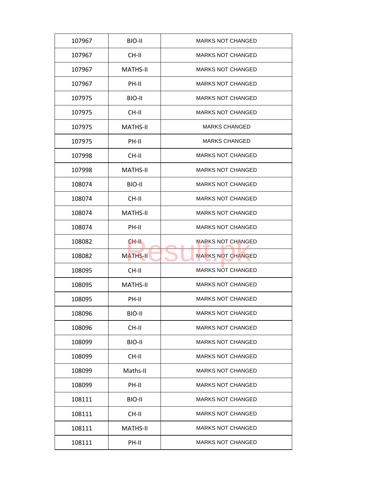| 107967 | BIO-II          | <b>MARKS NOT CHANGED</b> |
|--------|-----------------|--------------------------|
| 107967 | CH-II           | <b>MARKS NOT CHANGED</b> |
| 107967 | <b>MATHS-II</b> | <b>MARKS NOT CHANGED</b> |
| 107967 | PH-II           | <b>MARKS NOT CHANGED</b> |
| 107975 | BIO-II          | MARKS NOT CHANGED        |
| 107975 | CH-II           | <b>MARKS NOT CHANGED</b> |
| 107975 | <b>MATHS-II</b> | <b>MARKS CHANGED</b>     |
| 107975 | PH-II           | <b>MARKS CHANGED</b>     |
| 107998 | CH-II           | <b>MARKS NOT CHANGED</b> |
| 107998 | <b>MATHS-II</b> | <b>MARKS NOT CHANGED</b> |
| 108074 | BIO-II          | <b>MARKS NOT CHANGED</b> |
| 108074 | CH-II           | <b>MARKS NOT CHANGED</b> |
| 108074 | <b>MATHS-II</b> | <b>MARKS NOT CHANGED</b> |
| 108074 | PH-II           | <b>MARKS NOT CHANGED</b> |
| 108082 | CH-II           | MARKS NOT CHANGED        |
| 108082 | MATHS-II        | <b>MARKS NOT CHANGED</b> |
| 108095 | CH-II           | <b>MARKS NOT CHANGED</b> |
| 108095 | <b>MATHS-II</b> | <b>MARKS NOT CHANGED</b> |
| 108095 | PH-II           | <b>MARKS NOT CHANGED</b> |
| 108096 | BIO-II          | <b>MARKS NOT CHANGED</b> |
| 108096 | CH-II           | <b>MARKS NOT CHANGED</b> |
| 108099 | BIO-II          | <b>MARKS NOT CHANGED</b> |
| 108099 | CH-II           | <b>MARKS NOT CHANGED</b> |
| 108099 | Maths-II        | <b>MARKS NOT CHANGED</b> |
| 108099 | PH-II           | MARKS NOT CHANGED        |
| 108111 | BIO-II          | MARKS NOT CHANGED        |
| 108111 | CH-II           | MARKS NOT CHANGED        |
| 108111 | <b>MATHS-II</b> | <b>MARKS NOT CHANGED</b> |
| 108111 | PH-II           | <b>MARKS NOT CHANGED</b> |
|        |                 |                          |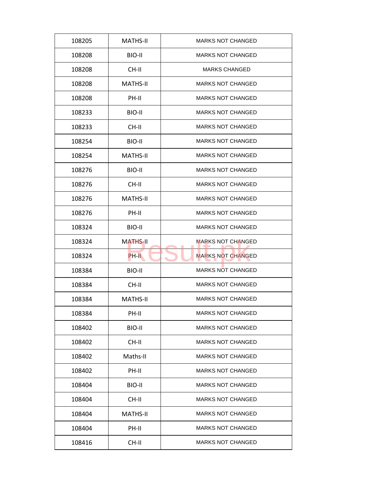| 108205 | <b>MATHS-II</b> | <b>MARKS NOT CHANGED</b> |
|--------|-----------------|--------------------------|
| 108208 | BIO-II          | <b>MARKS NOT CHANGED</b> |
| 108208 | CH-II           | <b>MARKS CHANGED</b>     |
| 108208 | <b>MATHS-II</b> | <b>MARKS NOT CHANGED</b> |
| 108208 | PH-II           | <b>MARKS NOT CHANGED</b> |
| 108233 | BIO-II          | <b>MARKS NOT CHANGED</b> |
| 108233 | CH-II           | <b>MARKS NOT CHANGED</b> |
| 108254 | BIO-II          | <b>MARKS NOT CHANGED</b> |
| 108254 | <b>MATHS-II</b> | <b>MARKS NOT CHANGED</b> |
| 108276 | BIO-II          | <b>MARKS NOT CHANGED</b> |
| 108276 | CH-II           | <b>MARKS NOT CHANGED</b> |
| 108276 | <b>MATHS-II</b> | <b>MARKS NOT CHANGED</b> |
| 108276 | PH-II           | <b>MARKS NOT CHANGED</b> |
| 108324 | BIO-II          | <b>MARKS NOT CHANGED</b> |
| 108324 | <b>MATHS-II</b> | <b>MARKS NOT CHANGED</b> |
| 108324 | PH-II           | <b>MARKS NOT CHANGED</b> |
| 108384 | BIO-II          | <b>MARKS NOT CHANGED</b> |
| 108384 | CH-II           | <b>MARKS NOT CHANGED</b> |
| 108384 | <b>MATHS-II</b> | <b>MARKS NOT CHANGED</b> |
| 108384 | PH-II           | <b>MARKS NOT CHANGED</b> |
| 108402 | BIO-II          | <b>MARKS NOT CHANGED</b> |
| 108402 | CH-II           | <b>MARKS NOT CHANGED</b> |
| 108402 | Maths-II        | <b>MARKS NOT CHANGED</b> |
| 108402 | PH-II           | <b>MARKS NOT CHANGED</b> |
| 108404 | BIO-II          | <b>MARKS NOT CHANGED</b> |
| 108404 | CH-II           | <b>MARKS NOT CHANGED</b> |
| 108404 | <b>MATHS-II</b> | <b>MARKS NOT CHANGED</b> |
| 108404 | PH-II           | <b>MARKS NOT CHANGED</b> |
|        |                 |                          |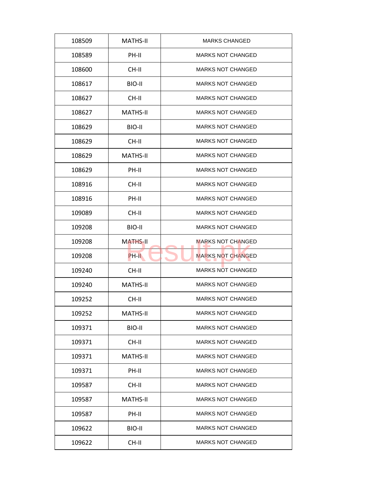| 108509 | <b>MATHS-II</b> | <b>MARKS CHANGED</b>     |
|--------|-----------------|--------------------------|
| 108589 | PH-II           | <b>MARKS NOT CHANGED</b> |
| 108600 | CH-II           | <b>MARKS NOT CHANGED</b> |
| 108617 | BIO-II          | <b>MARKS NOT CHANGED</b> |
| 108627 | CH-II           | <b>MARKS NOT CHANGED</b> |
| 108627 | <b>MATHS-II</b> | <b>MARKS NOT CHANGED</b> |
| 108629 | BIO-II          | <b>MARKS NOT CHANGED</b> |
| 108629 | CH-II           | <b>MARKS NOT CHANGED</b> |
| 108629 | <b>MATHS-II</b> | <b>MARKS NOT CHANGED</b> |
| 108629 | PH-II           | <b>MARKS NOT CHANGED</b> |
| 108916 | CH-II           | <b>MARKS NOT CHANGED</b> |
| 108916 | PH-II           | <b>MARKS NOT CHANGED</b> |
| 109089 | CH-II           | <b>MARKS NOT CHANGED</b> |
| 109208 | BIO-II          | <b>MARKS NOT CHANGED</b> |
| 109208 | <b>MATHS-II</b> | <b>MARKS NOT CHANGED</b> |
| 109208 | PH-II           | <b>MARKS NOT CHANGED</b> |
| 109240 | CH-II           | <b>MARKS NOT CHANGED</b> |
| 109240 | <b>MATHS-II</b> | <b>MARKS NOT CHANGED</b> |
| 109252 | CH-II           | <b>MARKS NOT CHANGED</b> |
| 109252 | <b>MATHS-II</b> | <b>MARKS NOT CHANGED</b> |
| 109371 | BIO-II          | <b>MARKS NOT CHANGED</b> |
| 109371 | CH-II           | <b>MARKS NOT CHANGED</b> |
| 109371 | <b>MATHS-II</b> | <b>MARKS NOT CHANGED</b> |
| 109371 | PH-II           | <b>MARKS NOT CHANGED</b> |
| 109587 | CH-II           | <b>MARKS NOT CHANGED</b> |
| 109587 | <b>MATHS-II</b> | <b>MARKS NOT CHANGED</b> |
| 109587 | PH-II           | <b>MARKS NOT CHANGED</b> |
| 109622 | BIO-II          | <b>MARKS NOT CHANGED</b> |
| 109622 | CH-II           | <b>MARKS NOT CHANGED</b> |
|        |                 |                          |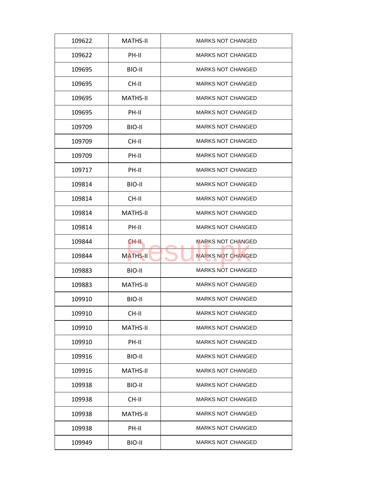| 109622 | <b>MATHS-II</b> | <b>MARKS NOT CHANGED</b> |
|--------|-----------------|--------------------------|
| 109622 | PH-II           | <b>MARKS NOT CHANGED</b> |
| 109695 | BIO-II          | <b>MARKS NOT CHANGED</b> |
| 109695 | CH-II           | <b>MARKS NOT CHANGED</b> |
| 109695 | <b>MATHS-II</b> | <b>MARKS NOT CHANGED</b> |
| 109695 | PH-II           | <b>MARKS NOT CHANGED</b> |
| 109709 | BIO-II          | <b>MARKS NOT CHANGED</b> |
| 109709 | CH-II           | <b>MARKS NOT CHANGED</b> |
| 109709 | PH-II           | <b>MARKS NOT CHANGED</b> |
| 109717 | PH-II           | <b>MARKS NOT CHANGED</b> |
| 109814 | BIO-II          | <b>MARKS NOT CHANGED</b> |
| 109814 | CH-II           | <b>MARKS NOT CHANGED</b> |
| 109814 | <b>MATHS-II</b> | <b>MARKS NOT CHANGED</b> |
| 109814 | PH-II           | <b>MARKS NOT CHANGED</b> |
| 109844 | CH-II.          | <b>MARKS NOT CHANGED</b> |
| 109844 | <b>MATHS-II</b> | <b>MARKS NOT CHANGED</b> |
| 109883 | BIO-II          | <b>MARKS NOT CHANGED</b> |
| 109883 | <b>MATHS-II</b> | <b>MARKS NOT CHANGED</b> |
| 109910 | BIO-II          | <b>MARKS NOT CHANGED</b> |
| 109910 | CH-II           | <b>MARKS NOT CHANGED</b> |
| 109910 | <b>MATHS-II</b> | <b>MARKS NOT CHANGED</b> |
| 109910 | PH-II           | <b>MARKS NOT CHANGED</b> |
| 109916 | BIO-II          | <b>MARKS NOT CHANGED</b> |
| 109916 | <b>MATHS-II</b> | <b>MARKS NOT CHANGED</b> |
| 109938 | BIO-II          | <b>MARKS NOT CHANGED</b> |
| 109938 | CH-II           | <b>MARKS NOT CHANGED</b> |
| 109938 | <b>MATHS-II</b> | <b>MARKS NOT CHANGED</b> |
| 109938 | PH-II           | <b>MARKS NOT CHANGED</b> |
|        |                 |                          |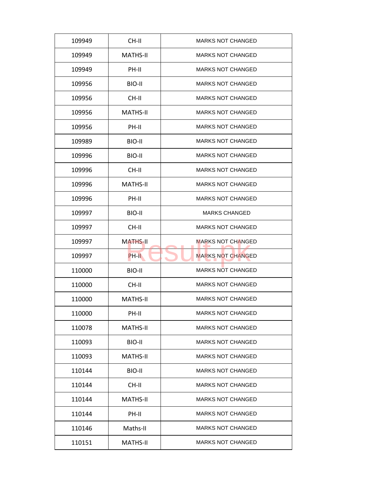| 109949 | CH-II           | <b>MARKS NOT CHANGED</b> |
|--------|-----------------|--------------------------|
| 109949 | <b>MATHS-II</b> | <b>MARKS NOT CHANGED</b> |
| 109949 | PH-II           | <b>MARKS NOT CHANGED</b> |
| 109956 | BIO-II          | <b>MARKS NOT CHANGED</b> |
| 109956 | CH-II           | <b>MARKS NOT CHANGED</b> |
| 109956 | <b>MATHS-II</b> | <b>MARKS NOT CHANGED</b> |
| 109956 | PH-II           | <b>MARKS NOT CHANGED</b> |
| 109989 | BIO-II          | <b>MARKS NOT CHANGED</b> |
| 109996 | BIO-II          | <b>MARKS NOT CHANGED</b> |
| 109996 | CH-II           | <b>MARKS NOT CHANGED</b> |
| 109996 | <b>MATHS-II</b> | <b>MARKS NOT CHANGED</b> |
| 109996 | PH-II           | <b>MARKS NOT CHANGED</b> |
| 109997 | BIO-II          | <b>MARKS CHANGED</b>     |
| 109997 | CH-II           | <b>MARKS NOT CHANGED</b> |
| 109997 | <b>MATHS-II</b> | <b>MARKS NOT CHANGED</b> |
| 109997 | PH-II           | <b>MARKS NOT CHANGED</b> |
| 110000 | BIO-II          | <b>MARKS NOT CHANGED</b> |
| 110000 | CH-II           | <b>MARKS NOT CHANGED</b> |
| 110000 | <b>MATHS-II</b> | <b>MARKS NOT CHANGED</b> |
| 110000 | PH-II           | <b>MARKS NOT CHANGED</b> |
| 110078 | <b>MATHS-II</b> | <b>MARKS NOT CHANGED</b> |
| 110093 | BIO-II          | <b>MARKS NOT CHANGED</b> |
| 110093 | MATHS-II        | <b>MARKS NOT CHANGED</b> |
| 110144 | BIO-II          | <b>MARKS NOT CHANGED</b> |
| 110144 | CH-II           | <b>MARKS NOT CHANGED</b> |
| 110144 | MATHS-II        | <b>MARKS NOT CHANGED</b> |
|        |                 |                          |
| 110144 | PH-II           | <b>MARKS NOT CHANGED</b> |
| 110146 | Maths-II        | <b>MARKS NOT CHANGED</b> |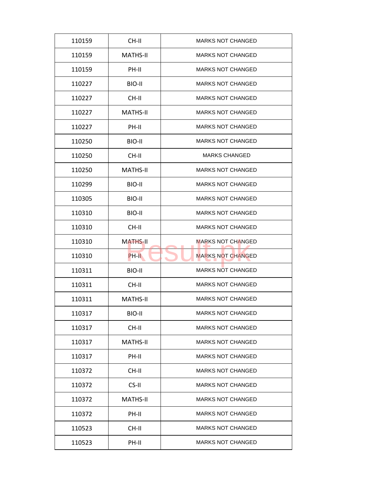| 110159 | CH-II           | <b>MARKS NOT CHANGED</b> |
|--------|-----------------|--------------------------|
| 110159 | MATHS-II        | <b>MARKS NOT CHANGED</b> |
| 110159 | PH-II           | <b>MARKS NOT CHANGED</b> |
| 110227 | BIO-II          | <b>MARKS NOT CHANGED</b> |
| 110227 | CH-II           | <b>MARKS NOT CHANGED</b> |
| 110227 | <b>MATHS-II</b> | <b>MARKS NOT CHANGED</b> |
| 110227 | PH-II           | <b>MARKS NOT CHANGED</b> |
| 110250 | BIO-II          | <b>MARKS NOT CHANGED</b> |
| 110250 | CH-II           | <b>MARKS CHANGED</b>     |
| 110250 | <b>MATHS-II</b> | <b>MARKS NOT CHANGED</b> |
| 110299 | BIO-II          | <b>MARKS NOT CHANGED</b> |
| 110305 | BIO-II          | <b>MARKS NOT CHANGED</b> |
| 110310 | BIO-II          | <b>MARKS NOT CHANGED</b> |
| 110310 | CH-II           | <b>MARKS NOT CHANGED</b> |
| 110310 | <b>MATHS-II</b> | <b>MARKS NOT CHANGED</b> |
| 110310 | PH-II           | <b>MARKS NOT CHANGED</b> |
| 110311 | BIO-II          | <b>MARKS NOT CHANGED</b> |
| 110311 | CH-II           | <b>MARKS NOT CHANGED</b> |
| 110311 | <b>MATHS-II</b> | <b>MARKS NOT CHANGED</b> |
| 110317 | BIO-II          | <b>MARKS NOT CHANGED</b> |
| 110317 | CH-II           | <b>MARKS NOT CHANGED</b> |
| 110317 | MATHS-II        | <b>MARKS NOT CHANGED</b> |
| 110317 | PH-II           | <b>MARKS NOT CHANGED</b> |
| 110372 | CH-II           | <b>MARKS NOT CHANGED</b> |
| 110372 | CS-II           | <b>MARKS NOT CHANGED</b> |
| 110372 | <b>MATHS-II</b> | <b>MARKS NOT CHANGED</b> |
| 110372 | PH-II           | <b>MARKS NOT CHANGED</b> |
| 110523 | CH-II           | <b>MARKS NOT CHANGED</b> |
| 110523 | PH-II           | <b>MARKS NOT CHANGED</b> |
|        |                 |                          |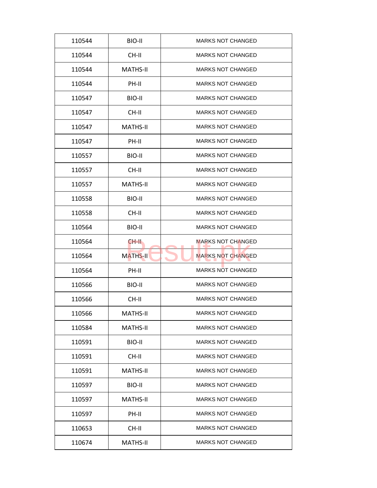| 110544 | BIO-II          | <b>MARKS NOT CHANGED</b> |
|--------|-----------------|--------------------------|
| 110544 | CH-II           | <b>MARKS NOT CHANGED</b> |
| 110544 | <b>MATHS-II</b> | <b>MARKS NOT CHANGED</b> |
| 110544 | PH-II           | <b>MARKS NOT CHANGED</b> |
| 110547 | BIO-II          | <b>MARKS NOT CHANGED</b> |
| 110547 | $CH-H$          | <b>MARKS NOT CHANGED</b> |
| 110547 | <b>MATHS-II</b> | <b>MARKS NOT CHANGED</b> |
| 110547 | PH-II           | <b>MARKS NOT CHANGED</b> |
| 110557 | BIO-II          | <b>MARKS NOT CHANGED</b> |
| 110557 | CH-II           | <b>MARKS NOT CHANGED</b> |
| 110557 | <b>MATHS-II</b> | <b>MARKS NOT CHANGED</b> |
| 110558 | BIO-II          | <b>MARKS NOT CHANGED</b> |
| 110558 | CH-II           | <b>MARKS NOT CHANGED</b> |
| 110564 | BIO-II          | <b>MARKS NOT CHANGED</b> |
| 110564 | CH-II.          | <b>MARKS NOT CHANGED</b> |
| 110564 | <b>MATHS-II</b> | <b>MARKS NOT CHANGED</b> |
| 110564 | PH-II           | <b>MARKS NOT CHANGED</b> |
| 110566 | BIO-II          | <b>MARKS NOT CHANGED</b> |
| 110566 | CH-II           | <b>MARKS NOT CHANGED</b> |
| 110566 | <b>MATHS-II</b> | <b>MARKS NOT CHANGED</b> |
| 110584 | <b>MATHS-II</b> | <b>MARKS NOT CHANGED</b> |
| 110591 | BIO-II          | <b>MARKS NOT CHANGED</b> |
| 110591 | CH-II           | <b>MARKS NOT CHANGED</b> |
| 110591 | <b>MATHS-II</b> | <b>MARKS NOT CHANGED</b> |
| 110597 | BIO-II          | <b>MARKS NOT CHANGED</b> |
| 110597 | MATHS-II        | <b>MARKS NOT CHANGED</b> |
| 110597 | PH-II           | <b>MARKS NOT CHANGED</b> |
| 110653 | CH-II           | <b>MARKS NOT CHANGED</b> |
| 110674 | MATHS-II        | <b>MARKS NOT CHANGED</b> |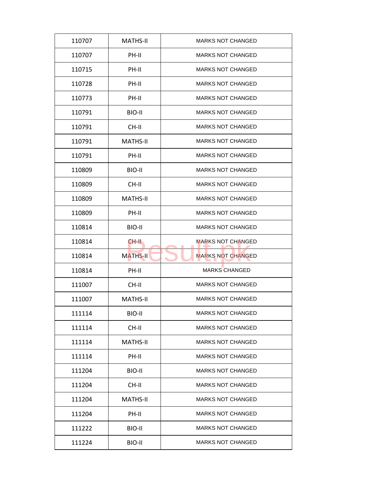| 110707 | <b>MATHS-II</b> | <b>MARKS NOT CHANGED</b> |
|--------|-----------------|--------------------------|
| 110707 | PH-II           | <b>MARKS NOT CHANGED</b> |
| 110715 | PH-II           | <b>MARKS NOT CHANGED</b> |
| 110728 | PH-II           | <b>MARKS NOT CHANGED</b> |
| 110773 | PH-II           | <b>MARKS NOT CHANGED</b> |
| 110791 | BIO-II          | <b>MARKS NOT CHANGED</b> |
| 110791 | CH-II           | <b>MARKS NOT CHANGED</b> |
| 110791 | <b>MATHS-II</b> | <b>MARKS NOT CHANGED</b> |
| 110791 | PH-II           | <b>MARKS NOT CHANGED</b> |
| 110809 | BIO-II          | <b>MARKS NOT CHANGED</b> |
| 110809 | CH-II           | <b>MARKS NOT CHANGED</b> |
| 110809 | <b>MATHS-II</b> | <b>MARKS NOT CHANGED</b> |
| 110809 | PH-II           | <b>MARKS NOT CHANGED</b> |
| 110814 | BIO-II          | <b>MARKS NOT CHANGED</b> |
| 110814 | CH-II.          | <b>MARKS NOT CHANGED</b> |
| 110814 | <b>MATHS-II</b> | <b>MARKS NOT CHANGED</b> |
| 110814 | PH-II           | <b>MARKS CHANGED</b>     |
| 111007 | CH-II           | <b>MARKS NOT CHANGED</b> |
| 111007 | <b>MATHS-II</b> | <b>MARKS NOT CHANGED</b> |
| 111114 | BIO-II          | <b>MARKS NOT CHANGED</b> |
| 111114 | CH-II           | <b>MARKS NOT CHANGED</b> |
| 111114 | <b>MATHS-II</b> | <b>MARKS NOT CHANGED</b> |
| 111114 | PH-II           | <b>MARKS NOT CHANGED</b> |
| 111204 | BIO-II          | <b>MARKS NOT CHANGED</b> |
| 111204 | CH-II           | <b>MARKS NOT CHANGED</b> |
| 111204 | <b>MATHS-II</b> | <b>MARKS NOT CHANGED</b> |
| 111204 | PH-II           | <b>MARKS NOT CHANGED</b> |
| 111222 | BIO-II          | <b>MARKS NOT CHANGED</b> |
| 111224 | BIO-II          | <b>MARKS NOT CHANGED</b> |
|        |                 |                          |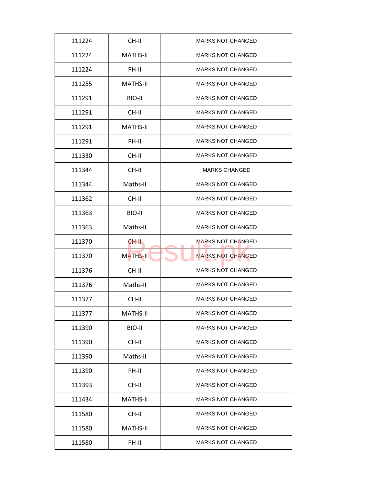| 111224 | CH-II           | <b>MARKS NOT CHANGED</b> |
|--------|-----------------|--------------------------|
| 111224 | MATHS-II        | <b>MARKS NOT CHANGED</b> |
| 111224 | PH-II           | <b>MARKS NOT CHANGED</b> |
| 111255 | <b>MATHS-II</b> | <b>MARKS NOT CHANGED</b> |
| 111291 | BIO-II          | <b>MARKS NOT CHANGED</b> |
| 111291 | CH-II           | <b>MARKS NOT CHANGED</b> |
| 111291 | <b>MATHS-II</b> | <b>MARKS NOT CHANGED</b> |
| 111291 | PH-II           | <b>MARKS NOT CHANGED</b> |
| 111330 | CH-II           | <b>MARKS NOT CHANGED</b> |
| 111344 | CH-II           | <b>MARKS CHANGED</b>     |
| 111344 | Maths-II        | <b>MARKS NOT CHANGED</b> |
| 111362 | CH-II           | <b>MARKS NOT CHANGED</b> |
| 111363 | BIO-II          | <b>MARKS NOT CHANGED</b> |
| 111363 | Maths-II        | <b>MARKS NOT CHANGED</b> |
| 111370 | CH-II.          | <b>MARKS NOT CHANGED</b> |
| 111370 | <b>MATHS-II</b> | <b>MARKS NOT CHANGED</b> |
| 111376 | CH-II           | <b>MARKS NOT CHANGED</b> |
| 111376 | Maths-II        | <b>MARKS NOT CHANGED</b> |
| 111377 | CH-II           | <b>MARKS NOT CHANGED</b> |
| 111377 | <b>MATHS-II</b> | <b>MARKS NOT CHANGED</b> |
| 111390 | BIO-II          | <b>MARKS NOT CHANGED</b> |
| 111390 | CH-II           | <b>MARKS NOT CHANGED</b> |
| 111390 | Maths-II        | <b>MARKS NOT CHANGED</b> |
| 111390 | PH-II           | <b>MARKS NOT CHANGED</b> |
| 111393 | CH-II           | <b>MARKS NOT CHANGED</b> |
| 111434 | <b>MATHS-II</b> | <b>MARKS NOT CHANGED</b> |
| 111580 | CH-II           | <b>MARKS NOT CHANGED</b> |
| 111580 | <b>MATHS-II</b> | <b>MARKS NOT CHANGED</b> |
| 111580 | PH-II           | <b>MARKS NOT CHANGED</b> |
|        |                 |                          |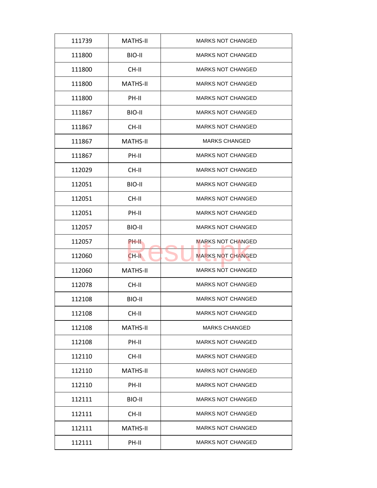| 111739 | <b>MATHS-II</b> | <b>MARKS NOT CHANGED</b> |
|--------|-----------------|--------------------------|
| 111800 | BIO-II          | <b>MARKS NOT CHANGED</b> |
| 111800 | CH-II           | <b>MARKS NOT CHANGED</b> |
| 111800 | <b>MATHS-II</b> | <b>MARKS NOT CHANGED</b> |
| 111800 | PH-II           | <b>MARKS NOT CHANGED</b> |
| 111867 | BIO-II          | <b>MARKS NOT CHANGED</b> |
| 111867 | CH-II           | <b>MARKS NOT CHANGED</b> |
| 111867 | <b>MATHS-II</b> | <b>MARKS CHANGED</b>     |
| 111867 | PH-II           | <b>MARKS NOT CHANGED</b> |
| 112029 | CH-II           | <b>MARKS NOT CHANGED</b> |
| 112051 | BIO-II          | <b>MARKS NOT CHANGED</b> |
| 112051 | CH-II           | <b>MARKS NOT CHANGED</b> |
| 112051 | PH-II           | <b>MARKS NOT CHANGED</b> |
| 112057 | BIO-II          | <b>MARKS NOT CHANGED</b> |
| 112057 | PH-II           | <b>MARKS NOT CHANGED</b> |
| 112060 | CH-II           | <b>MARKS NOT CHANGED</b> |
| 112060 | <b>MATHS-II</b> | <b>MARKS NOT CHANGED</b> |
| 112078 | CH-II           | <b>MARKS NOT CHANGED</b> |
| 112108 | BIO-II          | <b>MARKS NOT CHANGED</b> |
| 112108 | CH-II           | <b>MARKS NOT CHANGED</b> |
| 112108 | <b>MATHS-II</b> | <b>MARKS CHANGED</b>     |
| 112108 | PH-II           | <b>MARKS NOT CHANGED</b> |
| 112110 | CH-II           | <b>MARKS NOT CHANGED</b> |
| 112110 | <b>MATHS-II</b> | <b>MARKS NOT CHANGED</b> |
| 112110 | PH-II           | <b>MARKS NOT CHANGED</b> |
| 112111 | BIO-II          | <b>MARKS NOT CHANGED</b> |
| 112111 | CH-II           | <b>MARKS NOT CHANGED</b> |
| 112111 | <b>MATHS-II</b> | <b>MARKS NOT CHANGED</b> |
| 112111 | PH-II           | <b>MARKS NOT CHANGED</b> |
|        |                 |                          |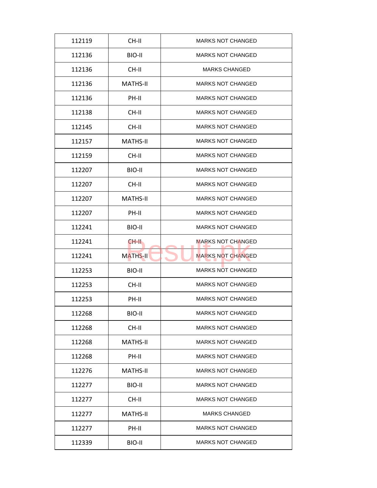| 112119 | CH-II           | <b>MARKS NOT CHANGED</b> |
|--------|-----------------|--------------------------|
| 112136 | BIO-II          | <b>MARKS NOT CHANGED</b> |
| 112136 | CH-II           | <b>MARKS CHANGED</b>     |
| 112136 | <b>MATHS-II</b> | <b>MARKS NOT CHANGED</b> |
| 112136 | PH-II           | <b>MARKS NOT CHANGED</b> |
| 112138 | CH-II           | <b>MARKS NOT CHANGED</b> |
| 112145 | CH-II           | <b>MARKS NOT CHANGED</b> |
| 112157 | <b>MATHS-II</b> | <b>MARKS NOT CHANGED</b> |
| 112159 | CH-II           | <b>MARKS NOT CHANGED</b> |
| 112207 | BIO-II          | <b>MARKS NOT CHANGED</b> |
| 112207 | CH-II           | <b>MARKS NOT CHANGED</b> |
| 112207 | <b>MATHS-II</b> | <b>MARKS NOT CHANGED</b> |
| 112207 | PH-II           | <b>MARKS NOT CHANGED</b> |
| 112241 | BIO-II          | <b>MARKS NOT CHANGED</b> |
| 112241 | CH-II.          | <b>MARKS NOT CHANGED</b> |
| 112241 | <b>MATHS-II</b> | <b>MARKS NOT CHANGED</b> |
| 112253 | BIO-II          | <b>MARKS NOT CHANGED</b> |
| 112253 | CH-II           | <b>MARKS NOT CHANGED</b> |
| 112253 | PH-II           | <b>MARKS NOT CHANGED</b> |
| 112268 | BIO-II          | <b>MARKS NOT CHANGED</b> |
| 112268 | CH-II           | <b>MARKS NOT CHANGED</b> |
| 112268 | MATHS-II        | <b>MARKS NOT CHANGED</b> |
| 112268 | PH-II           | <b>MARKS NOT CHANGED</b> |
| 112276 | <b>MATHS-II</b> | <b>MARKS NOT CHANGED</b> |
| 112277 | BIO-II          | <b>MARKS NOT CHANGED</b> |
| 112277 | CH-II           | <b>MARKS NOT CHANGED</b> |
| 112277 | <b>MATHS-II</b> | <b>MARKS CHANGED</b>     |
| 112277 | PH-II           | <b>MARKS NOT CHANGED</b> |
| 112339 | BIO-II          | <b>MARKS NOT CHANGED</b> |
|        |                 |                          |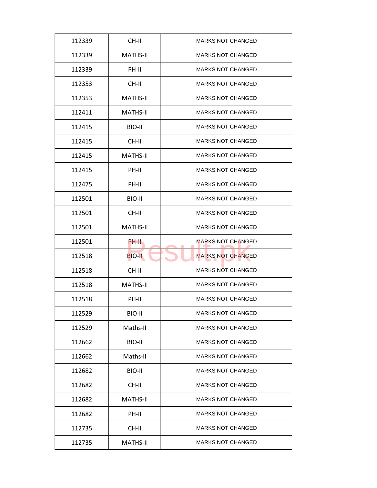| 112339 | CH-II           | <b>MARKS NOT CHANGED</b> |
|--------|-----------------|--------------------------|
| 112339 | MATHS-II        | <b>MARKS NOT CHANGED</b> |
| 112339 | PH-II           | <b>MARKS NOT CHANGED</b> |
| 112353 | CH-II           | <b>MARKS NOT CHANGED</b> |
| 112353 | <b>MATHS-II</b> | <b>MARKS NOT CHANGED</b> |
| 112411 | <b>MATHS-II</b> | <b>MARKS NOT CHANGED</b> |
| 112415 | BIO-II          | <b>MARKS NOT CHANGED</b> |
| 112415 | CH-II           | <b>MARKS NOT CHANGED</b> |
| 112415 | <b>MATHS-II</b> | <b>MARKS NOT CHANGED</b> |
| 112415 | PH-II           | <b>MARKS NOT CHANGED</b> |
| 112475 | PH-II           | <b>MARKS NOT CHANGED</b> |
| 112501 | BIO-II          | <b>MARKS NOT CHANGED</b> |
| 112501 | CH-II           | <b>MARKS NOT CHANGED</b> |
| 112501 | <b>MATHS-II</b> | <b>MARKS NOT CHANGED</b> |
| 112501 | PH-II           | <b>MARKS NOT CHANGED</b> |
| 112518 | <b>BIO-II</b>   | <b>MARKS NOT CHANGED</b> |
| 112518 | CH-II           | <b>MARKS NOT CHANGED</b> |
| 112518 | <b>MATHS-II</b> | <b>MARKS NOT CHANGED</b> |
| 112518 | PH-II           | <b>MARKS NOT CHANGED</b> |
| 112529 | BIO-II          | <b>MARKS NOT CHANGED</b> |
| 112529 | Maths-II        | <b>MARKS NOT CHANGED</b> |
| 112662 | BIO-II          | <b>MARKS NOT CHANGED</b> |
| 112662 | Maths-II        | <b>MARKS NOT CHANGED</b> |
| 112682 | BIO-II          | <b>MARKS NOT CHANGED</b> |
| 112682 | CH-II           | <b>MARKS NOT CHANGED</b> |
| 112682 | <b>MATHS-II</b> | <b>MARKS NOT CHANGED</b> |
|        |                 |                          |
| 112682 | PH-II           | <b>MARKS NOT CHANGED</b> |
| 112735 | CH-II           | <b>MARKS NOT CHANGED</b> |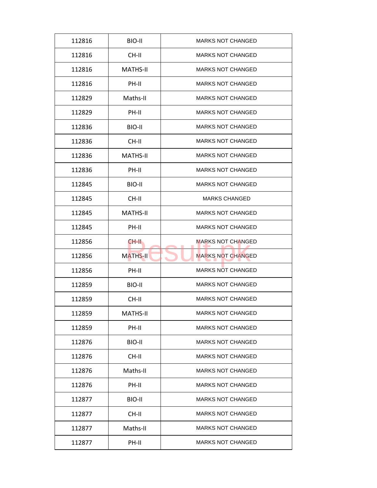| 112816 | BIO-II          | <b>MARKS NOT CHANGED</b> |
|--------|-----------------|--------------------------|
| 112816 | CH-II           | <b>MARKS NOT CHANGED</b> |
| 112816 | <b>MATHS-II</b> | <b>MARKS NOT CHANGED</b> |
| 112816 | PH-II           | <b>MARKS NOT CHANGED</b> |
| 112829 | Maths-II        | <b>MARKS NOT CHANGED</b> |
| 112829 | PH-II           | <b>MARKS NOT CHANGED</b> |
| 112836 | BIO-II          | <b>MARKS NOT CHANGED</b> |
| 112836 | CH-II           | <b>MARKS NOT CHANGED</b> |
| 112836 | <b>MATHS-II</b> | <b>MARKS NOT CHANGED</b> |
| 112836 | PH-II           | <b>MARKS NOT CHANGED</b> |
| 112845 | BIO-II          | <b>MARKS NOT CHANGED</b> |
| 112845 | CH-II           | <b>MARKS CHANGED</b>     |
| 112845 | <b>MATHS-II</b> | <b>MARKS NOT CHANGED</b> |
| 112845 | PH-II           | <b>MARKS NOT CHANGED</b> |
| 112856 | CH-II.          | <b>MARKS NOT CHANGED</b> |
| 112856 | <b>MATHS-II</b> | <b>MARKS NOT CHANGED</b> |
| 112856 | PH-II           | <b>MARKS NOT CHANGED</b> |
| 112859 | BIO-II          | <b>MARKS NOT CHANGED</b> |
| 112859 | CH-II           | <b>MARKS NOT CHANGED</b> |
| 112859 | <b>MATHS-II</b> | <b>MARKS NOT CHANGED</b> |
| 112859 | PH-II           | <b>MARKS NOT CHANGED</b> |
| 112876 | BIO-II          | <b>MARKS NOT CHANGED</b> |
| 112876 | CH-II           | <b>MARKS NOT CHANGED</b> |
| 112876 | Maths-II        | <b>MARKS NOT CHANGED</b> |
| 112876 | PH-II           | <b>MARKS NOT CHANGED</b> |
| 112877 | BIO-II          | <b>MARKS NOT CHANGED</b> |
| 112877 | CH-II           | <b>MARKS NOT CHANGED</b> |
| 112877 | Maths-II        | <b>MARKS NOT CHANGED</b> |
|        |                 |                          |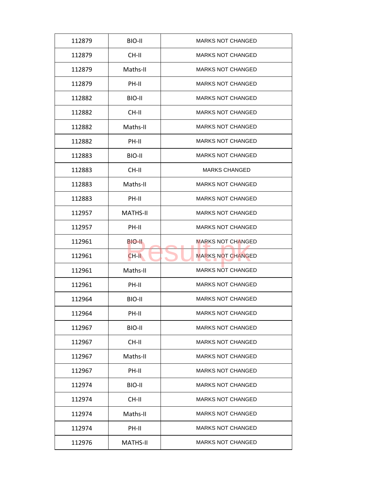| 112879 | BIO-II          | <b>MARKS NOT CHANGED</b> |
|--------|-----------------|--------------------------|
| 112879 | CH-II           | <b>MARKS NOT CHANGED</b> |
| 112879 | Maths-II        | <b>MARKS NOT CHANGED</b> |
| 112879 | PH-II           | <b>MARKS NOT CHANGED</b> |
| 112882 | BIO-II          | <b>MARKS NOT CHANGED</b> |
| 112882 | $CH-H$          | <b>MARKS NOT CHANGED</b> |
| 112882 | Maths-II        | <b>MARKS NOT CHANGED</b> |
| 112882 | PH-II           | <b>MARKS NOT CHANGED</b> |
| 112883 | BIO-II          | <b>MARKS NOT CHANGED</b> |
| 112883 | CH-II           | <b>MARKS CHANGED</b>     |
| 112883 | Maths-II        | <b>MARKS NOT CHANGED</b> |
| 112883 | PH-II           | <b>MARKS NOT CHANGED</b> |
| 112957 | <b>MATHS-II</b> | <b>MARKS NOT CHANGED</b> |
| 112957 | PH-II           | <b>MARKS NOT CHANGED</b> |
| 112961 | BIO-II          | <b>MARKS NOT CHANGED</b> |
| 112961 | $CH-H$          | <b>MARKS NOT CHANGED</b> |
| 112961 | Maths-II        | <b>MARKS NOT CHANGED</b> |
| 112961 | PH-II           | <b>MARKS NOT CHANGED</b> |
| 112964 | BIO-II          | <b>MARKS NOT CHANGED</b> |
| 112964 | PH-II           | <b>MARKS NOT CHANGED</b> |
| 112967 | BIO-II          | <b>MARKS NOT CHANGED</b> |
| 112967 | CH-II           | <b>MARKS NOT CHANGED</b> |
| 112967 | Maths-II        | <b>MARKS NOT CHANGED</b> |
| 112967 | PH-II           | <b>MARKS NOT CHANGED</b> |
| 112974 | BIO-II          | <b>MARKS NOT CHANGED</b> |
| 112974 | CH-II           | <b>MARKS NOT CHANGED</b> |
| 112974 | Maths-II        | <b>MARKS NOT CHANGED</b> |
|        |                 | <b>MARKS NOT CHANGED</b> |
| 112974 | PH-II           |                          |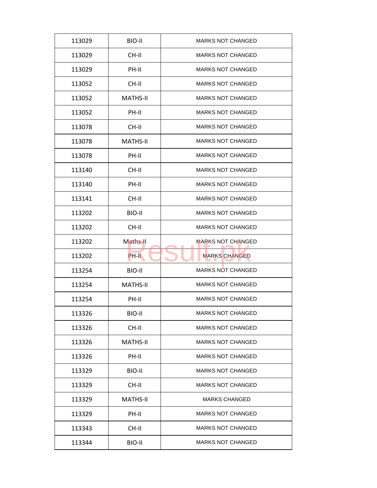| 113029 | BIO-II          | <b>MARKS NOT CHANGED</b> |
|--------|-----------------|--------------------------|
| 113029 | CH-II           | <b>MARKS NOT CHANGED</b> |
| 113029 | PH-II           | <b>MARKS NOT CHANGED</b> |
| 113052 | CH-II           | <b>MARKS NOT CHANGED</b> |
| 113052 | <b>MATHS-II</b> | <b>MARKS NOT CHANGED</b> |
| 113052 | PH-II           | <b>MARKS NOT CHANGED</b> |
| 113078 | CH-II           | <b>MARKS NOT CHANGED</b> |
| 113078 | <b>MATHS-II</b> | <b>MARKS NOT CHANGED</b> |
| 113078 | PH-II           | <b>MARKS NOT CHANGED</b> |
| 113140 | CH-II           | <b>MARKS NOT CHANGED</b> |
| 113140 | PH-II           | <b>MARKS NOT CHANGED</b> |
| 113141 | CH-II           | <b>MARKS NOT CHANGED</b> |
| 113202 | BIO-II          | <b>MARKS NOT CHANGED</b> |
| 113202 | CH-II           | <b>MARKS NOT CHANGED</b> |
| 113202 | Maths-II        | <b>MARKS NOT CHANGED</b> |
| 113202 | PH-II           | <b>MARKS CHANGED</b>     |
| 113254 | BIO-II          | <b>MARKS NOT CHANGED</b> |
| 113254 | <b>MATHS-II</b> | <b>MARKS NOT CHANGED</b> |
| 113254 | PH-II           | <b>MARKS NOT CHANGED</b> |
| 113326 | BIO-II          | <b>MARKS NOT CHANGED</b> |
| 113326 | CH-II           | <b>MARKS NOT CHANGED</b> |
| 113326 | MATHS-II        | <b>MARKS NOT CHANGED</b> |
| 113326 | PH-II           | <b>MARKS NOT CHANGED</b> |
| 113329 | BIO-II          | <b>MARKS NOT CHANGED</b> |
| 113329 | CH-II           | <b>MARKS NOT CHANGED</b> |
| 113329 | MATHS-II        | <b>MARKS CHANGED</b>     |
| 113329 | PH-II           | <b>MARKS NOT CHANGED</b> |
| 113343 | CH-II           | <b>MARKS NOT CHANGED</b> |
| 113344 | BIO-II          | <b>MARKS NOT CHANGED</b> |
|        |                 |                          |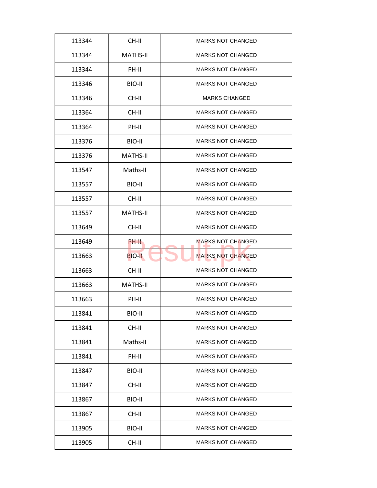| 113344 | CH-II           | <b>MARKS NOT CHANGED</b> |
|--------|-----------------|--------------------------|
| 113344 | <b>MATHS-II</b> | <b>MARKS NOT CHANGED</b> |
| 113344 | PH-II           | <b>MARKS NOT CHANGED</b> |
| 113346 | BIO-II          | <b>MARKS NOT CHANGED</b> |
| 113346 | CH-II           | <b>MARKS CHANGED</b>     |
| 113364 | CH-II           | <b>MARKS NOT CHANGED</b> |
| 113364 | PH-II           | <b>MARKS NOT CHANGED</b> |
| 113376 | BIO-II          | <b>MARKS NOT CHANGED</b> |
| 113376 | <b>MATHS-II</b> | <b>MARKS NOT CHANGED</b> |
| 113547 | Maths-II        | <b>MARKS NOT CHANGED</b> |
| 113557 | BIO-II          | <b>MARKS NOT CHANGED</b> |
| 113557 | CH-II           | <b>MARKS NOT CHANGED</b> |
| 113557 | <b>MATHS-II</b> | <b>MARKS NOT CHANGED</b> |
| 113649 | CH-II           | <b>MARKS NOT CHANGED</b> |
| 113649 | <b>PH-II</b>    | <b>MARKS NOT CHANGED</b> |
| 113663 | <b>BIO-II</b>   | <b>MARKS NOT CHANGED</b> |
| 113663 | CH-II           | <b>MARKS NOT CHANGED</b> |
| 113663 | <b>MATHS-II</b> | <b>MARKS NOT CHANGED</b> |
| 113663 | PH-II           | <b>MARKS NOT CHANGED</b> |
| 113841 | BIO-II          | <b>MARKS NOT CHANGED</b> |
| 113841 | CH-II           | <b>MARKS NOT CHANGED</b> |
| 113841 | Maths-II        | <b>MARKS NOT CHANGED</b> |
| 113841 | PH-II           | <b>MARKS NOT CHANGED</b> |
| 113847 | BIO-II          | <b>MARKS NOT CHANGED</b> |
| 113847 | CH-II           | <b>MARKS NOT CHANGED</b> |
| 113867 | BIO-II          | <b>MARKS NOT CHANGED</b> |
| 113867 |                 | <b>MARKS NOT CHANGED</b> |
|        | CH-II           |                          |
| 113905 | BIO-II          | <b>MARKS NOT CHANGED</b> |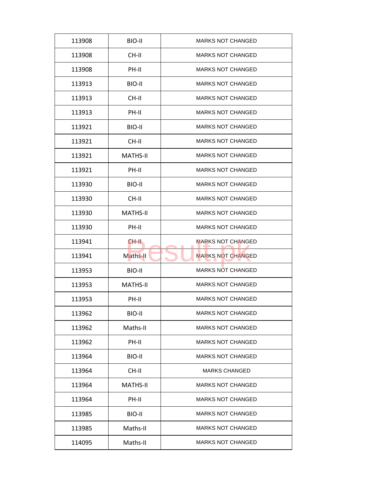| 113908 | BIO-II          | <b>MARKS NOT CHANGED</b> |
|--------|-----------------|--------------------------|
| 113908 | CH-II           | <b>MARKS NOT CHANGED</b> |
| 113908 | PH-II           | <b>MARKS NOT CHANGED</b> |
| 113913 | BIO-II          | <b>MARKS NOT CHANGED</b> |
| 113913 | CH-II           | <b>MARKS NOT CHANGED</b> |
| 113913 | PH-II           | <b>MARKS NOT CHANGED</b> |
| 113921 | BIO-II          | <b>MARKS NOT CHANGED</b> |
| 113921 | CH-II           | <b>MARKS NOT CHANGED</b> |
| 113921 | <b>MATHS-II</b> | <b>MARKS NOT CHANGED</b> |
| 113921 | PH-II           | <b>MARKS NOT CHANGED</b> |
| 113930 | BIO-II          | <b>MARKS NOT CHANGED</b> |
| 113930 | CH-II           | <b>MARKS NOT CHANGED</b> |
| 113930 | <b>MATHS-II</b> | <b>MARKS NOT CHANGED</b> |
| 113930 | PH-II           | <b>MARKS NOT CHANGED</b> |
| 113941 | CH-II.          | <b>MARKS NOT CHANGED</b> |
| 113941 | Maths-II        | <b>MARKS NOT CHANGED</b> |
| 113953 | BIO-II          | <b>MARKS NOT CHANGED</b> |
| 113953 | <b>MATHS-II</b> | <b>MARKS NOT CHANGED</b> |
| 113953 | PH-II           | <b>MARKS NOT CHANGED</b> |
| 113962 | BIO-II          | <b>MARKS NOT CHANGED</b> |
| 113962 | Maths-II        | <b>MARKS NOT CHANGED</b> |
| 113962 | PH-II           | <b>MARKS NOT CHANGED</b> |
| 113964 | BIO-II          | <b>MARKS NOT CHANGED</b> |
| 113964 | CH-II           | <b>MARKS CHANGED</b>     |
| 113964 | <b>MATHS-II</b> | <b>MARKS NOT CHANGED</b> |
| 113964 | PH-II           | <b>MARKS NOT CHANGED</b> |
| 113985 | BIO-II          | <b>MARKS NOT CHANGED</b> |
| 113985 | Maths-II        | <b>MARKS NOT CHANGED</b> |
| 114095 | Maths-II        | <b>MARKS NOT CHANGED</b> |
|        |                 |                          |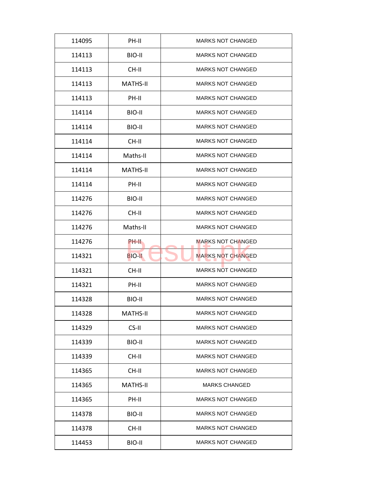| 114095 | PH-II           | <b>MARKS NOT CHANGED</b> |
|--------|-----------------|--------------------------|
| 114113 | BIO-II          | <b>MARKS NOT CHANGED</b> |
| 114113 | CH-II           | <b>MARKS NOT CHANGED</b> |
| 114113 | <b>MATHS-II</b> | <b>MARKS NOT CHANGED</b> |
| 114113 | PH-II           | <b>MARKS NOT CHANGED</b> |
| 114114 | BIO-II          | <b>MARKS NOT CHANGED</b> |
| 114114 | BIO-II          | <b>MARKS NOT CHANGED</b> |
| 114114 | CH-II           | <b>MARKS NOT CHANGED</b> |
| 114114 | Maths-II        | <b>MARKS NOT CHANGED</b> |
| 114114 | MATHS-II        | <b>MARKS NOT CHANGED</b> |
| 114114 | PH-II           | <b>MARKS NOT CHANGED</b> |
| 114276 | BIO-II          | <b>MARKS NOT CHANGED</b> |
| 114276 | CH-II           | <b>MARKS NOT CHANGED</b> |
| 114276 | Maths-II        | <b>MARKS NOT CHANGED</b> |
| 114276 | PH-II           | <b>MARKS NOT CHANGED</b> |
| 114321 | <b>BIO-II</b>   | <b>MARKS NOT CHANGED</b> |
| 114321 | CH-II           | <b>MARKS NOT CHANGED</b> |
| 114321 | PH-II           | <b>MARKS NOT CHANGED</b> |
| 114328 | BIO-II          | <b>MARKS NOT CHANGED</b> |
| 114328 | <b>MATHS-II</b> | <b>MARKS NOT CHANGED</b> |
| 114329 | CS-II           | <b>MARKS NOT CHANGED</b> |
| 114339 | BIO-II          | <b>MARKS NOT CHANGED</b> |
| 114339 | CH-II           | <b>MARKS NOT CHANGED</b> |
| 114365 | CH-II           | <b>MARKS NOT CHANGED</b> |
| 114365 | <b>MATHS-II</b> | <b>MARKS CHANGED</b>     |
| 114365 | PH-II           | <b>MARKS NOT CHANGED</b> |
|        |                 | <b>MARKS NOT CHANGED</b> |
| 114378 | BIO-II          |                          |
| 114378 | CH-II           | <b>MARKS NOT CHANGED</b> |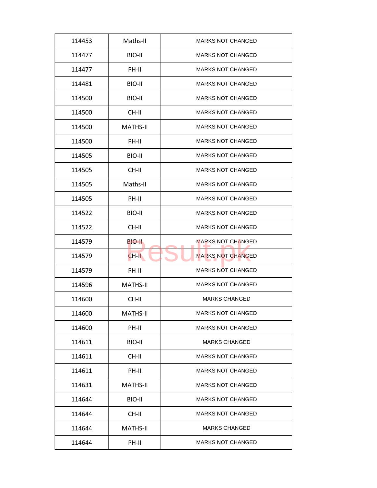| 114453 | Maths-II        | <b>MARKS NOT CHANGED</b> |
|--------|-----------------|--------------------------|
| 114477 | BIO-II          | <b>MARKS NOT CHANGED</b> |
| 114477 | PH-II           | <b>MARKS NOT CHANGED</b> |
| 114481 | BIO-II          | <b>MARKS NOT CHANGED</b> |
| 114500 | BIO-II          | <b>MARKS NOT CHANGED</b> |
| 114500 | $CH-H$          | <b>MARKS NOT CHANGED</b> |
| 114500 | <b>MATHS-II</b> | <b>MARKS NOT CHANGED</b> |
| 114500 | PH-II           | <b>MARKS NOT CHANGED</b> |
| 114505 | BIO-II          | <b>MARKS NOT CHANGED</b> |
| 114505 | CH-II           | <b>MARKS NOT CHANGED</b> |
| 114505 | Maths-II        | <b>MARKS NOT CHANGED</b> |
| 114505 | PH-II           | <b>MARKS NOT CHANGED</b> |
| 114522 | BIO-II          | <b>MARKS NOT CHANGED</b> |
| 114522 | CH-II           | <b>MARKS NOT CHANGED</b> |
| 114579 | BIO-II          | <b>MARKS NOT CHANGED</b> |
| 114579 | $CH-H$          | <b>MARKS NOT CHANGED</b> |
| 114579 | PH-II           | <b>MARKS NOT CHANGED</b> |
| 114596 | <b>MATHS-II</b> | <b>MARKS NOT CHANGED</b> |
| 114600 | CH-II           | <b>MARKS CHANGED</b>     |
| 114600 | <b>MATHS-II</b> | <b>MARKS NOT CHANGED</b> |
| 114600 | PH-II           | <b>MARKS NOT CHANGED</b> |
| 114611 | BIO-II          | <b>MARKS CHANGED</b>     |
| 114611 | CH-II           | <b>MARKS NOT CHANGED</b> |
| 114611 | PH-II           | <b>MARKS NOT CHANGED</b> |
| 114631 | <b>MATHS-II</b> | <b>MARKS NOT CHANGED</b> |
| 114644 | BIO-II          | <b>MARKS NOT CHANGED</b> |
| 114644 | CH-II           | <b>MARKS NOT CHANGED</b> |
|        |                 |                          |
| 114644 | <b>MATHS-II</b> | <b>MARKS CHANGED</b>     |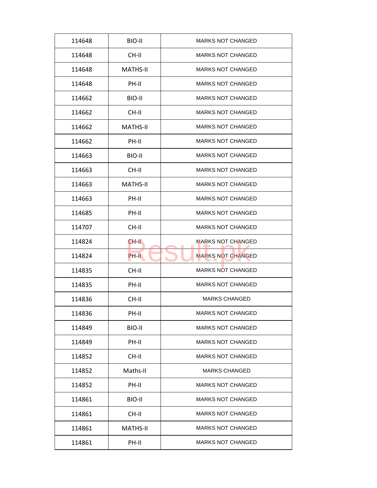| 114648 | BIO-II          | <b>MARKS NOT CHANGED</b> |
|--------|-----------------|--------------------------|
| 114648 | CH-II           | <b>MARKS NOT CHANGED</b> |
| 114648 | <b>MATHS-II</b> | <b>MARKS NOT CHANGED</b> |
| 114648 | PH-II           | <b>MARKS NOT CHANGED</b> |
| 114662 | BIO-II          | <b>MARKS NOT CHANGED</b> |
| 114662 | $CH-H$          | <b>MARKS NOT CHANGED</b> |
| 114662 | <b>MATHS-II</b> | <b>MARKS NOT CHANGED</b> |
| 114662 | PH-II           | <b>MARKS NOT CHANGED</b> |
| 114663 | BIO-II          | <b>MARKS NOT CHANGED</b> |
| 114663 | CH-II           | <b>MARKS NOT CHANGED</b> |
| 114663 | <b>MATHS-II</b> | <b>MARKS NOT CHANGED</b> |
| 114663 | PH-II           | <b>MARKS NOT CHANGED</b> |
| 114685 | PH-II           | <b>MARKS NOT CHANGED</b> |
| 114707 | CH-II           | <b>MARKS NOT CHANGED</b> |
| 114824 | CH-II           | <b>MARKS NOT CHANGED</b> |
| 114824 | PH-II           | <b>MARKS NOT CHANGED</b> |
| 114835 | CH-II           | <b>MARKS NOT CHANGED</b> |
| 114835 | PH-II           | <b>MARKS NOT CHANGED</b> |
| 114836 | CH-II           | <b>MARKS CHANGED</b>     |
| 114836 | PH-II           | <b>MARKS NOT CHANGED</b> |
| 114849 | BIO-II          | <b>MARKS NOT CHANGED</b> |
| 114849 | PH-II           | <b>MARKS NOT CHANGED</b> |
| 114852 | CH-II           | <b>MARKS NOT CHANGED</b> |
| 114852 | Maths-II        | <b>MARKS CHANGED</b>     |
| 114852 | PH-II           | <b>MARKS NOT CHANGED</b> |
| 114861 | BIO-II          | <b>MARKS NOT CHANGED</b> |
| 114861 |                 | <b>MARKS NOT CHANGED</b> |
|        | CH-II           |                          |
| 114861 | <b>MATHS-II</b> | <b>MARKS NOT CHANGED</b> |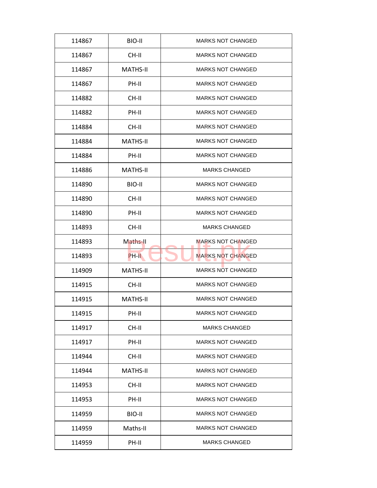| 114867 | BIO-II          | <b>MARKS NOT CHANGED</b> |
|--------|-----------------|--------------------------|
| 114867 | CH-II           | <b>MARKS NOT CHANGED</b> |
| 114867 | <b>MATHS-II</b> | <b>MARKS NOT CHANGED</b> |
| 114867 | PH-II           | <b>MARKS NOT CHANGED</b> |
| 114882 | CH-II           | <b>MARKS NOT CHANGED</b> |
| 114882 | PH-II           | <b>MARKS NOT CHANGED</b> |
| 114884 | CH-II           | <b>MARKS NOT CHANGED</b> |
| 114884 | <b>MATHS-II</b> | <b>MARKS NOT CHANGED</b> |
| 114884 | PH-II           | <b>MARKS NOT CHANGED</b> |
| 114886 | MATHS-II        | <b>MARKS CHANGED</b>     |
| 114890 | BIO-II          | <b>MARKS NOT CHANGED</b> |
| 114890 | CH-II           | <b>MARKS NOT CHANGED</b> |
| 114890 | PH-II           | <b>MARKS NOT CHANGED</b> |
| 114893 | CH-II           | <b>MARKS CHANGED</b>     |
| 114893 | Maths-II        | <b>MARKS NOT CHANGED</b> |
| 114893 | PH-II           | <b>MARKS NOT CHANGED</b> |
| 114909 | <b>MATHS-II</b> | <b>MARKS NOT CHANGED</b> |
| 114915 | CH-II           | <b>MARKS NOT CHANGED</b> |
| 114915 | <b>MATHS-II</b> | <b>MARKS NOT CHANGED</b> |
| 114915 | PH-II           | <b>MARKS NOT CHANGED</b> |
| 114917 | CH-II           | <b>MARKS CHANGED</b>     |
| 114917 | PH-II           | <b>MARKS NOT CHANGED</b> |
| 114944 | CH-II           | <b>MARKS NOT CHANGED</b> |
| 114944 | <b>MATHS-II</b> | <b>MARKS NOT CHANGED</b> |
| 114953 | CH-II           | <b>MARKS NOT CHANGED</b> |
| 114953 | PH-II           | <b>MARKS NOT CHANGED</b> |
| 114959 | BIO-II          | <b>MARKS NOT CHANGED</b> |
| 114959 | Maths-II        | <b>MARKS NOT CHANGED</b> |
| 114959 | PH-II           | <b>MARKS CHANGED</b>     |
|        |                 |                          |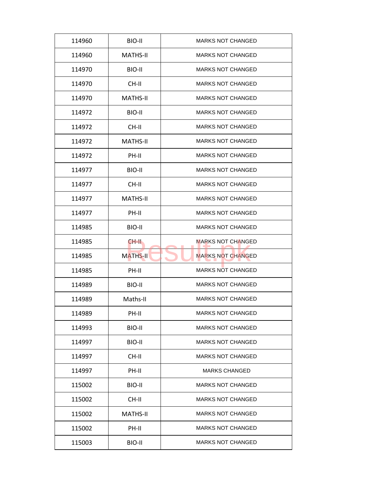| 114960 | BIO-II          | <b>MARKS NOT CHANGED</b> |
|--------|-----------------|--------------------------|
| 114960 | <b>MATHS-II</b> | <b>MARKS NOT CHANGED</b> |
| 114970 | BIO-II          | <b>MARKS NOT CHANGED</b> |
| 114970 | CH-II           | <b>MARKS NOT CHANGED</b> |
| 114970 | <b>MATHS-II</b> | <b>MARKS NOT CHANGED</b> |
| 114972 | BIO-II          | <b>MARKS NOT CHANGED</b> |
| 114972 | CH-II           | <b>MARKS NOT CHANGED</b> |
| 114972 | <b>MATHS-II</b> | <b>MARKS NOT CHANGED</b> |
| 114972 | PH-II           | <b>MARKS NOT CHANGED</b> |
| 114977 | BIO-II          | <b>MARKS NOT CHANGED</b> |
| 114977 | CH-II           | <b>MARKS NOT CHANGED</b> |
| 114977 | <b>MATHS-II</b> | <b>MARKS NOT CHANGED</b> |
| 114977 | PH-II           | <b>MARKS NOT CHANGED</b> |
| 114985 | BIO-II          | <b>MARKS NOT CHANGED</b> |
| 114985 | CH-II.          | <b>MARKS NOT CHANGED</b> |
| 114985 | <b>MATHS-II</b> | <b>MARKS NOT CHANGED</b> |
| 114985 | PH-II           | <b>MARKS NOT CHANGED</b> |
| 114989 | BIO-II          | <b>MARKS NOT CHANGED</b> |
| 114989 | Maths-II        | <b>MARKS NOT CHANGED</b> |
| 114989 | PH-II           | <b>MARKS NOT CHANGED</b> |
| 114993 | BIO-II          | <b>MARKS NOT CHANGED</b> |
| 114997 | BIO-II          | <b>MARKS NOT CHANGED</b> |
| 114997 | CH-II           | <b>MARKS NOT CHANGED</b> |
| 114997 | PH-II           | <b>MARKS CHANGED</b>     |
| 115002 | BIO-II          | <b>MARKS NOT CHANGED</b> |
| 115002 | CH-II           | <b>MARKS NOT CHANGED</b> |
| 115002 | <b>MATHS-II</b> | <b>MARKS NOT CHANGED</b> |
| 115002 | PH-II           | <b>MARKS NOT CHANGED</b> |
|        |                 |                          |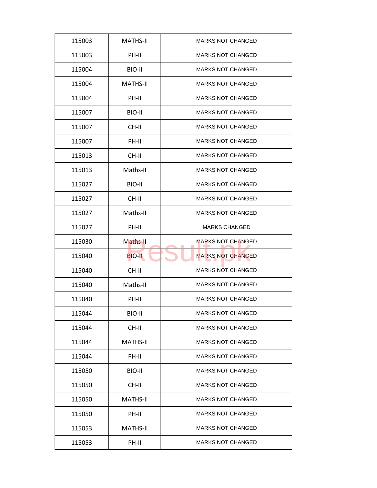| 115003 | <b>MATHS-II</b> | <b>MARKS NOT CHANGED</b> |
|--------|-----------------|--------------------------|
| 115003 | PH-II           | <b>MARKS NOT CHANGED</b> |
| 115004 | BIO-II          | <b>MARKS NOT CHANGED</b> |
| 115004 | <b>MATHS-II</b> | <b>MARKS NOT CHANGED</b> |
| 115004 | PH-II           | <b>MARKS NOT CHANGED</b> |
| 115007 | BIO-II          | <b>MARKS NOT CHANGED</b> |
| 115007 | CH-II           | <b>MARKS NOT CHANGED</b> |
| 115007 | PH-II           | <b>MARKS NOT CHANGED</b> |
| 115013 | CH-II           | <b>MARKS NOT CHANGED</b> |
| 115013 | Maths-II        | <b>MARKS NOT CHANGED</b> |
| 115027 | BIO-II          | <b>MARKS NOT CHANGED</b> |
| 115027 | CH-II           | <b>MARKS NOT CHANGED</b> |
| 115027 | Maths-II        | <b>MARKS NOT CHANGED</b> |
| 115027 | PH-II           | <b>MARKS CHANGED</b>     |
| 115030 | Maths-II        | <b>MARKS NOT CHANGED</b> |
| 115040 | <b>BIO-II</b>   | <b>MARKS NOT CHANGED</b> |
| 115040 | CH-II           | <b>MARKS NOT CHANGED</b> |
| 115040 | Maths-II        | <b>MARKS NOT CHANGED</b> |
| 115040 | PH-II           | <b>MARKS NOT CHANGED</b> |
| 115044 | BIO-II          | <b>MARKS NOT CHANGED</b> |
| 115044 | CH-II           | <b>MARKS NOT CHANGED</b> |
| 115044 | <b>MATHS-II</b> | <b>MARKS NOT CHANGED</b> |
| 115044 | PH-II           | <b>MARKS NOT CHANGED</b> |
| 115050 | BIO-II          | <b>MARKS NOT CHANGED</b> |
| 115050 | CH-II           | <b>MARKS NOT CHANGED</b> |
| 115050 | <b>MATHS-II</b> | <b>MARKS NOT CHANGED</b> |
| 115050 | PH-II           | <b>MARKS NOT CHANGED</b> |
| 115053 | <b>MATHS-II</b> | <b>MARKS NOT CHANGED</b> |
| 115053 | PH-II           | <b>MARKS NOT CHANGED</b> |
|        |                 |                          |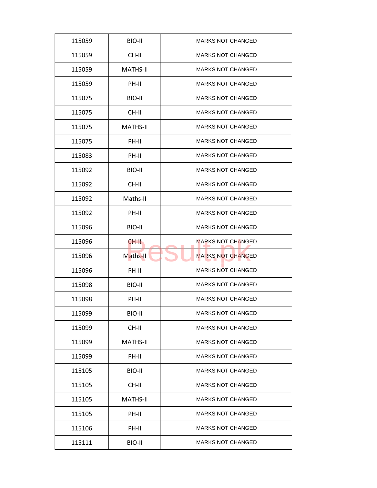| 115059 | BIO-II          | <b>MARKS NOT CHANGED</b> |
|--------|-----------------|--------------------------|
| 115059 | CH-II           | <b>MARKS NOT CHANGED</b> |
| 115059 | <b>MATHS-II</b> | <b>MARKS NOT CHANGED</b> |
| 115059 | PH-II           | <b>MARKS NOT CHANGED</b> |
| 115075 | BIO-II          | <b>MARKS NOT CHANGED</b> |
| 115075 | CH-II           | <b>MARKS NOT CHANGED</b> |
| 115075 | <b>MATHS-II</b> | <b>MARKS NOT CHANGED</b> |
| 115075 | PH-II           | <b>MARKS NOT CHANGED</b> |
| 115083 | PH-II           | <b>MARKS NOT CHANGED</b> |
| 115092 | BIO-II          | <b>MARKS NOT CHANGED</b> |
| 115092 | CH-II           | <b>MARKS NOT CHANGED</b> |
| 115092 | Maths-II        | <b>MARKS NOT CHANGED</b> |
| 115092 | PH-II           | <b>MARKS NOT CHANGED</b> |
| 115096 | BIO-II          | <b>MARKS NOT CHANGED</b> |
| 115096 | CH-II.          | <b>MARKS NOT CHANGED</b> |
| 115096 | Maths-II        | <b>MARKS NOT CHANGED</b> |
| 115096 | PH-II           | <b>MARKS NOT CHANGED</b> |
| 115098 | BIO-II          | <b>MARKS NOT CHANGED</b> |
| 115098 | PH-II           | <b>MARKS NOT CHANGED</b> |
| 115099 | BIO-II          | <b>MARKS NOT CHANGED</b> |
| 115099 | CH-II           | <b>MARKS NOT CHANGED</b> |
| 115099 | MATHS-II        | <b>MARKS NOT CHANGED</b> |
| 115099 | PH-II           | <b>MARKS NOT CHANGED</b> |
| 115105 | BIO-II          | <b>MARKS NOT CHANGED</b> |
| 115105 | CH-II           | <b>MARKS NOT CHANGED</b> |
| 115105 | <b>MATHS-II</b> | <b>MARKS NOT CHANGED</b> |
| 115105 | PH-II           | <b>MARKS NOT CHANGED</b> |
| 115106 | PH-II           | <b>MARKS NOT CHANGED</b> |
| 115111 | BIO-II          | <b>MARKS NOT CHANGED</b> |
|        |                 |                          |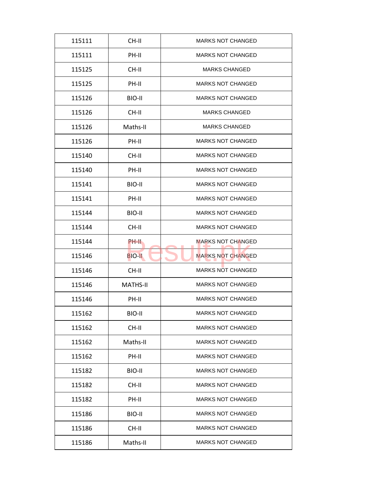| 115111 | CH-II           | <b>MARKS NOT CHANGED</b> |
|--------|-----------------|--------------------------|
| 115111 | PH-II           | <b>MARKS NOT CHANGED</b> |
| 115125 | CH-II           | <b>MARKS CHANGED</b>     |
| 115125 | PH-II           | <b>MARKS NOT CHANGED</b> |
| 115126 | BIO-II          | <b>MARKS NOT CHANGED</b> |
| 115126 | CH-II           | <b>MARKS CHANGED</b>     |
| 115126 | Maths-II        | <b>MARKS CHANGED</b>     |
| 115126 | PH-II           | <b>MARKS NOT CHANGED</b> |
| 115140 | CH-II           | <b>MARKS NOT CHANGED</b> |
| 115140 | PH-II           | <b>MARKS NOT CHANGED</b> |
| 115141 | BIO-II          | <b>MARKS NOT CHANGED</b> |
| 115141 | PH-II           | <b>MARKS NOT CHANGED</b> |
| 115144 | BIO-II          | <b>MARKS NOT CHANGED</b> |
| 115144 | CH-II           | <b>MARKS NOT CHANGED</b> |
| 115144 | PH-II           | MARKS NOT CHANGED        |
| 115146 | <b>BIO-II</b>   | <b>MARKS NOT CHANGED</b> |
| 115146 | CH-II           | MARKS NOT CHANGED        |
| 115146 | <b>MATHS-II</b> | <b>MARKS NOT CHANGED</b> |
| 115146 | PH-II           | <b>MARKS NOT CHANGED</b> |
| 115162 | <b>BIO-II</b>   | <b>MARKS NOT CHANGED</b> |
| 115162 | CH-II           | <b>MARKS NOT CHANGED</b> |
| 115162 | Maths-II        | <b>MARKS NOT CHANGED</b> |
| 115162 | PH-II           | <b>MARKS NOT CHANGED</b> |
| 115182 | BIO-II          | <b>MARKS NOT CHANGED</b> |
| 115182 | CH-II           | MARKS NOT CHANGED        |
| 115182 | PH-II           | <b>MARKS NOT CHANGED</b> |
| 115186 | BIO-II          | <b>MARKS NOT CHANGED</b> |
| 115186 | CH-II           | <b>MARKS NOT CHANGED</b> |
| 115186 | Maths-II        | <b>MARKS NOT CHANGED</b> |
|        |                 |                          |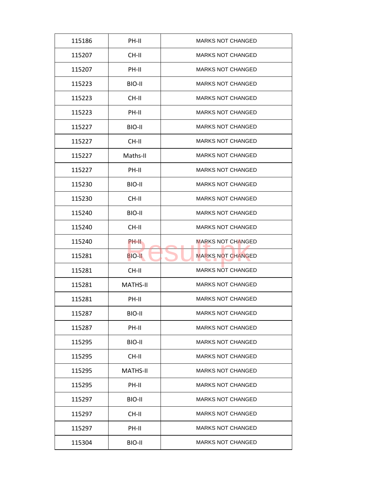| 115186 | PH-II           | <b>MARKS NOT CHANGED</b> |
|--------|-----------------|--------------------------|
| 115207 | CH-II           | <b>MARKS NOT CHANGED</b> |
| 115207 | PH-II           | <b>MARKS NOT CHANGED</b> |
| 115223 | BIO-II          | <b>MARKS NOT CHANGED</b> |
| 115223 | CH-II           | <b>MARKS NOT CHANGED</b> |
| 115223 | PH-II           | <b>MARKS NOT CHANGED</b> |
| 115227 | BIO-II          | <b>MARKS NOT CHANGED</b> |
| 115227 | CH-II           | <b>MARKS NOT CHANGED</b> |
| 115227 | Maths-II        | <b>MARKS NOT CHANGED</b> |
| 115227 | PH-II           | <b>MARKS NOT CHANGED</b> |
| 115230 | BIO-II          | <b>MARKS NOT CHANGED</b> |
| 115230 | CH-II           | <b>MARKS NOT CHANGED</b> |
| 115240 | BIO-II          | <b>MARKS NOT CHANGED</b> |
| 115240 | CH-II           | <b>MARKS NOT CHANGED</b> |
| 115240 | PH-II           | <b>MARKS NOT CHANGED</b> |
| 115281 | <b>BIO-II</b>   | <b>MARKS NOT CHANGED</b> |
| 115281 | CH-II           | <b>MARKS NOT CHANGED</b> |
| 115281 | <b>MATHS-II</b> | <b>MARKS NOT CHANGED</b> |
| 115281 | PH-II           | <b>MARKS NOT CHANGED</b> |
| 115287 | BIO-II          | <b>MARKS NOT CHANGED</b> |
| 115287 | PH-II           | <b>MARKS NOT CHANGED</b> |
| 115295 | BIO-II          | <b>MARKS NOT CHANGED</b> |
| 115295 | CH-II           | <b>MARKS NOT CHANGED</b> |
| 115295 | <b>MATHS-II</b> | <b>MARKS NOT CHANGED</b> |
| 115295 | PH-II           | <b>MARKS NOT CHANGED</b> |
| 115297 | BIO-II          | <b>MARKS NOT CHANGED</b> |
| 115297 | CH-II           | <b>MARKS NOT CHANGED</b> |
| 115297 | PH-II           | <b>MARKS NOT CHANGED</b> |
| 115304 | BIO-II          | <b>MARKS NOT CHANGED</b> |
|        |                 |                          |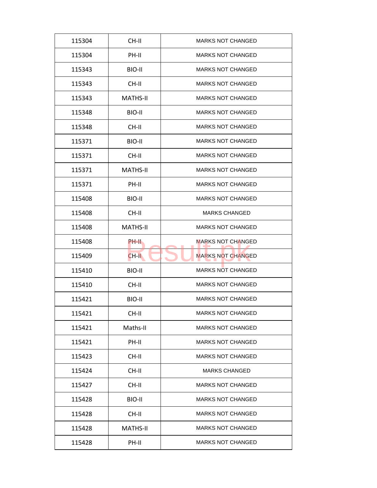| 115304 | CH-II           | <b>MARKS NOT CHANGED</b> |
|--------|-----------------|--------------------------|
| 115304 | PH-II           | <b>MARKS NOT CHANGED</b> |
| 115343 | BIO-II          | <b>MARKS NOT CHANGED</b> |
| 115343 | CH-II           | <b>MARKS NOT CHANGED</b> |
| 115343 | <b>MATHS-II</b> | <b>MARKS NOT CHANGED</b> |
| 115348 | BIO-II          | <b>MARKS NOT CHANGED</b> |
| 115348 | CH-II           | <b>MARKS NOT CHANGED</b> |
| 115371 | BIO-II          | <b>MARKS NOT CHANGED</b> |
| 115371 | CH-II           | <b>MARKS NOT CHANGED</b> |
| 115371 | <b>MATHS-II</b> | <b>MARKS NOT CHANGED</b> |
| 115371 | PH-II           | <b>MARKS NOT CHANGED</b> |
| 115408 | BIO-II          | <b>MARKS NOT CHANGED</b> |
| 115408 | CH-II           | <b>MARKS CHANGED</b>     |
| 115408 | <b>MATHS-II</b> | <b>MARKS NOT CHANGED</b> |
| 115408 | PH-II           | <b>MARKS NOT CHANGED</b> |
| 115409 | $CH-H$          | <b>MARKS NOT CHANGED</b> |
| 115410 | BIO-II          | <b>MARKS NOT CHANGED</b> |
| 115410 | CH-II           | <b>MARKS NOT CHANGED</b> |
| 115421 | BIO-II          | <b>MARKS NOT CHANGED</b> |
| 115421 | CH-II           | <b>MARKS NOT CHANGED</b> |
| 115421 | Maths-II        | <b>MARKS NOT CHANGED</b> |
| 115421 | PH-II           | <b>MARKS NOT CHANGED</b> |
| 115423 | CH-II           | <b>MARKS NOT CHANGED</b> |
| 115424 | CH-II           | <b>MARKS CHANGED</b>     |
| 115427 | CH-II           | <b>MARKS NOT CHANGED</b> |
| 115428 | BIO-II          | <b>MARKS NOT CHANGED</b> |
| 115428 | CH-II           | <b>MARKS NOT CHANGED</b> |
|        |                 |                          |
| 115428 | MATHS-II        | <b>MARKS NOT CHANGED</b> |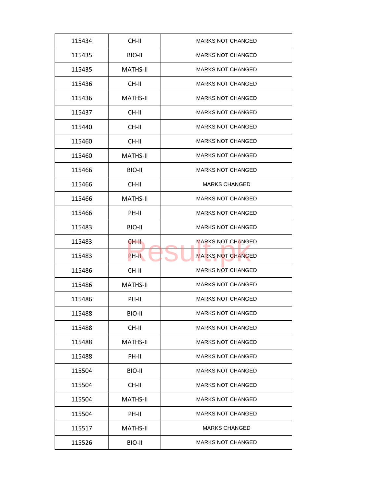| 115434 | CH-II           | <b>MARKS NOT CHANGED</b> |
|--------|-----------------|--------------------------|
| 115435 | BIO-II          | <b>MARKS NOT CHANGED</b> |
| 115435 | <b>MATHS-II</b> | <b>MARKS NOT CHANGED</b> |
| 115436 | CH-II           | <b>MARKS NOT CHANGED</b> |
| 115436 | <b>MATHS-II</b> | <b>MARKS NOT CHANGED</b> |
| 115437 | CH-II           | <b>MARKS NOT CHANGED</b> |
| 115440 | CH-II           | <b>MARKS NOT CHANGED</b> |
| 115460 | CH-II           | <b>MARKS NOT CHANGED</b> |
| 115460 | <b>MATHS-II</b> | <b>MARKS NOT CHANGED</b> |
| 115466 | BIO-II          | <b>MARKS NOT CHANGED</b> |
| 115466 | CH-II           | <b>MARKS CHANGED</b>     |
| 115466 | <b>MATHS-II</b> | <b>MARKS NOT CHANGED</b> |
| 115466 | PH-II           | <b>MARKS NOT CHANGED</b> |
| 115483 | BIO-II          | <b>MARKS NOT CHANGED</b> |
| 115483 | CH-II           | <b>MARKS NOT CHANGED</b> |
| 115483 | PH-II           | <b>MARKS NOT CHANGED</b> |
| 115486 | CH-II           | <b>MARKS NOT CHANGED</b> |
| 115486 | <b>MATHS-II</b> | <b>MARKS NOT CHANGED</b> |
| 115486 | PH-II           | <b>MARKS NOT CHANGED</b> |
| 115488 | BIO-II          | <b>MARKS NOT CHANGED</b> |
| 115488 | CH-II           | <b>MARKS NOT CHANGED</b> |
| 115488 | MATHS-II        | <b>MARKS NOT CHANGED</b> |
| 115488 | PH-II           | <b>MARKS NOT CHANGED</b> |
| 115504 | BIO-II          | <b>MARKS NOT CHANGED</b> |
| 115504 | CH-II           | <b>MARKS NOT CHANGED</b> |
| 115504 | MATHS-II        | <b>MARKS NOT CHANGED</b> |
| 115504 | PH-II           | <b>MARKS NOT CHANGED</b> |
|        |                 |                          |
| 115517 | MATHS-II        | <b>MARKS CHANGED</b>     |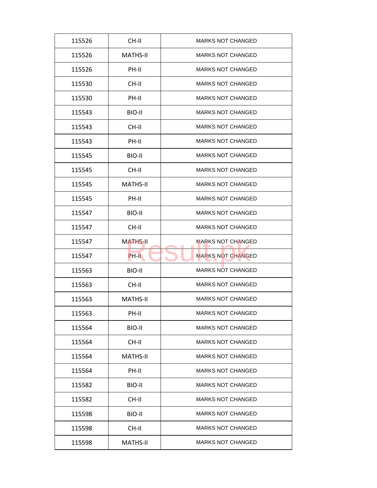| 115526 | CH-II           | <b>MARKS NOT CHANGED</b> |
|--------|-----------------|--------------------------|
| 115526 | MATHS-II        | <b>MARKS NOT CHANGED</b> |
| 115526 | PH-II           | <b>MARKS NOT CHANGED</b> |
| 115530 | CH-II           | <b>MARKS NOT CHANGED</b> |
| 115530 | PH-II           | <b>MARKS NOT CHANGED</b> |
| 115543 | BIO-II          | <b>MARKS NOT CHANGED</b> |
| 115543 | CH-II           | <b>MARKS NOT CHANGED</b> |
| 115543 | PH-II           | <b>MARKS NOT CHANGED</b> |
| 115545 | BIO-II          | <b>MARKS NOT CHANGED</b> |
| 115545 | CH-II           | <b>MARKS NOT CHANGED</b> |
| 115545 | <b>MATHS-II</b> | <b>MARKS NOT CHANGED</b> |
| 115545 | PH-II           | <b>MARKS NOT CHANGED</b> |
| 115547 | BIO-II          | <b>MARKS NOT CHANGED</b> |
| 115547 | CH-II           | <b>MARKS NOT CHANGED</b> |
| 115547 | <b>MATHS-II</b> | <b>MARKS NOT CHANGED</b> |
| 115547 | PH-II           | <b>MARKS NOT CHANGED</b> |
| 115563 | BIO-II          | <b>MARKS NOT CHANGED</b> |
| 115563 | CH-II           | <b>MARKS NOT CHANGED</b> |
| 115563 | <b>MATHS-II</b> | <b>MARKS NOT CHANGED</b> |
| 115563 | PH-II           | <b>MARKS NOT CHANGED</b> |
| 115564 | BIO-II          | <b>MARKS NOT CHANGED</b> |
| 115564 | CH-II           | <b>MARKS NOT CHANGED</b> |
| 115564 | <b>MATHS-II</b> | <b>MARKS NOT CHANGED</b> |
| 115564 | PH-II           | <b>MARKS NOT CHANGED</b> |
| 115582 | BIO-II          | <b>MARKS NOT CHANGED</b> |
| 115582 | CH-II           | <b>MARKS NOT CHANGED</b> |
| 115598 | BIO-II          | <b>MARKS NOT CHANGED</b> |
| 115598 | CH-II           | <b>MARKS NOT CHANGED</b> |
|        |                 |                          |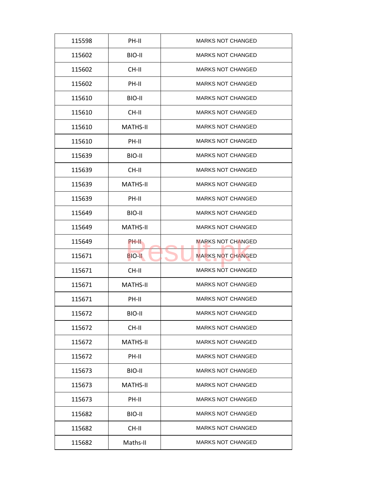| 115598 | PH-II           | <b>MARKS NOT CHANGED</b> |
|--------|-----------------|--------------------------|
| 115602 | BIO-II          | <b>MARKS NOT CHANGED</b> |
| 115602 | CH-II           | <b>MARKS NOT CHANGED</b> |
| 115602 | PH-II           | <b>MARKS NOT CHANGED</b> |
| 115610 | BIO-II          | <b>MARKS NOT CHANGED</b> |
| 115610 | $CH-H$          | <b>MARKS NOT CHANGED</b> |
| 115610 | <b>MATHS-II</b> | <b>MARKS NOT CHANGED</b> |
| 115610 | PH-II           | <b>MARKS NOT CHANGED</b> |
| 115639 | BIO-II          | <b>MARKS NOT CHANGED</b> |
| 115639 | CH-II           | <b>MARKS NOT CHANGED</b> |
| 115639 | <b>MATHS-II</b> | <b>MARKS NOT CHANGED</b> |
| 115639 | PH-II           | <b>MARKS NOT CHANGED</b> |
| 115649 | BIO-II          | <b>MARKS NOT CHANGED</b> |
| 115649 | <b>MATHS-II</b> | <b>MARKS NOT CHANGED</b> |
| 115649 | PH-II           | <b>MARKS NOT CHANGED</b> |
| 115671 | <b>BIO-II</b>   | <b>MARKS NOT CHANGED</b> |
| 115671 | CH-II           | <b>MARKS NOT CHANGED</b> |
| 115671 | <b>MATHS-II</b> | <b>MARKS NOT CHANGED</b> |
| 115671 | PH-II           | <b>MARKS NOT CHANGED</b> |
| 115672 | BIO-II          | <b>MARKS NOT CHANGED</b> |
| 115672 | CH-II           | <b>MARKS NOT CHANGED</b> |
| 115672 | <b>MATHS-II</b> | <b>MARKS NOT CHANGED</b> |
| 115672 | PH-II           | <b>MARKS NOT CHANGED</b> |
| 115673 | BIO-II          | <b>MARKS NOT CHANGED</b> |
| 115673 | <b>MATHS-II</b> | <b>MARKS NOT CHANGED</b> |
| 115673 | PH-II           | <b>MARKS NOT CHANGED</b> |
| 115682 | BIO-II          | <b>MARKS NOT CHANGED</b> |
| 115682 | CH-II           | <b>MARKS NOT CHANGED</b> |
| 115682 | Maths-II        | <b>MARKS NOT CHANGED</b> |
|        |                 |                          |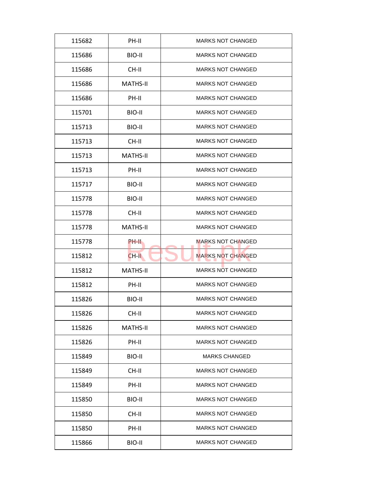| 115682 | PH-II           | <b>MARKS NOT CHANGED</b> |
|--------|-----------------|--------------------------|
| 115686 | BIO-II          | <b>MARKS NOT CHANGED</b> |
| 115686 | CH-II           | <b>MARKS NOT CHANGED</b> |
| 115686 | <b>MATHS-II</b> | <b>MARKS NOT CHANGED</b> |
| 115686 | PH-II           | <b>MARKS NOT CHANGED</b> |
| 115701 | BIO-II          | <b>MARKS NOT CHANGED</b> |
| 115713 | BIO-II          | <b>MARKS NOT CHANGED</b> |
| 115713 | CH-II           | <b>MARKS NOT CHANGED</b> |
| 115713 | <b>MATHS-II</b> | <b>MARKS NOT CHANGED</b> |
| 115713 | PH-II           | <b>MARKS NOT CHANGED</b> |
| 115717 | BIO-II          | <b>MARKS NOT CHANGED</b> |
| 115778 | BIO-II          | <b>MARKS NOT CHANGED</b> |
| 115778 | CH-II           | <b>MARKS NOT CHANGED</b> |
| 115778 | <b>MATHS-II</b> | <b>MARKS NOT CHANGED</b> |
| 115778 | PH-II           | <b>MARKS NOT CHANGED</b> |
| 115812 | $CH-H$          | <b>MARKS NOT CHANGED</b> |
| 115812 | <b>MATHS-II</b> | <b>MARKS NOT CHANGED</b> |
| 115812 | PH-II           | <b>MARKS NOT CHANGED</b> |
| 115826 | BIO-II          | <b>MARKS NOT CHANGED</b> |
| 115826 | CH-II           | <b>MARKS NOT CHANGED</b> |
| 115826 | <b>MATHS-II</b> | <b>MARKS NOT CHANGED</b> |
| 115826 | PH-II           | <b>MARKS NOT CHANGED</b> |
| 115849 | BIO-II          | <b>MARKS CHANGED</b>     |
| 115849 | CH-II           | <b>MARKS NOT CHANGED</b> |
| 115849 | PH-II           | <b>MARKS NOT CHANGED</b> |
| 115850 | BIO-II          | <b>MARKS NOT CHANGED</b> |
| 115850 | CH-II           | <b>MARKS NOT CHANGED</b> |
| 115850 | PH-II           | <b>MARKS NOT CHANGED</b> |
| 115866 | BIO-II          | <b>MARKS NOT CHANGED</b> |
|        |                 |                          |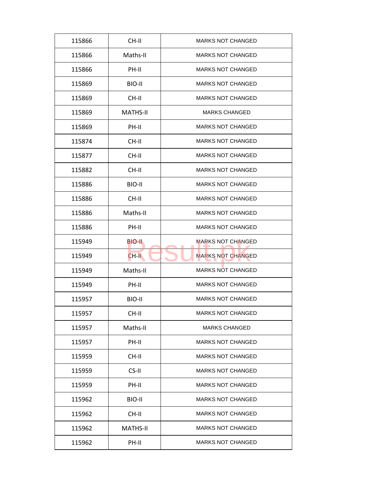| 115866 | CH-II           | <b>MARKS NOT CHANGED</b> |
|--------|-----------------|--------------------------|
| 115866 | Maths-II        | <b>MARKS NOT CHANGED</b> |
| 115866 | PH-II           | <b>MARKS NOT CHANGED</b> |
| 115869 | BIO-II          | <b>MARKS NOT CHANGED</b> |
| 115869 | CH-II           | <b>MARKS NOT CHANGED</b> |
| 115869 | <b>MATHS-II</b> | <b>MARKS CHANGED</b>     |
| 115869 | PH-II           | <b>MARKS NOT CHANGED</b> |
| 115874 | CH-II           | <b>MARKS NOT CHANGED</b> |
| 115877 | CH-II           | <b>MARKS NOT CHANGED</b> |
| 115882 | CH-II           | <b>MARKS NOT CHANGED</b> |
| 115886 | BIO-II          | <b>MARKS NOT CHANGED</b> |
| 115886 | CH-II           | <b>MARKS NOT CHANGED</b> |
| 115886 | Maths-II        | <b>MARKS NOT CHANGED</b> |
| 115886 | PH-II           | <b>MARKS NOT CHANGED</b> |
| 115949 | BIO-II          | <b>MARKS NOT CHANGED</b> |
| 115949 | $CH-H$          | <b>MARKS NOT CHANGED</b> |
| 115949 | Maths-II        | <b>MARKS NOT CHANGED</b> |
| 115949 | PH-II           | <b>MARKS NOT CHANGED</b> |
| 115957 | BIO-II          | <b>MARKS NOT CHANGED</b> |
| 115957 | CH-II           | <b>MARKS NOT CHANGED</b> |
| 115957 | Maths-II        | <b>MARKS CHANGED</b>     |
| 115957 | PH-II           | <b>MARKS NOT CHANGED</b> |
| 115959 | CH-II           | <b>MARKS NOT CHANGED</b> |
| 115959 | CS-II           | <b>MARKS NOT CHANGED</b> |
| 115959 | PH-II           | <b>MARKS NOT CHANGED</b> |
| 115962 | BIO-II          | <b>MARKS NOT CHANGED</b> |
| 115962 | CH-II           | <b>MARKS NOT CHANGED</b> |
|        |                 |                          |
| 115962 | MATHS-II        | <b>MARKS NOT CHANGED</b> |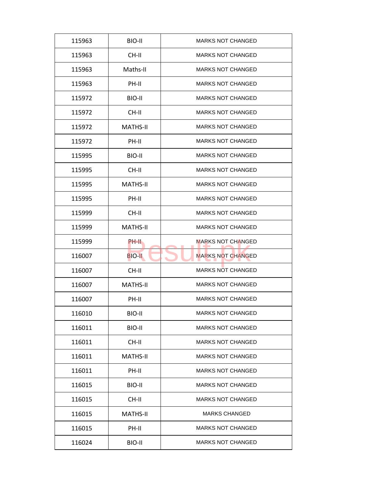| 115963 | BIO-II          | <b>MARKS NOT CHANGED</b> |
|--------|-----------------|--------------------------|
| 115963 | CH-II           | <b>MARKS NOT CHANGED</b> |
| 115963 | Maths-II        | <b>MARKS NOT CHANGED</b> |
| 115963 | PH-II           | <b>MARKS NOT CHANGED</b> |
| 115972 | BIO-II          | <b>MARKS NOT CHANGED</b> |
| 115972 | $CH-H$          | <b>MARKS NOT CHANGED</b> |
| 115972 | <b>MATHS-II</b> | <b>MARKS NOT CHANGED</b> |
| 115972 | PH-II           | <b>MARKS NOT CHANGED</b> |
| 115995 | BIO-II          | <b>MARKS NOT CHANGED</b> |
| 115995 | CH-II           | <b>MARKS NOT CHANGED</b> |
| 115995 | <b>MATHS-II</b> | <b>MARKS NOT CHANGED</b> |
| 115995 | PH-II           | <b>MARKS NOT CHANGED</b> |
| 115999 | CH-II           | <b>MARKS NOT CHANGED</b> |
| 115999 | <b>MATHS-II</b> | <b>MARKS NOT CHANGED</b> |
| 115999 | <b>PH-II</b>    | <b>MARKS NOT CHANGED</b> |
| 116007 | <b>BIO-II</b>   | <b>MARKS NOT CHANGED</b> |
| 116007 | CH-II           | <b>MARKS NOT CHANGED</b> |
| 116007 | <b>MATHS-II</b> | <b>MARKS NOT CHANGED</b> |
| 116007 | PH-II           | <b>MARKS NOT CHANGED</b> |
| 116010 | BIO-II          | <b>MARKS NOT CHANGED</b> |
| 116011 | BIO-II          | <b>MARKS NOT CHANGED</b> |
| 116011 | CH-II           | <b>MARKS NOT CHANGED</b> |
| 116011 | <b>MATHS-II</b> | <b>MARKS NOT CHANGED</b> |
| 116011 | PH-II           | <b>MARKS NOT CHANGED</b> |
| 116015 | BIO-II          | <b>MARKS NOT CHANGED</b> |
| 116015 | CH-II           | <b>MARKS NOT CHANGED</b> |
| 116015 | <b>MATHS-II</b> | <b>MARKS CHANGED</b>     |
| 116015 | PH-II           | <b>MARKS NOT CHANGED</b> |
| 116024 | BIO-II          | <b>MARKS NOT CHANGED</b> |
|        |                 |                          |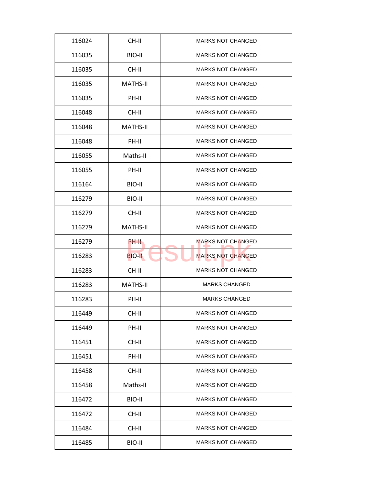| 116024 | CH-II           | <b>MARKS NOT CHANGED</b> |
|--------|-----------------|--------------------------|
| 116035 | BIO-II          | <b>MARKS NOT CHANGED</b> |
| 116035 | CH-II           | <b>MARKS NOT CHANGED</b> |
| 116035 | <b>MATHS-II</b> | <b>MARKS NOT CHANGED</b> |
| 116035 | PH-II           | <b>MARKS NOT CHANGED</b> |
| 116048 | $CH-H$          | <b>MARKS NOT CHANGED</b> |
| 116048 | <b>MATHS-II</b> | <b>MARKS NOT CHANGED</b> |
| 116048 | PH-II           | <b>MARKS NOT CHANGED</b> |
| 116055 | Maths-II        | <b>MARKS NOT CHANGED</b> |
| 116055 | PH-II           | <b>MARKS NOT CHANGED</b> |
| 116164 | BIO-II          | <b>MARKS NOT CHANGED</b> |
| 116279 | BIO-II          | <b>MARKS NOT CHANGED</b> |
| 116279 | CH-II           | <b>MARKS NOT CHANGED</b> |
| 116279 | <b>MATHS-II</b> | <b>MARKS NOT CHANGED</b> |
| 116279 | PH-II           | <b>MARKS NOT CHANGED</b> |
| 116283 | <b>BIO-II</b>   | <b>MARKS NOT CHANGED</b> |
| 116283 | CH-II           | <b>MARKS NOT CHANGED</b> |
| 116283 | <b>MATHS-II</b> | <b>MARKS CHANGED</b>     |
| 116283 | PH-II           | <b>MARKS CHANGED</b>     |
| 116449 | CH-II           | <b>MARKS NOT CHANGED</b> |
| 116449 | PH-II           | <b>MARKS NOT CHANGED</b> |
| 116451 | CH-II           | <b>MARKS NOT CHANGED</b> |
| 116451 | PH-II           | <b>MARKS NOT CHANGED</b> |
| 116458 | CH-II           | <b>MARKS NOT CHANGED</b> |
| 116458 | Maths-II        | <b>MARKS NOT CHANGED</b> |
| 116472 | BIO-II          | <b>MARKS NOT CHANGED</b> |
|        |                 |                          |
| 116472 | CH-II           | <b>MARKS NOT CHANGED</b> |
| 116484 | CH-II           | <b>MARKS NOT CHANGED</b> |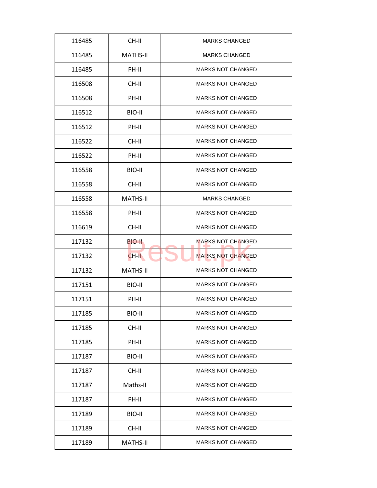| 116485 | CH-II           | <b>MARKS CHANGED</b>     |
|--------|-----------------|--------------------------|
| 116485 | <b>MATHS-II</b> | <b>MARKS CHANGED</b>     |
| 116485 | PH-II           | <b>MARKS NOT CHANGED</b> |
| 116508 | CH-II           | <b>MARKS NOT CHANGED</b> |
| 116508 | PH-II           | <b>MARKS NOT CHANGED</b> |
| 116512 | BIO-II          | <b>MARKS NOT CHANGED</b> |
| 116512 | PH-II           | <b>MARKS NOT CHANGED</b> |
| 116522 | CH-II           | <b>MARKS NOT CHANGED</b> |
| 116522 | PH-II           | <b>MARKS NOT CHANGED</b> |
| 116558 | BIO-II          | <b>MARKS NOT CHANGED</b> |
| 116558 | CH-II           | <b>MARKS NOT CHANGED</b> |
| 116558 | <b>MATHS-II</b> | <b>MARKS CHANGED</b>     |
| 116558 | PH-II           | <b>MARKS NOT CHANGED</b> |
| 116619 | CH-II           | <b>MARKS NOT CHANGED</b> |
| 117132 | BIO-II          | <b>MARKS NOT CHANGED</b> |
| 117132 | $CH-H$          | <b>MARKS NOT CHANGED</b> |
| 117132 | <b>MATHS-II</b> | <b>MARKS NOT CHANGED</b> |
| 117151 | BIO-II          | <b>MARKS NOT CHANGED</b> |
| 117151 | PH-II           | <b>MARKS NOT CHANGED</b> |
| 117185 | BIO-II          | <b>MARKS NOT CHANGED</b> |
| 117185 | CH-II           | <b>MARKS NOT CHANGED</b> |
| 117185 | PH-II           | <b>MARKS NOT CHANGED</b> |
| 117187 | BIO-II          | <b>MARKS NOT CHANGED</b> |
| 117187 | CH-II           | <b>MARKS NOT CHANGED</b> |
| 117187 | Maths-II        | <b>MARKS NOT CHANGED</b> |
| 117187 | PH-II           | <b>MARKS NOT CHANGED</b> |
| 117189 | BIO-II          | <b>MARKS NOT CHANGED</b> |
|        |                 |                          |
| 117189 | CH-II           | <b>MARKS NOT CHANGED</b> |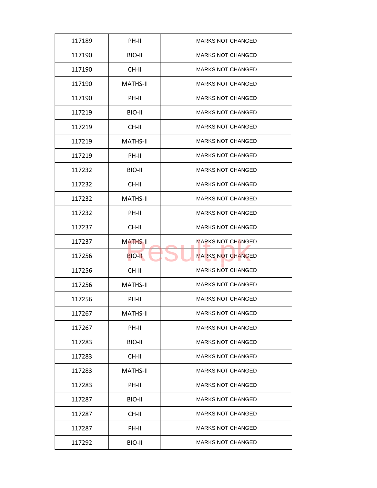| 117189 | PH-II           | <b>MARKS NOT CHANGED</b> |
|--------|-----------------|--------------------------|
| 117190 | BIO-II          | <b>MARKS NOT CHANGED</b> |
| 117190 | CH-II           | <b>MARKS NOT CHANGED</b> |
| 117190 | <b>MATHS-II</b> | <b>MARKS NOT CHANGED</b> |
| 117190 | PH-II           | <b>MARKS NOT CHANGED</b> |
| 117219 | BIO-II          | <b>MARKS NOT CHANGED</b> |
| 117219 | CH-II           | <b>MARKS NOT CHANGED</b> |
| 117219 | <b>MATHS-II</b> | <b>MARKS NOT CHANGED</b> |
| 117219 | PH-II           | <b>MARKS NOT CHANGED</b> |
| 117232 | BIO-II          | <b>MARKS NOT CHANGED</b> |
| 117232 | CH-II           | <b>MARKS NOT CHANGED</b> |
| 117232 | <b>MATHS-II</b> | <b>MARKS NOT CHANGED</b> |
| 117232 | PH-II           | <b>MARKS NOT CHANGED</b> |
| 117237 | CH-II           | <b>MARKS NOT CHANGED</b> |
| 117237 | <b>MATHS-II</b> | <b>MARKS NOT CHANGED</b> |
| 117256 | <b>BIO-II</b>   | <b>MARKS NOT CHANGED</b> |
| 117256 | CH-II           | <b>MARKS NOT CHANGED</b> |
| 117256 | <b>MATHS-II</b> | <b>MARKS NOT CHANGED</b> |
| 117256 | PH-II           | <b>MARKS NOT CHANGED</b> |
| 117267 | <b>MATHS-II</b> | <b>MARKS NOT CHANGED</b> |
| 117267 | PH-II           | <b>MARKS NOT CHANGED</b> |
| 117283 | BIO-II          | <b>MARKS NOT CHANGED</b> |
| 117283 | CH-II           | <b>MARKS NOT CHANGED</b> |
| 117283 | <b>MATHS-II</b> | <b>MARKS NOT CHANGED</b> |
| 117283 | PH-II           | <b>MARKS NOT CHANGED</b> |
| 117287 | BIO-II          | <b>MARKS NOT CHANGED</b> |
| 117287 | CH-II           | <b>MARKS NOT CHANGED</b> |
| 117287 | PH-II           | <b>MARKS NOT CHANGED</b> |
| 117292 | BIO-II          | <b>MARKS NOT CHANGED</b> |
|        |                 |                          |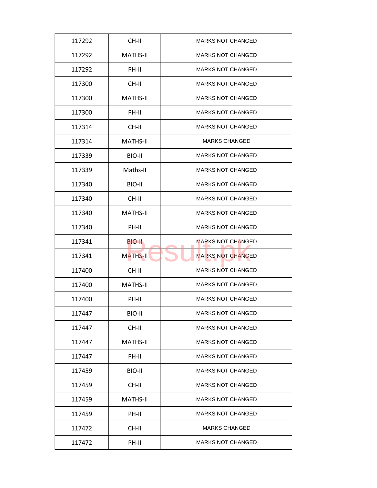| 117292 | CH-II           | <b>MARKS NOT CHANGED</b> |
|--------|-----------------|--------------------------|
| 117292 | MATHS-II        | <b>MARKS NOT CHANGED</b> |
| 117292 | PH-II           | <b>MARKS NOT CHANGED</b> |
| 117300 | CH-II           | <b>MARKS NOT CHANGED</b> |
| 117300 | <b>MATHS-II</b> | <b>MARKS NOT CHANGED</b> |
| 117300 | PH-II           | <b>MARKS NOT CHANGED</b> |
| 117314 | CH-II           | <b>MARKS NOT CHANGED</b> |
| 117314 | <b>MATHS-II</b> | <b>MARKS CHANGED</b>     |
| 117339 | BIO-II          | <b>MARKS NOT CHANGED</b> |
| 117339 | Maths-II        | <b>MARKS NOT CHANGED</b> |
| 117340 | BIO-II          | <b>MARKS NOT CHANGED</b> |
| 117340 | CH-II           | <b>MARKS NOT CHANGED</b> |
| 117340 | <b>MATHS-II</b> | <b>MARKS NOT CHANGED</b> |
| 117340 | PH-II           | <b>MARKS NOT CHANGED</b> |
| 117341 | BIO-II.         | <b>MARKS NOT CHANGED</b> |
| 117341 | <b>MATHS-II</b> | <b>MARKS NOT CHANGED</b> |
| 117400 | CH-II           | <b>MARKS NOT CHANGED</b> |
| 117400 | <b>MATHS-II</b> | <b>MARKS NOT CHANGED</b> |
| 117400 | PH-II           | <b>MARKS NOT CHANGED</b> |
| 117447 | BIO-II          | <b>MARKS NOT CHANGED</b> |
| 117447 | CH-II           | <b>MARKS NOT CHANGED</b> |
| 117447 | <b>MATHS-II</b> | <b>MARKS NOT CHANGED</b> |
| 117447 | PH-II           | <b>MARKS NOT CHANGED</b> |
| 117459 | BIO-II          | <b>MARKS NOT CHANGED</b> |
| 117459 | CH-II           | <b>MARKS NOT CHANGED</b> |
| 117459 | MATHS-II        | <b>MARKS NOT CHANGED</b> |
| 117459 | PH-II           | <b>MARKS NOT CHANGED</b> |
| 117472 | CH-II           | <b>MARKS CHANGED</b>     |
| 117472 | PH-II           | <b>MARKS NOT CHANGED</b> |
|        |                 |                          |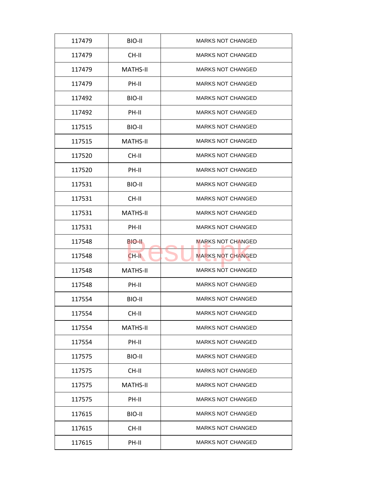| 117479 | BIO-II          | <b>MARKS NOT CHANGED</b> |
|--------|-----------------|--------------------------|
| 117479 | CH-II           | <b>MARKS NOT CHANGED</b> |
| 117479 | <b>MATHS-II</b> | <b>MARKS NOT CHANGED</b> |
| 117479 | PH-II           | <b>MARKS NOT CHANGED</b> |
| 117492 | BIO-II          | <b>MARKS NOT CHANGED</b> |
| 117492 | PH-II           | <b>MARKS NOT CHANGED</b> |
| 117515 | BIO-II          | <b>MARKS NOT CHANGED</b> |
| 117515 | <b>MATHS-II</b> | <b>MARKS NOT CHANGED</b> |
| 117520 | CH-II           | <b>MARKS NOT CHANGED</b> |
| 117520 | PH-II           | <b>MARKS NOT CHANGED</b> |
| 117531 | BIO-II          | <b>MARKS NOT CHANGED</b> |
| 117531 | CH-II           | <b>MARKS NOT CHANGED</b> |
| 117531 | <b>MATHS-II</b> | <b>MARKS NOT CHANGED</b> |
| 117531 | PH-II           | <b>MARKS NOT CHANGED</b> |
| 117548 | <b>BIO-II</b>   | <b>MARKS NOT CHANGED</b> |
| 117548 | CH-II           | <b>MARKS NOT CHANGED</b> |
| 117548 | <b>MATHS-II</b> | <b>MARKS NOT CHANGED</b> |
| 117548 | PH-II           | <b>MARKS NOT CHANGED</b> |
| 117554 | BIO-II          | <b>MARKS NOT CHANGED</b> |
| 117554 | CH-II           | <b>MARKS NOT CHANGED</b> |
| 117554 | <b>MATHS-II</b> | <b>MARKS NOT CHANGED</b> |
| 117554 | PH-II           | <b>MARKS NOT CHANGED</b> |
| 117575 | BIO-II          | <b>MARKS NOT CHANGED</b> |
| 117575 | CH-II           | <b>MARKS NOT CHANGED</b> |
| 117575 | <b>MATHS-II</b> | <b>MARKS NOT CHANGED</b> |
| 117575 | PH-II           | <b>MARKS NOT CHANGED</b> |
| 117615 | BIO-II          | <b>MARKS NOT CHANGED</b> |
| 117615 | CH-II           | <b>MARKS NOT CHANGED</b> |
| 117615 | PH-II           | <b>MARKS NOT CHANGED</b> |
|        |                 |                          |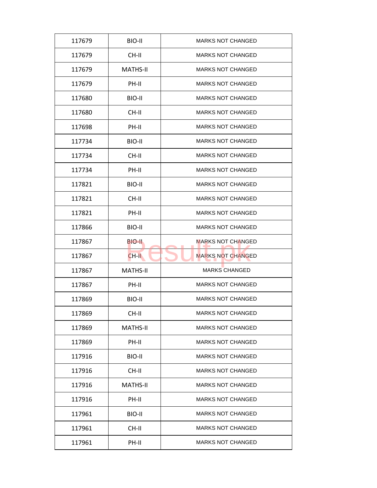| 117679 | BIO-II          | <b>MARKS NOT CHANGED</b> |
|--------|-----------------|--------------------------|
| 117679 | CH-II           | <b>MARKS NOT CHANGED</b> |
| 117679 | <b>MATHS-II</b> | <b>MARKS NOT CHANGED</b> |
| 117679 | PH-II           | <b>MARKS NOT CHANGED</b> |
| 117680 | BIO-II          | <b>MARKS NOT CHANGED</b> |
| 117680 | CH-II           | <b>MARKS NOT CHANGED</b> |
| 117698 | PH-II           | <b>MARKS NOT CHANGED</b> |
| 117734 | BIO-II          | <b>MARKS NOT CHANGED</b> |
| 117734 | CH-II           | <b>MARKS NOT CHANGED</b> |
| 117734 | PH-II           | <b>MARKS NOT CHANGED</b> |
| 117821 | BIO-II          | <b>MARKS NOT CHANGED</b> |
| 117821 | CH-II           | <b>MARKS NOT CHANGED</b> |
| 117821 | PH-II           | <b>MARKS NOT CHANGED</b> |
| 117866 | BIO-II          | <b>MARKS NOT CHANGED</b> |
| 117867 | BIO-II          | <b>MARKS NOT CHANGED</b> |
| 117867 | CH-II           | <b>MARKS NOT CHANGED</b> |
| 117867 | <b>MATHS-II</b> | <b>MARKS CHANGED</b>     |
| 117867 | PH-II           | <b>MARKS NOT CHANGED</b> |
| 117869 | BIO-II          | <b>MARKS NOT CHANGED</b> |
| 117869 | CH-II           | <b>MARKS NOT CHANGED</b> |
| 117869 | <b>MATHS-II</b> | <b>MARKS NOT CHANGED</b> |
| 117869 | PH-II           | <b>MARKS NOT CHANGED</b> |
| 117916 | BIO-II          | <b>MARKS NOT CHANGED</b> |
| 117916 | CH-II           | <b>MARKS NOT CHANGED</b> |
| 117916 | <b>MATHS-II</b> | <b>MARKS NOT CHANGED</b> |
| 117916 | PH-II           | <b>MARKS NOT CHANGED</b> |
| 117961 | BIO-II          | <b>MARKS NOT CHANGED</b> |
| 117961 | CH-II           | <b>MARKS NOT CHANGED</b> |
| 117961 | PH-II           | <b>MARKS NOT CHANGED</b> |
|        |                 |                          |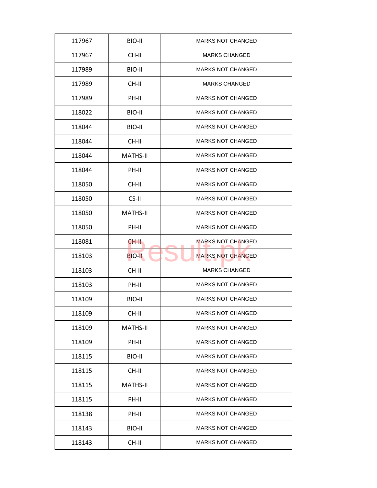| 117967 | BIO-II          | <b>MARKS NOT CHANGED</b> |
|--------|-----------------|--------------------------|
| 117967 | CH-II           | <b>MARKS CHANGED</b>     |
| 117989 | BIO-II          | <b>MARKS NOT CHANGED</b> |
| 117989 | CH-II           | <b>MARKS CHANGED</b>     |
| 117989 | PH-II           | <b>MARKS NOT CHANGED</b> |
| 118022 | BIO-II          | <b>MARKS NOT CHANGED</b> |
| 118044 | BIO-II          | <b>MARKS NOT CHANGED</b> |
| 118044 | CH-II           | <b>MARKS NOT CHANGED</b> |
| 118044 | <b>MATHS-II</b> | <b>MARKS NOT CHANGED</b> |
| 118044 | PH-II           | <b>MARKS NOT CHANGED</b> |
| 118050 | CH-II           | <b>MARKS NOT CHANGED</b> |
| 118050 | CS-II           | <b>MARKS NOT CHANGED</b> |
| 118050 | <b>MATHS-II</b> | <b>MARKS NOT CHANGED</b> |
| 118050 | PH-II           | <b>MARKS NOT CHANGED</b> |
| 118081 | CH-II           | <b>MARKS NOT CHANGED</b> |
| 118103 | <b>BIO-II</b>   | <b>MARKS NOT CHANGED</b> |
| 118103 | CH-II           | <b>MARKS CHANGED</b>     |
| 118103 | PH-II           | <b>MARKS NOT CHANGED</b> |
| 118109 | BIO-II          | <b>MARKS NOT CHANGED</b> |
| 118109 | CH-II           | <b>MARKS NOT CHANGED</b> |
| 118109 | <b>MATHS-II</b> | <b>MARKS NOT CHANGED</b> |
| 118109 | PH-II           | <b>MARKS NOT CHANGED</b> |
| 118115 | BIO-II          | <b>MARKS NOT CHANGED</b> |
| 118115 | CH-II           | <b>MARKS NOT CHANGED</b> |
| 118115 | <b>MATHS-II</b> | <b>MARKS NOT CHANGED</b> |
| 118115 | PH-II           | <b>MARKS NOT CHANGED</b> |
| 118138 | PH-II           | <b>MARKS NOT CHANGED</b> |
| 118143 | BIO-II          | <b>MARKS NOT CHANGED</b> |
| 118143 | CH-II           | <b>MARKS NOT CHANGED</b> |
|        |                 |                          |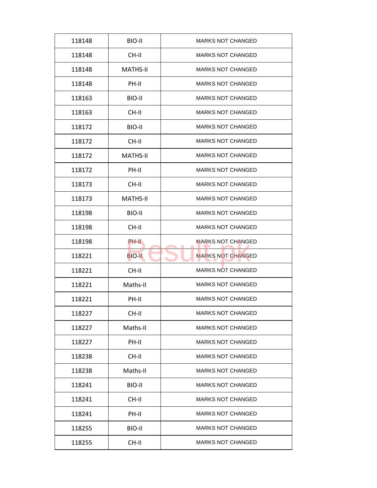| 118148 | BIO-II          | <b>MARKS NOT CHANGED</b> |
|--------|-----------------|--------------------------|
| 118148 | CH-II           | <b>MARKS NOT CHANGED</b> |
| 118148 | <b>MATHS-II</b> | <b>MARKS NOT CHANGED</b> |
| 118148 | PH-II           | <b>MARKS NOT CHANGED</b> |
| 118163 | BIO-II          | <b>MARKS NOT CHANGED</b> |
| 118163 | CH-II           | <b>MARKS NOT CHANGED</b> |
| 118172 | BIO-II          | <b>MARKS NOT CHANGED</b> |
| 118172 | CH-II           | <b>MARKS NOT CHANGED</b> |
| 118172 | <b>MATHS-II</b> | <b>MARKS NOT CHANGED</b> |
| 118172 | PH-II           | <b>MARKS NOT CHANGED</b> |
| 118173 | CH-II           | <b>MARKS NOT CHANGED</b> |
| 118173 | <b>MATHS-II</b> | <b>MARKS NOT CHANGED</b> |
| 118198 | BIO-II          | <b>MARKS NOT CHANGED</b> |
| 118198 | CH-II           | <b>MARKS NOT CHANGED</b> |
| 118198 | <b>PH-II</b>    | <b>MARKS NOT CHANGED</b> |
| 118221 | <b>BIO-II</b>   | <b>MARKS NOT CHANGED</b> |
| 118221 | CH-II           | <b>MARKS NOT CHANGED</b> |
| 118221 | Maths-II        | <b>MARKS NOT CHANGED</b> |
| 118221 | PH-II           | <b>MARKS NOT CHANGED</b> |
| 118227 | CH-II           | <b>MARKS NOT CHANGED</b> |
| 118227 | Maths-II        | <b>MARKS NOT CHANGED</b> |
| 118227 | PH-II           | <b>MARKS NOT CHANGED</b> |
| 118238 | CH-II           | <b>MARKS NOT CHANGED</b> |
| 118238 | Maths-II        | <b>MARKS NOT CHANGED</b> |
| 118241 | BIO-II          | <b>MARKS NOT CHANGED</b> |
| 118241 | CH-II           | <b>MARKS NOT CHANGED</b> |
| 118241 | PH-II           | <b>MARKS NOT CHANGED</b> |
| 118255 | BIO-II          | <b>MARKS NOT CHANGED</b> |
| 118255 | CH-II           | <b>MARKS NOT CHANGED</b> |
|        |                 |                          |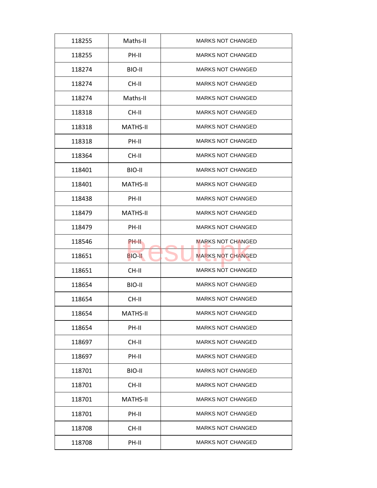| 118255 | Maths-II        | <b>MARKS NOT CHANGED</b> |
|--------|-----------------|--------------------------|
| 118255 | PH-II           | <b>MARKS NOT CHANGED</b> |
| 118274 | BIO-II          | <b>MARKS NOT CHANGED</b> |
| 118274 | CH-II           | <b>MARKS NOT CHANGED</b> |
| 118274 | Maths-II        | <b>MARKS NOT CHANGED</b> |
| 118318 | CH-II           | <b>MARKS NOT CHANGED</b> |
| 118318 | <b>MATHS-II</b> | <b>MARKS NOT CHANGED</b> |
| 118318 | PH-II           | <b>MARKS NOT CHANGED</b> |
| 118364 | CH-II           | <b>MARKS NOT CHANGED</b> |
| 118401 | BIO-II          | <b>MARKS NOT CHANGED</b> |
| 118401 | <b>MATHS-II</b> | <b>MARKS NOT CHANGED</b> |
| 118438 | PH-II           | <b>MARKS NOT CHANGED</b> |
| 118479 | <b>MATHS-II</b> | <b>MARKS NOT CHANGED</b> |
| 118479 | PH-II           | <b>MARKS NOT CHANGED</b> |
| 118546 | PH-II           | <b>MARKS NOT CHANGED</b> |
| 118651 | <b>BIO-II</b>   | <b>MARKS NOT CHANGED</b> |
| 118651 | CH-II           | <b>MARKS NOT CHANGED</b> |
| 118654 | BIO-II          | <b>MARKS NOT CHANGED</b> |
| 118654 | CH-II           | <b>MARKS NOT CHANGED</b> |
| 118654 | <b>MATHS-II</b> | <b>MARKS NOT CHANGED</b> |
| 118654 | PH-II           | <b>MARKS NOT CHANGED</b> |
| 118697 | CH-II           | <b>MARKS NOT CHANGED</b> |
| 118697 | PH-II           | <b>MARKS NOT CHANGED</b> |
| 118701 | BIO-II          | <b>MARKS NOT CHANGED</b> |
| 118701 | CH-II           | <b>MARKS NOT CHANGED</b> |
| 118701 | <b>MATHS-II</b> | <b>MARKS NOT CHANGED</b> |
| 118701 | PH-II           | <b>MARKS NOT CHANGED</b> |
| 118708 | CH-II           | <b>MARKS NOT CHANGED</b> |
| 118708 | PH-II           | <b>MARKS NOT CHANGED</b> |
|        |                 |                          |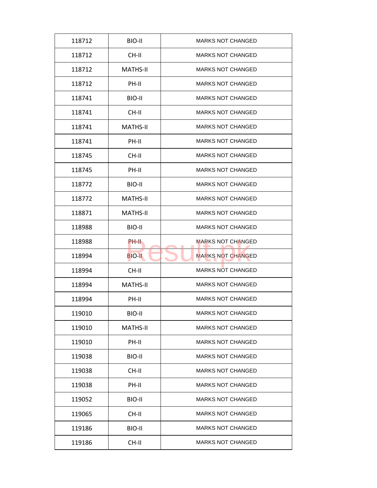| 118712 | BIO-II          | <b>MARKS NOT CHANGED</b> |
|--------|-----------------|--------------------------|
| 118712 | CH-II           | <b>MARKS NOT CHANGED</b> |
| 118712 | <b>MATHS-II</b> | <b>MARKS NOT CHANGED</b> |
| 118712 | PH-II           | <b>MARKS NOT CHANGED</b> |
| 118741 | BIO-II          | <b>MARKS NOT CHANGED</b> |
| 118741 | $CH-H$          | <b>MARKS NOT CHANGED</b> |
| 118741 | <b>MATHS-II</b> | <b>MARKS NOT CHANGED</b> |
| 118741 | PH-II           | <b>MARKS NOT CHANGED</b> |
| 118745 | CH-II           | <b>MARKS NOT CHANGED</b> |
| 118745 | PH-II           | <b>MARKS NOT CHANGED</b> |
| 118772 | BIO-II          | <b>MARKS NOT CHANGED</b> |
| 118772 | <b>MATHS-II</b> | <b>MARKS NOT CHANGED</b> |
| 118871 | <b>MATHS-II</b> | <b>MARKS NOT CHANGED</b> |
| 118988 | BIO-II          | <b>MARKS NOT CHANGED</b> |
| 118988 | <b>PH-II</b>    | <b>MARKS NOT CHANGED</b> |
| 118994 | <b>BIO-II</b>   | <b>MARKS NOT CHANGED</b> |
| 118994 | CH-II           | <b>MARKS NOT CHANGED</b> |
| 118994 | <b>MATHS-II</b> | <b>MARKS NOT CHANGED</b> |
| 118994 | PH-II           | <b>MARKS NOT CHANGED</b> |
| 119010 | BIO-II          | <b>MARKS NOT CHANGED</b> |
| 119010 | <b>MATHS-II</b> | <b>MARKS NOT CHANGED</b> |
| 119010 | PH-II           | <b>MARKS NOT CHANGED</b> |
| 119038 | BIO-II          | <b>MARKS NOT CHANGED</b> |
| 119038 | CH-II           | <b>MARKS NOT CHANGED</b> |
| 119038 | PH-II           | <b>MARKS NOT CHANGED</b> |
| 119052 | BIO-II          | <b>MARKS NOT CHANGED</b> |
|        |                 |                          |
| 119065 | CH-II           | <b>MARKS NOT CHANGED</b> |
| 119186 | BIO-II          | <b>MARKS NOT CHANGED</b> |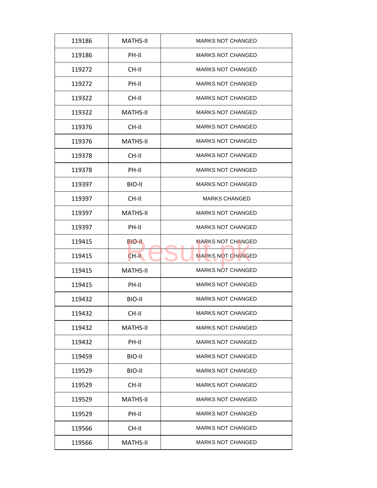| 119186 | <b>MATHS-II</b> | <b>MARKS NOT CHANGED</b> |
|--------|-----------------|--------------------------|
| 119186 | PH-II           | <b>MARKS NOT CHANGED</b> |
| 119272 | CH-II           | <b>MARKS NOT CHANGED</b> |
| 119272 | PH-II           | <b>MARKS NOT CHANGED</b> |
| 119322 | CH-II           | <b>MARKS NOT CHANGED</b> |
| 119322 | <b>MATHS-II</b> | <b>MARKS NOT CHANGED</b> |
| 119376 | CH-II           | <b>MARKS NOT CHANGED</b> |
| 119376 | <b>MATHS-II</b> | <b>MARKS NOT CHANGED</b> |
| 119378 | CH-II           | <b>MARKS NOT CHANGED</b> |
| 119378 | PH-II           | <b>MARKS NOT CHANGED</b> |
| 119397 | BIO-II          | <b>MARKS NOT CHANGED</b> |
| 119397 | CH-II           | <b>MARKS CHANGED</b>     |
| 119397 | <b>MATHS-II</b> | <b>MARKS NOT CHANGED</b> |
| 119397 | PH-II           | <b>MARKS NOT CHANGED</b> |
| 119415 | BIO-II.         | <b>MARKS NOT CHANGED</b> |
| 119415 | $CH-H$          | <b>MARKS NOT CHANGED</b> |
| 119415 | <b>MATHS-II</b> | <b>MARKS NOT CHANGED</b> |
| 119415 | PH-II           | <b>MARKS NOT CHANGED</b> |
| 119432 | BIO-II          | <b>MARKS NOT CHANGED</b> |
| 119432 | CH-II           | <b>MARKS NOT CHANGED</b> |
| 119432 | MATHS-II        | <b>MARKS NOT CHANGED</b> |
| 119432 | PH-II           | <b>MARKS NOT CHANGED</b> |
| 119459 | BIO-II          | <b>MARKS NOT CHANGED</b> |
| 119529 | BIO-II          | <b>MARKS NOT CHANGED</b> |
| 119529 | CH-II           | <b>MARKS NOT CHANGED</b> |
| 119529 | MATHS-II        | <b>MARKS NOT CHANGED</b> |
| 119529 | PH-II           | <b>MARKS NOT CHANGED</b> |
|        |                 |                          |
| 119566 | CH-II           | <b>MARKS NOT CHANGED</b> |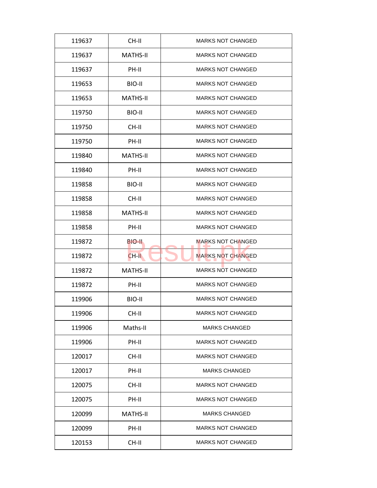| 119637 | CH-II           | <b>MARKS NOT CHANGED</b> |
|--------|-----------------|--------------------------|
| 119637 | <b>MATHS-II</b> | <b>MARKS NOT CHANGED</b> |
| 119637 | PH-II           | <b>MARKS NOT CHANGED</b> |
| 119653 | BIO-II          | <b>MARKS NOT CHANGED</b> |
| 119653 | <b>MATHS-II</b> | <b>MARKS NOT CHANGED</b> |
| 119750 | BIO-II          | <b>MARKS NOT CHANGED</b> |
| 119750 | CH-II           | <b>MARKS NOT CHANGED</b> |
| 119750 | PH-II           | <b>MARKS NOT CHANGED</b> |
| 119840 | <b>MATHS-II</b> | <b>MARKS NOT CHANGED</b> |
| 119840 | PH-II           | <b>MARKS NOT CHANGED</b> |
| 119858 | BIO-II          | <b>MARKS NOT CHANGED</b> |
| 119858 | CH-II           | <b>MARKS NOT CHANGED</b> |
| 119858 | <b>MATHS-II</b> | <b>MARKS NOT CHANGED</b> |
| 119858 | PH-II           | <b>MARKS NOT CHANGED</b> |
| 119872 | BIO-II          | <b>MARKS NOT CHANGED</b> |
| 119872 | $CH-H$          | <b>MARKS NOT CHANGED</b> |
| 119872 | <b>MATHS-II</b> | <b>MARKS NOT CHANGED</b> |
| 119872 | PH-II           | <b>MARKS NOT CHANGED</b> |
| 119906 | BIO-II          | <b>MARKS NOT CHANGED</b> |
| 119906 | CH-II           | <b>MARKS NOT CHANGED</b> |
| 119906 | Maths-II        | <b>MARKS CHANGED</b>     |
| 119906 | PH-II           | <b>MARKS NOT CHANGED</b> |
| 120017 | CH-II           | <b>MARKS NOT CHANGED</b> |
| 120017 | PH-II           | <b>MARKS CHANGED</b>     |
| 120075 | CH-II           | <b>MARKS NOT CHANGED</b> |
| 120075 | PH-II           | <b>MARKS NOT CHANGED</b> |
| 120099 | <b>MATHS-II</b> | <b>MARKS CHANGED</b>     |
| 120099 | PH-II           | <b>MARKS NOT CHANGED</b> |
|        |                 |                          |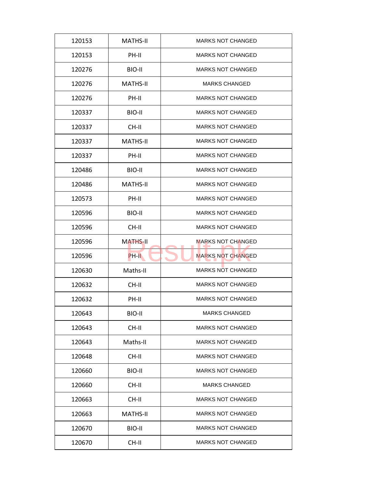| 120153 | <b>MATHS-II</b> | <b>MARKS NOT CHANGED</b> |
|--------|-----------------|--------------------------|
| 120153 | PH-II           | <b>MARKS NOT CHANGED</b> |
| 120276 | BIO-II          | <b>MARKS NOT CHANGED</b> |
| 120276 | <b>MATHS-II</b> | <b>MARKS CHANGED</b>     |
| 120276 | PH-II           | <b>MARKS NOT CHANGED</b> |
| 120337 | BIO-II          | <b>MARKS NOT CHANGED</b> |
| 120337 | CH-II           | <b>MARKS NOT CHANGED</b> |
| 120337 | <b>MATHS-II</b> | <b>MARKS NOT CHANGED</b> |
| 120337 | PH-II           | <b>MARKS NOT CHANGED</b> |
| 120486 | BIO-II          | <b>MARKS NOT CHANGED</b> |
| 120486 | <b>MATHS-II</b> | <b>MARKS NOT CHANGED</b> |
| 120573 | PH-II           | <b>MARKS NOT CHANGED</b> |
| 120596 | BIO-II          | <b>MARKS NOT CHANGED</b> |
| 120596 | CH-II           | <b>MARKS NOT CHANGED</b> |
| 120596 | <b>MATHS-II</b> | <b>MARKS NOT CHANGED</b> |
| 120596 | PH-II           | <b>MARKS NOT CHANGED</b> |
| 120630 | Maths-II        | <b>MARKS NOT CHANGED</b> |
| 120632 | CH-II           | <b>MARKS NOT CHANGED</b> |
| 120632 | PH-II           | <b>MARKS NOT CHANGED</b> |
| 120643 | BIO-II          | <b>MARKS CHANGED</b>     |
| 120643 | CH-II           | <b>MARKS NOT CHANGED</b> |
| 120643 | Maths-II        | <b>MARKS NOT CHANGED</b> |
| 120648 | CH-II           | <b>MARKS NOT CHANGED</b> |
| 120660 | BIO-II          | <b>MARKS NOT CHANGED</b> |
| 120660 | CH-II           | <b>MARKS CHANGED</b>     |
| 120663 | CH-II           | <b>MARKS NOT CHANGED</b> |
| 120663 | MATHS-II        | <b>MARKS NOT CHANGED</b> |
|        |                 |                          |
| 120670 | BIO-II          | <b>MARKS NOT CHANGED</b> |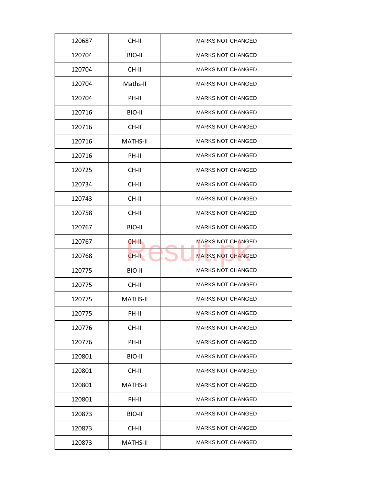| 120687 | CH-II           | <b>MARKS NOT CHANGED</b> |
|--------|-----------------|--------------------------|
| 120704 | BIO-II          | <b>MARKS NOT CHANGED</b> |
| 120704 | CH-II           | <b>MARKS NOT CHANGED</b> |
| 120704 | Maths-II        | <b>MARKS NOT CHANGED</b> |
| 120704 | PH-II           | <b>MARKS NOT CHANGED</b> |
| 120716 | BIO-II          | <b>MARKS NOT CHANGED</b> |
| 120716 | CH-II           | <b>MARKS NOT CHANGED</b> |
| 120716 | <b>MATHS-II</b> | <b>MARKS NOT CHANGED</b> |
| 120716 | PH-II           | <b>MARKS NOT CHANGED</b> |
| 120725 | CH-II           | <b>MARKS NOT CHANGED</b> |
| 120734 | CH-II           | <b>MARKS NOT CHANGED</b> |
| 120743 | CH-II           | <b>MARKS NOT CHANGED</b> |
| 120758 | CH-II           | <b>MARKS NOT CHANGED</b> |
| 120767 | BIO-II          | <b>MARKS NOT CHANGED</b> |
| 120767 | CH-II           | <b>MARKS NOT CHANGED</b> |
| 120768 | $CH-H$          | <b>MARKS NOT CHANGED</b> |
| 120775 | BIO-II          | <b>MARKS NOT CHANGED</b> |
| 120775 | CH-II           | <b>MARKS NOT CHANGED</b> |
| 120775 | <b>MATHS-II</b> | <b>MARKS NOT CHANGED</b> |
| 120775 | PH-II           | <b>MARKS NOT CHANGED</b> |
| 120776 | CH-II           | <b>MARKS NOT CHANGED</b> |
| 120776 | PH-II           | <b>MARKS NOT CHANGED</b> |
| 120801 | BIO-II          | <b>MARKS NOT CHANGED</b> |
| 120801 | CH-II           | <b>MARKS NOT CHANGED</b> |
| 120801 | <b>MATHS-II</b> | <b>MARKS NOT CHANGED</b> |
| 120801 | PH-II           | <b>MARKS NOT CHANGED</b> |
| 120873 | BIO-II          | <b>MARKS NOT CHANGED</b> |
| 120873 | CH-II           | <b>MARKS NOT CHANGED</b> |
| 120873 | <b>MATHS-II</b> | <b>MARKS NOT CHANGED</b> |
|        |                 |                          |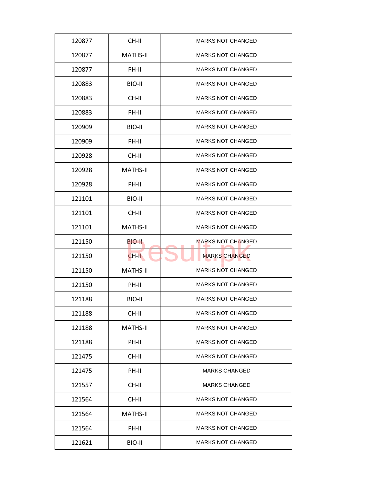| 120877 | CH-II           | <b>MARKS NOT CHANGED</b> |
|--------|-----------------|--------------------------|
| 120877 | <b>MATHS-II</b> | <b>MARKS NOT CHANGED</b> |
| 120877 | PH-II           | <b>MARKS NOT CHANGED</b> |
| 120883 | BIO-II          | <b>MARKS NOT CHANGED</b> |
| 120883 | CH-II           | <b>MARKS NOT CHANGED</b> |
| 120883 | PH-II           | <b>MARKS NOT CHANGED</b> |
| 120909 | BIO-II          | <b>MARKS NOT CHANGED</b> |
| 120909 | PH-II           | <b>MARKS NOT CHANGED</b> |
| 120928 | CH-II           | <b>MARKS NOT CHANGED</b> |
| 120928 | <b>MATHS-II</b> | <b>MARKS NOT CHANGED</b> |
| 120928 | PH-II           | <b>MARKS NOT CHANGED</b> |
| 121101 | BIO-II          | <b>MARKS NOT CHANGED</b> |
| 121101 | CH-II           | <b>MARKS NOT CHANGED</b> |
| 121101 | <b>MATHS-II</b> | <b>MARKS NOT CHANGED</b> |
| 121150 | BIO-II.         | <b>MARKS NOT CHANGED</b> |
| 121150 | $CH-H$          | <b>MARKS CHANGED</b>     |
| 121150 | <b>MATHS-II</b> | <b>MARKS NOT CHANGED</b> |
| 121150 | PH-II           | <b>MARKS NOT CHANGED</b> |
| 121188 | BIO-II          | <b>MARKS NOT CHANGED</b> |
| 121188 | CH-II           | <b>MARKS NOT CHANGED</b> |
| 121188 | <b>MATHS-II</b> | <b>MARKS NOT CHANGED</b> |
| 121188 | PH-II           | <b>MARKS NOT CHANGED</b> |
| 121475 | CH-II           | <b>MARKS NOT CHANGED</b> |
| 121475 | PH-II           | <b>MARKS CHANGED</b>     |
| 121557 | CH-II           | <b>MARKS CHANGED</b>     |
| 121564 | CH-II           | <b>MARKS NOT CHANGED</b> |
| 121564 | <b>MATHS-II</b> | <b>MARKS NOT CHANGED</b> |
| 121564 | PH-II           | <b>MARKS NOT CHANGED</b> |
| 121621 | BIO-II          | <b>MARKS NOT CHANGED</b> |
|        |                 |                          |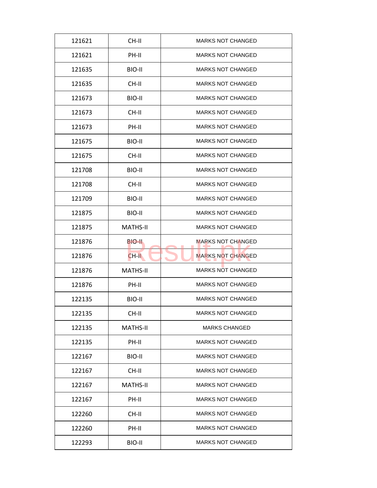| 121621<br>CH-II<br><b>MARKS NOT CHANGED</b><br><b>MARKS NOT CHANGED</b><br>121621<br>PH-II<br><b>MARKS NOT CHANGED</b><br>121635<br>BIO-II<br><b>MARKS NOT CHANGED</b><br>121635<br>CH-II<br>BIO-II<br><b>MARKS NOT CHANGED</b><br>121673<br>CH-II<br><b>MARKS NOT CHANGED</b><br>121673<br>121673<br>PH-II<br><b>MARKS NOT CHANGED</b><br>BIO-II<br><b>MARKS NOT CHANGED</b><br>121675<br>CH-II<br><b>MARKS NOT CHANGED</b><br>121675<br><b>MARKS NOT CHANGED</b><br>121708<br>BIO-II<br>121708<br>CH-II<br><b>MARKS NOT CHANGED</b><br><b>MARKS NOT CHANGED</b><br>121709<br>BIO-II<br>BIO-II<br><b>MARKS NOT CHANGED</b><br>121875<br><b>MARKS NOT CHANGED</b><br>121875<br><b>MATHS-II</b><br><b>MARKS NOT CHANGED</b><br>121876<br>BIO-II<br><b>MARKS NOT CHANGED</b><br>121876<br>$CH-H$<br><b>MATHS-II</b><br><b>MARKS NOT CHANGED</b><br>121876<br><b>MARKS NOT CHANGED</b><br>121876<br>PH-II<br><b>MARKS NOT CHANGED</b><br>122135<br>BIO-II<br>122135<br>CH-II<br><b>MARKS NOT CHANGED</b><br>122135<br>MATHS-II<br><b>MARKS CHANGED</b><br>PH-II<br><b>MARKS NOT CHANGED</b><br>122135<br><b>MARKS NOT CHANGED</b><br>122167<br>BIO-II<br>122167<br>CH-II<br><b>MARKS NOT CHANGED</b><br><b>MARKS NOT CHANGED</b><br>122167<br><b>MATHS-II</b><br><b>MARKS NOT CHANGED</b><br>122167<br>PH-II<br>CH-II<br><b>MARKS NOT CHANGED</b><br>122260<br><b>MARKS NOT CHANGED</b><br>122260<br>PH-II<br>122293<br>BIO-II<br><b>MARKS NOT CHANGED</b> |  |  |
|---------------------------------------------------------------------------------------------------------------------------------------------------------------------------------------------------------------------------------------------------------------------------------------------------------------------------------------------------------------------------------------------------------------------------------------------------------------------------------------------------------------------------------------------------------------------------------------------------------------------------------------------------------------------------------------------------------------------------------------------------------------------------------------------------------------------------------------------------------------------------------------------------------------------------------------------------------------------------------------------------------------------------------------------------------------------------------------------------------------------------------------------------------------------------------------------------------------------------------------------------------------------------------------------------------------------------------------------------------------------------------------------------------------------------------------------------------|--|--|
|                                                                                                                                                                                                                                                                                                                                                                                                                                                                                                                                                                                                                                                                                                                                                                                                                                                                                                                                                                                                                                                                                                                                                                                                                                                                                                                                                                                                                                                         |  |  |
|                                                                                                                                                                                                                                                                                                                                                                                                                                                                                                                                                                                                                                                                                                                                                                                                                                                                                                                                                                                                                                                                                                                                                                                                                                                                                                                                                                                                                                                         |  |  |
|                                                                                                                                                                                                                                                                                                                                                                                                                                                                                                                                                                                                                                                                                                                                                                                                                                                                                                                                                                                                                                                                                                                                                                                                                                                                                                                                                                                                                                                         |  |  |
|                                                                                                                                                                                                                                                                                                                                                                                                                                                                                                                                                                                                                                                                                                                                                                                                                                                                                                                                                                                                                                                                                                                                                                                                                                                                                                                                                                                                                                                         |  |  |
|                                                                                                                                                                                                                                                                                                                                                                                                                                                                                                                                                                                                                                                                                                                                                                                                                                                                                                                                                                                                                                                                                                                                                                                                                                                                                                                                                                                                                                                         |  |  |
|                                                                                                                                                                                                                                                                                                                                                                                                                                                                                                                                                                                                                                                                                                                                                                                                                                                                                                                                                                                                                                                                                                                                                                                                                                                                                                                                                                                                                                                         |  |  |
|                                                                                                                                                                                                                                                                                                                                                                                                                                                                                                                                                                                                                                                                                                                                                                                                                                                                                                                                                                                                                                                                                                                                                                                                                                                                                                                                                                                                                                                         |  |  |
|                                                                                                                                                                                                                                                                                                                                                                                                                                                                                                                                                                                                                                                                                                                                                                                                                                                                                                                                                                                                                                                                                                                                                                                                                                                                                                                                                                                                                                                         |  |  |
|                                                                                                                                                                                                                                                                                                                                                                                                                                                                                                                                                                                                                                                                                                                                                                                                                                                                                                                                                                                                                                                                                                                                                                                                                                                                                                                                                                                                                                                         |  |  |
|                                                                                                                                                                                                                                                                                                                                                                                                                                                                                                                                                                                                                                                                                                                                                                                                                                                                                                                                                                                                                                                                                                                                                                                                                                                                                                                                                                                                                                                         |  |  |
|                                                                                                                                                                                                                                                                                                                                                                                                                                                                                                                                                                                                                                                                                                                                                                                                                                                                                                                                                                                                                                                                                                                                                                                                                                                                                                                                                                                                                                                         |  |  |
|                                                                                                                                                                                                                                                                                                                                                                                                                                                                                                                                                                                                                                                                                                                                                                                                                                                                                                                                                                                                                                                                                                                                                                                                                                                                                                                                                                                                                                                         |  |  |
|                                                                                                                                                                                                                                                                                                                                                                                                                                                                                                                                                                                                                                                                                                                                                                                                                                                                                                                                                                                                                                                                                                                                                                                                                                                                                                                                                                                                                                                         |  |  |
|                                                                                                                                                                                                                                                                                                                                                                                                                                                                                                                                                                                                                                                                                                                                                                                                                                                                                                                                                                                                                                                                                                                                                                                                                                                                                                                                                                                                                                                         |  |  |
|                                                                                                                                                                                                                                                                                                                                                                                                                                                                                                                                                                                                                                                                                                                                                                                                                                                                                                                                                                                                                                                                                                                                                                                                                                                                                                                                                                                                                                                         |  |  |
|                                                                                                                                                                                                                                                                                                                                                                                                                                                                                                                                                                                                                                                                                                                                                                                                                                                                                                                                                                                                                                                                                                                                                                                                                                                                                                                                                                                                                                                         |  |  |
|                                                                                                                                                                                                                                                                                                                                                                                                                                                                                                                                                                                                                                                                                                                                                                                                                                                                                                                                                                                                                                                                                                                                                                                                                                                                                                                                                                                                                                                         |  |  |
|                                                                                                                                                                                                                                                                                                                                                                                                                                                                                                                                                                                                                                                                                                                                                                                                                                                                                                                                                                                                                                                                                                                                                                                                                                                                                                                                                                                                                                                         |  |  |
|                                                                                                                                                                                                                                                                                                                                                                                                                                                                                                                                                                                                                                                                                                                                                                                                                                                                                                                                                                                                                                                                                                                                                                                                                                                                                                                                                                                                                                                         |  |  |
|                                                                                                                                                                                                                                                                                                                                                                                                                                                                                                                                                                                                                                                                                                                                                                                                                                                                                                                                                                                                                                                                                                                                                                                                                                                                                                                                                                                                                                                         |  |  |
|                                                                                                                                                                                                                                                                                                                                                                                                                                                                                                                                                                                                                                                                                                                                                                                                                                                                                                                                                                                                                                                                                                                                                                                                                                                                                                                                                                                                                                                         |  |  |
|                                                                                                                                                                                                                                                                                                                                                                                                                                                                                                                                                                                                                                                                                                                                                                                                                                                                                                                                                                                                                                                                                                                                                                                                                                                                                                                                                                                                                                                         |  |  |
|                                                                                                                                                                                                                                                                                                                                                                                                                                                                                                                                                                                                                                                                                                                                                                                                                                                                                                                                                                                                                                                                                                                                                                                                                                                                                                                                                                                                                                                         |  |  |
|                                                                                                                                                                                                                                                                                                                                                                                                                                                                                                                                                                                                                                                                                                                                                                                                                                                                                                                                                                                                                                                                                                                                                                                                                                                                                                                                                                                                                                                         |  |  |
|                                                                                                                                                                                                                                                                                                                                                                                                                                                                                                                                                                                                                                                                                                                                                                                                                                                                                                                                                                                                                                                                                                                                                                                                                                                                                                                                                                                                                                                         |  |  |
|                                                                                                                                                                                                                                                                                                                                                                                                                                                                                                                                                                                                                                                                                                                                                                                                                                                                                                                                                                                                                                                                                                                                                                                                                                                                                                                                                                                                                                                         |  |  |
|                                                                                                                                                                                                                                                                                                                                                                                                                                                                                                                                                                                                                                                                                                                                                                                                                                                                                                                                                                                                                                                                                                                                                                                                                                                                                                                                                                                                                                                         |  |  |
|                                                                                                                                                                                                                                                                                                                                                                                                                                                                                                                                                                                                                                                                                                                                                                                                                                                                                                                                                                                                                                                                                                                                                                                                                                                                                                                                                                                                                                                         |  |  |
|                                                                                                                                                                                                                                                                                                                                                                                                                                                                                                                                                                                                                                                                                                                                                                                                                                                                                                                                                                                                                                                                                                                                                                                                                                                                                                                                                                                                                                                         |  |  |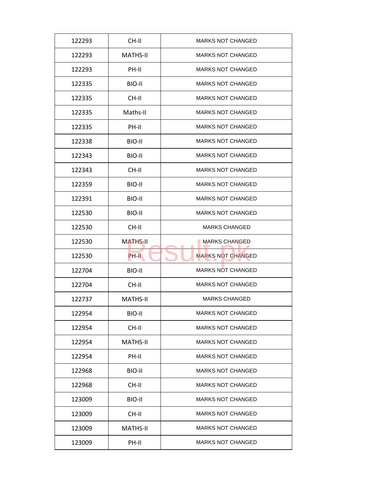| CH-II<br><b>MARKS NOT CHANGED</b><br>122293<br><b>MARKS NOT CHANGED</b><br>122293<br>MATHS-II<br>PH-II<br><b>MARKS NOT CHANGED</b><br>122293<br><b>MARKS NOT CHANGED</b><br>122335<br>BIO-II<br>122335<br>CH-II<br><b>MARKS NOT CHANGED</b><br><b>MARKS NOT CHANGED</b><br>Maths-II<br>122335<br>PH-II<br><b>MARKS NOT CHANGED</b><br>122335<br>122338<br>BIO-II<br><b>MARKS NOT CHANGED</b><br>BIO-II<br><b>MARKS NOT CHANGED</b><br>122343<br><b>MARKS NOT CHANGED</b><br>122343<br>CH-II<br>122359<br>BIO-II<br><b>MARKS NOT CHANGED</b><br><b>MARKS NOT CHANGED</b><br>122391<br>BIO-II<br>BIO-II<br><b>MARKS NOT CHANGED</b><br>122530<br><b>MARKS CHANGED</b><br>122530<br>CH-II<br><b>MARKS CHANGED</b><br>122530<br><b>MATHS-II</b><br><b>MARKS NOT CHANGED</b><br>122530<br>PH-II<br><b>MARKS NOT CHANGED</b><br>122704<br>BIO-II<br><b>MARKS NOT CHANGED</b><br>122704<br>CH-II<br><b>MATHS-II</b><br><b>MARKS CHANGED</b><br>122737<br>122954<br>BIO-II<br><b>MARKS NOT CHANGED</b><br>122954<br>CH-II<br><b>MARKS NOT CHANGED</b><br>MATHS-II<br><b>MARKS NOT CHANGED</b><br>122954<br><b>MARKS NOT CHANGED</b><br>122954<br>PH-II<br>122968<br>BIO-II<br><b>MARKS NOT CHANGED</b><br><b>MARKS NOT CHANGED</b><br>122968<br>CH-II<br><b>MARKS NOT CHANGED</b><br>123009<br>BIO-II<br><b>MARKS NOT CHANGED</b><br>123009<br>CH-II<br><b>MARKS NOT CHANGED</b><br>123009<br>MATHS-II<br>123009<br>PH-II<br><b>MARKS NOT CHANGED</b> |  |  |
|-----------------------------------------------------------------------------------------------------------------------------------------------------------------------------------------------------------------------------------------------------------------------------------------------------------------------------------------------------------------------------------------------------------------------------------------------------------------------------------------------------------------------------------------------------------------------------------------------------------------------------------------------------------------------------------------------------------------------------------------------------------------------------------------------------------------------------------------------------------------------------------------------------------------------------------------------------------------------------------------------------------------------------------------------------------------------------------------------------------------------------------------------------------------------------------------------------------------------------------------------------------------------------------------------------------------------------------------------------------------------------------------------------------------------------------------------|--|--|
|                                                                                                                                                                                                                                                                                                                                                                                                                                                                                                                                                                                                                                                                                                                                                                                                                                                                                                                                                                                                                                                                                                                                                                                                                                                                                                                                                                                                                                               |  |  |
|                                                                                                                                                                                                                                                                                                                                                                                                                                                                                                                                                                                                                                                                                                                                                                                                                                                                                                                                                                                                                                                                                                                                                                                                                                                                                                                                                                                                                                               |  |  |
|                                                                                                                                                                                                                                                                                                                                                                                                                                                                                                                                                                                                                                                                                                                                                                                                                                                                                                                                                                                                                                                                                                                                                                                                                                                                                                                                                                                                                                               |  |  |
|                                                                                                                                                                                                                                                                                                                                                                                                                                                                                                                                                                                                                                                                                                                                                                                                                                                                                                                                                                                                                                                                                                                                                                                                                                                                                                                                                                                                                                               |  |  |
|                                                                                                                                                                                                                                                                                                                                                                                                                                                                                                                                                                                                                                                                                                                                                                                                                                                                                                                                                                                                                                                                                                                                                                                                                                                                                                                                                                                                                                               |  |  |
|                                                                                                                                                                                                                                                                                                                                                                                                                                                                                                                                                                                                                                                                                                                                                                                                                                                                                                                                                                                                                                                                                                                                                                                                                                                                                                                                                                                                                                               |  |  |
|                                                                                                                                                                                                                                                                                                                                                                                                                                                                                                                                                                                                                                                                                                                                                                                                                                                                                                                                                                                                                                                                                                                                                                                                                                                                                                                                                                                                                                               |  |  |
|                                                                                                                                                                                                                                                                                                                                                                                                                                                                                                                                                                                                                                                                                                                                                                                                                                                                                                                                                                                                                                                                                                                                                                                                                                                                                                                                                                                                                                               |  |  |
|                                                                                                                                                                                                                                                                                                                                                                                                                                                                                                                                                                                                                                                                                                                                                                                                                                                                                                                                                                                                                                                                                                                                                                                                                                                                                                                                                                                                                                               |  |  |
|                                                                                                                                                                                                                                                                                                                                                                                                                                                                                                                                                                                                                                                                                                                                                                                                                                                                                                                                                                                                                                                                                                                                                                                                                                                                                                                                                                                                                                               |  |  |
|                                                                                                                                                                                                                                                                                                                                                                                                                                                                                                                                                                                                                                                                                                                                                                                                                                                                                                                                                                                                                                                                                                                                                                                                                                                                                                                                                                                                                                               |  |  |
|                                                                                                                                                                                                                                                                                                                                                                                                                                                                                                                                                                                                                                                                                                                                                                                                                                                                                                                                                                                                                                                                                                                                                                                                                                                                                                                                                                                                                                               |  |  |
|                                                                                                                                                                                                                                                                                                                                                                                                                                                                                                                                                                                                                                                                                                                                                                                                                                                                                                                                                                                                                                                                                                                                                                                                                                                                                                                                                                                                                                               |  |  |
|                                                                                                                                                                                                                                                                                                                                                                                                                                                                                                                                                                                                                                                                                                                                                                                                                                                                                                                                                                                                                                                                                                                                                                                                                                                                                                                                                                                                                                               |  |  |
|                                                                                                                                                                                                                                                                                                                                                                                                                                                                                                                                                                                                                                                                                                                                                                                                                                                                                                                                                                                                                                                                                                                                                                                                                                                                                                                                                                                                                                               |  |  |
|                                                                                                                                                                                                                                                                                                                                                                                                                                                                                                                                                                                                                                                                                                                                                                                                                                                                                                                                                                                                                                                                                                                                                                                                                                                                                                                                                                                                                                               |  |  |
|                                                                                                                                                                                                                                                                                                                                                                                                                                                                                                                                                                                                                                                                                                                                                                                                                                                                                                                                                                                                                                                                                                                                                                                                                                                                                                                                                                                                                                               |  |  |
|                                                                                                                                                                                                                                                                                                                                                                                                                                                                                                                                                                                                                                                                                                                                                                                                                                                                                                                                                                                                                                                                                                                                                                                                                                                                                                                                                                                                                                               |  |  |
|                                                                                                                                                                                                                                                                                                                                                                                                                                                                                                                                                                                                                                                                                                                                                                                                                                                                                                                                                                                                                                                                                                                                                                                                                                                                                                                                                                                                                                               |  |  |
|                                                                                                                                                                                                                                                                                                                                                                                                                                                                                                                                                                                                                                                                                                                                                                                                                                                                                                                                                                                                                                                                                                                                                                                                                                                                                                                                                                                                                                               |  |  |
|                                                                                                                                                                                                                                                                                                                                                                                                                                                                                                                                                                                                                                                                                                                                                                                                                                                                                                                                                                                                                                                                                                                                                                                                                                                                                                                                                                                                                                               |  |  |
|                                                                                                                                                                                                                                                                                                                                                                                                                                                                                                                                                                                                                                                                                                                                                                                                                                                                                                                                                                                                                                                                                                                                                                                                                                                                                                                                                                                                                                               |  |  |
|                                                                                                                                                                                                                                                                                                                                                                                                                                                                                                                                                                                                                                                                                                                                                                                                                                                                                                                                                                                                                                                                                                                                                                                                                                                                                                                                                                                                                                               |  |  |
|                                                                                                                                                                                                                                                                                                                                                                                                                                                                                                                                                                                                                                                                                                                                                                                                                                                                                                                                                                                                                                                                                                                                                                                                                                                                                                                                                                                                                                               |  |  |
|                                                                                                                                                                                                                                                                                                                                                                                                                                                                                                                                                                                                                                                                                                                                                                                                                                                                                                                                                                                                                                                                                                                                                                                                                                                                                                                                                                                                                                               |  |  |
|                                                                                                                                                                                                                                                                                                                                                                                                                                                                                                                                                                                                                                                                                                                                                                                                                                                                                                                                                                                                                                                                                                                                                                                                                                                                                                                                                                                                                                               |  |  |
|                                                                                                                                                                                                                                                                                                                                                                                                                                                                                                                                                                                                                                                                                                                                                                                                                                                                                                                                                                                                                                                                                                                                                                                                                                                                                                                                                                                                                                               |  |  |
|                                                                                                                                                                                                                                                                                                                                                                                                                                                                                                                                                                                                                                                                                                                                                                                                                                                                                                                                                                                                                                                                                                                                                                                                                                                                                                                                                                                                                                               |  |  |
|                                                                                                                                                                                                                                                                                                                                                                                                                                                                                                                                                                                                                                                                                                                                                                                                                                                                                                                                                                                                                                                                                                                                                                                                                                                                                                                                                                                                                                               |  |  |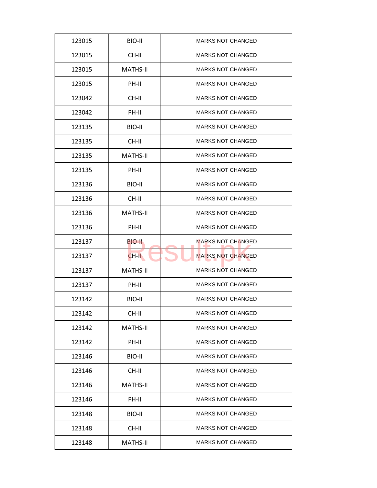| BIO-II<br><b>MARKS NOT CHANGED</b><br>123015<br>CH-II<br><b>MARKS NOT CHANGED</b><br>123015<br><b>MATHS-II</b><br><b>MARKS NOT CHANGED</b><br>123015<br><b>MARKS NOT CHANGED</b><br>123015<br>PH-II<br>123042<br>CH-II<br><b>MARKS NOT CHANGED</b><br><b>MARKS NOT CHANGED</b><br>PH-II<br>123042<br><b>MARKS NOT CHANGED</b><br>123135<br>BIO-II<br>123135<br>CH-II<br><b>MARKS NOT CHANGED</b><br><b>MATHS-II</b><br><b>MARKS NOT CHANGED</b><br>123135<br><b>MARKS NOT CHANGED</b><br>123135<br>PH-II<br>123136<br>BIO-II<br><b>MARKS NOT CHANGED</b><br><b>MARKS NOT CHANGED</b><br>123136<br>CH-II<br><b>MATHS-II</b><br><b>MARKS NOT CHANGED</b><br>123136<br><b>MARKS NOT CHANGED</b><br>123136<br>PH-II<br><b>MARKS NOT CHANGED</b><br>123137<br>BIO-II<br><b>MARKS NOT CHANGED</b><br>123137<br>$CH-H$<br><b>MATHS-II</b><br><b>MARKS NOT CHANGED</b><br>123137<br><b>MARKS NOT CHANGED</b><br>123137<br>PH-II<br><b>MARKS NOT CHANGED</b><br>123142<br>BIO-II<br>123142<br>CH-II<br><b>MARKS NOT CHANGED</b><br><b>MATHS-II</b><br><b>MARKS NOT CHANGED</b><br>123142<br>PH-II<br><b>MARKS NOT CHANGED</b><br>123142<br><b>MARKS NOT CHANGED</b><br>BIO-II<br>123146<br>123146<br>CH-II<br><b>MARKS NOT CHANGED</b><br><b>MARKS NOT CHANGED</b><br>123146<br><b>MATHS-II</b><br>PH-II<br><b>MARKS NOT CHANGED</b><br>123146<br><b>MARKS NOT CHANGED</b><br>BIO-II<br>123148<br><b>MARKS NOT CHANGED</b><br>123148<br>CH-II<br>123148<br><b>MATHS-II</b><br><b>MARKS NOT CHANGED</b> |  |  |
|-----------------------------------------------------------------------------------------------------------------------------------------------------------------------------------------------------------------------------------------------------------------------------------------------------------------------------------------------------------------------------------------------------------------------------------------------------------------------------------------------------------------------------------------------------------------------------------------------------------------------------------------------------------------------------------------------------------------------------------------------------------------------------------------------------------------------------------------------------------------------------------------------------------------------------------------------------------------------------------------------------------------------------------------------------------------------------------------------------------------------------------------------------------------------------------------------------------------------------------------------------------------------------------------------------------------------------------------------------------------------------------------------------------------------------------------------------------------------------------------------|--|--|
|                                                                                                                                                                                                                                                                                                                                                                                                                                                                                                                                                                                                                                                                                                                                                                                                                                                                                                                                                                                                                                                                                                                                                                                                                                                                                                                                                                                                                                                                                               |  |  |
|                                                                                                                                                                                                                                                                                                                                                                                                                                                                                                                                                                                                                                                                                                                                                                                                                                                                                                                                                                                                                                                                                                                                                                                                                                                                                                                                                                                                                                                                                               |  |  |
|                                                                                                                                                                                                                                                                                                                                                                                                                                                                                                                                                                                                                                                                                                                                                                                                                                                                                                                                                                                                                                                                                                                                                                                                                                                                                                                                                                                                                                                                                               |  |  |
|                                                                                                                                                                                                                                                                                                                                                                                                                                                                                                                                                                                                                                                                                                                                                                                                                                                                                                                                                                                                                                                                                                                                                                                                                                                                                                                                                                                                                                                                                               |  |  |
|                                                                                                                                                                                                                                                                                                                                                                                                                                                                                                                                                                                                                                                                                                                                                                                                                                                                                                                                                                                                                                                                                                                                                                                                                                                                                                                                                                                                                                                                                               |  |  |
|                                                                                                                                                                                                                                                                                                                                                                                                                                                                                                                                                                                                                                                                                                                                                                                                                                                                                                                                                                                                                                                                                                                                                                                                                                                                                                                                                                                                                                                                                               |  |  |
|                                                                                                                                                                                                                                                                                                                                                                                                                                                                                                                                                                                                                                                                                                                                                                                                                                                                                                                                                                                                                                                                                                                                                                                                                                                                                                                                                                                                                                                                                               |  |  |
|                                                                                                                                                                                                                                                                                                                                                                                                                                                                                                                                                                                                                                                                                                                                                                                                                                                                                                                                                                                                                                                                                                                                                                                                                                                                                                                                                                                                                                                                                               |  |  |
|                                                                                                                                                                                                                                                                                                                                                                                                                                                                                                                                                                                                                                                                                                                                                                                                                                                                                                                                                                                                                                                                                                                                                                                                                                                                                                                                                                                                                                                                                               |  |  |
|                                                                                                                                                                                                                                                                                                                                                                                                                                                                                                                                                                                                                                                                                                                                                                                                                                                                                                                                                                                                                                                                                                                                                                                                                                                                                                                                                                                                                                                                                               |  |  |
|                                                                                                                                                                                                                                                                                                                                                                                                                                                                                                                                                                                                                                                                                                                                                                                                                                                                                                                                                                                                                                                                                                                                                                                                                                                                                                                                                                                                                                                                                               |  |  |
|                                                                                                                                                                                                                                                                                                                                                                                                                                                                                                                                                                                                                                                                                                                                                                                                                                                                                                                                                                                                                                                                                                                                                                                                                                                                                                                                                                                                                                                                                               |  |  |
|                                                                                                                                                                                                                                                                                                                                                                                                                                                                                                                                                                                                                                                                                                                                                                                                                                                                                                                                                                                                                                                                                                                                                                                                                                                                                                                                                                                                                                                                                               |  |  |
|                                                                                                                                                                                                                                                                                                                                                                                                                                                                                                                                                                                                                                                                                                                                                                                                                                                                                                                                                                                                                                                                                                                                                                                                                                                                                                                                                                                                                                                                                               |  |  |
|                                                                                                                                                                                                                                                                                                                                                                                                                                                                                                                                                                                                                                                                                                                                                                                                                                                                                                                                                                                                                                                                                                                                                                                                                                                                                                                                                                                                                                                                                               |  |  |
|                                                                                                                                                                                                                                                                                                                                                                                                                                                                                                                                                                                                                                                                                                                                                                                                                                                                                                                                                                                                                                                                                                                                                                                                                                                                                                                                                                                                                                                                                               |  |  |
|                                                                                                                                                                                                                                                                                                                                                                                                                                                                                                                                                                                                                                                                                                                                                                                                                                                                                                                                                                                                                                                                                                                                                                                                                                                                                                                                                                                                                                                                                               |  |  |
|                                                                                                                                                                                                                                                                                                                                                                                                                                                                                                                                                                                                                                                                                                                                                                                                                                                                                                                                                                                                                                                                                                                                                                                                                                                                                                                                                                                                                                                                                               |  |  |
|                                                                                                                                                                                                                                                                                                                                                                                                                                                                                                                                                                                                                                                                                                                                                                                                                                                                                                                                                                                                                                                                                                                                                                                                                                                                                                                                                                                                                                                                                               |  |  |
|                                                                                                                                                                                                                                                                                                                                                                                                                                                                                                                                                                                                                                                                                                                                                                                                                                                                                                                                                                                                                                                                                                                                                                                                                                                                                                                                                                                                                                                                                               |  |  |
|                                                                                                                                                                                                                                                                                                                                                                                                                                                                                                                                                                                                                                                                                                                                                                                                                                                                                                                                                                                                                                                                                                                                                                                                                                                                                                                                                                                                                                                                                               |  |  |
|                                                                                                                                                                                                                                                                                                                                                                                                                                                                                                                                                                                                                                                                                                                                                                                                                                                                                                                                                                                                                                                                                                                                                                                                                                                                                                                                                                                                                                                                                               |  |  |
|                                                                                                                                                                                                                                                                                                                                                                                                                                                                                                                                                                                                                                                                                                                                                                                                                                                                                                                                                                                                                                                                                                                                                                                                                                                                                                                                                                                                                                                                                               |  |  |
|                                                                                                                                                                                                                                                                                                                                                                                                                                                                                                                                                                                                                                                                                                                                                                                                                                                                                                                                                                                                                                                                                                                                                                                                                                                                                                                                                                                                                                                                                               |  |  |
|                                                                                                                                                                                                                                                                                                                                                                                                                                                                                                                                                                                                                                                                                                                                                                                                                                                                                                                                                                                                                                                                                                                                                                                                                                                                                                                                                                                                                                                                                               |  |  |
|                                                                                                                                                                                                                                                                                                                                                                                                                                                                                                                                                                                                                                                                                                                                                                                                                                                                                                                                                                                                                                                                                                                                                                                                                                                                                                                                                                                                                                                                                               |  |  |
|                                                                                                                                                                                                                                                                                                                                                                                                                                                                                                                                                                                                                                                                                                                                                                                                                                                                                                                                                                                                                                                                                                                                                                                                                                                                                                                                                                                                                                                                                               |  |  |
|                                                                                                                                                                                                                                                                                                                                                                                                                                                                                                                                                                                                                                                                                                                                                                                                                                                                                                                                                                                                                                                                                                                                                                                                                                                                                                                                                                                                                                                                                               |  |  |
|                                                                                                                                                                                                                                                                                                                                                                                                                                                                                                                                                                                                                                                                                                                                                                                                                                                                                                                                                                                                                                                                                                                                                                                                                                                                                                                                                                                                                                                                                               |  |  |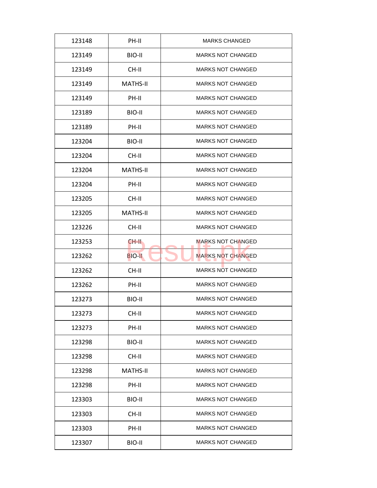| 123148 | PH-II           | <b>MARKS CHANGED</b>     |
|--------|-----------------|--------------------------|
| 123149 | BIO-II          | <b>MARKS NOT CHANGED</b> |
| 123149 | CH-II           | <b>MARKS NOT CHANGED</b> |
| 123149 | <b>MATHS-II</b> | <b>MARKS NOT CHANGED</b> |
| 123149 | PH-II           | <b>MARKS NOT CHANGED</b> |
| 123189 | BIO-II          | <b>MARKS NOT CHANGED</b> |
| 123189 | PH-II           | <b>MARKS NOT CHANGED</b> |
| 123204 | BIO-II          | <b>MARKS NOT CHANGED</b> |
| 123204 | CH-II           | <b>MARKS NOT CHANGED</b> |
| 123204 | MATHS-II        | <b>MARKS NOT CHANGED</b> |
| 123204 | PH-II           | <b>MARKS NOT CHANGED</b> |
| 123205 | CH-II           | <b>MARKS NOT CHANGED</b> |
| 123205 | <b>MATHS-II</b> | <b>MARKS NOT CHANGED</b> |
| 123226 | CH-II           | <b>MARKS NOT CHANGED</b> |
| 123253 | CH-II.          | <b>MARKS NOT CHANGED</b> |
| 123262 | <b>BIO-II</b>   | <b>MARKS NOT CHANGED</b> |
| 123262 | CH-II           | <b>MARKS NOT CHANGED</b> |
| 123262 | PH-II           | <b>MARKS NOT CHANGED</b> |
| 123273 | BIO-II          | <b>MARKS NOT CHANGED</b> |
| 123273 | CH-II           | <b>MARKS NOT CHANGED</b> |
| 123273 | PH-II           | <b>MARKS NOT CHANGED</b> |
| 123298 | BIO-II          | <b>MARKS NOT CHANGED</b> |
| 123298 | CH-II           | <b>MARKS NOT CHANGED</b> |
| 123298 | <b>MATHS-II</b> | <b>MARKS NOT CHANGED</b> |
| 123298 | PH-II           | <b>MARKS NOT CHANGED</b> |
| 123303 | BIO-II          | <b>MARKS NOT CHANGED</b> |
| 123303 | CH-II           | <b>MARKS NOT CHANGED</b> |
| 123303 | PH-II           | <b>MARKS NOT CHANGED</b> |
| 123307 | BIO-II          | <b>MARKS NOT CHANGED</b> |
|        |                 |                          |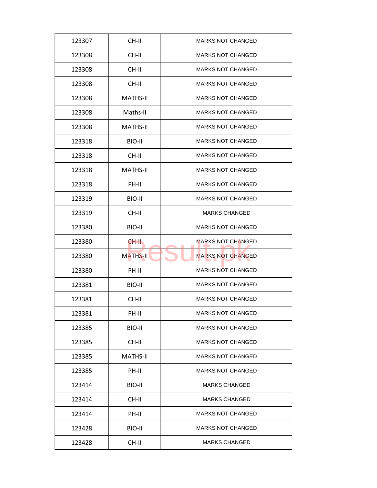| 123307 | CH-II           | <b>MARKS NOT CHANGED</b> |
|--------|-----------------|--------------------------|
| 123308 | CH-II           | <b>MARKS NOT CHANGED</b> |
| 123308 | CH-II           | <b>MARKS NOT CHANGED</b> |
| 123308 | CH-II           | <b>MARKS NOT CHANGED</b> |
| 123308 | <b>MATHS-II</b> | <b>MARKS NOT CHANGED</b> |
| 123308 | Maths-II        | <b>MARKS NOT CHANGED</b> |
| 123308 | <b>MATHS-II</b> | <b>MARKS NOT CHANGED</b> |
| 123318 | BIO-II          | <b>MARKS NOT CHANGED</b> |
| 123318 | CH-II           | <b>MARKS NOT CHANGED</b> |
| 123318 | MATHS-II        | <b>MARKS NOT CHANGED</b> |
| 123318 | PH-II           | <b>MARKS NOT CHANGED</b> |
| 123319 | BIO-II          | <b>MARKS NOT CHANGED</b> |
| 123319 | CH-II           | <b>MARKS CHANGED</b>     |
| 123380 | BIO-II          | <b>MARKS NOT CHANGED</b> |
| 123380 | CH-II.          | <b>MARKS NOT CHANGED</b> |
| 123380 | <b>MATHS-II</b> | <b>MARKS NOT CHANGED</b> |
| 123380 | PH-II           | <b>MARKS NOT CHANGED</b> |
| 123381 | BIO-II          | <b>MARKS NOT CHANGED</b> |
| 123381 | CH-II           | <b>MARKS NOT CHANGED</b> |
| 123381 | PH-II           | <b>MARKS NOT CHANGED</b> |
| 123385 | BIO-II          | <b>MARKS NOT CHANGED</b> |
| 123385 | CH-II           | <b>MARKS NOT CHANGED</b> |
| 123385 | <b>MATHS-II</b> | <b>MARKS NOT CHANGED</b> |
| 123385 | PH-II           | <b>MARKS NOT CHANGED</b> |
| 123414 | BIO-II          | <b>MARKS CHANGED</b>     |
| 123414 | CH-II           | <b>MARKS CHANGED</b>     |
| 123414 | PH-II           | <b>MARKS NOT CHANGED</b> |
| 123428 | BIO-II          | <b>MARKS NOT CHANGED</b> |
| 123428 | CH-II           | <b>MARKS CHANGED</b>     |
|        |                 |                          |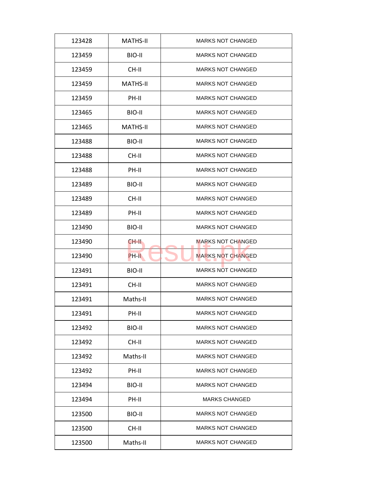| 123428 | <b>MATHS-II</b> | <b>MARKS NOT CHANGED</b> |
|--------|-----------------|--------------------------|
| 123459 | BIO-II          | <b>MARKS NOT CHANGED</b> |
| 123459 | CH-II           | <b>MARKS NOT CHANGED</b> |
| 123459 | <b>MATHS-II</b> | <b>MARKS NOT CHANGED</b> |
| 123459 | PH-II           | <b>MARKS NOT CHANGED</b> |
| 123465 | BIO-II          | <b>MARKS NOT CHANGED</b> |
| 123465 | <b>MATHS-II</b> | <b>MARKS NOT CHANGED</b> |
| 123488 | BIO-II          | <b>MARKS NOT CHANGED</b> |
| 123488 | CH-II           | <b>MARKS NOT CHANGED</b> |
| 123488 | PH-II           | <b>MARKS NOT CHANGED</b> |
| 123489 | BIO-II          | <b>MARKS NOT CHANGED</b> |
| 123489 | CH-II           | <b>MARKS NOT CHANGED</b> |
| 123489 | PH-II           | <b>MARKS NOT CHANGED</b> |
| 123490 | BIO-II          | <b>MARKS NOT CHANGED</b> |
| 123490 | CH-II           | <b>MARKS NOT CHANGED</b> |
| 123490 | PH-II           | <b>MARKS NOT CHANGED</b> |
| 123491 | BIO-II          | <b>MARKS NOT CHANGED</b> |
| 123491 | CH-II           | <b>MARKS NOT CHANGED</b> |
| 123491 | Maths-II        | <b>MARKS NOT CHANGED</b> |
| 123491 | PH-II           | <b>MARKS NOT CHANGED</b> |
| 123492 | BIO-II          | <b>MARKS NOT CHANGED</b> |
| 123492 | CH-II           | <b>MARKS NOT CHANGED</b> |
| 123492 | Maths-II        | <b>MARKS NOT CHANGED</b> |
| 123492 | PH-II           | <b>MARKS NOT CHANGED</b> |
| 123494 | BIO-II          | <b>MARKS NOT CHANGED</b> |
| 123494 | PH-II           | <b>MARKS CHANGED</b>     |
| 123500 | BIO-II          | <b>MARKS NOT CHANGED</b> |
|        |                 |                          |
| 123500 | CH-II           | <b>MARKS NOT CHANGED</b> |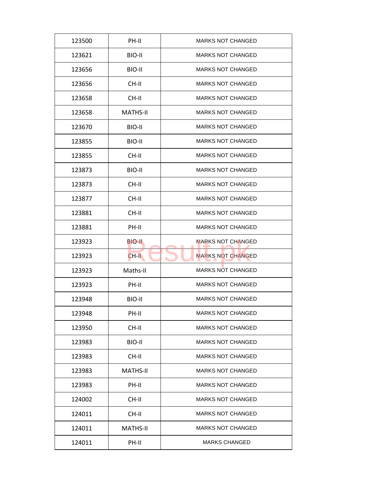| 123500 | PH-II           | <b>MARKS NOT CHANGED</b> |
|--------|-----------------|--------------------------|
| 123621 | BIO-II          | <b>MARKS NOT CHANGED</b> |
| 123656 | BIO-II          | <b>MARKS NOT CHANGED</b> |
| 123656 | CH-II           | <b>MARKS NOT CHANGED</b> |
| 123658 | CH-II           | <b>MARKS NOT CHANGED</b> |
| 123658 | <b>MATHS-II</b> | <b>MARKS NOT CHANGED</b> |
| 123670 | BIO-II          | <b>MARKS NOT CHANGED</b> |
| 123855 | BIO-II          | <b>MARKS NOT CHANGED</b> |
| 123855 | CH-II           | <b>MARKS NOT CHANGED</b> |
| 123873 | BIO-II          | <b>MARKS NOT CHANGED</b> |
| 123873 | CH-II           | <b>MARKS NOT CHANGED</b> |
| 123877 | CH-II           | <b>MARKS NOT CHANGED</b> |
| 123881 | CH-II           | <b>MARKS NOT CHANGED</b> |
| 123881 | PH-II           | <b>MARKS NOT CHANGED</b> |
| 123923 | BIO-II          | <b>MARKS NOT CHANGED</b> |
| 123923 | CH-II           | <b>MARKS NOT CHANGED</b> |
| 123923 | Maths-II        | <b>MARKS NOT CHANGED</b> |
| 123923 | PH-II           | <b>MARKS NOT CHANGED</b> |
| 123948 | BIO-II          | <b>MARKS NOT CHANGED</b> |
| 123948 | PH-II           | <b>MARKS NOT CHANGED</b> |
| 123950 | CH-II           | <b>MARKS NOT CHANGED</b> |
| 123983 | BIO-II          | <b>MARKS NOT CHANGED</b> |
| 123983 | CH-II           | <b>MARKS NOT CHANGED</b> |
| 123983 | MATHS-II        | <b>MARKS NOT CHANGED</b> |
| 123983 | PH-II           | <b>MARKS NOT CHANGED</b> |
| 124002 | CH-II           | <b>MARKS NOT CHANGED</b> |
| 124011 | CH-II           | <b>MARKS NOT CHANGED</b> |
| 124011 | <b>MATHS-II</b> | <b>MARKS NOT CHANGED</b> |
| 124011 | PH-II           | <b>MARKS CHANGED</b>     |
|        |                 |                          |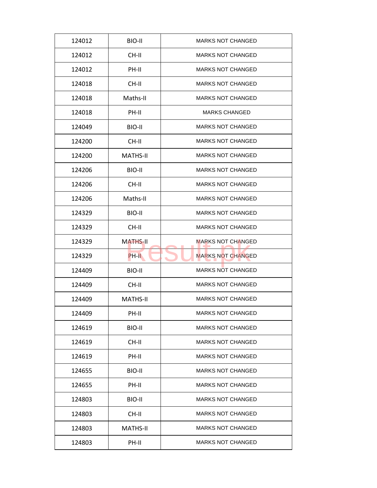| 124012 | BIO-II          | <b>MARKS NOT CHANGED</b> |
|--------|-----------------|--------------------------|
| 124012 | CH-II           | <b>MARKS NOT CHANGED</b> |
| 124012 | PH-II           | <b>MARKS NOT CHANGED</b> |
| 124018 | CH-II           | <b>MARKS NOT CHANGED</b> |
| 124018 | Maths-II        | <b>MARKS NOT CHANGED</b> |
| 124018 | PH-II           | <b>MARKS CHANGED</b>     |
| 124049 | BIO-II          | <b>MARKS NOT CHANGED</b> |
| 124200 | CH-II           | <b>MARKS NOT CHANGED</b> |
| 124200 | <b>MATHS-II</b> | <b>MARKS NOT CHANGED</b> |
| 124206 | BIO-II          | <b>MARKS NOT CHANGED</b> |
| 124206 | CH-II           | <b>MARKS NOT CHANGED</b> |
| 124206 | Maths-II        | <b>MARKS NOT CHANGED</b> |
| 124329 | BIO-II          | <b>MARKS NOT CHANGED</b> |
| 124329 | CH-II           | <b>MARKS NOT CHANGED</b> |
| 124329 | <b>MATHS-II</b> | <b>MARKS NOT CHANGED</b> |
| 124329 | PH-II           | <b>MARKS NOT CHANGED</b> |
| 124409 | BIO-II          | <b>MARKS NOT CHANGED</b> |
| 124409 | CH-II           | <b>MARKS NOT CHANGED</b> |
| 124409 | <b>MATHS-II</b> | <b>MARKS NOT CHANGED</b> |
| 124409 | PH-II           | <b>MARKS NOT CHANGED</b> |
| 124619 | BIO-II          | <b>MARKS NOT CHANGED</b> |
| 124619 | CH-II           | <b>MARKS NOT CHANGED</b> |
| 124619 | PH-II           | <b>MARKS NOT CHANGED</b> |
| 124655 | BIO-II          | <b>MARKS NOT CHANGED</b> |
| 124655 | PH-II           | <b>MARKS NOT CHANGED</b> |
| 124803 | BIO-II          | <b>MARKS NOT CHANGED</b> |
| 124803 | CH-II           | <b>MARKS NOT CHANGED</b> |
| 124803 | <b>MATHS-II</b> | <b>MARKS NOT CHANGED</b> |
| 124803 | PH-II           | <b>MARKS NOT CHANGED</b> |
|        |                 |                          |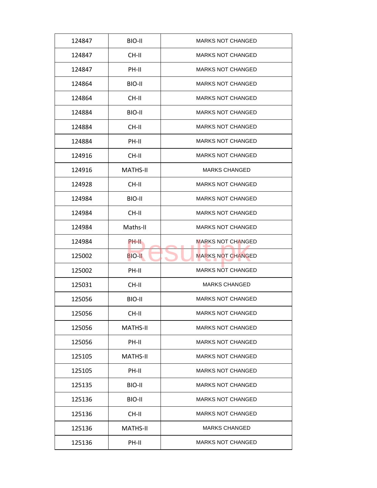| 124847 | BIO-II          | <b>MARKS NOT CHANGED</b> |
|--------|-----------------|--------------------------|
| 124847 | CH-II           | <b>MARKS NOT CHANGED</b> |
| 124847 | PH-II           | <b>MARKS NOT CHANGED</b> |
| 124864 | BIO-II          | <b>MARKS NOT CHANGED</b> |
| 124864 | CH-II           | <b>MARKS NOT CHANGED</b> |
| 124884 | BIO-II          | <b>MARKS NOT CHANGED</b> |
| 124884 | CH-II           | <b>MARKS NOT CHANGED</b> |
| 124884 | PH-II           | <b>MARKS NOT CHANGED</b> |
| 124916 | CH-II           | <b>MARKS NOT CHANGED</b> |
| 124916 | <b>MATHS-II</b> | <b>MARKS CHANGED</b>     |
| 124928 | CH-II           | <b>MARKS NOT CHANGED</b> |
| 124984 | BIO-II          | <b>MARKS NOT CHANGED</b> |
| 124984 | CH-II           | <b>MARKS NOT CHANGED</b> |
| 124984 | Maths-II        | <b>MARKS NOT CHANGED</b> |
| 124984 | PH-II           | <b>MARKS NOT CHANGED</b> |
| 125002 | <b>BIO-II</b>   | <b>MARKS NOT CHANGED</b> |
| 125002 | PH-II           | <b>MARKS NOT CHANGED</b> |
| 125031 | CH-II           | <b>MARKS CHANGED</b>     |
| 125056 | BIO-II          | <b>MARKS NOT CHANGED</b> |
| 125056 | CH-II           | <b>MARKS NOT CHANGED</b> |
| 125056 | MATHS-II        | <b>MARKS NOT CHANGED</b> |
| 125056 | PH-II           | <b>MARKS NOT CHANGED</b> |
| 125105 | <b>MATHS-II</b> | <b>MARKS NOT CHANGED</b> |
| 125105 | PH-II           | <b>MARKS NOT CHANGED</b> |
| 125135 | BIO-II          | <b>MARKS NOT CHANGED</b> |
| 125136 | BIO-II          | <b>MARKS NOT CHANGED</b> |
| 125136 | CH-II           | <b>MARKS NOT CHANGED</b> |
| 125136 | MATHS-II        | <b>MARKS CHANGED</b>     |
| 125136 | PH-II           | <b>MARKS NOT CHANGED</b> |
|        |                 |                          |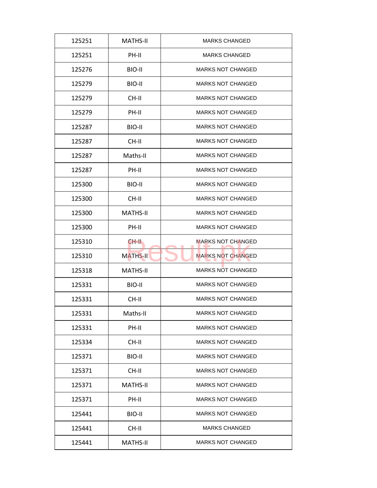| 125251 | <b>MATHS-II</b> | <b>MARKS CHANGED</b>     |
|--------|-----------------|--------------------------|
| 125251 | PH-II           | <b>MARKS CHANGED</b>     |
| 125276 | BIO-II          | <b>MARKS NOT CHANGED</b> |
| 125279 | BIO-II          | <b>MARKS NOT CHANGED</b> |
| 125279 | CH-II           | <b>MARKS NOT CHANGED</b> |
| 125279 | PH-II           | <b>MARKS NOT CHANGED</b> |
| 125287 | BIO-II          | <b>MARKS NOT CHANGED</b> |
| 125287 | CH-II           | <b>MARKS NOT CHANGED</b> |
| 125287 | Maths-II        | <b>MARKS NOT CHANGED</b> |
| 125287 | PH-II           | <b>MARKS NOT CHANGED</b> |
| 125300 | BIO-II          | <b>MARKS NOT CHANGED</b> |
| 125300 | CH-II           | <b>MARKS NOT CHANGED</b> |
| 125300 | <b>MATHS-II</b> | <b>MARKS NOT CHANGED</b> |
| 125300 | PH-II           | <b>MARKS NOT CHANGED</b> |
| 125310 | CH-II.          | <b>MARKS NOT CHANGED</b> |
| 125310 | <b>MATHS-II</b> | <b>MARKS NOT CHANGED</b> |
| 125318 | <b>MATHS-II</b> | <b>MARKS NOT CHANGED</b> |
| 125331 | BIO-II          | <b>MARKS NOT CHANGED</b> |
| 125331 | CH-II           | <b>MARKS NOT CHANGED</b> |
| 125331 | Maths-II        | <b>MARKS NOT CHANGED</b> |
| 125331 | PH-II           | <b>MARKS NOT CHANGED</b> |
| 125334 | CH-II           | <b>MARKS NOT CHANGED</b> |
| 125371 | BIO-II          | <b>MARKS NOT CHANGED</b> |
| 125371 | CH-II           | <b>MARKS NOT CHANGED</b> |
| 125371 | <b>MATHS-II</b> | <b>MARKS NOT CHANGED</b> |
| 125371 | PH-II           | <b>MARKS NOT CHANGED</b> |
| 125441 | BIO-II          | <b>MARKS NOT CHANGED</b> |
| 125441 | CH-II           | <b>MARKS CHANGED</b>     |
|        |                 |                          |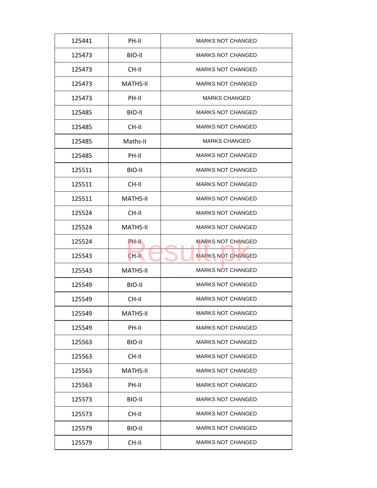| 125441 | PH-II           | <b>MARKS NOT CHANGED</b> |
|--------|-----------------|--------------------------|
| 125473 | BIO-II          | <b>MARKS NOT CHANGED</b> |
| 125473 | CH-II           | <b>MARKS NOT CHANGED</b> |
| 125473 | <b>MATHS-II</b> | <b>MARKS NOT CHANGED</b> |
| 125473 | PH-II           | <b>MARKS CHANGED</b>     |
| 125485 | BIO-II          | <b>MARKS NOT CHANGED</b> |
| 125485 | CH-II           | <b>MARKS NOT CHANGED</b> |
| 125485 | Maths-II        | <b>MARKS CHANGED</b>     |
| 125485 | PH-II           | <b>MARKS NOT CHANGED</b> |
| 125511 | BIO-II          | <b>MARKS NOT CHANGED</b> |
| 125511 | CH-II           | <b>MARKS NOT CHANGED</b> |
| 125511 | <b>MATHS-II</b> | <b>MARKS NOT CHANGED</b> |
| 125524 | CH-II           | <b>MARKS NOT CHANGED</b> |
| 125524 | <b>MATHS-II</b> | <b>MARKS NOT CHANGED</b> |
| 125524 | PH-II           | <b>MARKS NOT CHANGED</b> |
| 125543 | CH-II           | <b>MARKS NOT CHANGED</b> |
| 125543 | <b>MATHS-II</b> | <b>MARKS NOT CHANGED</b> |
| 125549 | BIO-II          | <b>MARKS NOT CHANGED</b> |
| 125549 | CH-II           | <b>MARKS NOT CHANGED</b> |
| 125549 | <b>MATHS-II</b> | <b>MARKS NOT CHANGED</b> |
| 125549 | PH-II           | <b>MARKS NOT CHANGED</b> |
| 125563 | BIO-II          | <b>MARKS NOT CHANGED</b> |
| 125563 | CH-II           | <b>MARKS NOT CHANGED</b> |
| 125563 | <b>MATHS-II</b> | <b>MARKS NOT CHANGED</b> |
| 125563 | PH-II           | <b>MARKS NOT CHANGED</b> |
| 125573 | BIO-II          | <b>MARKS NOT CHANGED</b> |
| 125573 | CH-II           | <b>MARKS NOT CHANGED</b> |
| 125579 | BIO-II          | <b>MARKS NOT CHANGED</b> |
| 125579 | CH-II           | <b>MARKS NOT CHANGED</b> |
|        |                 |                          |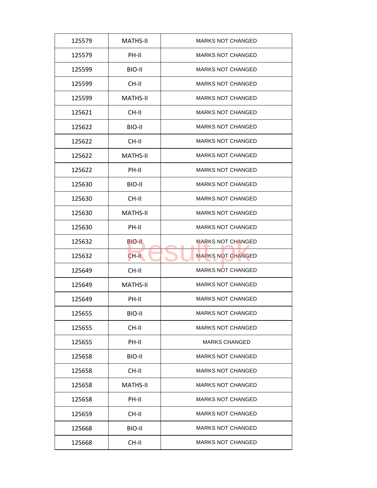| 125579 | <b>MATHS-II</b> | <b>MARKS NOT CHANGED</b> |
|--------|-----------------|--------------------------|
| 125579 | PH-II           | <b>MARKS NOT CHANGED</b> |
| 125599 | BIO-II          | <b>MARKS NOT CHANGED</b> |
| 125599 | CH-II           | <b>MARKS NOT CHANGED</b> |
| 125599 | <b>MATHS-II</b> | <b>MARKS NOT CHANGED</b> |
| 125621 | CH-II           | <b>MARKS NOT CHANGED</b> |
| 125622 | BIO-II          | <b>MARKS NOT CHANGED</b> |
| 125622 | CH-II           | <b>MARKS NOT CHANGED</b> |
| 125622 | <b>MATHS-II</b> | <b>MARKS NOT CHANGED</b> |
| 125622 | PH-II           | <b>MARKS NOT CHANGED</b> |
| 125630 | BIO-II          | <b>MARKS NOT CHANGED</b> |
| 125630 | CH-II           | <b>MARKS NOT CHANGED</b> |
| 125630 | <b>MATHS-II</b> | <b>MARKS NOT CHANGED</b> |
| 125630 | PH-II           | <b>MARKS NOT CHANGED</b> |
| 125632 | BIO-II.         | <b>MARKS NOT CHANGED</b> |
| 125632 | CH-II           | <b>MARKS NOT CHANGED</b> |
| 125649 | CH-II           | <b>MARKS NOT CHANGED</b> |
| 125649 | <b>MATHS-II</b> | <b>MARKS NOT CHANGED</b> |
| 125649 | PH-II           | <b>MARKS NOT CHANGED</b> |
| 125655 | BIO-II          | <b>MARKS NOT CHANGED</b> |
| 125655 | CH-II           | <b>MARKS NOT CHANGED</b> |
| 125655 | PH-II           | <b>MARKS CHANGED</b>     |
| 125658 | BIO-II          | <b>MARKS NOT CHANGED</b> |
| 125658 | CH-II           | <b>MARKS NOT CHANGED</b> |
| 125658 | <b>MATHS-II</b> | <b>MARKS NOT CHANGED</b> |
| 125658 | PH-II           | <b>MARKS NOT CHANGED</b> |
| 125659 | CH-II           | <b>MARKS NOT CHANGED</b> |
| 125668 | BIO-II          | <b>MARKS NOT CHANGED</b> |
| 125668 | CH-II           | <b>MARKS NOT CHANGED</b> |
|        |                 |                          |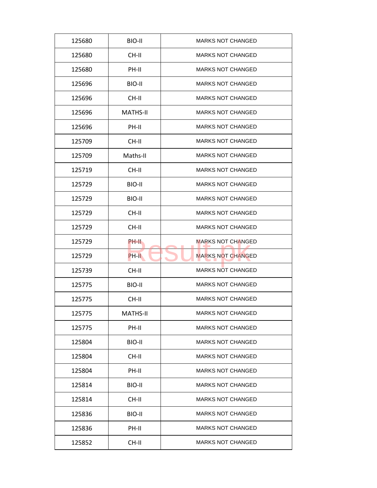| 125680 | BIO-II          | <b>MARKS NOT CHANGED</b> |
|--------|-----------------|--------------------------|
| 125680 | CH-II           | <b>MARKS NOT CHANGED</b> |
| 125680 | PH-II           | <b>MARKS NOT CHANGED</b> |
| 125696 | BIO-II          | <b>MARKS NOT CHANGED</b> |
| 125696 | CH-II           | <b>MARKS NOT CHANGED</b> |
| 125696 | <b>MATHS-II</b> | <b>MARKS NOT CHANGED</b> |
| 125696 | PH-II           | <b>MARKS NOT CHANGED</b> |
| 125709 | CH-II           | <b>MARKS NOT CHANGED</b> |
| 125709 | Maths-II        | <b>MARKS NOT CHANGED</b> |
| 125719 | CH-II           | <b>MARKS NOT CHANGED</b> |
| 125729 | BIO-II          | <b>MARKS NOT CHANGED</b> |
| 125729 | BIO-II          | <b>MARKS NOT CHANGED</b> |
| 125729 | CH-II           | <b>MARKS NOT CHANGED</b> |
| 125729 | CH-II           | <b>MARKS NOT CHANGED</b> |
| 125729 | PH-II           | <b>MARKS NOT CHANGED</b> |
| 125729 | PH-II           | <b>MARKS NOT CHANGED</b> |
| 125739 | CH-II           | <b>MARKS NOT CHANGED</b> |
| 125775 | BIO-II          | <b>MARKS NOT CHANGED</b> |
| 125775 | CH-II           | <b>MARKS NOT CHANGED</b> |
| 125775 | <b>MATHS-II</b> | <b>MARKS NOT CHANGED</b> |
| 125775 | PH-II           | <b>MARKS NOT CHANGED</b> |
| 125804 | BIO-II          | <b>MARKS NOT CHANGED</b> |
| 125804 | CH-II           | <b>MARKS NOT CHANGED</b> |
| 125804 | PH-II           | <b>MARKS NOT CHANGED</b> |
| 125814 | BIO-II          | <b>MARKS NOT CHANGED</b> |
| 125814 | CH-II           | <b>MARKS NOT CHANGED</b> |
| 125836 | BIO-II          | <b>MARKS NOT CHANGED</b> |
| 125836 | PH-II           | <b>MARKS NOT CHANGED</b> |
| 125852 | CH-II           | <b>MARKS NOT CHANGED</b> |
|        |                 |                          |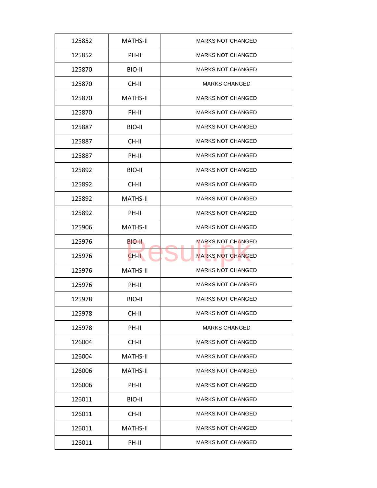| 125852 | <b>MATHS-II</b> | <b>MARKS NOT CHANGED</b> |
|--------|-----------------|--------------------------|
| 125852 | PH-II           | <b>MARKS NOT CHANGED</b> |
| 125870 | BIO-II          | <b>MARKS NOT CHANGED</b> |
| 125870 | CH-II           | <b>MARKS CHANGED</b>     |
| 125870 | <b>MATHS-II</b> | <b>MARKS NOT CHANGED</b> |
| 125870 | PH-II           | <b>MARKS NOT CHANGED</b> |
| 125887 | BIO-II          | <b>MARKS NOT CHANGED</b> |
| 125887 | CH-II           | <b>MARKS NOT CHANGED</b> |
| 125887 | PH-II           | <b>MARKS NOT CHANGED</b> |
| 125892 | BIO-II          | <b>MARKS NOT CHANGED</b> |
| 125892 | CH-II           | <b>MARKS NOT CHANGED</b> |
| 125892 | <b>MATHS-II</b> | <b>MARKS NOT CHANGED</b> |
| 125892 | PH-II           | <b>MARKS NOT CHANGED</b> |
| 125906 | <b>MATHS-II</b> | <b>MARKS NOT CHANGED</b> |
| 125976 | BIO-II.         | <b>MARKS NOT CHANGED</b> |
| 125976 | CH-II           | <b>MARKS NOT CHANGED</b> |
| 125976 | <b>MATHS-II</b> | <b>MARKS NOT CHANGED</b> |
| 125976 | PH-II           | <b>MARKS NOT CHANGED</b> |
| 125978 | BIO-II          | <b>MARKS NOT CHANGED</b> |
| 125978 | CH-II           | <b>MARKS NOT CHANGED</b> |
| 125978 | PH-II           | <b>MARKS CHANGED</b>     |
| 126004 | CH-II           | <b>MARKS NOT CHANGED</b> |
| 126004 | <b>MATHS-II</b> | <b>MARKS NOT CHANGED</b> |
| 126006 | <b>MATHS-II</b> | <b>MARKS NOT CHANGED</b> |
| 126006 | PH-II           | <b>MARKS NOT CHANGED</b> |
| 126011 | BIO-II          | <b>MARKS NOT CHANGED</b> |
| 126011 | CH-II           | <b>MARKS NOT CHANGED</b> |
| 126011 | <b>MATHS-II</b> | <b>MARKS NOT CHANGED</b> |
| 126011 | PH-II           | <b>MARKS NOT CHANGED</b> |
|        |                 |                          |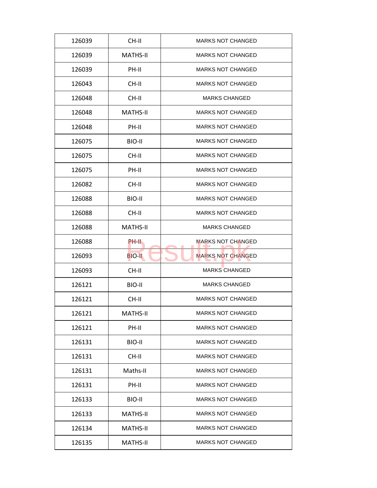| 126039 | CH-II           | <b>MARKS NOT CHANGED</b> |
|--------|-----------------|--------------------------|
| 126039 | <b>MATHS-II</b> | <b>MARKS NOT CHANGED</b> |
| 126039 | PH-II           | <b>MARKS NOT CHANGED</b> |
| 126043 | CH-II           | <b>MARKS NOT CHANGED</b> |
| 126048 | CH-II           | <b>MARKS CHANGED</b>     |
| 126048 | <b>MATHS-II</b> | <b>MARKS NOT CHANGED</b> |
| 126048 | PH-II           | <b>MARKS NOT CHANGED</b> |
| 126075 | BIO-II          | <b>MARKS NOT CHANGED</b> |
| 126075 | CH-II           | <b>MARKS NOT CHANGED</b> |
| 126075 | PH-II           | <b>MARKS NOT CHANGED</b> |
| 126082 | CH-II           | <b>MARKS NOT CHANGED</b> |
| 126088 | BIO-II          | <b>MARKS NOT CHANGED</b> |
| 126088 | CH-II           | <b>MARKS NOT CHANGED</b> |
| 126088 | <b>MATHS-II</b> | <b>MARKS CHANGED</b>     |
| 126088 | PH-II           | <b>MARKS NOT CHANGED</b> |
| 126093 | <b>BIO-II</b>   | <b>MARKS NOT CHANGED</b> |
| 126093 | CH-II           | <b>MARKS CHANGED</b>     |
| 126121 | BIO-II          | <b>MARKS CHANGED</b>     |
| 126121 | CH-II           | <b>MARKS NOT CHANGED</b> |
| 126121 | <b>MATHS-II</b> | <b>MARKS NOT CHANGED</b> |
| 126121 | PH-II           | <b>MARKS NOT CHANGED</b> |
| 126131 | BIO-II          | <b>MARKS NOT CHANGED</b> |
| 126131 | CH-II           | <b>MARKS NOT CHANGED</b> |
| 126131 | Maths-II        | <b>MARKS NOT CHANGED</b> |
| 126131 | PH-II           | <b>MARKS NOT CHANGED</b> |
| 126133 | BIO-II          | <b>MARKS NOT CHANGED</b> |
| 126133 | <b>MATHS-II</b> | <b>MARKS NOT CHANGED</b> |
|        |                 |                          |
| 126134 | MATHS-II        | <b>MARKS NOT CHANGED</b> |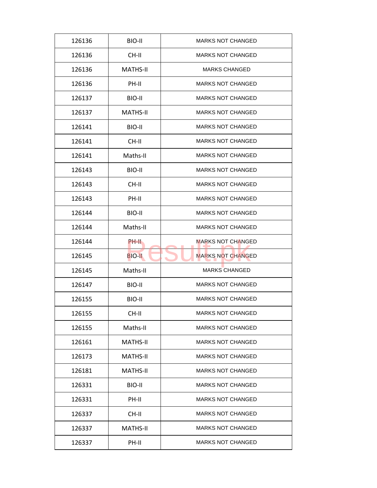| 126136 | BIO-II          | <b>MARKS NOT CHANGED</b> |
|--------|-----------------|--------------------------|
| 126136 | CH-II           | <b>MARKS NOT CHANGED</b> |
| 126136 | <b>MATHS-II</b> | <b>MARKS CHANGED</b>     |
| 126136 | PH-II           | <b>MARKS NOT CHANGED</b> |
| 126137 | BIO-II          | <b>MARKS NOT CHANGED</b> |
| 126137 | <b>MATHS-II</b> | <b>MARKS NOT CHANGED</b> |
| 126141 | BIO-II          | <b>MARKS NOT CHANGED</b> |
| 126141 | CH-II           | <b>MARKS NOT CHANGED</b> |
| 126141 | Maths-II        | <b>MARKS NOT CHANGED</b> |
| 126143 | BIO-II          | <b>MARKS NOT CHANGED</b> |
| 126143 | CH-II           | <b>MARKS NOT CHANGED</b> |
| 126143 | PH-II           | <b>MARKS NOT CHANGED</b> |
| 126144 | BIO-II          | <b>MARKS NOT CHANGED</b> |
| 126144 | Maths-II        | <b>MARKS NOT CHANGED</b> |
| 126144 | PH-II           | <b>MARKS NOT CHANGED</b> |
| 126145 | <b>BIO-II</b>   | <b>MARKS NOT CHANGED</b> |
| 126145 | Maths-II        | <b>MARKS CHANGED</b>     |
| 126147 | BIO-II          | <b>MARKS NOT CHANGED</b> |
| 126155 | BIO-II          | <b>MARKS NOT CHANGED</b> |
| 126155 | CH-II           | <b>MARKS NOT CHANGED</b> |
| 126155 | Maths-II        | <b>MARKS NOT CHANGED</b> |
| 126161 | <b>MATHS-II</b> | <b>MARKS NOT CHANGED</b> |
| 126173 | <b>MATHS-II</b> | <b>MARKS NOT CHANGED</b> |
| 126181 | MATHS-II        | <b>MARKS NOT CHANGED</b> |
| 126331 | BIO-II          | <b>MARKS NOT CHANGED</b> |
| 126331 | PH-II           | <b>MARKS NOT CHANGED</b> |
| 126337 | CH-II           | <b>MARKS NOT CHANGED</b> |
|        |                 |                          |
| 126337 | <b>MATHS-II</b> | <b>MARKS NOT CHANGED</b> |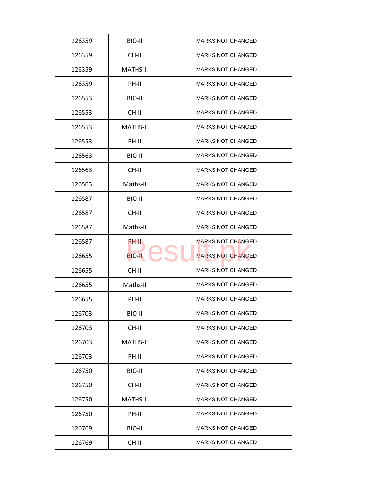| 126359 | BIO-II          | <b>MARKS NOT CHANGED</b> |
|--------|-----------------|--------------------------|
| 126359 | CH-II           | <b>MARKS NOT CHANGED</b> |
| 126359 | <b>MATHS-II</b> | <b>MARKS NOT CHANGED</b> |
| 126359 | PH-II           | <b>MARKS NOT CHANGED</b> |
| 126553 | BIO-II          | <b>MARKS NOT CHANGED</b> |
| 126553 | CH-II           | <b>MARKS NOT CHANGED</b> |
| 126553 | <b>MATHS-II</b> | <b>MARKS NOT CHANGED</b> |
| 126553 | PH-II           | <b>MARKS NOT CHANGED</b> |
| 126563 | BIO-II          | <b>MARKS NOT CHANGED</b> |
| 126563 | CH-II           | <b>MARKS NOT CHANGED</b> |
| 126563 | Maths-II        | <b>MARKS NOT CHANGED</b> |
| 126587 | BIO-II          | <b>MARKS NOT CHANGED</b> |
| 126587 | CH-II           | <b>MARKS NOT CHANGED</b> |
| 126587 | Maths-II        | <b>MARKS NOT CHANGED</b> |
| 126587 | PH-II           | <b>MARKS NOT CHANGED</b> |
| 126655 | <b>BIO-II</b>   | <b>MARKS NOT CHANGED</b> |
| 126655 | CH-II           | <b>MARKS NOT CHANGED</b> |
| 126655 | Maths-II        | <b>MARKS NOT CHANGED</b> |
| 126655 | PH-II           | <b>MARKS NOT CHANGED</b> |
| 126703 | BIO-II          | <b>MARKS NOT CHANGED</b> |
| 126703 | CH-II           | <b>MARKS NOT CHANGED</b> |
| 126703 | <b>MATHS-II</b> | <b>MARKS NOT CHANGED</b> |
| 126703 | PH-II           | <b>MARKS NOT CHANGED</b> |
| 126750 | BIO-II          | <b>MARKS NOT CHANGED</b> |
| 126750 | CH-II           | <b>MARKS NOT CHANGED</b> |
| 126750 | <b>MATHS-II</b> | <b>MARKS NOT CHANGED</b> |
| 126750 | PH-II           | <b>MARKS NOT CHANGED</b> |
| 126769 | BIO-II          | <b>MARKS NOT CHANGED</b> |
| 126769 | CH-II           | <b>MARKS NOT CHANGED</b> |
|        |                 |                          |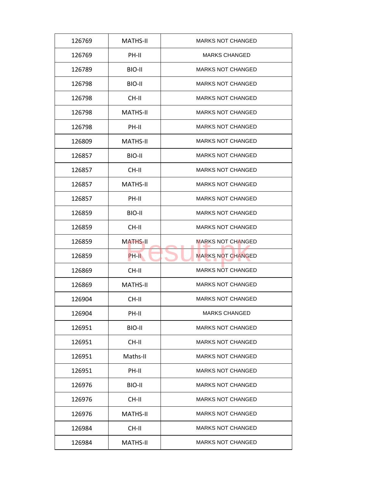| 126769 | <b>MATHS-II</b> | <b>MARKS NOT CHANGED</b> |
|--------|-----------------|--------------------------|
| 126769 | PH-II           | <b>MARKS CHANGED</b>     |
| 126789 | BIO-II          | <b>MARKS NOT CHANGED</b> |
| 126798 | BIO-II          | <b>MARKS NOT CHANGED</b> |
| 126798 | CH-II           | <b>MARKS NOT CHANGED</b> |
| 126798 | <b>MATHS-II</b> | <b>MARKS NOT CHANGED</b> |
| 126798 | PH-II           | <b>MARKS NOT CHANGED</b> |
| 126809 | <b>MATHS-II</b> | <b>MARKS NOT CHANGED</b> |
| 126857 | BIO-II          | <b>MARKS NOT CHANGED</b> |
| 126857 | CH-II           | <b>MARKS NOT CHANGED</b> |
| 126857 | <b>MATHS-II</b> | <b>MARKS NOT CHANGED</b> |
| 126857 | PH-II           | <b>MARKS NOT CHANGED</b> |
| 126859 | BIO-II          | <b>MARKS NOT CHANGED</b> |
| 126859 | CH-II           | <b>MARKS NOT CHANGED</b> |
| 126859 | <b>MATHS-II</b> | <b>MARKS NOT CHANGED</b> |
| 126859 | PH-II           | <b>MARKS NOT CHANGED</b> |
| 126869 | CH-II           | <b>MARKS NOT CHANGED</b> |
| 126869 | <b>MATHS-II</b> | <b>MARKS NOT CHANGED</b> |
| 126904 | CH-II           | <b>MARKS NOT CHANGED</b> |
| 126904 | PH-II           | <b>MARKS CHANGED</b>     |
| 126951 | BIO-II          | <b>MARKS NOT CHANGED</b> |
| 126951 | CH-II           | <b>MARKS NOT CHANGED</b> |
| 126951 | Maths-II        | <b>MARKS NOT CHANGED</b> |
| 126951 | PH-II           | <b>MARKS NOT CHANGED</b> |
| 126976 | BIO-II          | <b>MARKS NOT CHANGED</b> |
| 126976 | CH-II           | <b>MARKS NOT CHANGED</b> |
| 126976 | <b>MATHS-II</b> | <b>MARKS NOT CHANGED</b> |
| 126984 | CH-II           | <b>MARKS NOT CHANGED</b> |
| 126984 | MATHS-II        | <b>MARKS NOT CHANGED</b> |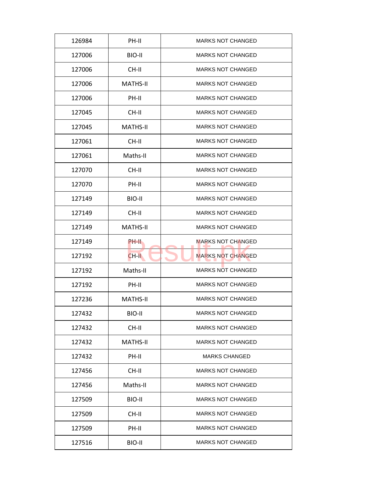| 126984 | PH-II           | <b>MARKS NOT CHANGED</b> |
|--------|-----------------|--------------------------|
| 127006 | BIO-II          | <b>MARKS NOT CHANGED</b> |
| 127006 | CH-II           | <b>MARKS NOT CHANGED</b> |
| 127006 | <b>MATHS-II</b> | <b>MARKS NOT CHANGED</b> |
| 127006 | PH-II           | <b>MARKS NOT CHANGED</b> |
| 127045 | CH-II           | <b>MARKS NOT CHANGED</b> |
| 127045 | <b>MATHS-II</b> | <b>MARKS NOT CHANGED</b> |
| 127061 | CH-II           | <b>MARKS NOT CHANGED</b> |
| 127061 | Maths-II        | <b>MARKS NOT CHANGED</b> |
| 127070 | CH-II           | <b>MARKS NOT CHANGED</b> |
| 127070 | PH-II           | <b>MARKS NOT CHANGED</b> |
| 127149 | BIO-II          | <b>MARKS NOT CHANGED</b> |
| 127149 | CH-II           | <b>MARKS NOT CHANGED</b> |
| 127149 | <b>MATHS-II</b> | <b>MARKS NOT CHANGED</b> |
| 127149 | PH-II           | <b>MARKS NOT CHANGED</b> |
| 127192 | CH-II           | <b>MARKS NOT CHANGED</b> |
| 127192 | Maths-II        | <b>MARKS NOT CHANGED</b> |
| 127192 | PH-II           | <b>MARKS NOT CHANGED</b> |
| 127236 | <b>MATHS-II</b> | <b>MARKS NOT CHANGED</b> |
| 127432 | BIO-II          | <b>MARKS NOT CHANGED</b> |
| 127432 | CH-II           | <b>MARKS NOT CHANGED</b> |
| 127432 | <b>MATHS-II</b> | <b>MARKS NOT CHANGED</b> |
| 127432 | PH-II           | <b>MARKS CHANGED</b>     |
| 127456 | CH-II           | <b>MARKS NOT CHANGED</b> |
| 127456 | Maths-II        | <b>MARKS NOT CHANGED</b> |
| 127509 | BIO-II          | <b>MARKS NOT CHANGED</b> |
| 127509 | CH-II           | <b>MARKS NOT CHANGED</b> |
| 127509 | PH-II           | <b>MARKS NOT CHANGED</b> |
| 127516 | <b>BIO-II</b>   | <b>MARKS NOT CHANGED</b> |
|        |                 |                          |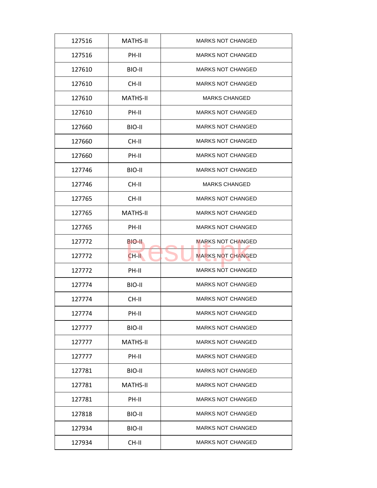| 127516 | <b>MATHS-II</b> | <b>MARKS NOT CHANGED</b> |
|--------|-----------------|--------------------------|
| 127516 | PH-II           | <b>MARKS NOT CHANGED</b> |
| 127610 | BIO-II          | <b>MARKS NOT CHANGED</b> |
| 127610 | CH-II           | <b>MARKS NOT CHANGED</b> |
| 127610 | <b>MATHS-II</b> | <b>MARKS CHANGED</b>     |
| 127610 | PH-II           | <b>MARKS NOT CHANGED</b> |
| 127660 | BIO-II          | <b>MARKS NOT CHANGED</b> |
| 127660 | CH-II           | <b>MARKS NOT CHANGED</b> |
| 127660 | PH-II           | <b>MARKS NOT CHANGED</b> |
| 127746 | BIO-II          | <b>MARKS NOT CHANGED</b> |
| 127746 | CH-II           | <b>MARKS CHANGED</b>     |
| 127765 | CH-II           | <b>MARKS NOT CHANGED</b> |
| 127765 | <b>MATHS-II</b> | <b>MARKS NOT CHANGED</b> |
| 127765 | PH-II           | <b>MARKS NOT CHANGED</b> |
| 127772 | BIO-II.         | <b>MARKS NOT CHANGED</b> |
| 127772 | $CH-H$          | <b>MARKS NOT CHANGED</b> |
| 127772 | PH-II           | <b>MARKS NOT CHANGED</b> |
| 127774 | BIO-II          | <b>MARKS NOT CHANGED</b> |
| 127774 | CH-II           | <b>MARKS NOT CHANGED</b> |
| 127774 | PH-II           | <b>MARKS NOT CHANGED</b> |
| 127777 | BIO-II          | <b>MARKS NOT CHANGED</b> |
| 127777 | <b>MATHS-II</b> | <b>MARKS NOT CHANGED</b> |
| 127777 | PH-II           | <b>MARKS NOT CHANGED</b> |
| 127781 | BIO-II          | <b>MARKS NOT CHANGED</b> |
| 127781 | <b>MATHS-II</b> | <b>MARKS NOT CHANGED</b> |
| 127781 | PH-II           | <b>MARKS NOT CHANGED</b> |
| 127818 | BIO-II          | <b>MARKS NOT CHANGED</b> |
| 127934 | BIO-II          | <b>MARKS NOT CHANGED</b> |
| 127934 | CH-II           | <b>MARKS NOT CHANGED</b> |
|        |                 |                          |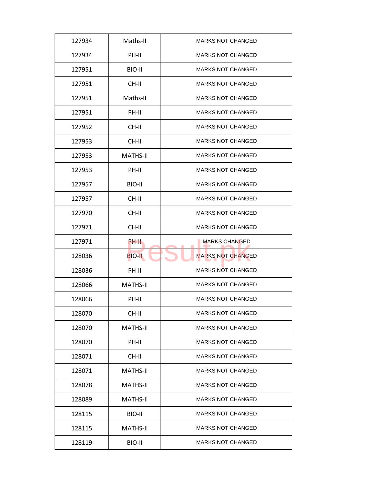| 127934 | Maths-II        | <b>MARKS NOT CHANGED</b> |
|--------|-----------------|--------------------------|
| 127934 | PH-II           | <b>MARKS NOT CHANGED</b> |
| 127951 | BIO-II          | <b>MARKS NOT CHANGED</b> |
| 127951 | CH-II           | <b>MARKS NOT CHANGED</b> |
| 127951 | Maths-II        | <b>MARKS NOT CHANGED</b> |
| 127951 | PH-II           | <b>MARKS NOT CHANGED</b> |
| 127952 | CH-II           | <b>MARKS NOT CHANGED</b> |
| 127953 | CH-II           | <b>MARKS NOT CHANGED</b> |
| 127953 | <b>MATHS-II</b> | <b>MARKS NOT CHANGED</b> |
| 127953 | PH-II           | <b>MARKS NOT CHANGED</b> |
| 127957 | BIO-II          | <b>MARKS NOT CHANGED</b> |
| 127957 | CH-II           | <b>MARKS NOT CHANGED</b> |
| 127970 | CH-II           | <b>MARKS NOT CHANGED</b> |
| 127971 | CH-II           | <b>MARKS NOT CHANGED</b> |
| 127971 | PH-II           | <b>MARKS CHANGED</b>     |
| 128036 | <b>BIO-II</b>   | <b>MARKS NOT CHANGED</b> |
| 128036 | PH-II           | <b>MARKS NOT CHANGED</b> |
| 128066 | <b>MATHS-II</b> | <b>MARKS NOT CHANGED</b> |
| 128066 | PH-II           | <b>MARKS NOT CHANGED</b> |
| 128070 | CH-II           | <b>MARKS NOT CHANGED</b> |
| 128070 | <b>MATHS-II</b> | <b>MARKS NOT CHANGED</b> |
| 128070 | PH-II           | <b>MARKS NOT CHANGED</b> |
| 128071 | CH-II           | <b>MARKS NOT CHANGED</b> |
| 128071 | <b>MATHS-II</b> | <b>MARKS NOT CHANGED</b> |
| 128078 | <b>MATHS-II</b> | <b>MARKS NOT CHANGED</b> |
| 128089 | <b>MATHS-II</b> | <b>MARKS NOT CHANGED</b> |
| 128115 | BIO-II          | <b>MARKS NOT CHANGED</b> |
| 128115 | <b>MATHS-II</b> | <b>MARKS NOT CHANGED</b> |
| 128119 | BIO-II          | <b>MARKS NOT CHANGED</b> |
|        |                 |                          |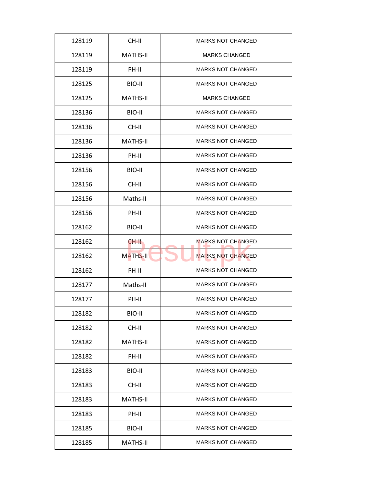| 128119 | CH-II           | <b>MARKS NOT CHANGED</b> |
|--------|-----------------|--------------------------|
| 128119 | <b>MATHS-II</b> | <b>MARKS CHANGED</b>     |
| 128119 | PH-II           | <b>MARKS NOT CHANGED</b> |
| 128125 | BIO-II          | <b>MARKS NOT CHANGED</b> |
| 128125 | <b>MATHS-II</b> | <b>MARKS CHANGED</b>     |
| 128136 | BIO-II          | <b>MARKS NOT CHANGED</b> |
| 128136 | CH-II           | <b>MARKS NOT CHANGED</b> |
| 128136 | <b>MATHS-II</b> | <b>MARKS NOT CHANGED</b> |
| 128136 | PH-II           | <b>MARKS NOT CHANGED</b> |
| 128156 | BIO-II          | <b>MARKS NOT CHANGED</b> |
| 128156 | CH-II           | <b>MARKS NOT CHANGED</b> |
| 128156 | Maths-II        | <b>MARKS NOT CHANGED</b> |
| 128156 | PH-II           | <b>MARKS NOT CHANGED</b> |
| 128162 | BIO-II          | <b>MARKS NOT CHANGED</b> |
| 128162 | CH-II.          | <b>MARKS NOT CHANGED</b> |
| 128162 | <b>MATHS-II</b> | <b>MARKS NOT CHANGED</b> |
| 128162 | PH-II           | <b>MARKS NOT CHANGED</b> |
| 128177 | Maths-II        | <b>MARKS NOT CHANGED</b> |
| 128177 | PH-II           | <b>MARKS NOT CHANGED</b> |
| 128182 | BIO-II          | <b>MARKS NOT CHANGED</b> |
| 128182 | CH-II           | <b>MARKS NOT CHANGED</b> |
| 128182 | MATHS-II        | <b>MARKS NOT CHANGED</b> |
| 128182 | PH-II           | <b>MARKS NOT CHANGED</b> |
| 128183 | BIO-II          | <b>MARKS NOT CHANGED</b> |
| 128183 | CH-II           | <b>MARKS NOT CHANGED</b> |
| 128183 | <b>MATHS-II</b> | <b>MARKS NOT CHANGED</b> |
| 128183 | PH-II           | <b>MARKS NOT CHANGED</b> |
|        |                 |                          |
| 128185 | BIO-II          | <b>MARKS NOT CHANGED</b> |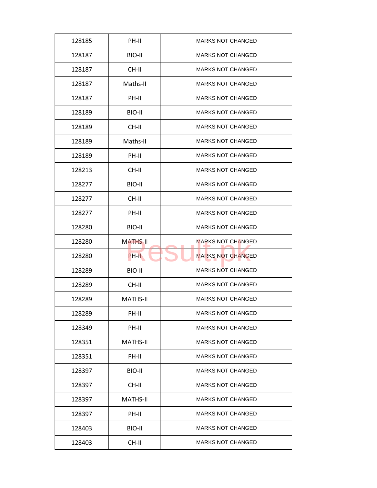| 128185 | PH-II           | <b>MARKS NOT CHANGED</b> |
|--------|-----------------|--------------------------|
| 128187 | BIO-II          | <b>MARKS NOT CHANGED</b> |
| 128187 | CH-II           | <b>MARKS NOT CHANGED</b> |
| 128187 | Maths-II        | <b>MARKS NOT CHANGED</b> |
| 128187 | PH-II           | <b>MARKS NOT CHANGED</b> |
| 128189 | BIO-II          | <b>MARKS NOT CHANGED</b> |
| 128189 | CH-II           | <b>MARKS NOT CHANGED</b> |
| 128189 | Maths-II        | <b>MARKS NOT CHANGED</b> |
| 128189 | PH-II           | <b>MARKS NOT CHANGED</b> |
| 128213 | CH-II           | <b>MARKS NOT CHANGED</b> |
| 128277 | BIO-II          | <b>MARKS NOT CHANGED</b> |
| 128277 | CH-II           | <b>MARKS NOT CHANGED</b> |
| 128277 | PH-II           | <b>MARKS NOT CHANGED</b> |
| 128280 | BIO-II          | <b>MARKS NOT CHANGED</b> |
| 128280 | <b>MATHS-II</b> | <b>MARKS NOT CHANGED</b> |
| 128280 | PH-II           | <b>MARKS NOT CHANGED</b> |
| 128289 | BIO-II          | <b>MARKS NOT CHANGED</b> |
| 128289 | CH-II           | <b>MARKS NOT CHANGED</b> |
| 128289 | <b>MATHS-II</b> | <b>MARKS NOT CHANGED</b> |
| 128289 | PH-II           | <b>MARKS NOT CHANGED</b> |
| 128349 | PH-II           | <b>MARKS NOT CHANGED</b> |
| 128351 | MATHS-II        | <b>MARKS NOT CHANGED</b> |
| 128351 | PH-II           | <b>MARKS NOT CHANGED</b> |
| 128397 | BIO-II          | <b>MARKS NOT CHANGED</b> |
| 128397 | CH-II           | <b>MARKS NOT CHANGED</b> |
| 128397 | MATHS-II        | <b>MARKS NOT CHANGED</b> |
| 128397 | PH-II           | <b>MARKS NOT CHANGED</b> |
| 128403 | BIO-II          | <b>MARKS NOT CHANGED</b> |
| 128403 | CH-II           | <b>MARKS NOT CHANGED</b> |
|        |                 |                          |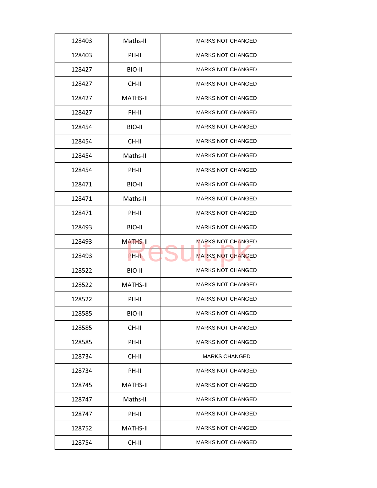| 128403 | Maths-II        | <b>MARKS NOT CHANGED</b> |
|--------|-----------------|--------------------------|
| 128403 | PH-II           | <b>MARKS NOT CHANGED</b> |
| 128427 | BIO-II          | <b>MARKS NOT CHANGED</b> |
| 128427 | CH-II           | <b>MARKS NOT CHANGED</b> |
| 128427 | <b>MATHS-II</b> | <b>MARKS NOT CHANGED</b> |
| 128427 | PH-II           | <b>MARKS NOT CHANGED</b> |
| 128454 | BIO-II          | <b>MARKS NOT CHANGED</b> |
| 128454 | CH-II           | <b>MARKS NOT CHANGED</b> |
| 128454 | Maths-II        | <b>MARKS NOT CHANGED</b> |
| 128454 | PH-II           | <b>MARKS NOT CHANGED</b> |
| 128471 | BIO-II          | <b>MARKS NOT CHANGED</b> |
| 128471 | Maths-II        | <b>MARKS NOT CHANGED</b> |
| 128471 | PH-II           | <b>MARKS NOT CHANGED</b> |
| 128493 | BIO-II          | <b>MARKS NOT CHANGED</b> |
| 128493 | <b>MATHS-II</b> | <b>MARKS NOT CHANGED</b> |
| 128493 | PH-II           | <b>MARKS NOT CHANGED</b> |
| 128522 | BIO-II          | <b>MARKS NOT CHANGED</b> |
| 128522 | <b>MATHS-II</b> | <b>MARKS NOT CHANGED</b> |
| 128522 | PH-II           | <b>MARKS NOT CHANGED</b> |
| 128585 | BIO-II          | <b>MARKS NOT CHANGED</b> |
| 128585 | CH-II           | <b>MARKS NOT CHANGED</b> |
| 128585 | PH-II           | <b>MARKS NOT CHANGED</b> |
| 128734 | CH-II           | <b>MARKS CHANGED</b>     |
| 128734 | PH-II           | <b>MARKS NOT CHANGED</b> |
| 128745 | MATHS-II        | <b>MARKS NOT CHANGED</b> |
| 128747 | Maths-II        | <b>MARKS NOT CHANGED</b> |
|        |                 |                          |
| 128747 | PH-II           | <b>MARKS NOT CHANGED</b> |
| 128752 | <b>MATHS-II</b> | <b>MARKS NOT CHANGED</b> |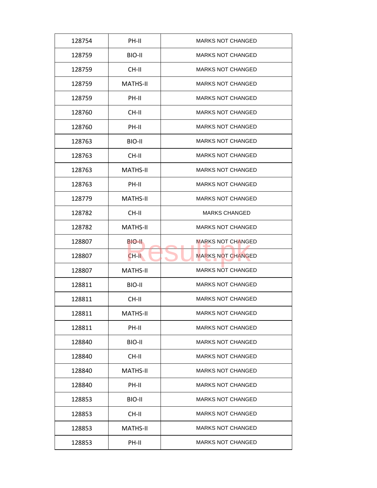| 128754 | PH-II           | <b>MARKS NOT CHANGED</b> |
|--------|-----------------|--------------------------|
| 128759 | BIO-II          | <b>MARKS NOT CHANGED</b> |
| 128759 | CH-II           | <b>MARKS NOT CHANGED</b> |
| 128759 | <b>MATHS-II</b> | <b>MARKS NOT CHANGED</b> |
| 128759 | PH-II           | <b>MARKS NOT CHANGED</b> |
| 128760 | CH-II           | <b>MARKS NOT CHANGED</b> |
| 128760 | PH-II           | <b>MARKS NOT CHANGED</b> |
| 128763 | BIO-II          | <b>MARKS NOT CHANGED</b> |
| 128763 | CH-II           | <b>MARKS NOT CHANGED</b> |
| 128763 | MATHS-II        | <b>MARKS NOT CHANGED</b> |
| 128763 | PH-II           | <b>MARKS NOT CHANGED</b> |
| 128779 | <b>MATHS-II</b> | <b>MARKS NOT CHANGED</b> |
| 128782 | CH-II           | <b>MARKS CHANGED</b>     |
| 128782 | <b>MATHS-II</b> | <b>MARKS NOT CHANGED</b> |
| 128807 | BIO-II.         | <b>MARKS NOT CHANGED</b> |
| 128807 | CH-II           | <b>MARKS NOT CHANGED</b> |
| 128807 | <b>MATHS-II</b> | <b>MARKS NOT CHANGED</b> |
| 128811 | BIO-II          | <b>MARKS NOT CHANGED</b> |
| 128811 | CH-II           | <b>MARKS NOT CHANGED</b> |
| 128811 | <b>MATHS-II</b> | <b>MARKS NOT CHANGED</b> |
| 128811 | PH-II           | <b>MARKS NOT CHANGED</b> |
| 128840 | BIO-II          | <b>MARKS NOT CHANGED</b> |
| 128840 | CH-II           | <b>MARKS NOT CHANGED</b> |
| 128840 | <b>MATHS-II</b> | <b>MARKS NOT CHANGED</b> |
| 128840 | PH-II           | <b>MARKS NOT CHANGED</b> |
| 128853 | BIO-II          | <b>MARKS NOT CHANGED</b> |
| 128853 | CH-II           | <b>MARKS NOT CHANGED</b> |
| 128853 | <b>MATHS-II</b> | <b>MARKS NOT CHANGED</b> |
| 128853 | PH-II           | <b>MARKS NOT CHANGED</b> |
|        |                 |                          |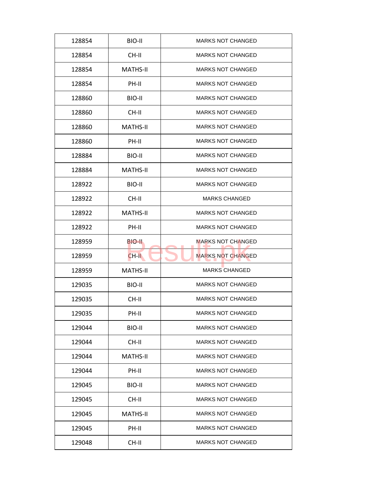| 128854 | BIO-II          | <b>MARKS NOT CHANGED</b> |
|--------|-----------------|--------------------------|
| 128854 | CH-II           | <b>MARKS NOT CHANGED</b> |
| 128854 | <b>MATHS-II</b> | <b>MARKS NOT CHANGED</b> |
| 128854 | PH-II           | <b>MARKS NOT CHANGED</b> |
| 128860 | BIO-II          | <b>MARKS NOT CHANGED</b> |
| 128860 | CH-II           | <b>MARKS NOT CHANGED</b> |
| 128860 | <b>MATHS-II</b> | <b>MARKS NOT CHANGED</b> |
| 128860 | PH-II           | <b>MARKS NOT CHANGED</b> |
| 128884 | BIO-II          | <b>MARKS NOT CHANGED</b> |
| 128884 | <b>MATHS-II</b> | <b>MARKS NOT CHANGED</b> |
| 128922 | BIO-II          | <b>MARKS NOT CHANGED</b> |
| 128922 | CH-II           | <b>MARKS CHANGED</b>     |
| 128922 | <b>MATHS-II</b> | <b>MARKS NOT CHANGED</b> |
| 128922 | PH-II           | <b>MARKS NOT CHANGED</b> |
| 128959 | BIO-II          | MARKS NOT CHANGED        |
| 128959 | $CH-H$          | <b>MARKS NOT CHANGED</b> |
| 128959 | <b>MATHS-II</b> | <b>MARKS CHANGED</b>     |
| 129035 | BIO-II          | <b>MARKS NOT CHANGED</b> |
| 129035 | CH-II           | <b>MARKS NOT CHANGED</b> |
| 129035 | PH-II           | <b>MARKS NOT CHANGED</b> |
| 129044 | BIO-II          | <b>MARKS NOT CHANGED</b> |
| 129044 | CH-II           | <b>MARKS NOT CHANGED</b> |
| 129044 | <b>MATHS-II</b> | <b>MARKS NOT CHANGED</b> |
| 129044 | PH-II           | <b>MARKS NOT CHANGED</b> |
| 129045 | BIO-II          | MARKS NOT CHANGED        |
| 129045 | CH-II           | <b>MARKS NOT CHANGED</b> |
| 129045 | <b>MATHS-II</b> | <b>MARKS NOT CHANGED</b> |
| 129045 | PH-II           | <b>MARKS NOT CHANGED</b> |
| 129048 | CH-II           | <b>MARKS NOT CHANGED</b> |
|        |                 |                          |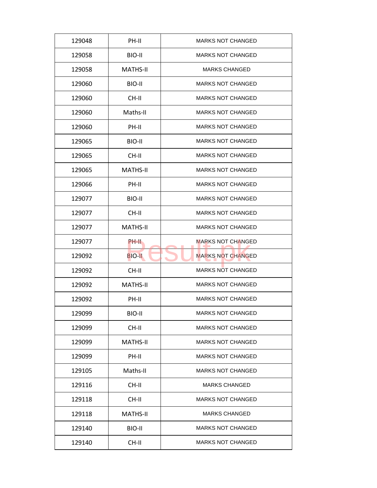| 129048 | PH-II           | <b>MARKS NOT CHANGED</b> |
|--------|-----------------|--------------------------|
| 129058 | BIO-II          | <b>MARKS NOT CHANGED</b> |
| 129058 | <b>MATHS-II</b> | <b>MARKS CHANGED</b>     |
| 129060 | BIO-II          | <b>MARKS NOT CHANGED</b> |
| 129060 | CH-II           | <b>MARKS NOT CHANGED</b> |
| 129060 | Maths-II        | <b>MARKS NOT CHANGED</b> |
| 129060 | PH-II           | <b>MARKS NOT CHANGED</b> |
| 129065 | BIO-II          | <b>MARKS NOT CHANGED</b> |
| 129065 | CH-II           | <b>MARKS NOT CHANGED</b> |
| 129065 | <b>MATHS-II</b> | <b>MARKS NOT CHANGED</b> |
| 129066 | PH-II           | <b>MARKS NOT CHANGED</b> |
| 129077 | BIO-II          | <b>MARKS NOT CHANGED</b> |
| 129077 | CH-II           | <b>MARKS NOT CHANGED</b> |
| 129077 | <b>MATHS-II</b> | <b>MARKS NOT CHANGED</b> |
| 129077 | PH-II           | <b>MARKS NOT CHANGED</b> |
| 129092 | <b>BIO-II</b>   | <b>MARKS NOT CHANGED</b> |
| 129092 | CH-II           | <b>MARKS NOT CHANGED</b> |
| 129092 | <b>MATHS-II</b> | <b>MARKS NOT CHANGED</b> |
| 129092 | PH-II           | <b>MARKS NOT CHANGED</b> |
| 129099 | BIO-II          | <b>MARKS NOT CHANGED</b> |
| 129099 | CH-II           | <b>MARKS NOT CHANGED</b> |
| 129099 | <b>MATHS-II</b> | <b>MARKS NOT CHANGED</b> |
| 129099 | PH-II           | <b>MARKS NOT CHANGED</b> |
| 129105 | Maths-II        | <b>MARKS NOT CHANGED</b> |
| 129116 | CH-II           | <b>MARKS CHANGED</b>     |
| 129118 | CH-II           | <b>MARKS NOT CHANGED</b> |
| 129118 | <b>MATHS-II</b> | <b>MARKS CHANGED</b>     |
|        |                 |                          |
| 129140 | BIO-II          | <b>MARKS NOT CHANGED</b> |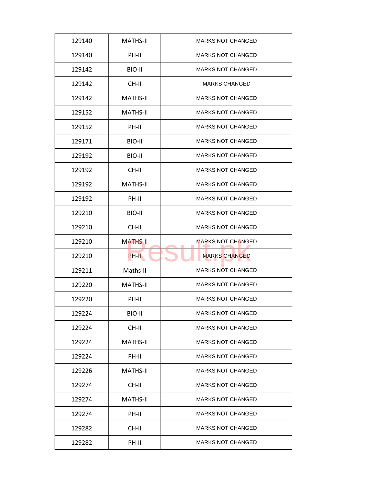| 129140 | <b>MATHS-II</b> | <b>MARKS NOT CHANGED</b> |
|--------|-----------------|--------------------------|
| 129140 | PH-II           | <b>MARKS NOT CHANGED</b> |
| 129142 | BIO-II          | <b>MARKS NOT CHANGED</b> |
| 129142 | CH-II           | <b>MARKS CHANGED</b>     |
| 129142 | <b>MATHS-II</b> | <b>MARKS NOT CHANGED</b> |
| 129152 | <b>MATHS-II</b> | <b>MARKS NOT CHANGED</b> |
| 129152 | PH-II           | <b>MARKS NOT CHANGED</b> |
| 129171 | BIO-II          | <b>MARKS NOT CHANGED</b> |
| 129192 | BIO-II          | <b>MARKS NOT CHANGED</b> |
| 129192 | CH-II           | <b>MARKS NOT CHANGED</b> |
| 129192 | <b>MATHS-II</b> | <b>MARKS NOT CHANGED</b> |
| 129192 | PH-II           | <b>MARKS NOT CHANGED</b> |
| 129210 | BIO-II          | <b>MARKS NOT CHANGED</b> |
| 129210 | CH-II           | <b>MARKS NOT CHANGED</b> |
| 129210 | <b>MATHS-II</b> | <b>MARKS NOT CHANGED</b> |
| 129210 | PH-II           | <b>MARKS CHANGED</b>     |
| 129211 | Maths-II        | <b>MARKS NOT CHANGED</b> |
| 129220 | <b>MATHS-II</b> | <b>MARKS NOT CHANGED</b> |
| 129220 | PH-II           | <b>MARKS NOT CHANGED</b> |
| 129224 | BIO-II          | <b>MARKS NOT CHANGED</b> |
| 129224 | CH-II           | <b>MARKS NOT CHANGED</b> |
| 129224 | <b>MATHS-II</b> | <b>MARKS NOT CHANGED</b> |
| 129224 | PH-II           | <b>MARKS NOT CHANGED</b> |
| 129226 | <b>MATHS-II</b> | <b>MARKS NOT CHANGED</b> |
| 129274 | CH-II           | <b>MARKS NOT CHANGED</b> |
| 129274 | MATHS-II        | <b>MARKS NOT CHANGED</b> |
| 129274 | PH-II           | <b>MARKS NOT CHANGED</b> |
| 129282 | CH-II           | <b>MARKS NOT CHANGED</b> |
| 129282 | PH-II           | <b>MARKS NOT CHANGED</b> |
|        |                 |                          |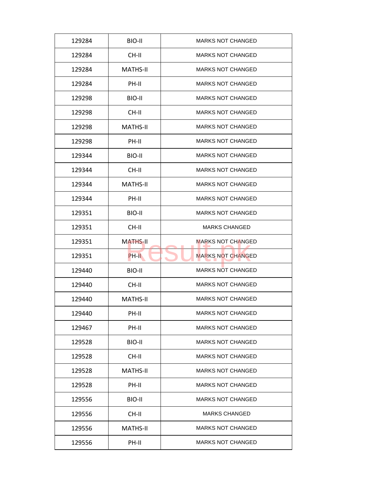| 129284 | BIO-II          | <b>MARKS NOT CHANGED</b> |
|--------|-----------------|--------------------------|
| 129284 | CH-II           | <b>MARKS NOT CHANGED</b> |
| 129284 | <b>MATHS-II</b> | <b>MARKS NOT CHANGED</b> |
| 129284 | PH-II           | <b>MARKS NOT CHANGED</b> |
| 129298 | BIO-II          | <b>MARKS NOT CHANGED</b> |
| 129298 | $CH-H$          | <b>MARKS NOT CHANGED</b> |
| 129298 | <b>MATHS-II</b> | <b>MARKS NOT CHANGED</b> |
| 129298 | PH-II           | <b>MARKS NOT CHANGED</b> |
| 129344 | BIO-II          | <b>MARKS NOT CHANGED</b> |
| 129344 | CH-II           | <b>MARKS NOT CHANGED</b> |
| 129344 | <b>MATHS-II</b> | <b>MARKS NOT CHANGED</b> |
| 129344 | PH-II           | <b>MARKS NOT CHANGED</b> |
| 129351 | BIO-II          | <b>MARKS NOT CHANGED</b> |
| 129351 | CH-II           | <b>MARKS CHANGED</b>     |
| 129351 | <b>MATHS-II</b> | <b>MARKS NOT CHANGED</b> |
| 129351 | PH-II           | <b>MARKS NOT CHANGED</b> |
| 129440 | BIO-II          | <b>MARKS NOT CHANGED</b> |
| 129440 | CH-II           | <b>MARKS NOT CHANGED</b> |
| 129440 | <b>MATHS-II</b> | <b>MARKS NOT CHANGED</b> |
| 129440 | PH-II           | <b>MARKS NOT CHANGED</b> |
| 129467 | PH-II           | <b>MARKS NOT CHANGED</b> |
| 129528 | BIO-II          | <b>MARKS NOT CHANGED</b> |
| 129528 | CH-II           | <b>MARKS NOT CHANGED</b> |
| 129528 | <b>MATHS-II</b> | <b>MARKS NOT CHANGED</b> |
| 129528 | PH-II           | <b>MARKS NOT CHANGED</b> |
| 129556 | BIO-II          | <b>MARKS NOT CHANGED</b> |
| 129556 | CH-II           | <b>MARKS CHANGED</b>     |
|        |                 |                          |
| 129556 | <b>MATHS-II</b> | <b>MARKS NOT CHANGED</b> |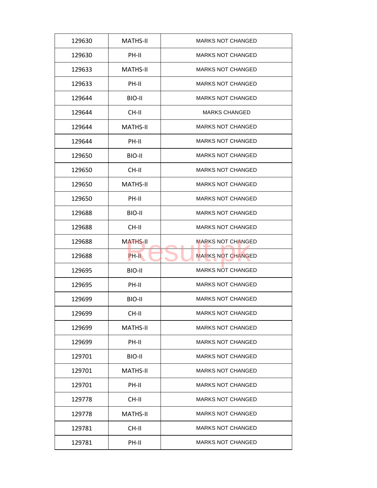| 129630 | <b>MATHS-II</b> | <b>MARKS NOT CHANGED</b> |
|--------|-----------------|--------------------------|
| 129630 | PH-II           | <b>MARKS NOT CHANGED</b> |
| 129633 | <b>MATHS-II</b> | <b>MARKS NOT CHANGED</b> |
| 129633 | PH-II           | <b>MARKS NOT CHANGED</b> |
| 129644 | BIO-II          | <b>MARKS NOT CHANGED</b> |
| 129644 | CH-II           | <b>MARKS CHANGED</b>     |
| 129644 | <b>MATHS-II</b> | <b>MARKS NOT CHANGED</b> |
| 129644 | PH-II           | <b>MARKS NOT CHANGED</b> |
| 129650 | BIO-II          | <b>MARKS NOT CHANGED</b> |
| 129650 | CH-II           | <b>MARKS NOT CHANGED</b> |
| 129650 | <b>MATHS-II</b> | <b>MARKS NOT CHANGED</b> |
| 129650 | PH-II           | <b>MARKS NOT CHANGED</b> |
| 129688 | BIO-II          | <b>MARKS NOT CHANGED</b> |
| 129688 | CH-II           | <b>MARKS NOT CHANGED</b> |
| 129688 | <b>MATHS-II</b> | <b>MARKS NOT CHANGED</b> |
| 129688 | PH-II           | <b>MARKS NOT CHANGED</b> |
| 129695 | BIO-II          | <b>MARKS NOT CHANGED</b> |
| 129695 | PH-II           | <b>MARKS NOT CHANGED</b> |
| 129699 | BIO-II          | <b>MARKS NOT CHANGED</b> |
| 129699 | CH-II           | <b>MARKS NOT CHANGED</b> |
| 129699 | <b>MATHS-II</b> | <b>MARKS NOT CHANGED</b> |
| 129699 | PH-II           | <b>MARKS NOT CHANGED</b> |
| 129701 | BIO-II          | <b>MARKS NOT CHANGED</b> |
| 129701 | <b>MATHS-II</b> | <b>MARKS NOT CHANGED</b> |
| 129701 | PH-II           | <b>MARKS NOT CHANGED</b> |
| 129778 | CH-II           | <b>MARKS NOT CHANGED</b> |
| 129778 | <b>MATHS-II</b> | <b>MARKS NOT CHANGED</b> |
| 129781 | CH-II           | MARKS NOT CHANGED        |
| 129781 | PH-II           | <b>MARKS NOT CHANGED</b> |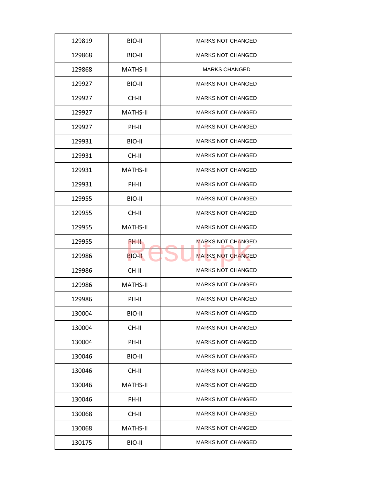| BIO-II<br><b>MARKS NOT CHANGED</b><br>129819<br><b>MARKS NOT CHANGED</b><br>129868<br>BIO-II<br><b>MATHS-II</b><br><b>MARKS CHANGED</b><br>129868<br><b>MARKS NOT CHANGED</b><br>129927<br>BIO-II<br>129927<br>CH-II<br><b>MARKS NOT CHANGED</b><br><b>MATHS-II</b><br><b>MARKS NOT CHANGED</b><br>129927<br>129927<br>PH-II<br><b>MARKS NOT CHANGED</b><br>129931<br>BIO-II<br><b>MARKS NOT CHANGED</b><br>CH-II<br><b>MARKS NOT CHANGED</b><br>129931<br><b>MATHS-II</b><br><b>MARKS NOT CHANGED</b><br>129931<br>129931<br>PH-II<br><b>MARKS NOT CHANGED</b><br><b>MARKS NOT CHANGED</b><br>129955<br>BIO-II<br>CH-II<br><b>MARKS NOT CHANGED</b><br>129955<br><b>MARKS NOT CHANGED</b><br>129955<br><b>MATHS-II</b><br><b>MARKS NOT CHANGED</b><br>129955<br>PH-II<br><b>MARKS NOT CHANGED</b><br>129986<br><b>BIO-II</b><br>CH-II<br><b>MARKS NOT CHANGED</b><br>129986<br><b>MARKS NOT CHANGED</b><br>129986<br><b>MATHS-II</b><br>PH-II<br><b>MARKS NOT CHANGED</b><br>129986<br>130004<br>BIO-II<br><b>MARKS NOT CHANGED</b><br>130004<br>CH-II<br><b>MARKS NOT CHANGED</b><br>130004<br>PH-II<br><b>MARKS NOT CHANGED</b><br><b>MARKS NOT CHANGED</b><br>BIO-II<br>130046<br>130046<br>CH-II<br><b>MARKS NOT CHANGED</b><br><b>MARKS NOT CHANGED</b><br>130046<br><b>MATHS-II</b><br><b>MARKS NOT CHANGED</b><br>130046<br>PH-II<br>CH-II<br><b>MARKS NOT CHANGED</b><br>130068<br><b>MARKS NOT CHANGED</b><br>130068<br><b>MATHS-II</b><br>130175<br>BIO-II<br><b>MARKS NOT CHANGED</b> |  |  |
|---------------------------------------------------------------------------------------------------------------------------------------------------------------------------------------------------------------------------------------------------------------------------------------------------------------------------------------------------------------------------------------------------------------------------------------------------------------------------------------------------------------------------------------------------------------------------------------------------------------------------------------------------------------------------------------------------------------------------------------------------------------------------------------------------------------------------------------------------------------------------------------------------------------------------------------------------------------------------------------------------------------------------------------------------------------------------------------------------------------------------------------------------------------------------------------------------------------------------------------------------------------------------------------------------------------------------------------------------------------------------------------------------------------------------------------------------------------------------------------------------|--|--|
|                                                                                                                                                                                                                                                                                                                                                                                                                                                                                                                                                                                                                                                                                                                                                                                                                                                                                                                                                                                                                                                                                                                                                                                                                                                                                                                                                                                                                                                                                                   |  |  |
|                                                                                                                                                                                                                                                                                                                                                                                                                                                                                                                                                                                                                                                                                                                                                                                                                                                                                                                                                                                                                                                                                                                                                                                                                                                                                                                                                                                                                                                                                                   |  |  |
|                                                                                                                                                                                                                                                                                                                                                                                                                                                                                                                                                                                                                                                                                                                                                                                                                                                                                                                                                                                                                                                                                                                                                                                                                                                                                                                                                                                                                                                                                                   |  |  |
|                                                                                                                                                                                                                                                                                                                                                                                                                                                                                                                                                                                                                                                                                                                                                                                                                                                                                                                                                                                                                                                                                                                                                                                                                                                                                                                                                                                                                                                                                                   |  |  |
|                                                                                                                                                                                                                                                                                                                                                                                                                                                                                                                                                                                                                                                                                                                                                                                                                                                                                                                                                                                                                                                                                                                                                                                                                                                                                                                                                                                                                                                                                                   |  |  |
|                                                                                                                                                                                                                                                                                                                                                                                                                                                                                                                                                                                                                                                                                                                                                                                                                                                                                                                                                                                                                                                                                                                                                                                                                                                                                                                                                                                                                                                                                                   |  |  |
|                                                                                                                                                                                                                                                                                                                                                                                                                                                                                                                                                                                                                                                                                                                                                                                                                                                                                                                                                                                                                                                                                                                                                                                                                                                                                                                                                                                                                                                                                                   |  |  |
|                                                                                                                                                                                                                                                                                                                                                                                                                                                                                                                                                                                                                                                                                                                                                                                                                                                                                                                                                                                                                                                                                                                                                                                                                                                                                                                                                                                                                                                                                                   |  |  |
|                                                                                                                                                                                                                                                                                                                                                                                                                                                                                                                                                                                                                                                                                                                                                                                                                                                                                                                                                                                                                                                                                                                                                                                                                                                                                                                                                                                                                                                                                                   |  |  |
|                                                                                                                                                                                                                                                                                                                                                                                                                                                                                                                                                                                                                                                                                                                                                                                                                                                                                                                                                                                                                                                                                                                                                                                                                                                                                                                                                                                                                                                                                                   |  |  |
|                                                                                                                                                                                                                                                                                                                                                                                                                                                                                                                                                                                                                                                                                                                                                                                                                                                                                                                                                                                                                                                                                                                                                                                                                                                                                                                                                                                                                                                                                                   |  |  |
|                                                                                                                                                                                                                                                                                                                                                                                                                                                                                                                                                                                                                                                                                                                                                                                                                                                                                                                                                                                                                                                                                                                                                                                                                                                                                                                                                                                                                                                                                                   |  |  |
|                                                                                                                                                                                                                                                                                                                                                                                                                                                                                                                                                                                                                                                                                                                                                                                                                                                                                                                                                                                                                                                                                                                                                                                                                                                                                                                                                                                                                                                                                                   |  |  |
|                                                                                                                                                                                                                                                                                                                                                                                                                                                                                                                                                                                                                                                                                                                                                                                                                                                                                                                                                                                                                                                                                                                                                                                                                                                                                                                                                                                                                                                                                                   |  |  |
|                                                                                                                                                                                                                                                                                                                                                                                                                                                                                                                                                                                                                                                                                                                                                                                                                                                                                                                                                                                                                                                                                                                                                                                                                                                                                                                                                                                                                                                                                                   |  |  |
|                                                                                                                                                                                                                                                                                                                                                                                                                                                                                                                                                                                                                                                                                                                                                                                                                                                                                                                                                                                                                                                                                                                                                                                                                                                                                                                                                                                                                                                                                                   |  |  |
|                                                                                                                                                                                                                                                                                                                                                                                                                                                                                                                                                                                                                                                                                                                                                                                                                                                                                                                                                                                                                                                                                                                                                                                                                                                                                                                                                                                                                                                                                                   |  |  |
|                                                                                                                                                                                                                                                                                                                                                                                                                                                                                                                                                                                                                                                                                                                                                                                                                                                                                                                                                                                                                                                                                                                                                                                                                                                                                                                                                                                                                                                                                                   |  |  |
|                                                                                                                                                                                                                                                                                                                                                                                                                                                                                                                                                                                                                                                                                                                                                                                                                                                                                                                                                                                                                                                                                                                                                                                                                                                                                                                                                                                                                                                                                                   |  |  |
|                                                                                                                                                                                                                                                                                                                                                                                                                                                                                                                                                                                                                                                                                                                                                                                                                                                                                                                                                                                                                                                                                                                                                                                                                                                                                                                                                                                                                                                                                                   |  |  |
|                                                                                                                                                                                                                                                                                                                                                                                                                                                                                                                                                                                                                                                                                                                                                                                                                                                                                                                                                                                                                                                                                                                                                                                                                                                                                                                                                                                                                                                                                                   |  |  |
|                                                                                                                                                                                                                                                                                                                                                                                                                                                                                                                                                                                                                                                                                                                                                                                                                                                                                                                                                                                                                                                                                                                                                                                                                                                                                                                                                                                                                                                                                                   |  |  |
|                                                                                                                                                                                                                                                                                                                                                                                                                                                                                                                                                                                                                                                                                                                                                                                                                                                                                                                                                                                                                                                                                                                                                                                                                                                                                                                                                                                                                                                                                                   |  |  |
|                                                                                                                                                                                                                                                                                                                                                                                                                                                                                                                                                                                                                                                                                                                                                                                                                                                                                                                                                                                                                                                                                                                                                                                                                                                                                                                                                                                                                                                                                                   |  |  |
|                                                                                                                                                                                                                                                                                                                                                                                                                                                                                                                                                                                                                                                                                                                                                                                                                                                                                                                                                                                                                                                                                                                                                                                                                                                                                                                                                                                                                                                                                                   |  |  |
|                                                                                                                                                                                                                                                                                                                                                                                                                                                                                                                                                                                                                                                                                                                                                                                                                                                                                                                                                                                                                                                                                                                                                                                                                                                                                                                                                                                                                                                                                                   |  |  |
|                                                                                                                                                                                                                                                                                                                                                                                                                                                                                                                                                                                                                                                                                                                                                                                                                                                                                                                                                                                                                                                                                                                                                                                                                                                                                                                                                                                                                                                                                                   |  |  |
|                                                                                                                                                                                                                                                                                                                                                                                                                                                                                                                                                                                                                                                                                                                                                                                                                                                                                                                                                                                                                                                                                                                                                                                                                                                                                                                                                                                                                                                                                                   |  |  |
|                                                                                                                                                                                                                                                                                                                                                                                                                                                                                                                                                                                                                                                                                                                                                                                                                                                                                                                                                                                                                                                                                                                                                                                                                                                                                                                                                                                                                                                                                                   |  |  |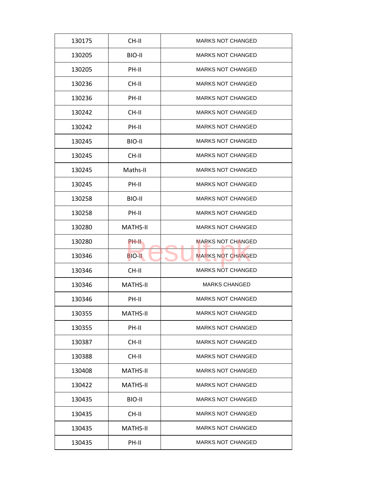| 130175 | CH-II           | <b>MARKS NOT CHANGED</b> |
|--------|-----------------|--------------------------|
| 130205 | BIO-II          | <b>MARKS NOT CHANGED</b> |
| 130205 | PH-II           | <b>MARKS NOT CHANGED</b> |
| 130236 | CH-II           | <b>MARKS NOT CHANGED</b> |
| 130236 | PH-II           | <b>MARKS NOT CHANGED</b> |
| 130242 | CH-II           | <b>MARKS NOT CHANGED</b> |
| 130242 | PH-II           | <b>MARKS NOT CHANGED</b> |
| 130245 | BIO-II          | <b>MARKS NOT CHANGED</b> |
| 130245 | CH-II           | <b>MARKS NOT CHANGED</b> |
| 130245 | Maths-II        | <b>MARKS NOT CHANGED</b> |
| 130245 | PH-II           | <b>MARKS NOT CHANGED</b> |
| 130258 | BIO-II          | <b>MARKS NOT CHANGED</b> |
| 130258 | PH-II           | <b>MARKS NOT CHANGED</b> |
| 130280 | <b>MATHS-II</b> | <b>MARKS NOT CHANGED</b> |
| 130280 | PH-II           | <b>MARKS NOT CHANGED</b> |
| 130346 | <b>BIO-II</b>   | <b>MARKS NOT CHANGED</b> |
| 130346 | CH-II           | <b>MARKS NOT CHANGED</b> |
| 130346 | <b>MATHS-II</b> | <b>MARKS CHANGED</b>     |
| 130346 | PH-II           | <b>MARKS NOT CHANGED</b> |
| 130355 | <b>MATHS-II</b> | <b>MARKS NOT CHANGED</b> |
| 130355 | PH-II           | <b>MARKS NOT CHANGED</b> |
| 130387 | CH-II           | <b>MARKS NOT CHANGED</b> |
| 130388 | CH-II           | <b>MARKS NOT CHANGED</b> |
| 130408 | MATHS-II        | <b>MARKS NOT CHANGED</b> |
| 130422 | <b>MATHS-II</b> | <b>MARKS NOT CHANGED</b> |
| 130435 | BIO-II          | <b>MARKS NOT CHANGED</b> |
| 130435 | CH-II           | <b>MARKS NOT CHANGED</b> |
| 130435 | <b>MATHS-II</b> | <b>MARKS NOT CHANGED</b> |
| 130435 | PH-II           | <b>MARKS NOT CHANGED</b> |
|        |                 |                          |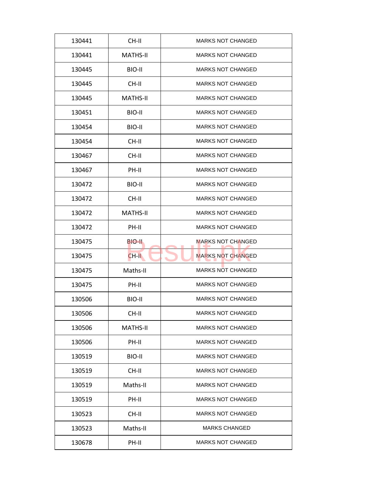| 130441 | CH-II           | <b>MARKS NOT CHANGED</b> |
|--------|-----------------|--------------------------|
| 130441 | <b>MATHS-II</b> | <b>MARKS NOT CHANGED</b> |
| 130445 | BIO-II          | <b>MARKS NOT CHANGED</b> |
| 130445 | CH-II           | <b>MARKS NOT CHANGED</b> |
| 130445 | <b>MATHS-II</b> | <b>MARKS NOT CHANGED</b> |
| 130451 | BIO-II          | <b>MARKS NOT CHANGED</b> |
| 130454 | BIO-II          | <b>MARKS NOT CHANGED</b> |
| 130454 | CH-II           | <b>MARKS NOT CHANGED</b> |
| 130467 | CH-II           | <b>MARKS NOT CHANGED</b> |
| 130467 | PH-II           | <b>MARKS NOT CHANGED</b> |
| 130472 | BIO-II          | <b>MARKS NOT CHANGED</b> |
| 130472 | CH-II           | <b>MARKS NOT CHANGED</b> |
| 130472 | <b>MATHS-II</b> | <b>MARKS NOT CHANGED</b> |
| 130472 | PH-II           | <b>MARKS NOT CHANGED</b> |
| 130475 | BIO-II          | <b>MARKS NOT CHANGED</b> |
| 130475 | $CH-H$          | <b>MARKS NOT CHANGED</b> |
| 130475 | Maths-II        | <b>MARKS NOT CHANGED</b> |
| 130475 | PH-II           | <b>MARKS NOT CHANGED</b> |
| 130506 | BIO-II          | <b>MARKS NOT CHANGED</b> |
| 130506 | CH-II           | <b>MARKS NOT CHANGED</b> |
| 130506 | <b>MATHS-II</b> | <b>MARKS NOT CHANGED</b> |
| 130506 | PH-II           | <b>MARKS NOT CHANGED</b> |
| 130519 | BIO-II          | <b>MARKS NOT CHANGED</b> |
| 130519 | CH-II           | <b>MARKS NOT CHANGED</b> |
| 130519 | Maths-II        | <b>MARKS NOT CHANGED</b> |
| 130519 | PH-II           | <b>MARKS NOT CHANGED</b> |
|        |                 | <b>MARKS NOT CHANGED</b> |
| 130523 | CH-II           |                          |
| 130523 | Maths-II        | <b>MARKS CHANGED</b>     |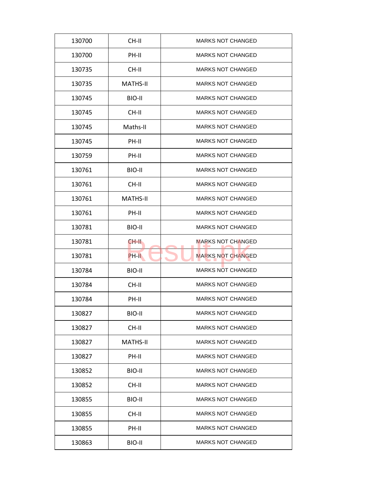| 130700 | CH-II           | <b>MARKS NOT CHANGED</b> |
|--------|-----------------|--------------------------|
| 130700 | PH-II           | <b>MARKS NOT CHANGED</b> |
| 130735 | CH-II           | <b>MARKS NOT CHANGED</b> |
| 130735 | <b>MATHS-II</b> | <b>MARKS NOT CHANGED</b> |
| 130745 | BIO-II          | <b>MARKS NOT CHANGED</b> |
| 130745 | $CH-H$          | <b>MARKS NOT CHANGED</b> |
| 130745 | Maths-II        | <b>MARKS NOT CHANGED</b> |
| 130745 | PH-II           | <b>MARKS NOT CHANGED</b> |
| 130759 | PH-II           | <b>MARKS NOT CHANGED</b> |
| 130761 | BIO-II          | <b>MARKS NOT CHANGED</b> |
| 130761 | CH-II           | <b>MARKS NOT CHANGED</b> |
| 130761 | <b>MATHS-II</b> | <b>MARKS NOT CHANGED</b> |
| 130761 | PH-II           | <b>MARKS NOT CHANGED</b> |
| 130781 | BIO-II          | <b>MARKS NOT CHANGED</b> |
| 130781 | CH-II           | <b>MARKS NOT CHANGED</b> |
| 130781 | PH-II           | <b>MARKS NOT CHANGED</b> |
| 130784 | BIO-II          | <b>MARKS NOT CHANGED</b> |
| 130784 | CH-II           | <b>MARKS NOT CHANGED</b> |
| 130784 | PH-II           | <b>MARKS NOT CHANGED</b> |
| 130827 | BIO-II          | <b>MARKS NOT CHANGED</b> |
| 130827 | CH-II           | <b>MARKS NOT CHANGED</b> |
| 130827 | MATHS-II        | <b>MARKS NOT CHANGED</b> |
| 130827 | PH-II           | <b>MARKS NOT CHANGED</b> |
| 130852 | BIO-II          | <b>MARKS NOT CHANGED</b> |
| 130852 | CH-II           | <b>MARKS NOT CHANGED</b> |
| 130855 | BIO-II          | <b>MARKS NOT CHANGED</b> |
|        |                 |                          |
| 130855 | CH-II           | <b>MARKS NOT CHANGED</b> |
| 130855 | PH-II           | <b>MARKS NOT CHANGED</b> |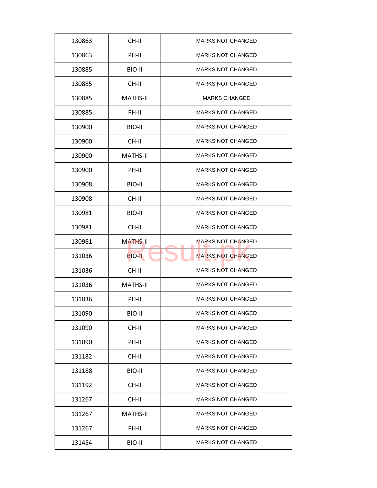| 130863 | CH-II           | <b>MARKS NOT CHANGED</b> |
|--------|-----------------|--------------------------|
| 130863 | PH-II           | <b>MARKS NOT CHANGED</b> |
| 130885 | BIO-II          | <b>MARKS NOT CHANGED</b> |
| 130885 | CH-II           | <b>MARKS NOT CHANGED</b> |
| 130885 | <b>MATHS-II</b> | <b>MARKS CHANGED</b>     |
| 130885 | PH-II           | <b>MARKS NOT CHANGED</b> |
| 130900 | BIO-II          | <b>MARKS NOT CHANGED</b> |
| 130900 | CH-II           | <b>MARKS NOT CHANGED</b> |
| 130900 | <b>MATHS-II</b> | <b>MARKS NOT CHANGED</b> |
| 130900 | PH-II           | <b>MARKS NOT CHANGED</b> |
| 130908 | BIO-II          | <b>MARKS NOT CHANGED</b> |
| 130908 | CH-II           | <b>MARKS NOT CHANGED</b> |
| 130981 | BIO-II          | <b>MARKS NOT CHANGED</b> |
| 130981 | CH-II           | <b>MARKS NOT CHANGED</b> |
| 130981 | <b>MATHS-II</b> | <b>MARKS NOT CHANGED</b> |
| 131036 | <b>BIO-II</b>   | <b>MARKS NOT CHANGED</b> |
| 131036 | CH-II           | <b>MARKS NOT CHANGED</b> |
| 131036 | <b>MATHS-II</b> | <b>MARKS NOT CHANGED</b> |
| 131036 | PH-II           | <b>MARKS NOT CHANGED</b> |
| 131090 | BIO-II          | <b>MARKS NOT CHANGED</b> |
| 131090 | CH-II           | <b>MARKS NOT CHANGED</b> |
| 131090 | PH-II           | <b>MARKS NOT CHANGED</b> |
| 131182 | CH-II           | <b>MARKS NOT CHANGED</b> |
| 131188 | BIO-II          | <b>MARKS NOT CHANGED</b> |
| 131192 | CH-II           | <b>MARKS NOT CHANGED</b> |
| 131267 | CH-II           | <b>MARKS NOT CHANGED</b> |
| 131267 | MATHS-II        | <b>MARKS NOT CHANGED</b> |
|        |                 |                          |
| 131267 | PH-II           | <b>MARKS NOT CHANGED</b> |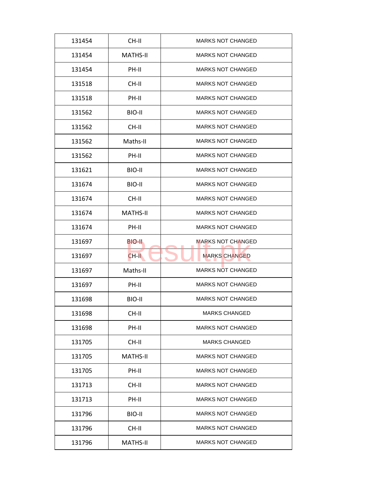| 131454 | CH-II           | <b>MARKS NOT CHANGED</b> |
|--------|-----------------|--------------------------|
| 131454 | <b>MATHS-II</b> | <b>MARKS NOT CHANGED</b> |
| 131454 | PH-II           | <b>MARKS NOT CHANGED</b> |
| 131518 | CH-II           | <b>MARKS NOT CHANGED</b> |
| 131518 | PH-II           | <b>MARKS NOT CHANGED</b> |
| 131562 | BIO-II          | <b>MARKS NOT CHANGED</b> |
| 131562 | CH-II           | <b>MARKS NOT CHANGED</b> |
| 131562 | Maths-II        | <b>MARKS NOT CHANGED</b> |
| 131562 | PH-II           | <b>MARKS NOT CHANGED</b> |
| 131621 | BIO-II          | <b>MARKS NOT CHANGED</b> |
| 131674 | BIO-II          | <b>MARKS NOT CHANGED</b> |
| 131674 | CH-II           | <b>MARKS NOT CHANGED</b> |
| 131674 | <b>MATHS-II</b> | <b>MARKS NOT CHANGED</b> |
| 131674 | PH-II           | <b>MARKS NOT CHANGED</b> |
| 131697 | BIO-II.         | <b>MARKS NOT CHANGED</b> |
| 131697 | CH-II           | <b>MARKS CHANGED</b>     |
| 131697 | Maths-II        | <b>MARKS NOT CHANGED</b> |
| 131697 | PH-II           | <b>MARKS NOT CHANGED</b> |
| 131698 | BIO-II          | <b>MARKS NOT CHANGED</b> |
| 131698 | CH-II           | <b>MARKS CHANGED</b>     |
| 131698 | PH-II           | <b>MARKS NOT CHANGED</b> |
| 131705 | CH-II           | <b>MARKS CHANGED</b>     |
| 131705 | <b>MATHS-II</b> | <b>MARKS NOT CHANGED</b> |
| 131705 | PH-II           | <b>MARKS NOT CHANGED</b> |
| 131713 | CH-II           | <b>MARKS NOT CHANGED</b> |
| 131713 | PH-II           | <b>MARKS NOT CHANGED</b> |
| 131796 | BIO-II          | <b>MARKS NOT CHANGED</b> |
| 131796 |                 | <b>MARKS NOT CHANGED</b> |
|        | CH-II           |                          |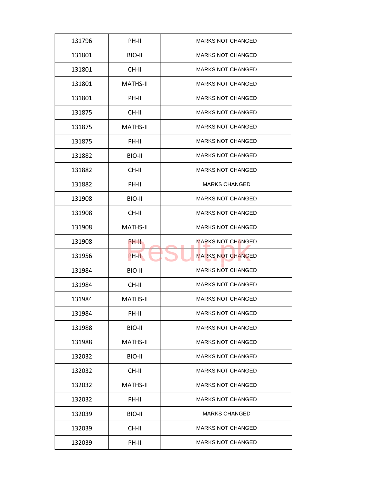| 131796 | PH-II           | <b>MARKS NOT CHANGED</b> |
|--------|-----------------|--------------------------|
| 131801 | BIO-II          | <b>MARKS NOT CHANGED</b> |
| 131801 | CH-II           | <b>MARKS NOT CHANGED</b> |
| 131801 | <b>MATHS-II</b> | <b>MARKS NOT CHANGED</b> |
| 131801 | PH-II           | <b>MARKS NOT CHANGED</b> |
| 131875 | CH-II           | <b>MARKS NOT CHANGED</b> |
| 131875 | <b>MATHS-II</b> | <b>MARKS NOT CHANGED</b> |
| 131875 | PH-II           | <b>MARKS NOT CHANGED</b> |
| 131882 | BIO-II          | <b>MARKS NOT CHANGED</b> |
| 131882 | CH-II           | <b>MARKS NOT CHANGED</b> |
| 131882 | PH-II           | <b>MARKS CHANGED</b>     |
| 131908 | BIO-II          | <b>MARKS NOT CHANGED</b> |
| 131908 | CH-II           | <b>MARKS NOT CHANGED</b> |
| 131908 | <b>MATHS-II</b> | <b>MARKS NOT CHANGED</b> |
| 131908 | PH-II           | <b>MARKS NOT CHANGED</b> |
| 131956 | PH-II           | <b>MARKS NOT CHANGED</b> |
| 131984 | BIO-II          | <b>MARKS NOT CHANGED</b> |
| 131984 | CH-II           | <b>MARKS NOT CHANGED</b> |
| 131984 | <b>MATHS-II</b> | <b>MARKS NOT CHANGED</b> |
| 131984 | PH-II           | <b>MARKS NOT CHANGED</b> |
| 131988 | BIO-II          | <b>MARKS NOT CHANGED</b> |
| 131988 | <b>MATHS-II</b> | <b>MARKS NOT CHANGED</b> |
| 132032 | BIO-II          | <b>MARKS NOT CHANGED</b> |
| 132032 | CH-II           | <b>MARKS NOT CHANGED</b> |
| 132032 | <b>MATHS-II</b> | <b>MARKS NOT CHANGED</b> |
| 132032 | PH-II           | <b>MARKS NOT CHANGED</b> |
| 132039 | BIO-II          | <b>MARKS CHANGED</b>     |
| 132039 | CH-II           | <b>MARKS NOT CHANGED</b> |
| 132039 | PH-II           | <b>MARKS NOT CHANGED</b> |
|        |                 |                          |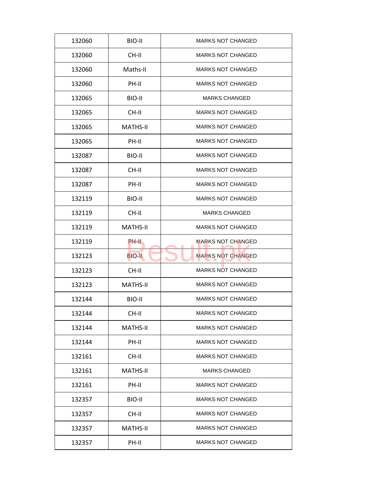| 132060 | BIO-II          | <b>MARKS NOT CHANGED</b> |
|--------|-----------------|--------------------------|
| 132060 | CH-II           | <b>MARKS NOT CHANGED</b> |
| 132060 | Maths-II        | <b>MARKS NOT CHANGED</b> |
| 132060 | PH-II           | <b>MARKS NOT CHANGED</b> |
| 132065 | BIO-II          | <b>MARKS CHANGED</b>     |
| 132065 | $CH-H$          | <b>MARKS NOT CHANGED</b> |
| 132065 | <b>MATHS-II</b> | <b>MARKS NOT CHANGED</b> |
| 132065 | PH-II           | <b>MARKS NOT CHANGED</b> |
| 132087 | BIO-II          | <b>MARKS NOT CHANGED</b> |
| 132087 | CH-II           | <b>MARKS NOT CHANGED</b> |
| 132087 | PH-II           | <b>MARKS NOT CHANGED</b> |
| 132119 | BIO-II          | <b>MARKS NOT CHANGED</b> |
| 132119 | CH-II           | <b>MARKS CHANGED</b>     |
| 132119 | <b>MATHS-II</b> | <b>MARKS NOT CHANGED</b> |
| 132119 | <b>PH-II</b>    | <b>MARKS NOT CHANGED</b> |
| 132123 | <b>BIO-II</b>   | <b>MARKS NOT CHANGED</b> |
| 132123 | CH-II           | <b>MARKS NOT CHANGED</b> |
| 132123 | <b>MATHS-II</b> | <b>MARKS NOT CHANGED</b> |
| 132144 | BIO-II          | <b>MARKS NOT CHANGED</b> |
| 132144 | CH-II           | <b>MARKS NOT CHANGED</b> |
| 132144 | MATHS-II        | <b>MARKS NOT CHANGED</b> |
| 132144 | PH-II           | <b>MARKS NOT CHANGED</b> |
| 132161 | CH-II           | <b>MARKS NOT CHANGED</b> |
| 132161 | <b>MATHS-II</b> | <b>MARKS CHANGED</b>     |
| 132161 | PH-II           | <b>MARKS NOT CHANGED</b> |
| 132357 | BIO-II          | <b>MARKS NOT CHANGED</b> |
| 132357 | CH-II           | <b>MARKS NOT CHANGED</b> |
| 132357 | <b>MATHS-II</b> | <b>MARKS NOT CHANGED</b> |
|        |                 |                          |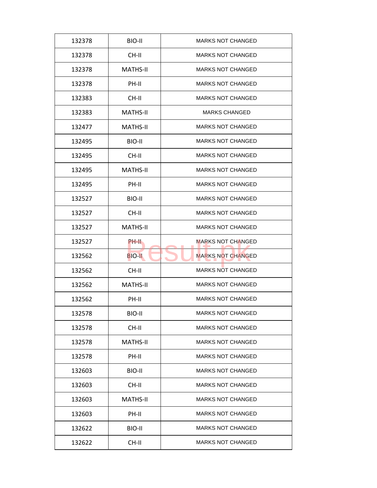| 132378 | BIO-II          | <b>MARKS NOT CHANGED</b> |
|--------|-----------------|--------------------------|
| 132378 | CH-II           | <b>MARKS NOT CHANGED</b> |
| 132378 | <b>MATHS-II</b> | <b>MARKS NOT CHANGED</b> |
| 132378 | PH-II           | <b>MARKS NOT CHANGED</b> |
| 132383 | CH-II           | <b>MARKS NOT CHANGED</b> |
| 132383 | <b>MATHS-II</b> | <b>MARKS CHANGED</b>     |
| 132477 | <b>MATHS-II</b> | <b>MARKS NOT CHANGED</b> |
| 132495 | BIO-II          | <b>MARKS NOT CHANGED</b> |
| 132495 | CH-II           | <b>MARKS NOT CHANGED</b> |
| 132495 | MATHS-II        | <b>MARKS NOT CHANGED</b> |
| 132495 | PH-II           | <b>MARKS NOT CHANGED</b> |
| 132527 | BIO-II          | <b>MARKS NOT CHANGED</b> |
| 132527 | CH-II           | <b>MARKS NOT CHANGED</b> |
| 132527 | <b>MATHS-II</b> | <b>MARKS NOT CHANGED</b> |
| 132527 | PH-II           | <b>MARKS NOT CHANGED</b> |
| 132562 | <b>BIO-II</b>   | <b>MARKS NOT CHANGED</b> |
| 132562 | CH-II           | <b>MARKS NOT CHANGED</b> |
| 132562 | <b>MATHS-II</b> | <b>MARKS NOT CHANGED</b> |
| 132562 | PH-II           | <b>MARKS NOT CHANGED</b> |
| 132578 | BIO-II          | <b>MARKS NOT CHANGED</b> |
| 132578 | CH-II           | <b>MARKS NOT CHANGED</b> |
| 132578 | <b>MATHS-II</b> | <b>MARKS NOT CHANGED</b> |
| 132578 | PH-II           | <b>MARKS NOT CHANGED</b> |
| 132603 | BIO-II          | <b>MARKS NOT CHANGED</b> |
| 132603 | CH-II           | <b>MARKS NOT CHANGED</b> |
| 132603 | <b>MATHS-II</b> | <b>MARKS NOT CHANGED</b> |
| 132603 | PH-II           | <b>MARKS NOT CHANGED</b> |
| 132622 | BIO-II          | <b>MARKS NOT CHANGED</b> |
| 132622 | CH-II           | <b>MARKS NOT CHANGED</b> |
|        |                 |                          |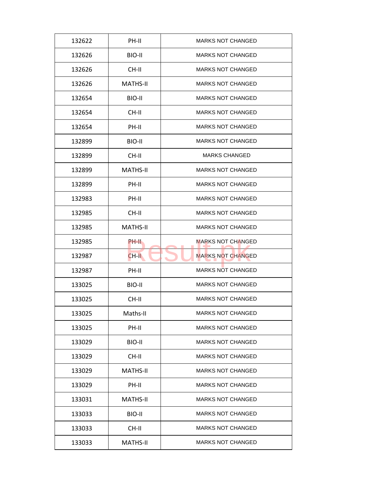| 132622 | PH-II           | <b>MARKS NOT CHANGED</b> |
|--------|-----------------|--------------------------|
| 132626 | BIO-II          | <b>MARKS NOT CHANGED</b> |
| 132626 | CH-II           | <b>MARKS NOT CHANGED</b> |
| 132626 | <b>MATHS-II</b> | <b>MARKS NOT CHANGED</b> |
| 132654 | BIO-II          | <b>MARKS NOT CHANGED</b> |
| 132654 | CH-II           | <b>MARKS NOT CHANGED</b> |
| 132654 | PH-II           | MARKS NOT CHANGED        |
| 132899 | BIO-II          | <b>MARKS NOT CHANGED</b> |
| 132899 | CH-II           | <b>MARKS CHANGED</b>     |
| 132899 | <b>MATHS-II</b> | <b>MARKS NOT CHANGED</b> |
| 132899 | PH-II           | <b>MARKS NOT CHANGED</b> |
| 132983 | PH-II           | <b>MARKS NOT CHANGED</b> |
| 132985 | CH-II           | <b>MARKS NOT CHANGED</b> |
| 132985 | MATHS-II        | <b>MARKS NOT CHANGED</b> |
| 132985 | PH-II           | <b>MARKS NOT CHANGED</b> |
| 132987 | CH-II           | <b>MARKS NOT CHANGED</b> |
| 132987 | PH-II           | <b>MARKS NOT CHANGED</b> |
| 133025 | BIO-II          | <b>MARKS NOT CHANGED</b> |
| 133025 | CH-II           | <b>MARKS NOT CHANGED</b> |
| 133025 | Maths-II        | <b>MARKS NOT CHANGED</b> |
| 133025 | PH-II           | <b>MARKS NOT CHANGED</b> |
| 133029 | BIO-II          | <b>MARKS NOT CHANGED</b> |
| 133029 | CH-II           | <b>MARKS NOT CHANGED</b> |
| 133029 | <b>MATHS-II</b> | <b>MARKS NOT CHANGED</b> |
| 133029 | PH-II           | <b>MARKS NOT CHANGED</b> |
| 133031 | <b>MATHS-II</b> | <b>MARKS NOT CHANGED</b> |
| 133033 | BIO-II          | <b>MARKS NOT CHANGED</b> |
| 133033 | CH-II           | MARKS NOT CHANGED        |
| 133033 | <b>MATHS-II</b> | <b>MARKS NOT CHANGED</b> |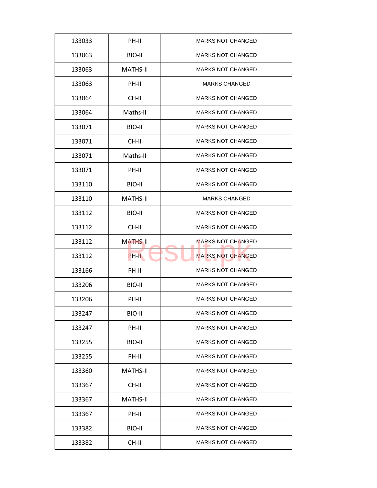| 133033 | PH-II           | <b>MARKS NOT CHANGED</b> |
|--------|-----------------|--------------------------|
| 133063 | BIO-II          | <b>MARKS NOT CHANGED</b> |
| 133063 | MATHS-II        | <b>MARKS NOT CHANGED</b> |
| 133063 | PH-II           | <b>MARKS CHANGED</b>     |
| 133064 | CH-II           | <b>MARKS NOT CHANGED</b> |
| 133064 | Maths-II        | <b>MARKS NOT CHANGED</b> |
| 133071 | BIO-II          | <b>MARKS NOT CHANGED</b> |
| 133071 | CH-II           | <b>MARKS NOT CHANGED</b> |
| 133071 | Maths-II        | <b>MARKS NOT CHANGED</b> |
| 133071 | PH-II           | <b>MARKS NOT CHANGED</b> |
| 133110 | BIO-II          | <b>MARKS NOT CHANGED</b> |
| 133110 | <b>MATHS-II</b> | <b>MARKS CHANGED</b>     |
| 133112 | BIO-II          | <b>MARKS NOT CHANGED</b> |
| 133112 | CH-II           | <b>MARKS NOT CHANGED</b> |
| 133112 | <b>MATHS-II</b> | <b>MARKS NOT CHANGED</b> |
| 133112 | PH-II           | <b>MARKS NOT CHANGED</b> |
| 133166 | PH-II           | <b>MARKS NOT CHANGED</b> |
| 133206 | BIO-II          | <b>MARKS NOT CHANGED</b> |
| 133206 | PH-II           | <b>MARKS NOT CHANGED</b> |
| 133247 | BIO-II          | <b>MARKS NOT CHANGED</b> |
| 133247 | PH-II           | <b>MARKS NOT CHANGED</b> |
| 133255 | BIO-II          | <b>MARKS NOT CHANGED</b> |
| 133255 | PH-II           | <b>MARKS NOT CHANGED</b> |
| 133360 | <b>MATHS-II</b> | MARKS NOT CHANGED        |
| 133367 | CH-II           | <b>MARKS NOT CHANGED</b> |
| 133367 | <b>MATHS-II</b> | MARKS NOT CHANGED        |
| 133367 | PH-II           | <b>MARKS NOT CHANGED</b> |
| 133382 | BIO-II          | <b>MARKS NOT CHANGED</b> |
| 133382 | CH-II           | <b>MARKS NOT CHANGED</b> |
|        |                 |                          |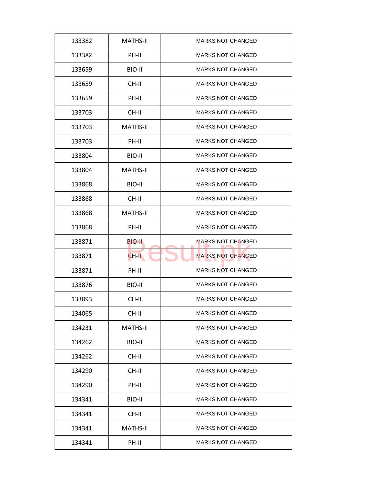| 133382 | <b>MATHS-II</b> | <b>MARKS NOT CHANGED</b> |
|--------|-----------------|--------------------------|
| 133382 | PH-II           | <b>MARKS NOT CHANGED</b> |
| 133659 | BIO-II          | <b>MARKS NOT CHANGED</b> |
| 133659 | CH-II           | <b>MARKS NOT CHANGED</b> |
| 133659 | PH-II           | <b>MARKS NOT CHANGED</b> |
| 133703 | $CH-H$          | <b>MARKS NOT CHANGED</b> |
| 133703 | <b>MATHS-II</b> | <b>MARKS NOT CHANGED</b> |
| 133703 | PH-II           | <b>MARKS NOT CHANGED</b> |
| 133804 | BIO-II          | <b>MARKS NOT CHANGED</b> |
| 133804 | <b>MATHS-II</b> | <b>MARKS NOT CHANGED</b> |
| 133868 | BIO-II          | <b>MARKS NOT CHANGED</b> |
| 133868 | CH-II           | <b>MARKS NOT CHANGED</b> |
| 133868 | <b>MATHS-II</b> | <b>MARKS NOT CHANGED</b> |
| 133868 | PH-II           | <b>MARKS NOT CHANGED</b> |
| 133871 | BIO-II          | <b>MARKS NOT CHANGED</b> |
| 133871 | CH-II           | <b>MARKS NOT CHANGED</b> |
| 133871 | PH-II           | <b>MARKS NOT CHANGED</b> |
| 133876 | BIO-II          | <b>MARKS NOT CHANGED</b> |
| 133893 | CH-II           | <b>MARKS NOT CHANGED</b> |
| 134065 | CH-II           | <b>MARKS NOT CHANGED</b> |
| 134231 | <b>MATHS-II</b> | <b>MARKS NOT CHANGED</b> |
| 134262 | BIO-II          | <b>MARKS NOT CHANGED</b> |
| 134262 | CH-II           | <b>MARKS NOT CHANGED</b> |
| 134290 | CH-II           | <b>MARKS NOT CHANGED</b> |
| 134290 | PH-II           | <b>MARKS NOT CHANGED</b> |
| 134341 | BIO-II          | <b>MARKS NOT CHANGED</b> |
| 134341 | CH-II           | <b>MARKS NOT CHANGED</b> |
|        |                 |                          |
| 134341 | <b>MATHS-II</b> | <b>MARKS NOT CHANGED</b> |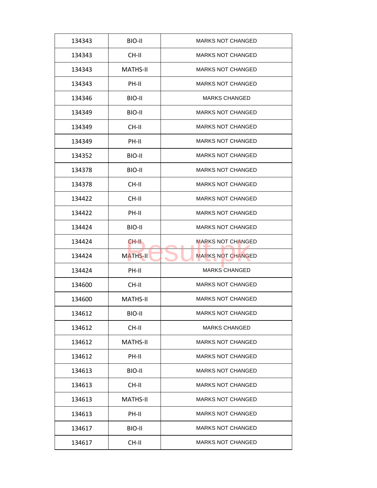| 134343 | BIO-II          | <b>MARKS NOT CHANGED</b> |
|--------|-----------------|--------------------------|
| 134343 | CH-II           | <b>MARKS NOT CHANGED</b> |
| 134343 | <b>MATHS-II</b> | <b>MARKS NOT CHANGED</b> |
| 134343 | PH-II           | <b>MARKS NOT CHANGED</b> |
| 134346 | BIO-II          | <b>MARKS CHANGED</b>     |
| 134349 | BIO-II          | <b>MARKS NOT CHANGED</b> |
| 134349 | CH-II           | <b>MARKS NOT CHANGED</b> |
| 134349 | PH-II           | <b>MARKS NOT CHANGED</b> |
| 134352 | BIO-II          | <b>MARKS NOT CHANGED</b> |
| 134378 | BIO-II          | <b>MARKS NOT CHANGED</b> |
| 134378 | CH-II           | <b>MARKS NOT CHANGED</b> |
| 134422 | CH-II           | <b>MARKS NOT CHANGED</b> |
| 134422 | PH-II           | <b>MARKS NOT CHANGED</b> |
| 134424 | BIO-II          | <b>MARKS NOT CHANGED</b> |
| 134424 | CH-II.          | <b>MARKS NOT CHANGED</b> |
| 134424 | <b>MATHS-II</b> | <b>MARKS NOT CHANGED</b> |
| 134424 | PH-II           | <b>MARKS CHANGED</b>     |
| 134600 | CH-II           | <b>MARKS NOT CHANGED</b> |
| 134600 | <b>MATHS-II</b> | <b>MARKS NOT CHANGED</b> |
| 134612 | BIO-II          | <b>MARKS NOT CHANGED</b> |
| 134612 | CH-II           | <b>MARKS CHANGED</b>     |
| 134612 | <b>MATHS-II</b> | <b>MARKS NOT CHANGED</b> |
| 134612 | PH-II           | <b>MARKS NOT CHANGED</b> |
| 134613 | BIO-II          | <b>MARKS NOT CHANGED</b> |
| 134613 | CH-II           | <b>MARKS NOT CHANGED</b> |
| 134613 | <b>MATHS-II</b> | <b>MARKS NOT CHANGED</b> |
| 134613 | PH-II           | <b>MARKS NOT CHANGED</b> |
| 134617 | BIO-II          | <b>MARKS NOT CHANGED</b> |
| 134617 | CH-II           | <b>MARKS NOT CHANGED</b> |
|        |                 |                          |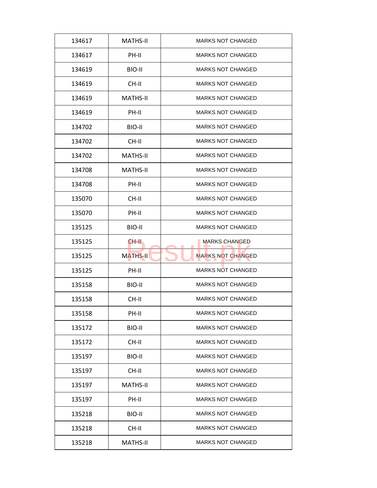| 134617 | <b>MATHS-II</b> | <b>MARKS NOT CHANGED</b> |
|--------|-----------------|--------------------------|
| 134617 | PH-II           | <b>MARKS NOT CHANGED</b> |
| 134619 | BIO-II          | <b>MARKS NOT CHANGED</b> |
| 134619 | CH-II           | <b>MARKS NOT CHANGED</b> |
| 134619 | <b>MATHS-II</b> | <b>MARKS NOT CHANGED</b> |
| 134619 | PH-II           | <b>MARKS NOT CHANGED</b> |
| 134702 | BIO-II          | <b>MARKS NOT CHANGED</b> |
| 134702 | CH-II           | <b>MARKS NOT CHANGED</b> |
| 134702 | <b>MATHS-II</b> | <b>MARKS NOT CHANGED</b> |
| 134708 | MATHS-II        | <b>MARKS NOT CHANGED</b> |
| 134708 | PH-II           | <b>MARKS NOT CHANGED</b> |
| 135070 | CH-II           | <b>MARKS NOT CHANGED</b> |
| 135070 | PH-II           | <b>MARKS NOT CHANGED</b> |
| 135125 | BIO-II          | <b>MARKS NOT CHANGED</b> |
| 135125 | CH-II.          | <b>MARKS CHANGED</b>     |
| 135125 | <b>MATHS-II</b> | <b>MARKS NOT CHANGED</b> |
| 135125 | PH-II           | <b>MARKS NOT CHANGED</b> |
| 135158 | BIO-II          | <b>MARKS NOT CHANGED</b> |
| 135158 | CH-II           | <b>MARKS NOT CHANGED</b> |
| 135158 | PH-II           | <b>MARKS NOT CHANGED</b> |
| 135172 | BIO-II          | <b>MARKS NOT CHANGED</b> |
| 135172 | CH-II           | <b>MARKS NOT CHANGED</b> |
| 135197 | BIO-II          | <b>MARKS NOT CHANGED</b> |
| 135197 | CH-II           | <b>MARKS NOT CHANGED</b> |
| 135197 | <b>MATHS-II</b> | <b>MARKS NOT CHANGED</b> |
| 135197 | PH-II           | <b>MARKS NOT CHANGED</b> |
| 135218 |                 | <b>MARKS NOT CHANGED</b> |
|        | BIO-II          |                          |
| 135218 | CH-II           | <b>MARKS NOT CHANGED</b> |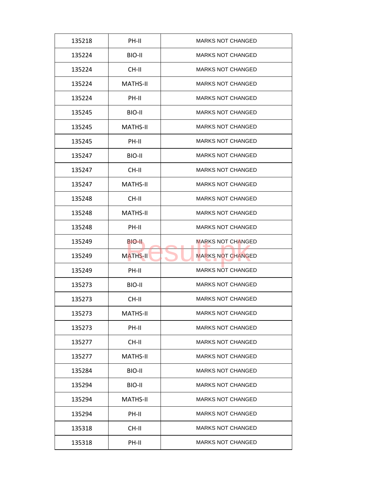| 135218 | PH-II           | <b>MARKS NOT CHANGED</b> |
|--------|-----------------|--------------------------|
| 135224 | BIO-II          | <b>MARKS NOT CHANGED</b> |
| 135224 | CH-II           | <b>MARKS NOT CHANGED</b> |
| 135224 | <b>MATHS-II</b> | <b>MARKS NOT CHANGED</b> |
| 135224 | PH-II           | <b>MARKS NOT CHANGED</b> |
| 135245 | BIO-II          | <b>MARKS NOT CHANGED</b> |
| 135245 | <b>MATHS-II</b> | <b>MARKS NOT CHANGED</b> |
| 135245 | PH-II           | <b>MARKS NOT CHANGED</b> |
| 135247 | BIO-II          | <b>MARKS NOT CHANGED</b> |
| 135247 | CH-II           | <b>MARKS NOT CHANGED</b> |
| 135247 | <b>MATHS-II</b> | <b>MARKS NOT CHANGED</b> |
| 135248 | CH-II           | <b>MARKS NOT CHANGED</b> |
| 135248 | <b>MATHS-II</b> | <b>MARKS NOT CHANGED</b> |
| 135248 | PH-II           | <b>MARKS NOT CHANGED</b> |
| 135249 | BIO-II.         | <b>MARKS NOT CHANGED</b> |
| 135249 | <b>MATHS-II</b> | <b>MARKS NOT CHANGED</b> |
| 135249 | PH-II           | <b>MARKS NOT CHANGED</b> |
| 135273 | BIO-II          | <b>MARKS NOT CHANGED</b> |
| 135273 | CH-II           | <b>MARKS NOT CHANGED</b> |
| 135273 | <b>MATHS-II</b> | <b>MARKS NOT CHANGED</b> |
| 135273 | PH-II           | <b>MARKS NOT CHANGED</b> |
| 135277 | CH-II           | <b>MARKS NOT CHANGED</b> |
| 135277 | <b>MATHS-II</b> | <b>MARKS NOT CHANGED</b> |
| 135284 | BIO-II          | <b>MARKS NOT CHANGED</b> |
| 135294 | BIO-II          | <b>MARKS NOT CHANGED</b> |
| 135294 | <b>MATHS-II</b> | <b>MARKS NOT CHANGED</b> |
| 135294 | PH-II           | <b>MARKS NOT CHANGED</b> |
| 135318 | CH-II           | <b>MARKS NOT CHANGED</b> |
| 135318 | PH-II           | <b>MARKS NOT CHANGED</b> |
|        |                 |                          |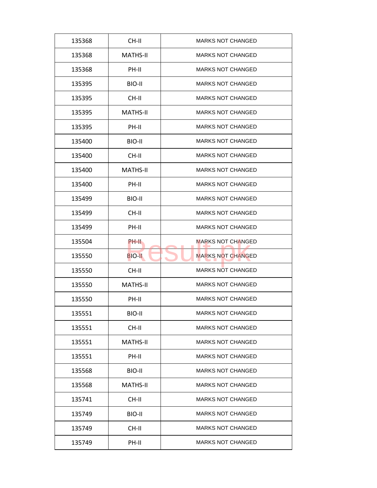| 135368 | CH-II           | <b>MARKS NOT CHANGED</b> |
|--------|-----------------|--------------------------|
| 135368 | MATHS-II        | <b>MARKS NOT CHANGED</b> |
| 135368 | PH-II           | <b>MARKS NOT CHANGED</b> |
| 135395 | BIO-II          | <b>MARKS NOT CHANGED</b> |
| 135395 | CH-II           | <b>MARKS NOT CHANGED</b> |
| 135395 | <b>MATHS-II</b> | <b>MARKS NOT CHANGED</b> |
| 135395 | PH-II           | <b>MARKS NOT CHANGED</b> |
| 135400 | BIO-II          | <b>MARKS NOT CHANGED</b> |
| 135400 | CH-II           | <b>MARKS NOT CHANGED</b> |
| 135400 | MATHS-II        | <b>MARKS NOT CHANGED</b> |
| 135400 | PH-II           | <b>MARKS NOT CHANGED</b> |
| 135499 | BIO-II          | <b>MARKS NOT CHANGED</b> |
| 135499 | CH-II           | <b>MARKS NOT CHANGED</b> |
| 135499 | PH-II           | <b>MARKS NOT CHANGED</b> |
| 135504 | <b>PH-II</b>    | <b>MARKS NOT CHANGED</b> |
| 135550 | <b>BIO-II</b>   | <b>MARKS NOT CHANGED</b> |
| 135550 | CH-II           | <b>MARKS NOT CHANGED</b> |
| 135550 | <b>MATHS-II</b> | <b>MARKS NOT CHANGED</b> |
| 135550 | PH-II           | <b>MARKS NOT CHANGED</b> |
| 135551 | BIO-II          | <b>MARKS NOT CHANGED</b> |
| 135551 | CH-II           | <b>MARKS NOT CHANGED</b> |
| 135551 | <b>MATHS-II</b> | <b>MARKS NOT CHANGED</b> |
| 135551 | PH-II           | <b>MARKS NOT CHANGED</b> |
| 135568 | BIO-II          | <b>MARKS NOT CHANGED</b> |
| 135568 | <b>MATHS-II</b> | <b>MARKS NOT CHANGED</b> |
| 135741 | CH-II           | <b>MARKS NOT CHANGED</b> |
| 135749 | BIO-II          | <b>MARKS NOT CHANGED</b> |
| 135749 | CH-II           | <b>MARKS NOT CHANGED</b> |
| 135749 | PH-II           | <b>MARKS NOT CHANGED</b> |
|        |                 |                          |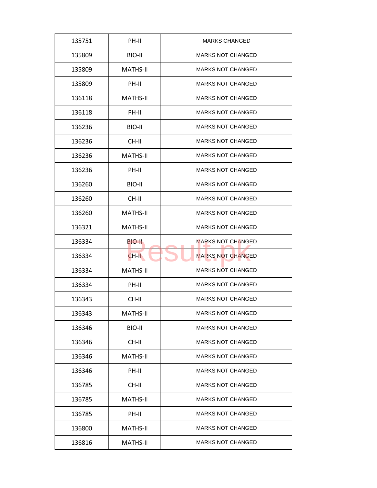| 135751 | PH-II           | <b>MARKS CHANGED</b>     |
|--------|-----------------|--------------------------|
| 135809 | BIO-II          | <b>MARKS NOT CHANGED</b> |
| 135809 | <b>MATHS-II</b> | <b>MARKS NOT CHANGED</b> |
| 135809 | PH-II           | <b>MARKS NOT CHANGED</b> |
| 136118 | <b>MATHS-II</b> | <b>MARKS NOT CHANGED</b> |
| 136118 | PH-II           | <b>MARKS NOT CHANGED</b> |
| 136236 | BIO-II          | <b>MARKS NOT CHANGED</b> |
| 136236 | CH-II           | <b>MARKS NOT CHANGED</b> |
| 136236 | <b>MATHS-II</b> | <b>MARKS NOT CHANGED</b> |
| 136236 | PH-II           | <b>MARKS NOT CHANGED</b> |
| 136260 | BIO-II          | <b>MARKS NOT CHANGED</b> |
| 136260 | CH-II           | <b>MARKS NOT CHANGED</b> |
| 136260 | <b>MATHS-II</b> | <b>MARKS NOT CHANGED</b> |
| 136321 | <b>MATHS-II</b> | <b>MARKS NOT CHANGED</b> |
| 136334 | BIO-II.         | <b>MARKS NOT CHANGED</b> |
| 136334 | CH-II           | <b>MARKS NOT CHANGED</b> |
| 136334 | <b>MATHS-II</b> | <b>MARKS NOT CHANGED</b> |
| 136334 | PH-II           | <b>MARKS NOT CHANGED</b> |
| 136343 | CH-II           | <b>MARKS NOT CHANGED</b> |
| 136343 | <b>MATHS-II</b> | <b>MARKS NOT CHANGED</b> |
| 136346 | BIO-II          | <b>MARKS NOT CHANGED</b> |
| 136346 | CH-II           | <b>MARKS NOT CHANGED</b> |
| 136346 | <b>MATHS-II</b> | <b>MARKS NOT CHANGED</b> |
| 136346 | PH-II           | <b>MARKS NOT CHANGED</b> |
| 136785 | CH-II           | <b>MARKS NOT CHANGED</b> |
| 136785 | <b>MATHS-II</b> | <b>MARKS NOT CHANGED</b> |
| 136785 | PH-II           | <b>MARKS NOT CHANGED</b> |
| 136800 | <b>MATHS-II</b> | <b>MARKS NOT CHANGED</b> |
| 136816 | <b>MATHS-II</b> | <b>MARKS NOT CHANGED</b> |
|        |                 |                          |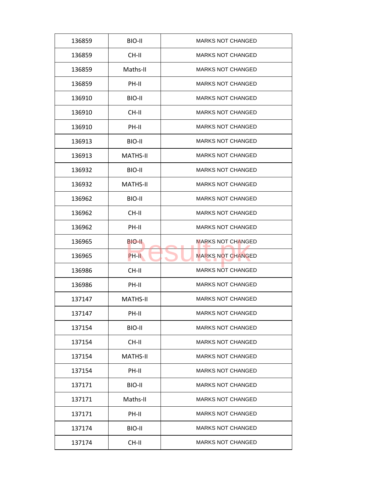| 136859 | BIO-II          | <b>MARKS NOT CHANGED</b> |
|--------|-----------------|--------------------------|
| 136859 | CH-II           | <b>MARKS NOT CHANGED</b> |
| 136859 | Maths-II        | <b>MARKS NOT CHANGED</b> |
| 136859 | PH-II           | <b>MARKS NOT CHANGED</b> |
| 136910 | BIO-II          | <b>MARKS NOT CHANGED</b> |
| 136910 | CH-II           | <b>MARKS NOT CHANGED</b> |
| 136910 | PH-II           | <b>MARKS NOT CHANGED</b> |
| 136913 | BIO-II          | <b>MARKS NOT CHANGED</b> |
| 136913 | <b>MATHS-II</b> | <b>MARKS NOT CHANGED</b> |
| 136932 | BIO-II          | <b>MARKS NOT CHANGED</b> |
| 136932 | <b>MATHS-II</b> | <b>MARKS NOT CHANGED</b> |
| 136962 | BIO-II          | <b>MARKS NOT CHANGED</b> |
| 136962 | CH-II           | <b>MARKS NOT CHANGED</b> |
| 136962 | PH-II           | <b>MARKS NOT CHANGED</b> |
| 136965 | BIO-II.         | <b>MARKS NOT CHANGED</b> |
| 136965 | PH-II           | <b>MARKS NOT CHANGED</b> |
| 136986 | CH-II           | <b>MARKS NOT CHANGED</b> |
| 136986 | PH-II           | <b>MARKS NOT CHANGED</b> |
| 137147 | <b>MATHS-II</b> | <b>MARKS NOT CHANGED</b> |
| 137147 | PH-II           | <b>MARKS NOT CHANGED</b> |
| 137154 | BIO-II          | <b>MARKS NOT CHANGED</b> |
| 137154 | CH-II           | <b>MARKS NOT CHANGED</b> |
| 137154 | <b>MATHS-II</b> | <b>MARKS NOT CHANGED</b> |
| 137154 | PH-II           | <b>MARKS NOT CHANGED</b> |
| 137171 | BIO-II          | <b>MARKS NOT CHANGED</b> |
| 137171 | Maths-II        | <b>MARKS NOT CHANGED</b> |
| 137171 | PH-II           | <b>MARKS NOT CHANGED</b> |
| 137174 | BIO-II          | <b>MARKS NOT CHANGED</b> |
| 137174 | CH-II           | <b>MARKS NOT CHANGED</b> |
|        |                 |                          |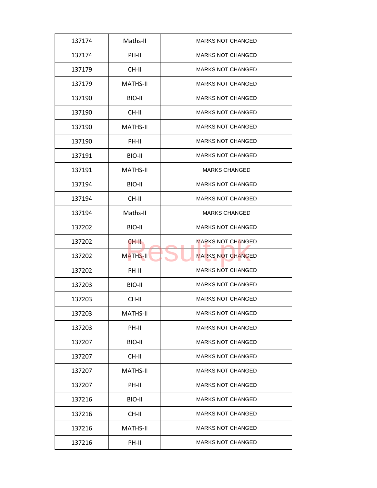| 137174 | Maths-II        | <b>MARKS NOT CHANGED</b> |
|--------|-----------------|--------------------------|
| 137174 | PH-II           | <b>MARKS NOT CHANGED</b> |
| 137179 | $CH-H$          | <b>MARKS NOT CHANGED</b> |
| 137179 | <b>MATHS-II</b> | <b>MARKS NOT CHANGED</b> |
| 137190 | BIO-II          | <b>MARKS NOT CHANGED</b> |
| 137190 | $CH-H$          | <b>MARKS NOT CHANGED</b> |
| 137190 | <b>MATHS-II</b> | <b>MARKS NOT CHANGED</b> |
| 137190 | PH-II           | <b>MARKS NOT CHANGED</b> |
| 137191 | BIO-II          | <b>MARKS NOT CHANGED</b> |
| 137191 | <b>MATHS-II</b> | <b>MARKS CHANGED</b>     |
| 137194 | BIO-II          | <b>MARKS NOT CHANGED</b> |
| 137194 | CH-II           | <b>MARKS NOT CHANGED</b> |
| 137194 | Maths-II        | <b>MARKS CHANGED</b>     |
| 137202 | BIO-II          | <b>MARKS NOT CHANGED</b> |
| 137202 | CH-II.          | <b>MARKS NOT CHANGED</b> |
| 137202 | <b>MATHS-II</b> | <b>MARKS NOT CHANGED</b> |
| 137202 | PH-II           | <b>MARKS NOT CHANGED</b> |
| 137203 | BIO-II          | <b>MARKS NOT CHANGED</b> |
| 137203 | CH-II           | <b>MARKS NOT CHANGED</b> |
| 137203 | <b>MATHS-II</b> | <b>MARKS NOT CHANGED</b> |
| 137203 | PH-II           | <b>MARKS NOT CHANGED</b> |
| 137207 | BIO-II          | <b>MARKS NOT CHANGED</b> |
| 137207 | CH-II           | <b>MARKS NOT CHANGED</b> |
| 137207 | <b>MATHS-II</b> | <b>MARKS NOT CHANGED</b> |
| 137207 | PH-II           | <b>MARKS NOT CHANGED</b> |
| 137216 | BIO-II          | <b>MARKS NOT CHANGED</b> |
| 137216 | CH-II           | <b>MARKS NOT CHANGED</b> |
|        |                 |                          |
| 137216 | <b>MATHS-II</b> | <b>MARKS NOT CHANGED</b> |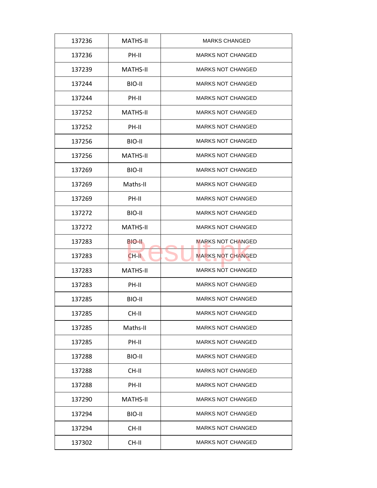| 137236 | <b>MATHS-II</b> | <b>MARKS CHANGED</b>     |
|--------|-----------------|--------------------------|
| 137236 | PH-II           | <b>MARKS NOT CHANGED</b> |
| 137239 | <b>MATHS-II</b> | <b>MARKS NOT CHANGED</b> |
| 137244 | BIO-II          | <b>MARKS NOT CHANGED</b> |
| 137244 | PH-II           | <b>MARKS NOT CHANGED</b> |
| 137252 | <b>MATHS-II</b> | <b>MARKS NOT CHANGED</b> |
| 137252 | PH-II           | <b>MARKS NOT CHANGED</b> |
| 137256 | BIO-II          | <b>MARKS NOT CHANGED</b> |
| 137256 | <b>MATHS-II</b> | <b>MARKS NOT CHANGED</b> |
| 137269 | BIO-II          | <b>MARKS NOT CHANGED</b> |
| 137269 | Maths-II        | <b>MARKS NOT CHANGED</b> |
| 137269 | PH-II           | <b>MARKS NOT CHANGED</b> |
| 137272 | BIO-II          | <b>MARKS NOT CHANGED</b> |
| 137272 | <b>MATHS-II</b> | <b>MARKS NOT CHANGED</b> |
| 137283 | BIO-II.         | <b>MARKS NOT CHANGED</b> |
| 137283 | CH-II           | <b>MARKS NOT CHANGED</b> |
| 137283 | <b>MATHS-II</b> | <b>MARKS NOT CHANGED</b> |
| 137283 | PH-II           | <b>MARKS NOT CHANGED</b> |
| 137285 | BIO-II          | <b>MARKS NOT CHANGED</b> |
| 137285 | CH-II           | <b>MARKS NOT CHANGED</b> |
| 137285 | Maths-II        | <b>MARKS NOT CHANGED</b> |
| 137285 | PH-II           | <b>MARKS NOT CHANGED</b> |
| 137288 | BIO-II          | <b>MARKS NOT CHANGED</b> |
| 137288 | CH-II           | <b>MARKS NOT CHANGED</b> |
| 137288 | PH-II           | <b>MARKS NOT CHANGED</b> |
| 137290 | MATHS-II        | <b>MARKS NOT CHANGED</b> |
| 137294 | BIO-II          | <b>MARKS NOT CHANGED</b> |
| 137294 | CH-II           | <b>MARKS NOT CHANGED</b> |
| 137302 | CH-II           | <b>MARKS NOT CHANGED</b> |
|        |                 |                          |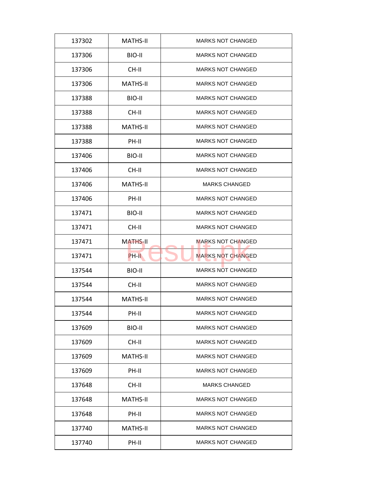| 137302 | <b>MATHS-II</b> | <b>MARKS NOT CHANGED</b> |
|--------|-----------------|--------------------------|
| 137306 | BIO-II          | <b>MARKS NOT CHANGED</b> |
| 137306 | CH-II           | <b>MARKS NOT CHANGED</b> |
| 137306 | <b>MATHS-II</b> | <b>MARKS NOT CHANGED</b> |
| 137388 | BIO-II          | <b>MARKS NOT CHANGED</b> |
| 137388 | CH-II           | <b>MARKS NOT CHANGED</b> |
| 137388 | <b>MATHS-II</b> | <b>MARKS NOT CHANGED</b> |
| 137388 | PH-II           | MARKS NOT CHANGED        |
| 137406 | BIO-II          | <b>MARKS NOT CHANGED</b> |
| 137406 | CH-II           | <b>MARKS NOT CHANGED</b> |
| 137406 | <b>MATHS-II</b> | <b>MARKS CHANGED</b>     |
| 137406 | PH-II           | <b>MARKS NOT CHANGED</b> |
| 137471 | BIO-II          | <b>MARKS NOT CHANGED</b> |
| 137471 | CH-II           | <b>MARKS NOT CHANGED</b> |
| 137471 | <b>MATHS-II</b> | MARKS NOT CHANGED        |
| 137471 | PH-II           | <b>MARKS NOT CHANGED</b> |
| 137544 | BIO-II          | MARKS NOT CHANGED        |
| 137544 | CH-II           | <b>MARKS NOT CHANGED</b> |
| 137544 | <b>MATHS-II</b> | <b>MARKS NOT CHANGED</b> |
| 137544 | PH-II           | <b>MARKS NOT CHANGED</b> |
| 137609 | BIO-II          | <b>MARKS NOT CHANGED</b> |
| 137609 | CH-II           | <b>MARKS NOT CHANGED</b> |
| 137609 | <b>MATHS-II</b> | <b>MARKS NOT CHANGED</b> |
| 137609 | PH-II           | <b>MARKS NOT CHANGED</b> |
| 137648 | CH-II           | <b>MARKS CHANGED</b>     |
| 137648 | <b>MATHS-II</b> | <b>MARKS NOT CHANGED</b> |
| 137648 | PH-II           | <b>MARKS NOT CHANGED</b> |
| 137740 | <b>MATHS-II</b> | <b>MARKS NOT CHANGED</b> |
| 137740 | PH-II           | <b>MARKS NOT CHANGED</b> |
|        |                 |                          |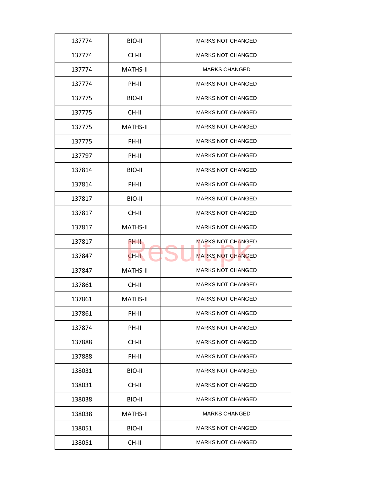| 137774 | BIO-II          | <b>MARKS NOT CHANGED</b> |
|--------|-----------------|--------------------------|
| 137774 | CH-II           | <b>MARKS NOT CHANGED</b> |
| 137774 | <b>MATHS-II</b> | <b>MARKS CHANGED</b>     |
| 137774 | PH-II           | <b>MARKS NOT CHANGED</b> |
| 137775 | BIO-II          | <b>MARKS NOT CHANGED</b> |
| 137775 | CH-II           | <b>MARKS NOT CHANGED</b> |
| 137775 | <b>MATHS-II</b> | <b>MARKS NOT CHANGED</b> |
| 137775 | PH-II           | <b>MARKS NOT CHANGED</b> |
| 137797 | PH-II           | <b>MARKS NOT CHANGED</b> |
| 137814 | BIO-II          | <b>MARKS NOT CHANGED</b> |
| 137814 | PH-II           | <b>MARKS NOT CHANGED</b> |
| 137817 | BIO-II          | <b>MARKS NOT CHANGED</b> |
| 137817 | CH-II           | <b>MARKS NOT CHANGED</b> |
| 137817 | <b>MATHS-II</b> | <b>MARKS NOT CHANGED</b> |
| 137817 | <b>PH-II</b>    | <b>MARKS NOT CHANGED</b> |
| 137847 | CH-II           | <b>MARKS NOT CHANGED</b> |
| 137847 | <b>MATHS-II</b> | <b>MARKS NOT CHANGED</b> |
| 137861 | CH-II           | <b>MARKS NOT CHANGED</b> |
| 137861 | <b>MATHS-II</b> | <b>MARKS NOT CHANGED</b> |
| 137861 | PH-II           | <b>MARKS NOT CHANGED</b> |
| 137874 | PH-II           | <b>MARKS NOT CHANGED</b> |
| 137888 | CH-II           | <b>MARKS NOT CHANGED</b> |
| 137888 | PH-II           | <b>MARKS NOT CHANGED</b> |
| 138031 | BIO-II          | <b>MARKS NOT CHANGED</b> |
| 138031 | CH-II           | <b>MARKS NOT CHANGED</b> |
| 138038 | BIO-II          | <b>MARKS NOT CHANGED</b> |
| 138038 | <b>MATHS-II</b> | <b>MARKS CHANGED</b>     |
| 138051 | BIO-II          | <b>MARKS NOT CHANGED</b> |
|        |                 |                          |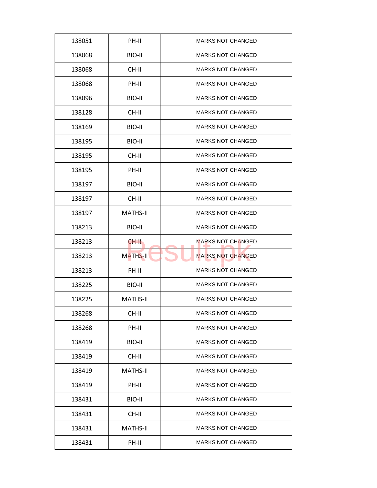| 138051 | PH-II           | <b>MARKS NOT CHANGED</b> |
|--------|-----------------|--------------------------|
| 138068 | BIO-II          | <b>MARKS NOT CHANGED</b> |
| 138068 | CH-II           | <b>MARKS NOT CHANGED</b> |
| 138068 | PH-II           | <b>MARKS NOT CHANGED</b> |
| 138096 | BIO-II          | <b>MARKS NOT CHANGED</b> |
| 138128 | CH-II           | <b>MARKS NOT CHANGED</b> |
| 138169 | BIO-II          | <b>MARKS NOT CHANGED</b> |
| 138195 | BIO-II          | <b>MARKS NOT CHANGED</b> |
| 138195 | CH-II           | <b>MARKS NOT CHANGED</b> |
| 138195 | PH-II           | <b>MARKS NOT CHANGED</b> |
| 138197 | BIO-II          | <b>MARKS NOT CHANGED</b> |
| 138197 | CH-II           | <b>MARKS NOT CHANGED</b> |
| 138197 | <b>MATHS-II</b> | <b>MARKS NOT CHANGED</b> |
| 138213 | BIO-II          | <b>MARKS NOT CHANGED</b> |
| 138213 | CH-II.          | <b>MARKS NOT CHANGED</b> |
| 138213 | <b>MATHS-II</b> | <b>MARKS NOT CHANGED</b> |
| 138213 | PH-II           | <b>MARKS NOT CHANGED</b> |
| 138225 | BIO-II          | <b>MARKS NOT CHANGED</b> |
| 138225 | <b>MATHS-II</b> | <b>MARKS NOT CHANGED</b> |
| 138268 | CH-II           | <b>MARKS NOT CHANGED</b> |
| 138268 | PH-II           | <b>MARKS NOT CHANGED</b> |
| 138419 | BIO-II          | <b>MARKS NOT CHANGED</b> |
| 138419 | CH-II           | <b>MARKS NOT CHANGED</b> |
| 138419 | <b>MATHS-II</b> | <b>MARKS NOT CHANGED</b> |
| 138419 | PH-II           | <b>MARKS NOT CHANGED</b> |
| 138431 | BIO-II          | <b>MARKS NOT CHANGED</b> |
| 138431 | CH-II           | <b>MARKS NOT CHANGED</b> |
| 138431 | <b>MATHS-II</b> | <b>MARKS NOT CHANGED</b> |
| 138431 | PH-II           | <b>MARKS NOT CHANGED</b> |
|        |                 |                          |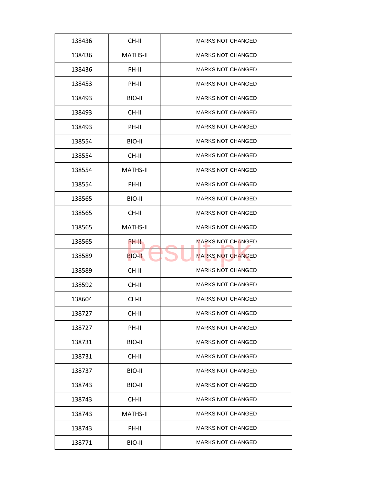| 138436 | CH-II           | <b>MARKS NOT CHANGED</b> |
|--------|-----------------|--------------------------|
| 138436 | <b>MATHS-II</b> | <b>MARKS NOT CHANGED</b> |
| 138436 | PH-II           | <b>MARKS NOT CHANGED</b> |
| 138453 | PH-II           | <b>MARKS NOT CHANGED</b> |
| 138493 | BIO-II          | <b>MARKS NOT CHANGED</b> |
| 138493 | CH-II           | <b>MARKS NOT CHANGED</b> |
| 138493 | PH-II           | <b>MARKS NOT CHANGED</b> |
| 138554 | BIO-II          | <b>MARKS NOT CHANGED</b> |
| 138554 | CH-II           | <b>MARKS NOT CHANGED</b> |
| 138554 | <b>MATHS-II</b> | <b>MARKS NOT CHANGED</b> |
| 138554 | PH-II           | <b>MARKS NOT CHANGED</b> |
| 138565 | BIO-II          | <b>MARKS NOT CHANGED</b> |
| 138565 | CH-II           | <b>MARKS NOT CHANGED</b> |
| 138565 | <b>MATHS-II</b> | <b>MARKS NOT CHANGED</b> |
| 138565 | PH-II           | <b>MARKS NOT CHANGED</b> |
| 138589 | <b>BIO-II</b>   | <b>MARKS NOT CHANGED</b> |
| 138589 | CH-II           | <b>MARKS NOT CHANGED</b> |
| 138592 | CH-II           | <b>MARKS NOT CHANGED</b> |
| 138604 | CH-II           | <b>MARKS NOT CHANGED</b> |
| 138727 | CH-II           | <b>MARKS NOT CHANGED</b> |
| 138727 | PH-II           | <b>MARKS NOT CHANGED</b> |
| 138731 | BIO-II          | <b>MARKS NOT CHANGED</b> |
| 138731 | CH-II           | <b>MARKS NOT CHANGED</b> |
| 138737 | BIO-II          | <b>MARKS NOT CHANGED</b> |
| 138743 | BIO-II          | <b>MARKS NOT CHANGED</b> |
| 138743 | CH-II           | <b>MARKS NOT CHANGED</b> |
| 138743 | <b>MATHS-II</b> | <b>MARKS NOT CHANGED</b> |
| 138743 | PH-II           | <b>MARKS NOT CHANGED</b> |
| 138771 | BIO-II          | <b>MARKS NOT CHANGED</b> |
|        |                 |                          |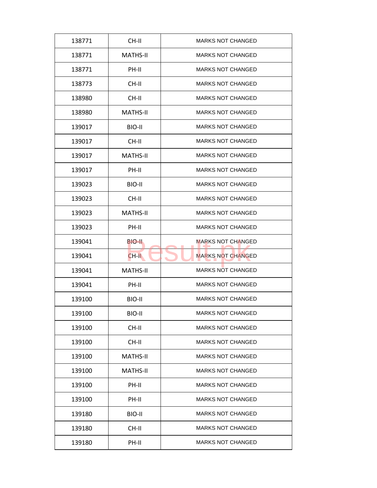| 138771 | CH-II           | <b>MARKS NOT CHANGED</b> |
|--------|-----------------|--------------------------|
| 138771 | <b>MATHS-II</b> | <b>MARKS NOT CHANGED</b> |
| 138771 | PH-II           | <b>MARKS NOT CHANGED</b> |
| 138773 | CH-II           | <b>MARKS NOT CHANGED</b> |
| 138980 | CH-II           | <b>MARKS NOT CHANGED</b> |
| 138980 | <b>MATHS-II</b> | <b>MARKS NOT CHANGED</b> |
| 139017 | BIO-II          | <b>MARKS NOT CHANGED</b> |
| 139017 | CH-II           | <b>MARKS NOT CHANGED</b> |
| 139017 | <b>MATHS-II</b> | <b>MARKS NOT CHANGED</b> |
| 139017 | PH-II           | <b>MARKS NOT CHANGED</b> |
| 139023 | BIO-II          | <b>MARKS NOT CHANGED</b> |
| 139023 | CH-II           | <b>MARKS NOT CHANGED</b> |
| 139023 | <b>MATHS-II</b> | <b>MARKS NOT CHANGED</b> |
| 139023 | PH-II           | <b>MARKS NOT CHANGED</b> |
| 139041 | BIO-II          | <b>MARKS NOT CHANGED</b> |
| 139041 | CH-II           | <b>MARKS NOT CHANGED</b> |
| 139041 | <b>MATHS-II</b> | <b>MARKS NOT CHANGED</b> |
| 139041 | PH-II           | <b>MARKS NOT CHANGED</b> |
| 139100 | BIO-II          | <b>MARKS NOT CHANGED</b> |
| 139100 | BIO-II          | <b>MARKS NOT CHANGED</b> |
| 139100 | CH-II           | <b>MARKS NOT CHANGED</b> |
| 139100 | CH-II           | <b>MARKS NOT CHANGED</b> |
| 139100 | <b>MATHS-II</b> | <b>MARKS NOT CHANGED</b> |
| 139100 | <b>MATHS-II</b> | <b>MARKS NOT CHANGED</b> |
| 139100 | PH-II           | <b>MARKS NOT CHANGED</b> |
| 139100 | PH-II           | <b>MARKS NOT CHANGED</b> |
|        |                 |                          |
| 139180 | BIO-II          | <b>MARKS NOT CHANGED</b> |
| 139180 | CH-II           | <b>MARKS NOT CHANGED</b> |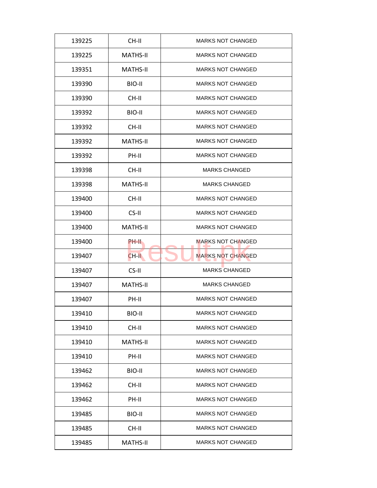| CH-II<br><b>MARKS NOT CHANGED</b><br>139225<br><b>MARKS NOT CHANGED</b><br>139225<br><b>MATHS-II</b><br><b>MATHS-II</b><br><b>MARKS NOT CHANGED</b><br>139351<br><b>MARKS NOT CHANGED</b><br>BIO-II<br>139390<br>139390<br>CH-II<br><b>MARKS NOT CHANGED</b><br><b>MARKS NOT CHANGED</b><br>BIO-II<br>139392<br><b>MARKS NOT CHANGED</b><br>139392<br>CH-II<br><b>MATHS-II</b><br><b>MARKS NOT CHANGED</b><br>139392<br>PH-II<br><b>MARKS NOT CHANGED</b><br>139392<br><b>MARKS CHANGED</b><br>139398<br>CH-II<br><b>MATHS-II</b><br>139398<br><b>MARKS CHANGED</b><br><b>MARKS NOT CHANGED</b><br>139400<br>CH-II<br>CS-II<br><b>MARKS NOT CHANGED</b><br>139400<br><b>MARKS NOT CHANGED</b><br>139400<br><b>MATHS-II</b><br><b>MARKS NOT CHANGED</b><br>139400<br>PH-II<br><b>MARKS NOT CHANGED</b><br>139407<br>CH-II<br>CS-II<br><b>MARKS CHANGED</b><br>139407<br>139407<br><b>MATHS-II</b><br><b>MARKS CHANGED</b><br>PH-II<br><b>MARKS NOT CHANGED</b><br>139407<br>139410<br>BIO-II<br><b>MARKS NOT CHANGED</b><br>139410<br>CH-II<br><b>MARKS NOT CHANGED</b><br><b>MATHS-II</b><br><b>MARKS NOT CHANGED</b><br>139410<br><b>MARKS NOT CHANGED</b><br>PH-II<br>139410<br>139462<br>BIO-II<br><b>MARKS NOT CHANGED</b><br><b>MARKS NOT CHANGED</b><br>CH-II<br>139462<br><b>MARKS NOT CHANGED</b><br>139462<br>PH-II<br><b>MARKS NOT CHANGED</b><br>BIO-II<br>139485<br><b>MARKS NOT CHANGED</b><br>139485<br>CH-II<br>139485<br>MATHS-II<br><b>MARKS NOT CHANGED</b> |  |  |
|-------------------------------------------------------------------------------------------------------------------------------------------------------------------------------------------------------------------------------------------------------------------------------------------------------------------------------------------------------------------------------------------------------------------------------------------------------------------------------------------------------------------------------------------------------------------------------------------------------------------------------------------------------------------------------------------------------------------------------------------------------------------------------------------------------------------------------------------------------------------------------------------------------------------------------------------------------------------------------------------------------------------------------------------------------------------------------------------------------------------------------------------------------------------------------------------------------------------------------------------------------------------------------------------------------------------------------------------------------------------------------------------------------------------------------------------------------------------------------|--|--|
|                                                                                                                                                                                                                                                                                                                                                                                                                                                                                                                                                                                                                                                                                                                                                                                                                                                                                                                                                                                                                                                                                                                                                                                                                                                                                                                                                                                                                                                                               |  |  |
|                                                                                                                                                                                                                                                                                                                                                                                                                                                                                                                                                                                                                                                                                                                                                                                                                                                                                                                                                                                                                                                                                                                                                                                                                                                                                                                                                                                                                                                                               |  |  |
|                                                                                                                                                                                                                                                                                                                                                                                                                                                                                                                                                                                                                                                                                                                                                                                                                                                                                                                                                                                                                                                                                                                                                                                                                                                                                                                                                                                                                                                                               |  |  |
|                                                                                                                                                                                                                                                                                                                                                                                                                                                                                                                                                                                                                                                                                                                                                                                                                                                                                                                                                                                                                                                                                                                                                                                                                                                                                                                                                                                                                                                                               |  |  |
|                                                                                                                                                                                                                                                                                                                                                                                                                                                                                                                                                                                                                                                                                                                                                                                                                                                                                                                                                                                                                                                                                                                                                                                                                                                                                                                                                                                                                                                                               |  |  |
|                                                                                                                                                                                                                                                                                                                                                                                                                                                                                                                                                                                                                                                                                                                                                                                                                                                                                                                                                                                                                                                                                                                                                                                                                                                                                                                                                                                                                                                                               |  |  |
|                                                                                                                                                                                                                                                                                                                                                                                                                                                                                                                                                                                                                                                                                                                                                                                                                                                                                                                                                                                                                                                                                                                                                                                                                                                                                                                                                                                                                                                                               |  |  |
|                                                                                                                                                                                                                                                                                                                                                                                                                                                                                                                                                                                                                                                                                                                                                                                                                                                                                                                                                                                                                                                                                                                                                                                                                                                                                                                                                                                                                                                                               |  |  |
|                                                                                                                                                                                                                                                                                                                                                                                                                                                                                                                                                                                                                                                                                                                                                                                                                                                                                                                                                                                                                                                                                                                                                                                                                                                                                                                                                                                                                                                                               |  |  |
|                                                                                                                                                                                                                                                                                                                                                                                                                                                                                                                                                                                                                                                                                                                                                                                                                                                                                                                                                                                                                                                                                                                                                                                                                                                                                                                                                                                                                                                                               |  |  |
|                                                                                                                                                                                                                                                                                                                                                                                                                                                                                                                                                                                                                                                                                                                                                                                                                                                                                                                                                                                                                                                                                                                                                                                                                                                                                                                                                                                                                                                                               |  |  |
|                                                                                                                                                                                                                                                                                                                                                                                                                                                                                                                                                                                                                                                                                                                                                                                                                                                                                                                                                                                                                                                                                                                                                                                                                                                                                                                                                                                                                                                                               |  |  |
|                                                                                                                                                                                                                                                                                                                                                                                                                                                                                                                                                                                                                                                                                                                                                                                                                                                                                                                                                                                                                                                                                                                                                                                                                                                                                                                                                                                                                                                                               |  |  |
|                                                                                                                                                                                                                                                                                                                                                                                                                                                                                                                                                                                                                                                                                                                                                                                                                                                                                                                                                                                                                                                                                                                                                                                                                                                                                                                                                                                                                                                                               |  |  |
|                                                                                                                                                                                                                                                                                                                                                                                                                                                                                                                                                                                                                                                                                                                                                                                                                                                                                                                                                                                                                                                                                                                                                                                                                                                                                                                                                                                                                                                                               |  |  |
|                                                                                                                                                                                                                                                                                                                                                                                                                                                                                                                                                                                                                                                                                                                                                                                                                                                                                                                                                                                                                                                                                                                                                                                                                                                                                                                                                                                                                                                                               |  |  |
|                                                                                                                                                                                                                                                                                                                                                                                                                                                                                                                                                                                                                                                                                                                                                                                                                                                                                                                                                                                                                                                                                                                                                                                                                                                                                                                                                                                                                                                                               |  |  |
|                                                                                                                                                                                                                                                                                                                                                                                                                                                                                                                                                                                                                                                                                                                                                                                                                                                                                                                                                                                                                                                                                                                                                                                                                                                                                                                                                                                                                                                                               |  |  |
|                                                                                                                                                                                                                                                                                                                                                                                                                                                                                                                                                                                                                                                                                                                                                                                                                                                                                                                                                                                                                                                                                                                                                                                                                                                                                                                                                                                                                                                                               |  |  |
|                                                                                                                                                                                                                                                                                                                                                                                                                                                                                                                                                                                                                                                                                                                                                                                                                                                                                                                                                                                                                                                                                                                                                                                                                                                                                                                                                                                                                                                                               |  |  |
|                                                                                                                                                                                                                                                                                                                                                                                                                                                                                                                                                                                                                                                                                                                                                                                                                                                                                                                                                                                                                                                                                                                                                                                                                                                                                                                                                                                                                                                                               |  |  |
|                                                                                                                                                                                                                                                                                                                                                                                                                                                                                                                                                                                                                                                                                                                                                                                                                                                                                                                                                                                                                                                                                                                                                                                                                                                                                                                                                                                                                                                                               |  |  |
|                                                                                                                                                                                                                                                                                                                                                                                                                                                                                                                                                                                                                                                                                                                                                                                                                                                                                                                                                                                                                                                                                                                                                                                                                                                                                                                                                                                                                                                                               |  |  |
|                                                                                                                                                                                                                                                                                                                                                                                                                                                                                                                                                                                                                                                                                                                                                                                                                                                                                                                                                                                                                                                                                                                                                                                                                                                                                                                                                                                                                                                                               |  |  |
|                                                                                                                                                                                                                                                                                                                                                                                                                                                                                                                                                                                                                                                                                                                                                                                                                                                                                                                                                                                                                                                                                                                                                                                                                                                                                                                                                                                                                                                                               |  |  |
|                                                                                                                                                                                                                                                                                                                                                                                                                                                                                                                                                                                                                                                                                                                                                                                                                                                                                                                                                                                                                                                                                                                                                                                                                                                                                                                                                                                                                                                                               |  |  |
|                                                                                                                                                                                                                                                                                                                                                                                                                                                                                                                                                                                                                                                                                                                                                                                                                                                                                                                                                                                                                                                                                                                                                                                                                                                                                                                                                                                                                                                                               |  |  |
|                                                                                                                                                                                                                                                                                                                                                                                                                                                                                                                                                                                                                                                                                                                                                                                                                                                                                                                                                                                                                                                                                                                                                                                                                                                                                                                                                                                                                                                                               |  |  |
|                                                                                                                                                                                                                                                                                                                                                                                                                                                                                                                                                                                                                                                                                                                                                                                                                                                                                                                                                                                                                                                                                                                                                                                                                                                                                                                                                                                                                                                                               |  |  |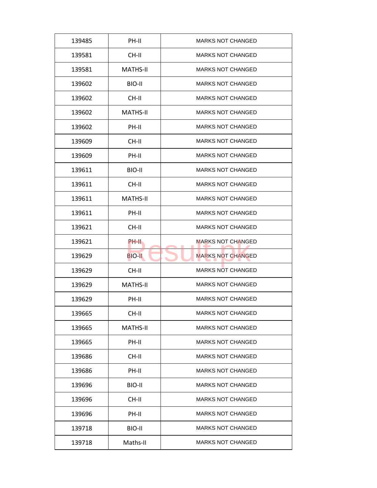| 139485 | PH-II           | <b>MARKS NOT CHANGED</b> |
|--------|-----------------|--------------------------|
| 139581 | CH-II           | <b>MARKS NOT CHANGED</b> |
| 139581 | <b>MATHS-II</b> | <b>MARKS NOT CHANGED</b> |
| 139602 | BIO-II          | <b>MARKS NOT CHANGED</b> |
| 139602 | CH-II           | <b>MARKS NOT CHANGED</b> |
| 139602 | <b>MATHS-II</b> | <b>MARKS NOT CHANGED</b> |
| 139602 | PH-II           | <b>MARKS NOT CHANGED</b> |
| 139609 | CH-II           | <b>MARKS NOT CHANGED</b> |
| 139609 | PH-II           | <b>MARKS NOT CHANGED</b> |
| 139611 | BIO-II          | <b>MARKS NOT CHANGED</b> |
| 139611 | CH-II           | <b>MARKS NOT CHANGED</b> |
| 139611 | <b>MATHS-II</b> | <b>MARKS NOT CHANGED</b> |
| 139611 | PH-II           | <b>MARKS NOT CHANGED</b> |
| 139621 | CH-II           | <b>MARKS NOT CHANGED</b> |
| 139621 | <b>PH-II</b>    | <b>MARKS NOT CHANGED</b> |
| 139629 | <b>BIO-II</b>   | <b>MARKS NOT CHANGED</b> |
| 139629 | CH-II           | <b>MARKS NOT CHANGED</b> |
| 139629 | <b>MATHS-II</b> | <b>MARKS NOT CHANGED</b> |
| 139629 | PH-II           | <b>MARKS NOT CHANGED</b> |
| 139665 | CH-II           | <b>MARKS NOT CHANGED</b> |
| 139665 | <b>MATHS-II</b> | <b>MARKS NOT CHANGED</b> |
| 139665 | PH-II           | <b>MARKS NOT CHANGED</b> |
| 139686 | CH-II           | <b>MARKS NOT CHANGED</b> |
| 139686 | PH-II           | <b>MARKS NOT CHANGED</b> |
| 139696 | BIO-II          | <b>MARKS NOT CHANGED</b> |
| 139696 | CH-II           | <b>MARKS NOT CHANGED</b> |
| 139696 | PH-II           | <b>MARKS NOT CHANGED</b> |
| 139718 | BIO-II          | <b>MARKS NOT CHANGED</b> |
|        |                 |                          |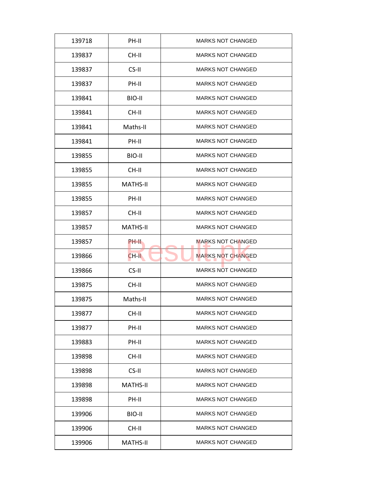| 139718 | PH-II           | <b>MARKS NOT CHANGED</b> |
|--------|-----------------|--------------------------|
| 139837 | CH-II           | <b>MARKS NOT CHANGED</b> |
| 139837 | CS-II           | <b>MARKS NOT CHANGED</b> |
| 139837 | PH-II           | <b>MARKS NOT CHANGED</b> |
| 139841 | BIO-II          | <b>MARKS NOT CHANGED</b> |
| 139841 | $CH-H$          | <b>MARKS NOT CHANGED</b> |
| 139841 | Maths-II        | <b>MARKS NOT CHANGED</b> |
| 139841 | PH-II           | <b>MARKS NOT CHANGED</b> |
| 139855 | BIO-II          | <b>MARKS NOT CHANGED</b> |
| 139855 | CH-II           | <b>MARKS NOT CHANGED</b> |
| 139855 | <b>MATHS-II</b> | <b>MARKS NOT CHANGED</b> |
| 139855 | PH-II           | <b>MARKS NOT CHANGED</b> |
| 139857 | CH-II           | <b>MARKS NOT CHANGED</b> |
| 139857 | <b>MATHS-II</b> | <b>MARKS NOT CHANGED</b> |
| 139857 | PH-II           | <b>MARKS NOT CHANGED</b> |
| 139866 | CH-II           | <b>MARKS NOT CHANGED</b> |
| 139866 | CS-II           | <b>MARKS NOT CHANGED</b> |
| 139875 | CH-II           | <b>MARKS NOT CHANGED</b> |
| 139875 | Maths-II        | <b>MARKS NOT CHANGED</b> |
| 139877 | CH-II           | <b>MARKS NOT CHANGED</b> |
| 139877 | PH-II           | <b>MARKS NOT CHANGED</b> |
| 139883 | PH-II           | <b>MARKS NOT CHANGED</b> |
| 139898 | CH-II           | <b>MARKS NOT CHANGED</b> |
| 139898 | CS-II           | <b>MARKS NOT CHANGED</b> |
| 139898 | <b>MATHS-II</b> | <b>MARKS NOT CHANGED</b> |
| 139898 | PH-II           | <b>MARKS NOT CHANGED</b> |
| 139906 | BIO-II          | <b>MARKS NOT CHANGED</b> |
| 139906 | CH-II           | <b>MARKS NOT CHANGED</b> |
|        |                 |                          |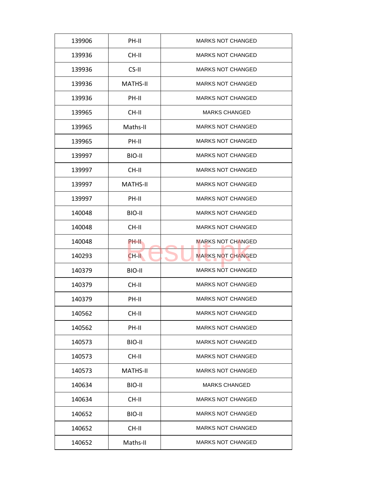| 139906 | PH-II           | <b>MARKS NOT CHANGED</b> |
|--------|-----------------|--------------------------|
| 139936 | CH-II           | <b>MARKS NOT CHANGED</b> |
| 139936 | CS-II           | <b>MARKS NOT CHANGED</b> |
| 139936 | <b>MATHS-II</b> | <b>MARKS NOT CHANGED</b> |
| 139936 | PH-II           | MARKS NOT CHANGED        |
| 139965 | CH-II           | <b>MARKS CHANGED</b>     |
| 139965 | Maths-II        | MARKS NOT CHANGED        |
| 139965 | PH-II           | <b>MARKS NOT CHANGED</b> |
| 139997 | BIO-II          | <b>MARKS NOT CHANGED</b> |
| 139997 | CH-II           | <b>MARKS NOT CHANGED</b> |
| 139997 | <b>MATHS-II</b> | <b>MARKS NOT CHANGED</b> |
| 139997 | PH-II           | <b>MARKS NOT CHANGED</b> |
| 140048 | BIO-II          | <b>MARKS NOT CHANGED</b> |
| 140048 | CH-II           | <b>MARKS NOT CHANGED</b> |
| 140048 | PH-II           | MARKS NOT CHANGED        |
| 140293 | CH-II           | <b>MARKS NOT CHANGED</b> |
| 140379 | BIO-II          | <b>MARKS NOT CHANGED</b> |
| 140379 | CH-II           | <b>MARKS NOT CHANGED</b> |
| 140379 | PH-II           | <b>MARKS NOT CHANGED</b> |
| 140562 | CH-II           | <b>MARKS NOT CHANGED</b> |
| 140562 | PH-II           | <b>MARKS NOT CHANGED</b> |
| 140573 | BIO-II          | <b>MARKS NOT CHANGED</b> |
| 140573 | CH-II           | <b>MARKS NOT CHANGED</b> |
| 140573 | <b>MATHS-II</b> | <b>MARKS NOT CHANGED</b> |
| 140634 | BIO-II          | <b>MARKS CHANGED</b>     |
| 140634 | CH-II           | <b>MARKS NOT CHANGED</b> |
| 140652 | BIO-II          | <b>MARKS NOT CHANGED</b> |
| 140652 | CH-II           | <b>MARKS NOT CHANGED</b> |
| 140652 | Maths-II        | <b>MARKS NOT CHANGED</b> |
|        |                 |                          |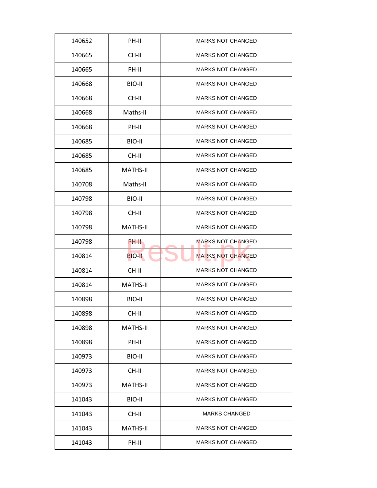| 140652 | PH-II           | <b>MARKS NOT CHANGED</b> |
|--------|-----------------|--------------------------|
| 140665 | CH-II           | <b>MARKS NOT CHANGED</b> |
| 140665 | PH-II           | <b>MARKS NOT CHANGED</b> |
| 140668 | BIO-II          | <b>MARKS NOT CHANGED</b> |
| 140668 | CH-II           | <b>MARKS NOT CHANGED</b> |
| 140668 | Maths-II        | <b>MARKS NOT CHANGED</b> |
| 140668 | PH-II           | <b>MARKS NOT CHANGED</b> |
| 140685 | BIO-II          | <b>MARKS NOT CHANGED</b> |
| 140685 | CH-II           | <b>MARKS NOT CHANGED</b> |
| 140685 | <b>MATHS-II</b> | <b>MARKS NOT CHANGED</b> |
| 140708 | Maths-II        | <b>MARKS NOT CHANGED</b> |
| 140798 | BIO-II          | <b>MARKS NOT CHANGED</b> |
| 140798 | CH-II           | <b>MARKS NOT CHANGED</b> |
| 140798 | <b>MATHS-II</b> | <b>MARKS NOT CHANGED</b> |
| 140798 | PH-II           | <b>MARKS NOT CHANGED</b> |
| 140814 | <b>BIO-II</b>   | <b>MARKS NOT CHANGED</b> |
| 140814 | CH-II           | <b>MARKS NOT CHANGED</b> |
| 140814 | <b>MATHS-II</b> | <b>MARKS NOT CHANGED</b> |
| 140898 | BIO-II          | <b>MARKS NOT CHANGED</b> |
| 140898 | CH-II           | <b>MARKS NOT CHANGED</b> |
| 140898 | <b>MATHS-II</b> | <b>MARKS NOT CHANGED</b> |
| 140898 | PH-II           | <b>MARKS NOT CHANGED</b> |
| 140973 | BIO-II          | <b>MARKS NOT CHANGED</b> |
| 140973 | CH-II           | <b>MARKS NOT CHANGED</b> |
| 140973 | <b>MATHS-II</b> | <b>MARKS NOT CHANGED</b> |
| 141043 | BIO-II          | <b>MARKS NOT CHANGED</b> |
| 141043 | CH-II           | <b>MARKS CHANGED</b>     |
| 141043 | <b>MATHS-II</b> | <b>MARKS NOT CHANGED</b> |
| 141043 | PH-II           | <b>MARKS NOT CHANGED</b> |
|        |                 |                          |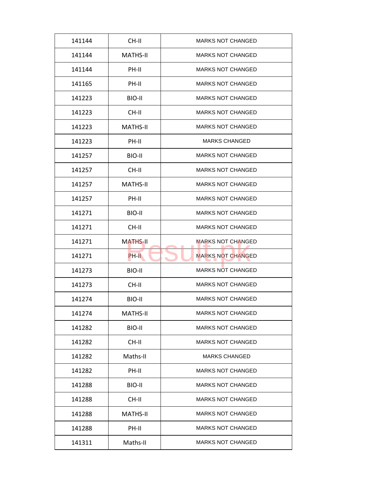| CH-II<br><b>MARKS NOT CHANGED</b><br>141144<br><b>MARKS NOT CHANGED</b><br>141144<br>MATHS-II<br>PH-II<br><b>MARKS NOT CHANGED</b><br>141144<br><b>MARKS NOT CHANGED</b><br>PH-II<br>141165<br>141223<br>BIO-II<br><b>MARKS NOT CHANGED</b><br><b>MARKS NOT CHANGED</b><br>141223<br>$CH-H$<br>141223<br><b>MATHS-II</b><br><b>MARKS NOT CHANGED</b><br>141223<br>PH-II<br><b>MARKS CHANGED</b><br>141257<br>BIO-II<br><b>MARKS NOT CHANGED</b><br><b>MARKS NOT CHANGED</b><br>141257<br>CH-II<br><b>MATHS-II</b><br>141257<br><b>MARKS NOT CHANGED</b><br><b>MARKS NOT CHANGED</b><br>141257<br>PH-II<br>BIO-II<br><b>MARKS NOT CHANGED</b><br>141271<br><b>MARKS NOT CHANGED</b><br>141271<br>CH-II<br><b>MARKS NOT CHANGED</b><br>141271<br><b>MATHS-II</b><br><b>MARKS NOT CHANGED</b><br>141271<br>PH-II<br><b>MARKS NOT CHANGED</b><br>141273<br>BIO-II<br><b>MARKS NOT CHANGED</b><br>141273<br>CH-II<br><b>MARKS NOT CHANGED</b><br>141274<br>BIO-II<br>141274<br><b>MARKS NOT CHANGED</b><br><b>MATHS-II</b><br>141282<br>BIO-II<br><b>MARKS NOT CHANGED</b><br>141282<br>CH-II<br><b>MARKS NOT CHANGED</b><br>141282<br>Maths-II<br><b>MARKS CHANGED</b><br>141282<br>PH-II<br><b>MARKS NOT CHANGED</b><br><b>MARKS NOT CHANGED</b><br>141288<br>BIO-II<br><b>MARKS NOT CHANGED</b><br>141288<br>CH-II<br><b>MARKS NOT CHANGED</b><br><b>MATHS-II</b><br>141288<br><b>MARKS NOT CHANGED</b><br>141288<br>PH-II<br>141311<br>Maths-II<br><b>MARKS NOT CHANGED</b> |  |  |
|----------------------------------------------------------------------------------------------------------------------------------------------------------------------------------------------------------------------------------------------------------------------------------------------------------------------------------------------------------------------------------------------------------------------------------------------------------------------------------------------------------------------------------------------------------------------------------------------------------------------------------------------------------------------------------------------------------------------------------------------------------------------------------------------------------------------------------------------------------------------------------------------------------------------------------------------------------------------------------------------------------------------------------------------------------------------------------------------------------------------------------------------------------------------------------------------------------------------------------------------------------------------------------------------------------------------------------------------------------------------------------------------------------------------------------------------------------------------------|--|--|
|                                                                                                                                                                                                                                                                                                                                                                                                                                                                                                                                                                                                                                                                                                                                                                                                                                                                                                                                                                                                                                                                                                                                                                                                                                                                                                                                                                                                                                                                            |  |  |
|                                                                                                                                                                                                                                                                                                                                                                                                                                                                                                                                                                                                                                                                                                                                                                                                                                                                                                                                                                                                                                                                                                                                                                                                                                                                                                                                                                                                                                                                            |  |  |
|                                                                                                                                                                                                                                                                                                                                                                                                                                                                                                                                                                                                                                                                                                                                                                                                                                                                                                                                                                                                                                                                                                                                                                                                                                                                                                                                                                                                                                                                            |  |  |
|                                                                                                                                                                                                                                                                                                                                                                                                                                                                                                                                                                                                                                                                                                                                                                                                                                                                                                                                                                                                                                                                                                                                                                                                                                                                                                                                                                                                                                                                            |  |  |
|                                                                                                                                                                                                                                                                                                                                                                                                                                                                                                                                                                                                                                                                                                                                                                                                                                                                                                                                                                                                                                                                                                                                                                                                                                                                                                                                                                                                                                                                            |  |  |
|                                                                                                                                                                                                                                                                                                                                                                                                                                                                                                                                                                                                                                                                                                                                                                                                                                                                                                                                                                                                                                                                                                                                                                                                                                                                                                                                                                                                                                                                            |  |  |
|                                                                                                                                                                                                                                                                                                                                                                                                                                                                                                                                                                                                                                                                                                                                                                                                                                                                                                                                                                                                                                                                                                                                                                                                                                                                                                                                                                                                                                                                            |  |  |
|                                                                                                                                                                                                                                                                                                                                                                                                                                                                                                                                                                                                                                                                                                                                                                                                                                                                                                                                                                                                                                                                                                                                                                                                                                                                                                                                                                                                                                                                            |  |  |
|                                                                                                                                                                                                                                                                                                                                                                                                                                                                                                                                                                                                                                                                                                                                                                                                                                                                                                                                                                                                                                                                                                                                                                                                                                                                                                                                                                                                                                                                            |  |  |
|                                                                                                                                                                                                                                                                                                                                                                                                                                                                                                                                                                                                                                                                                                                                                                                                                                                                                                                                                                                                                                                                                                                                                                                                                                                                                                                                                                                                                                                                            |  |  |
|                                                                                                                                                                                                                                                                                                                                                                                                                                                                                                                                                                                                                                                                                                                                                                                                                                                                                                                                                                                                                                                                                                                                                                                                                                                                                                                                                                                                                                                                            |  |  |
|                                                                                                                                                                                                                                                                                                                                                                                                                                                                                                                                                                                                                                                                                                                                                                                                                                                                                                                                                                                                                                                                                                                                                                                                                                                                                                                                                                                                                                                                            |  |  |
|                                                                                                                                                                                                                                                                                                                                                                                                                                                                                                                                                                                                                                                                                                                                                                                                                                                                                                                                                                                                                                                                                                                                                                                                                                                                                                                                                                                                                                                                            |  |  |
|                                                                                                                                                                                                                                                                                                                                                                                                                                                                                                                                                                                                                                                                                                                                                                                                                                                                                                                                                                                                                                                                                                                                                                                                                                                                                                                                                                                                                                                                            |  |  |
|                                                                                                                                                                                                                                                                                                                                                                                                                                                                                                                                                                                                                                                                                                                                                                                                                                                                                                                                                                                                                                                                                                                                                                                                                                                                                                                                                                                                                                                                            |  |  |
|                                                                                                                                                                                                                                                                                                                                                                                                                                                                                                                                                                                                                                                                                                                                                                                                                                                                                                                                                                                                                                                                                                                                                                                                                                                                                                                                                                                                                                                                            |  |  |
|                                                                                                                                                                                                                                                                                                                                                                                                                                                                                                                                                                                                                                                                                                                                                                                                                                                                                                                                                                                                                                                                                                                                                                                                                                                                                                                                                                                                                                                                            |  |  |
|                                                                                                                                                                                                                                                                                                                                                                                                                                                                                                                                                                                                                                                                                                                                                                                                                                                                                                                                                                                                                                                                                                                                                                                                                                                                                                                                                                                                                                                                            |  |  |
|                                                                                                                                                                                                                                                                                                                                                                                                                                                                                                                                                                                                                                                                                                                                                                                                                                                                                                                                                                                                                                                                                                                                                                                                                                                                                                                                                                                                                                                                            |  |  |
|                                                                                                                                                                                                                                                                                                                                                                                                                                                                                                                                                                                                                                                                                                                                                                                                                                                                                                                                                                                                                                                                                                                                                                                                                                                                                                                                                                                                                                                                            |  |  |
|                                                                                                                                                                                                                                                                                                                                                                                                                                                                                                                                                                                                                                                                                                                                                                                                                                                                                                                                                                                                                                                                                                                                                                                                                                                                                                                                                                                                                                                                            |  |  |
|                                                                                                                                                                                                                                                                                                                                                                                                                                                                                                                                                                                                                                                                                                                                                                                                                                                                                                                                                                                                                                                                                                                                                                                                                                                                                                                                                                                                                                                                            |  |  |
|                                                                                                                                                                                                                                                                                                                                                                                                                                                                                                                                                                                                                                                                                                                                                                                                                                                                                                                                                                                                                                                                                                                                                                                                                                                                                                                                                                                                                                                                            |  |  |
|                                                                                                                                                                                                                                                                                                                                                                                                                                                                                                                                                                                                                                                                                                                                                                                                                                                                                                                                                                                                                                                                                                                                                                                                                                                                                                                                                                                                                                                                            |  |  |
|                                                                                                                                                                                                                                                                                                                                                                                                                                                                                                                                                                                                                                                                                                                                                                                                                                                                                                                                                                                                                                                                                                                                                                                                                                                                                                                                                                                                                                                                            |  |  |
|                                                                                                                                                                                                                                                                                                                                                                                                                                                                                                                                                                                                                                                                                                                                                                                                                                                                                                                                                                                                                                                                                                                                                                                                                                                                                                                                                                                                                                                                            |  |  |
|                                                                                                                                                                                                                                                                                                                                                                                                                                                                                                                                                                                                                                                                                                                                                                                                                                                                                                                                                                                                                                                                                                                                                                                                                                                                                                                                                                                                                                                                            |  |  |
|                                                                                                                                                                                                                                                                                                                                                                                                                                                                                                                                                                                                                                                                                                                                                                                                                                                                                                                                                                                                                                                                                                                                                                                                                                                                                                                                                                                                                                                                            |  |  |
|                                                                                                                                                                                                                                                                                                                                                                                                                                                                                                                                                                                                                                                                                                                                                                                                                                                                                                                                                                                                                                                                                                                                                                                                                                                                                                                                                                                                                                                                            |  |  |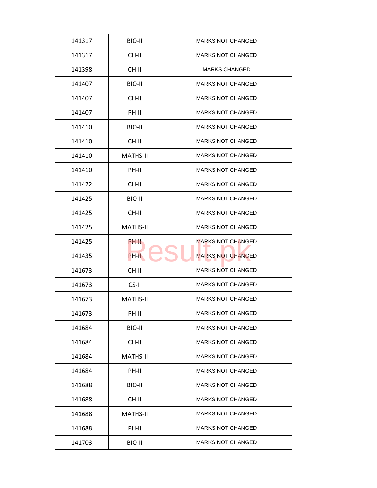| 141317<br>BIO-II<br><b>MARKS NOT CHANGED</b><br><b>MARKS NOT CHANGED</b><br>141317<br>CH-II<br>CH-II<br><b>MARKS CHANGED</b><br>141398<br><b>MARKS NOT CHANGED</b><br>BIO-II<br>141407<br>CH-II<br><b>MARKS NOT CHANGED</b><br>141407<br><b>MARKS NOT CHANGED</b><br>141407<br>PH-II<br>BIO-II<br><b>MARKS NOT CHANGED</b><br>141410<br>141410<br>CH-II<br><b>MARKS NOT CHANGED</b><br><b>MATHS-II</b><br><b>MARKS NOT CHANGED</b><br>141410<br>PH-II<br><b>MARKS NOT CHANGED</b><br>141410<br>141422<br>CH-II<br><b>MARKS NOT CHANGED</b><br><b>MARKS NOT CHANGED</b><br>141425<br>BIO-II<br>CH-II<br><b>MARKS NOT CHANGED</b><br>141425<br><b>MARKS NOT CHANGED</b><br>141425<br><b>MATHS-II</b><br><b>MARKS NOT CHANGED</b><br>141425<br>PH-II<br><b>MARKS NOT CHANGED</b><br>141435<br>PH-II<br>CH-II<br><b>MARKS NOT CHANGED</b><br>141673<br>CS-II<br><b>MARKS NOT CHANGED</b><br>141673<br><b>MATHS-II</b><br><b>MARKS NOT CHANGED</b><br>141673<br>141673<br>PH-II<br><b>MARKS NOT CHANGED</b><br>141684<br>BIO-II<br><b>MARKS NOT CHANGED</b><br>141684<br>CH-II<br><b>MARKS NOT CHANGED</b><br><b>MARKS NOT CHANGED</b><br><b>MATHS-II</b><br>141684<br>141684<br>PH-II<br><b>MARKS NOT CHANGED</b><br><b>MARKS NOT CHANGED</b><br>141688<br>BIO-II<br><b>MARKS NOT CHANGED</b><br>141688<br>CH-II<br><b>MARKS NOT CHANGED</b><br><b>MATHS-II</b><br>141688<br><b>MARKS NOT CHANGED</b><br>141688<br>PH-II<br>141703<br>BIO-II<br><b>MARKS NOT CHANGED</b> |  |  |
|----------------------------------------------------------------------------------------------------------------------------------------------------------------------------------------------------------------------------------------------------------------------------------------------------------------------------------------------------------------------------------------------------------------------------------------------------------------------------------------------------------------------------------------------------------------------------------------------------------------------------------------------------------------------------------------------------------------------------------------------------------------------------------------------------------------------------------------------------------------------------------------------------------------------------------------------------------------------------------------------------------------------------------------------------------------------------------------------------------------------------------------------------------------------------------------------------------------------------------------------------------------------------------------------------------------------------------------------------------------------------------------------------------------------------------------------------------------------|--|--|
|                                                                                                                                                                                                                                                                                                                                                                                                                                                                                                                                                                                                                                                                                                                                                                                                                                                                                                                                                                                                                                                                                                                                                                                                                                                                                                                                                                                                                                                                      |  |  |
|                                                                                                                                                                                                                                                                                                                                                                                                                                                                                                                                                                                                                                                                                                                                                                                                                                                                                                                                                                                                                                                                                                                                                                                                                                                                                                                                                                                                                                                                      |  |  |
|                                                                                                                                                                                                                                                                                                                                                                                                                                                                                                                                                                                                                                                                                                                                                                                                                                                                                                                                                                                                                                                                                                                                                                                                                                                                                                                                                                                                                                                                      |  |  |
|                                                                                                                                                                                                                                                                                                                                                                                                                                                                                                                                                                                                                                                                                                                                                                                                                                                                                                                                                                                                                                                                                                                                                                                                                                                                                                                                                                                                                                                                      |  |  |
|                                                                                                                                                                                                                                                                                                                                                                                                                                                                                                                                                                                                                                                                                                                                                                                                                                                                                                                                                                                                                                                                                                                                                                                                                                                                                                                                                                                                                                                                      |  |  |
|                                                                                                                                                                                                                                                                                                                                                                                                                                                                                                                                                                                                                                                                                                                                                                                                                                                                                                                                                                                                                                                                                                                                                                                                                                                                                                                                                                                                                                                                      |  |  |
|                                                                                                                                                                                                                                                                                                                                                                                                                                                                                                                                                                                                                                                                                                                                                                                                                                                                                                                                                                                                                                                                                                                                                                                                                                                                                                                                                                                                                                                                      |  |  |
|                                                                                                                                                                                                                                                                                                                                                                                                                                                                                                                                                                                                                                                                                                                                                                                                                                                                                                                                                                                                                                                                                                                                                                                                                                                                                                                                                                                                                                                                      |  |  |
|                                                                                                                                                                                                                                                                                                                                                                                                                                                                                                                                                                                                                                                                                                                                                                                                                                                                                                                                                                                                                                                                                                                                                                                                                                                                                                                                                                                                                                                                      |  |  |
|                                                                                                                                                                                                                                                                                                                                                                                                                                                                                                                                                                                                                                                                                                                                                                                                                                                                                                                                                                                                                                                                                                                                                                                                                                                                                                                                                                                                                                                                      |  |  |
|                                                                                                                                                                                                                                                                                                                                                                                                                                                                                                                                                                                                                                                                                                                                                                                                                                                                                                                                                                                                                                                                                                                                                                                                                                                                                                                                                                                                                                                                      |  |  |
|                                                                                                                                                                                                                                                                                                                                                                                                                                                                                                                                                                                                                                                                                                                                                                                                                                                                                                                                                                                                                                                                                                                                                                                                                                                                                                                                                                                                                                                                      |  |  |
|                                                                                                                                                                                                                                                                                                                                                                                                                                                                                                                                                                                                                                                                                                                                                                                                                                                                                                                                                                                                                                                                                                                                                                                                                                                                                                                                                                                                                                                                      |  |  |
|                                                                                                                                                                                                                                                                                                                                                                                                                                                                                                                                                                                                                                                                                                                                                                                                                                                                                                                                                                                                                                                                                                                                                                                                                                                                                                                                                                                                                                                                      |  |  |
|                                                                                                                                                                                                                                                                                                                                                                                                                                                                                                                                                                                                                                                                                                                                                                                                                                                                                                                                                                                                                                                                                                                                                                                                                                                                                                                                                                                                                                                                      |  |  |
|                                                                                                                                                                                                                                                                                                                                                                                                                                                                                                                                                                                                                                                                                                                                                                                                                                                                                                                                                                                                                                                                                                                                                                                                                                                                                                                                                                                                                                                                      |  |  |
|                                                                                                                                                                                                                                                                                                                                                                                                                                                                                                                                                                                                                                                                                                                                                                                                                                                                                                                                                                                                                                                                                                                                                                                                                                                                                                                                                                                                                                                                      |  |  |
|                                                                                                                                                                                                                                                                                                                                                                                                                                                                                                                                                                                                                                                                                                                                                                                                                                                                                                                                                                                                                                                                                                                                                                                                                                                                                                                                                                                                                                                                      |  |  |
|                                                                                                                                                                                                                                                                                                                                                                                                                                                                                                                                                                                                                                                                                                                                                                                                                                                                                                                                                                                                                                                                                                                                                                                                                                                                                                                                                                                                                                                                      |  |  |
|                                                                                                                                                                                                                                                                                                                                                                                                                                                                                                                                                                                                                                                                                                                                                                                                                                                                                                                                                                                                                                                                                                                                                                                                                                                                                                                                                                                                                                                                      |  |  |
|                                                                                                                                                                                                                                                                                                                                                                                                                                                                                                                                                                                                                                                                                                                                                                                                                                                                                                                                                                                                                                                                                                                                                                                                                                                                                                                                                                                                                                                                      |  |  |
|                                                                                                                                                                                                                                                                                                                                                                                                                                                                                                                                                                                                                                                                                                                                                                                                                                                                                                                                                                                                                                                                                                                                                                                                                                                                                                                                                                                                                                                                      |  |  |
|                                                                                                                                                                                                                                                                                                                                                                                                                                                                                                                                                                                                                                                                                                                                                                                                                                                                                                                                                                                                                                                                                                                                                                                                                                                                                                                                                                                                                                                                      |  |  |
|                                                                                                                                                                                                                                                                                                                                                                                                                                                                                                                                                                                                                                                                                                                                                                                                                                                                                                                                                                                                                                                                                                                                                                                                                                                                                                                                                                                                                                                                      |  |  |
|                                                                                                                                                                                                                                                                                                                                                                                                                                                                                                                                                                                                                                                                                                                                                                                                                                                                                                                                                                                                                                                                                                                                                                                                                                                                                                                                                                                                                                                                      |  |  |
|                                                                                                                                                                                                                                                                                                                                                                                                                                                                                                                                                                                                                                                                                                                                                                                                                                                                                                                                                                                                                                                                                                                                                                                                                                                                                                                                                                                                                                                                      |  |  |
|                                                                                                                                                                                                                                                                                                                                                                                                                                                                                                                                                                                                                                                                                                                                                                                                                                                                                                                                                                                                                                                                                                                                                                                                                                                                                                                                                                                                                                                                      |  |  |
|                                                                                                                                                                                                                                                                                                                                                                                                                                                                                                                                                                                                                                                                                                                                                                                                                                                                                                                                                                                                                                                                                                                                                                                                                                                                                                                                                                                                                                                                      |  |  |
|                                                                                                                                                                                                                                                                                                                                                                                                                                                                                                                                                                                                                                                                                                                                                                                                                                                                                                                                                                                                                                                                                                                                                                                                                                                                                                                                                                                                                                                                      |  |  |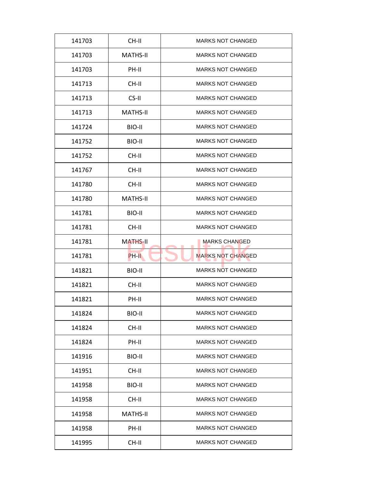| 141703 | CH-II           | <b>MARKS NOT CHANGED</b> |
|--------|-----------------|--------------------------|
| 141703 | MATHS-II        | <b>MARKS NOT CHANGED</b> |
| 141703 | PH-II           | <b>MARKS NOT CHANGED</b> |
| 141713 | CH-II           | <b>MARKS NOT CHANGED</b> |
| 141713 | $CS-H$          | <b>MARKS NOT CHANGED</b> |
| 141713 | <b>MATHS-II</b> | <b>MARKS NOT CHANGED</b> |
| 141724 | BIO-II          | <b>MARKS NOT CHANGED</b> |
| 141752 | BIO-II          | <b>MARKS NOT CHANGED</b> |
| 141752 | CH-II           | <b>MARKS NOT CHANGED</b> |
| 141767 | CH-II           | <b>MARKS NOT CHANGED</b> |
| 141780 | CH-II           | <b>MARKS NOT CHANGED</b> |
| 141780 | <b>MATHS-II</b> | <b>MARKS NOT CHANGED</b> |
| 141781 | BIO-II          | <b>MARKS NOT CHANGED</b> |
| 141781 | CH-II           | <b>MARKS NOT CHANGED</b> |
| 141781 | <b>MATHS-II</b> | <b>MARKS CHANGED</b>     |
| 141781 | PH-II           | <b>MARKS NOT CHANGED</b> |
| 141821 | BIO-II          | <b>MARKS NOT CHANGED</b> |
| 141821 | CH-II           | <b>MARKS NOT CHANGED</b> |
| 141821 | PH-II           | <b>MARKS NOT CHANGED</b> |
| 141824 | BIO-II          | <b>MARKS NOT CHANGED</b> |
| 141824 | CH-II           | <b>MARKS NOT CHANGED</b> |
| 141824 | PH-II           | <b>MARKS NOT CHANGED</b> |
| 141916 | BIO-II          | <b>MARKS NOT CHANGED</b> |
| 141951 | CH-II           | <b>MARKS NOT CHANGED</b> |
| 141958 | BIO-II          | <b>MARKS NOT CHANGED</b> |
| 141958 | CH-II           | <b>MARKS NOT CHANGED</b> |
| 141958 | <b>MATHS-II</b> | <b>MARKS NOT CHANGED</b> |
|        |                 |                          |
| 141958 | PH-II           | <b>MARKS NOT CHANGED</b> |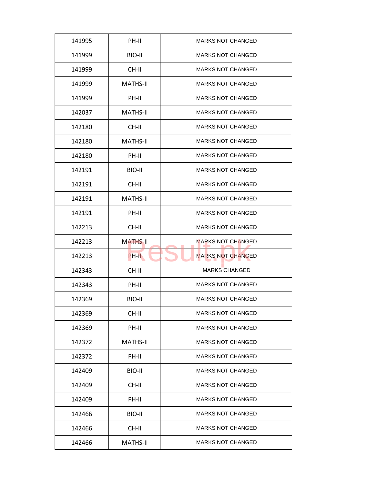| 141995 | PH-II           | <b>MARKS NOT CHANGED</b> |
|--------|-----------------|--------------------------|
| 141999 | BIO-II          | <b>MARKS NOT CHANGED</b> |
| 141999 | CH-II           | <b>MARKS NOT CHANGED</b> |
| 141999 | <b>MATHS-II</b> | <b>MARKS NOT CHANGED</b> |
| 141999 | PH-II           | <b>MARKS NOT CHANGED</b> |
| 142037 | <b>MATHS-II</b> | <b>MARKS NOT CHANGED</b> |
| 142180 | CH-II           | <b>MARKS NOT CHANGED</b> |
| 142180 | <b>MATHS-II</b> | <b>MARKS NOT CHANGED</b> |
| 142180 | PH-II           | <b>MARKS NOT CHANGED</b> |
| 142191 | BIO-II          | <b>MARKS NOT CHANGED</b> |
| 142191 | CH-II           | <b>MARKS NOT CHANGED</b> |
| 142191 | <b>MATHS-II</b> | <b>MARKS NOT CHANGED</b> |
| 142191 | PH-II           | <b>MARKS NOT CHANGED</b> |
| 142213 | CH-II           | <b>MARKS NOT CHANGED</b> |
| 142213 | <b>MATHS-II</b> | <b>MARKS NOT CHANGED</b> |
| 142213 | PH-II           | <b>MARKS NOT CHANGED</b> |
| 142343 | CH-II           | <b>MARKS CHANGED</b>     |
| 142343 | PH-II           | <b>MARKS NOT CHANGED</b> |
| 142369 | BIO-II          | <b>MARKS NOT CHANGED</b> |
| 142369 | CH-II           | <b>MARKS NOT CHANGED</b> |
| 142369 | PH-II           | <b>MARKS NOT CHANGED</b> |
| 142372 | <b>MATHS-II</b> | <b>MARKS NOT CHANGED</b> |
| 142372 | PH-II           | <b>MARKS NOT CHANGED</b> |
| 142409 | BIO-II          | <b>MARKS NOT CHANGED</b> |
| 142409 | CH-II           | <b>MARKS NOT CHANGED</b> |
| 142409 | PH-II           | <b>MARKS NOT CHANGED</b> |
| 142466 | BIO-II          | <b>MARKS NOT CHANGED</b> |
| 142466 | CH-II           | <b>MARKS NOT CHANGED</b> |
|        |                 |                          |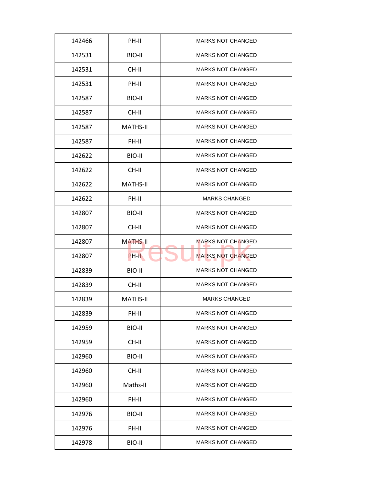| 142466 | PH-II           | <b>MARKS NOT CHANGED</b> |
|--------|-----------------|--------------------------|
| 142531 | BIO-II          | <b>MARKS NOT CHANGED</b> |
| 142531 | $CH-H$          | <b>MARKS NOT CHANGED</b> |
| 142531 | PH-II           | <b>MARKS NOT CHANGED</b> |
| 142587 | BIO-II          | <b>MARKS NOT CHANGED</b> |
| 142587 | $CH-H$          | <b>MARKS NOT CHANGED</b> |
| 142587 | <b>MATHS-II</b> | <b>MARKS NOT CHANGED</b> |
| 142587 | PH-II           | <b>MARKS NOT CHANGED</b> |
| 142622 | BIO-II          | <b>MARKS NOT CHANGED</b> |
| 142622 | CH-II           | <b>MARKS NOT CHANGED</b> |
| 142622 | <b>MATHS-II</b> | <b>MARKS NOT CHANGED</b> |
| 142622 | PH-II           | <b>MARKS CHANGED</b>     |
| 142807 | BIO-II          | <b>MARKS NOT CHANGED</b> |
| 142807 | CH-II           | <b>MARKS NOT CHANGED</b> |
| 142807 | <b>MATHS-II</b> | <b>MARKS NOT CHANGED</b> |
| 142807 | PH-II           | <b>MARKS NOT CHANGED</b> |
| 142839 | BIO-II          | <b>MARKS NOT CHANGED</b> |
| 142839 | CH-II           | <b>MARKS NOT CHANGED</b> |
| 142839 | <b>MATHS-II</b> | <b>MARKS CHANGED</b>     |
| 142839 | PH-II           | <b>MARKS NOT CHANGED</b> |
| 142959 | BIO-II          | <b>MARKS NOT CHANGED</b> |
| 142959 | CH-II           | <b>MARKS NOT CHANGED</b> |
| 142960 | BIO-II          | <b>MARKS NOT CHANGED</b> |
| 142960 | CH-II           | <b>MARKS NOT CHANGED</b> |
| 142960 | Maths-II        | <b>MARKS NOT CHANGED</b> |
| 142960 | PH-II           | <b>MARKS NOT CHANGED</b> |
|        |                 |                          |
| 142976 | BIO-II          | <b>MARKS NOT CHANGED</b> |
| 142976 | PH-II           | <b>MARKS NOT CHANGED</b> |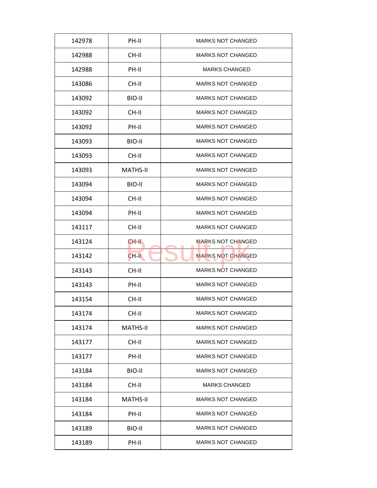| 142978 | PH-II           | <b>MARKS NOT CHANGED</b> |
|--------|-----------------|--------------------------|
| 142988 | CH-II           | <b>MARKS NOT CHANGED</b> |
| 142988 | PH-II           | <b>MARKS CHANGED</b>     |
| 143086 | CH-II           | <b>MARKS NOT CHANGED</b> |
| 143092 | BIO-II          | <b>MARKS NOT CHANGED</b> |
| 143092 | CH-II           | <b>MARKS NOT CHANGED</b> |
| 143092 | PH-II           | <b>MARKS NOT CHANGED</b> |
| 143093 | BIO-II          | <b>MARKS NOT CHANGED</b> |
| 143093 | CH-II           | <b>MARKS NOT CHANGED</b> |
| 143093 | <b>MATHS-II</b> | <b>MARKS NOT CHANGED</b> |
| 143094 | BIO-II          | <b>MARKS NOT CHANGED</b> |
| 143094 | CH-II           | <b>MARKS NOT CHANGED</b> |
| 143094 | PH-II           | <b>MARKS NOT CHANGED</b> |
| 143117 | CH-II           | <b>MARKS NOT CHANGED</b> |
| 143124 | CH-II           | <b>MARKS NOT CHANGED</b> |
| 143142 | CH-II           | <b>MARKS NOT CHANGED</b> |
| 143143 | CH-II           | <b>MARKS NOT CHANGED</b> |
| 143143 | PH-II           | <b>MARKS NOT CHANGED</b> |
| 143154 | CH-II           | <b>MARKS NOT CHANGED</b> |
| 143174 | CH-II           | <b>MARKS NOT CHANGED</b> |
| 143174 | <b>MATHS-II</b> | <b>MARKS NOT CHANGED</b> |
| 143177 | CH-II           | <b>MARKS NOT CHANGED</b> |
| 143177 | PH-II           | <b>MARKS NOT CHANGED</b> |
| 143184 | BIO-II          | <b>MARKS NOT CHANGED</b> |
| 143184 | CH-II           | <b>MARKS CHANGED</b>     |
| 143184 | <b>MATHS-II</b> | <b>MARKS NOT CHANGED</b> |
| 143184 | PH-II           | <b>MARKS NOT CHANGED</b> |
| 143189 | BIO-II          | <b>MARKS NOT CHANGED</b> |
| 143189 | PH-II           | <b>MARKS NOT CHANGED</b> |
|        |                 |                          |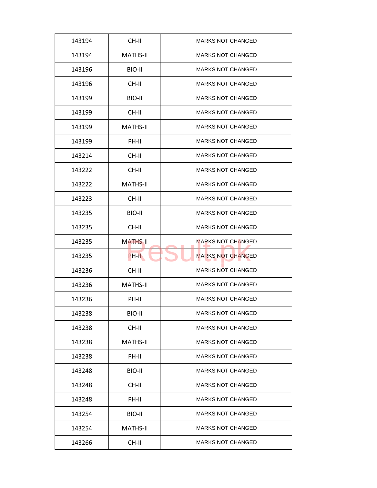| 143194 | CH-II           | <b>MARKS NOT CHANGED</b> |
|--------|-----------------|--------------------------|
| 143194 | MATHS-II        | <b>MARKS NOT CHANGED</b> |
| 143196 | BIO-II          | <b>MARKS NOT CHANGED</b> |
| 143196 | CH-II           | <b>MARKS NOT CHANGED</b> |
| 143199 | BIO-II          | <b>MARKS NOT CHANGED</b> |
| 143199 | $CH-H$          | <b>MARKS NOT CHANGED</b> |
| 143199 | <b>MATHS-II</b> | <b>MARKS NOT CHANGED</b> |
| 143199 | PH-II           | <b>MARKS NOT CHANGED</b> |
| 143214 | CH-II           | <b>MARKS NOT CHANGED</b> |
| 143222 | CH-II           | <b>MARKS NOT CHANGED</b> |
| 143222 | <b>MATHS-II</b> | <b>MARKS NOT CHANGED</b> |
| 143223 | CH-II           | <b>MARKS NOT CHANGED</b> |
| 143235 | BIO-II          | <b>MARKS NOT CHANGED</b> |
| 143235 | CH-II           | <b>MARKS NOT CHANGED</b> |
| 143235 | <b>MATHS-II</b> | <b>MARKS NOT CHANGED</b> |
| 143235 | PH-II           | <b>MARKS NOT CHANGED</b> |
| 143236 | CH-II           | <b>MARKS NOT CHANGED</b> |
| 143236 | <b>MATHS-II</b> | <b>MARKS NOT CHANGED</b> |
| 143236 | PH-II           | <b>MARKS NOT CHANGED</b> |
| 143238 | BIO-II          | <b>MARKS NOT CHANGED</b> |
| 143238 | CH-II           | <b>MARKS NOT CHANGED</b> |
| 143238 | <b>MATHS-II</b> | <b>MARKS NOT CHANGED</b> |
| 143238 | PH-II           | <b>MARKS NOT CHANGED</b> |
| 143248 | BIO-II          | <b>MARKS NOT CHANGED</b> |
| 143248 | CH-II           | <b>MARKS NOT CHANGED</b> |
| 143248 | PH-II           | <b>MARKS NOT CHANGED</b> |
|        |                 | <b>MARKS NOT CHANGED</b> |
| 143254 | BIO-II          |                          |
| 143254 | <b>MATHS-II</b> | <b>MARKS NOT CHANGED</b> |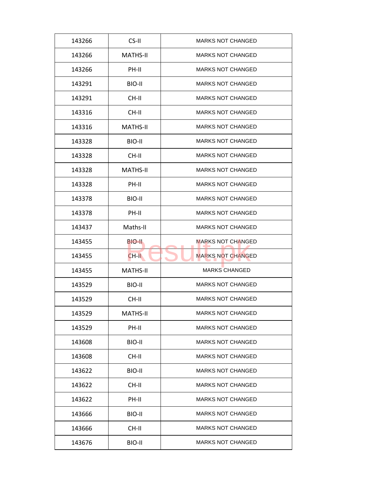| 143266 | CS-II           | <b>MARKS NOT CHANGED</b> |
|--------|-----------------|--------------------------|
| 143266 | MATHS-II        | <b>MARKS NOT CHANGED</b> |
| 143266 | PH-II           | <b>MARKS NOT CHANGED</b> |
| 143291 | BIO-II          | <b>MARKS NOT CHANGED</b> |
| 143291 | CH-II           | <b>MARKS NOT CHANGED</b> |
| 143316 | $CH-H$          | <b>MARKS NOT CHANGED</b> |
| 143316 | <b>MATHS-II</b> | <b>MARKS NOT CHANGED</b> |
| 143328 | BIO-II          | <b>MARKS NOT CHANGED</b> |
| 143328 | CH-II           | <b>MARKS NOT CHANGED</b> |
| 143328 | <b>MATHS-II</b> | <b>MARKS NOT CHANGED</b> |
| 143328 | PH-II           | <b>MARKS NOT CHANGED</b> |
| 143378 | BIO-II          | <b>MARKS NOT CHANGED</b> |
| 143378 | PH-II           | <b>MARKS NOT CHANGED</b> |
| 143437 | Maths-II        | <b>MARKS NOT CHANGED</b> |
| 143455 | BIO-II.         | <b>MARKS NOT CHANGED</b> |
| 143455 | CH-II           | <b>MARKS NOT CHANGED</b> |
| 143455 | <b>MATHS-II</b> | <b>MARKS CHANGED</b>     |
| 143529 | BIO-II          | <b>MARKS NOT CHANGED</b> |
| 143529 | CH-II           | <b>MARKS NOT CHANGED</b> |
| 143529 | <b>MATHS-II</b> | <b>MARKS NOT CHANGED</b> |
| 143529 | PH-II           | <b>MARKS NOT CHANGED</b> |
| 143608 | BIO-II          | <b>MARKS NOT CHANGED</b> |
| 143608 | CH-II           | <b>MARKS NOT CHANGED</b> |
| 143622 | BIO-II          | <b>MARKS NOT CHANGED</b> |
| 143622 | CH-II           | <b>MARKS NOT CHANGED</b> |
| 143622 | PH-II           | <b>MARKS NOT CHANGED</b> |
| 143666 | BIO-II          | <b>MARKS NOT CHANGED</b> |
| 143666 | CH-II           | <b>MARKS NOT CHANGED</b> |
| 143676 | BIO-II          | <b>MARKS NOT CHANGED</b> |
|        |                 |                          |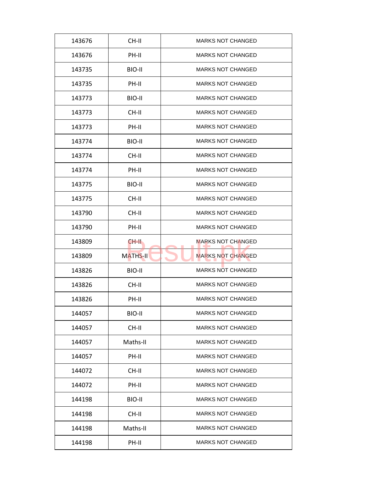| 143676 | CH-II           | <b>MARKS NOT CHANGED</b> |
|--------|-----------------|--------------------------|
| 143676 | PH-II           | <b>MARKS NOT CHANGED</b> |
| 143735 | BIO-II          | <b>MARKS NOT CHANGED</b> |
| 143735 | PH-II           | <b>MARKS NOT CHANGED</b> |
| 143773 | BIO-II          | <b>MARKS NOT CHANGED</b> |
| 143773 | CH-II           | <b>MARKS NOT CHANGED</b> |
| 143773 | PH-II           | <b>MARKS NOT CHANGED</b> |
| 143774 | BIO-II          | <b>MARKS NOT CHANGED</b> |
| 143774 | CH-II           | <b>MARKS NOT CHANGED</b> |
| 143774 | PH-II           | <b>MARKS NOT CHANGED</b> |
| 143775 | BIO-II          | <b>MARKS NOT CHANGED</b> |
| 143775 | CH-II           | <b>MARKS NOT CHANGED</b> |
| 143790 | CH-II           | <b>MARKS NOT CHANGED</b> |
| 143790 | PH-II           | <b>MARKS NOT CHANGED</b> |
| 143809 | CH-II.          | <b>MARKS NOT CHANGED</b> |
| 143809 | <b>MATHS-II</b> | <b>MARKS NOT CHANGED</b> |
| 143826 | BIO-II          | <b>MARKS NOT CHANGED</b> |
| 143826 | CH-II           | <b>MARKS NOT CHANGED</b> |
| 143826 | PH-II           | <b>MARKS NOT CHANGED</b> |
| 144057 | BIO-II          | <b>MARKS NOT CHANGED</b> |
| 144057 | CH-II           | <b>MARKS NOT CHANGED</b> |
| 144057 | Maths-II        | <b>MARKS NOT CHANGED</b> |
| 144057 | PH-II           | <b>MARKS NOT CHANGED</b> |
| 144072 | CH-II           | <b>MARKS NOT CHANGED</b> |
| 144072 | PH-II           | <b>MARKS NOT CHANGED</b> |
| 144198 | BIO-II          | <b>MARKS NOT CHANGED</b> |
|        |                 |                          |
| 144198 | CH-II           | <b>MARKS NOT CHANGED</b> |
| 144198 | Maths-II        | <b>MARKS NOT CHANGED</b> |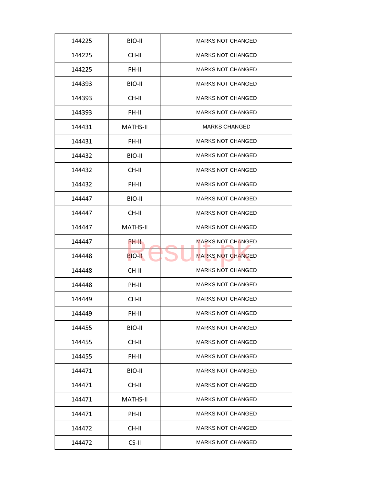| 144225 | BIO-II          | <b>MARKS NOT CHANGED</b> |
|--------|-----------------|--------------------------|
| 144225 | CH-II           | <b>MARKS NOT CHANGED</b> |
| 144225 | PH-II           | <b>MARKS NOT CHANGED</b> |
| 144393 | BIO-II          | <b>MARKS NOT CHANGED</b> |
| 144393 | CH-II           | <b>MARKS NOT CHANGED</b> |
| 144393 | PH-II           | <b>MARKS NOT CHANGED</b> |
| 144431 | <b>MATHS-II</b> | MARKS CHANGED            |
| 144431 | PH-II           | <b>MARKS NOT CHANGED</b> |
| 144432 | BIO-II          | <b>MARKS NOT CHANGED</b> |
| 144432 | CH-II           | <b>MARKS NOT CHANGED</b> |
| 144432 | PH-II           | <b>MARKS NOT CHANGED</b> |
| 144447 | BIO-II          | <b>MARKS NOT CHANGED</b> |
| 144447 | CH-II           | <b>MARKS NOT CHANGED</b> |
| 144447 | MATHS-II        | <b>MARKS NOT CHANGED</b> |
| 144447 | PH-II           | <b>MARKS NOT CHANGED</b> |
| 144448 | <b>BIO-II</b>   | <b>MARKS NOT CHANGED</b> |
| 144448 | CH-II           | <b>MARKS NOT CHANGED</b> |
| 144448 | PH-II           | <b>MARKS NOT CHANGED</b> |
| 144449 | CH-II           | <b>MARKS NOT CHANGED</b> |
| 144449 | PH-II           | <b>MARKS NOT CHANGED</b> |
| 144455 | BIO-II          | <b>MARKS NOT CHANGED</b> |
| 144455 | CH-II           | <b>MARKS NOT CHANGED</b> |
| 144455 | PH-II           | <b>MARKS NOT CHANGED</b> |
| 144471 | BIO-II          | <b>MARKS NOT CHANGED</b> |
| 144471 | CH-II           | <b>MARKS NOT CHANGED</b> |
| 144471 | <b>MATHS-II</b> | <b>MARKS NOT CHANGED</b> |
| 144471 | PH-II           | <b>MARKS NOT CHANGED</b> |
| 144472 | CH-II           | MARKS NOT CHANGED        |
| 144472 | CS-II           | <b>MARKS NOT CHANGED</b> |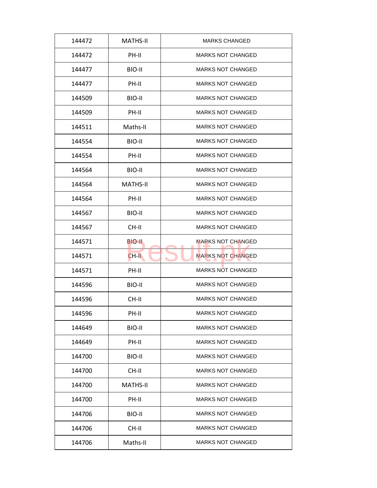| 144472 | <b>MATHS-II</b> | <b>MARKS CHANGED</b>     |
|--------|-----------------|--------------------------|
| 144472 | PH-II           | <b>MARKS NOT CHANGED</b> |
| 144477 | BIO-II          | <b>MARKS NOT CHANGED</b> |
| 144477 | PH-II           | <b>MARKS NOT CHANGED</b> |
| 144509 | BIO-II          | <b>MARKS NOT CHANGED</b> |
| 144509 | PH-II           | <b>MARKS NOT CHANGED</b> |
| 144511 | Maths-II        | <b>MARKS NOT CHANGED</b> |
| 144554 | BIO-II          | <b>MARKS NOT CHANGED</b> |
| 144554 | PH-II           | <b>MARKS NOT CHANGED</b> |
| 144564 | BIO-II          | <b>MARKS NOT CHANGED</b> |
| 144564 | <b>MATHS-II</b> | <b>MARKS NOT CHANGED</b> |
| 144564 | PH-II           | <b>MARKS NOT CHANGED</b> |
| 144567 | BIO-II          | <b>MARKS NOT CHANGED</b> |
| 144567 | CH-II           | <b>MARKS NOT CHANGED</b> |
| 144571 | BIO-II          | <b>MARKS NOT CHANGED</b> |
| 144571 | CH-II           | <b>MARKS NOT CHANGED</b> |
| 144571 | PH-II           | <b>MARKS NOT CHANGED</b> |
| 144596 | BIO-II          | <b>MARKS NOT CHANGED</b> |
| 144596 | CH-II           | <b>MARKS NOT CHANGED</b> |
| 144596 | PH-II           | <b>MARKS NOT CHANGED</b> |
| 144649 | BIO-II          | <b>MARKS NOT CHANGED</b> |
| 144649 | PH-II           | <b>MARKS NOT CHANGED</b> |
| 144700 | BIO-II          | <b>MARKS NOT CHANGED</b> |
| 144700 | CH-II           | <b>MARKS NOT CHANGED</b> |
| 144700 | <b>MATHS-II</b> | <b>MARKS NOT CHANGED</b> |
| 144700 | PH-II           | <b>MARKS NOT CHANGED</b> |
| 144706 | BIO-II          | <b>MARKS NOT CHANGED</b> |
| 144706 | CH-II           | <b>MARKS NOT CHANGED</b> |
| 144706 | Maths-II        | <b>MARKS NOT CHANGED</b> |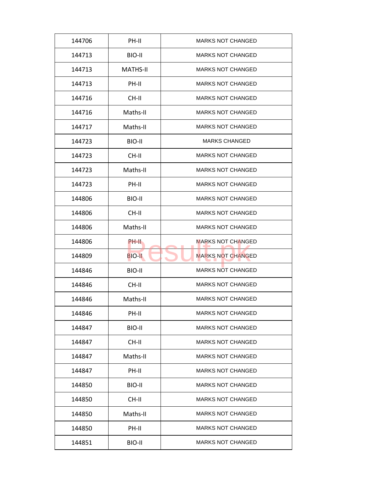| 144706 | PH-II           | <b>MARKS NOT CHANGED</b> |
|--------|-----------------|--------------------------|
| 144713 | BIO-II          | <b>MARKS NOT CHANGED</b> |
| 144713 | <b>MATHS-II</b> | <b>MARKS NOT CHANGED</b> |
| 144713 | PH-II           | <b>MARKS NOT CHANGED</b> |
| 144716 | CH-II           | <b>MARKS NOT CHANGED</b> |
| 144716 | Maths-II        | <b>MARKS NOT CHANGED</b> |
| 144717 | Maths-II        | <b>MARKS NOT CHANGED</b> |
| 144723 | BIO-II          | <b>MARKS CHANGED</b>     |
| 144723 | CH-II           | <b>MARKS NOT CHANGED</b> |
| 144723 | Maths-II        | <b>MARKS NOT CHANGED</b> |
| 144723 | PH-II           | <b>MARKS NOT CHANGED</b> |
| 144806 | BIO-II          | <b>MARKS NOT CHANGED</b> |
| 144806 | CH-II           | <b>MARKS NOT CHANGED</b> |
| 144806 | Maths-II        | <b>MARKS NOT CHANGED</b> |
| 144806 | PH-II           | <b>MARKS NOT CHANGED</b> |
| 144809 | <b>BIO-II</b>   | <b>MARKS NOT CHANGED</b> |
| 144846 | BIO-II          | <b>MARKS NOT CHANGED</b> |
| 144846 | CH-II           | <b>MARKS NOT CHANGED</b> |
| 144846 | Maths-II        | <b>MARKS NOT CHANGED</b> |
| 144846 | PH-II           | <b>MARKS NOT CHANGED</b> |
| 144847 | BIO-II          | <b>MARKS NOT CHANGED</b> |
| 144847 | CH-II           | <b>MARKS NOT CHANGED</b> |
| 144847 | Maths-II        | <b>MARKS NOT CHANGED</b> |
| 144847 | PH-II           | <b>MARKS NOT CHANGED</b> |
| 144850 | BIO-II          | <b>MARKS NOT CHANGED</b> |
| 144850 | CH-II           | <b>MARKS NOT CHANGED</b> |
| 144850 | Maths-II        | <b>MARKS NOT CHANGED</b> |
| 144850 | PH-II           | <b>MARKS NOT CHANGED</b> |
|        |                 |                          |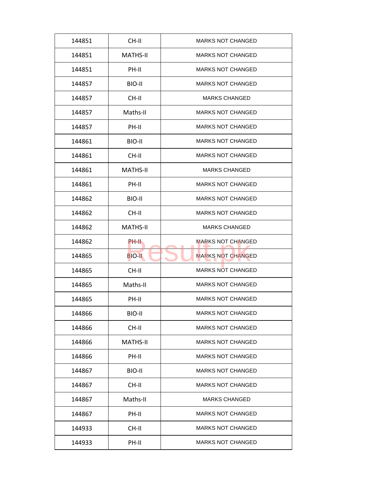| 144851 | CH-II           | <b>MARKS NOT CHANGED</b> |
|--------|-----------------|--------------------------|
| 144851 | MATHS-II        | <b>MARKS NOT CHANGED</b> |
| 144851 | PH-II           | <b>MARKS NOT CHANGED</b> |
| 144857 | BIO-II          | <b>MARKS NOT CHANGED</b> |
| 144857 | CH-II           | <b>MARKS CHANGED</b>     |
| 144857 | Maths-II        | <b>MARKS NOT CHANGED</b> |
| 144857 | PH-II           | <b>MARKS NOT CHANGED</b> |
| 144861 | BIO-II          | <b>MARKS NOT CHANGED</b> |
| 144861 | CH-II           | <b>MARKS NOT CHANGED</b> |
| 144861 | <b>MATHS-II</b> | <b>MARKS CHANGED</b>     |
| 144861 | PH-II           | <b>MARKS NOT CHANGED</b> |
| 144862 | BIO-II          | <b>MARKS NOT CHANGED</b> |
| 144862 | CH-II           | <b>MARKS NOT CHANGED</b> |
| 144862 | <b>MATHS-II</b> | <b>MARKS CHANGED</b>     |
| 144862 | PH-II           | <b>MARKS NOT CHANGED</b> |
| 144865 | <b>BIO-II</b>   | <b>MARKS NOT CHANGED</b> |
| 144865 | CH-II           | <b>MARKS NOT CHANGED</b> |
| 144865 | Maths-II        | <b>MARKS NOT CHANGED</b> |
| 144865 | PH-II           | <b>MARKS NOT CHANGED</b> |
| 144866 | BIO-II          | <b>MARKS NOT CHANGED</b> |
| 144866 | CH-II           | <b>MARKS NOT CHANGED</b> |
| 144866 | <b>MATHS-II</b> | <b>MARKS NOT CHANGED</b> |
| 144866 | PH-II           | <b>MARKS NOT CHANGED</b> |
| 144867 | BIO-II          | <b>MARKS NOT CHANGED</b> |
| 144867 | CH-II           | <b>MARKS NOT CHANGED</b> |
| 144867 | Maths-II        | <b>MARKS CHANGED</b>     |
| 144867 | PH-II           | <b>MARKS NOT CHANGED</b> |
|        |                 |                          |
| 144933 | CH-II           | <b>MARKS NOT CHANGED</b> |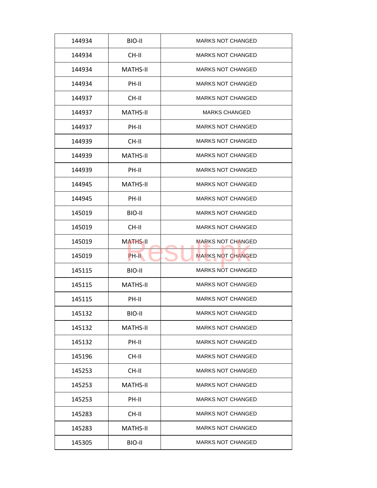| BIO-II<br><b>MARKS NOT CHANGED</b><br>144934<br>CH-II<br><b>MARKS NOT CHANGED</b><br>144934<br><b>MATHS-II</b><br><b>MARKS NOT CHANGED</b><br>144934<br><b>MARKS NOT CHANGED</b><br>PH-II<br>144934<br>144937<br>CH-II<br><b>MARKS NOT CHANGED</b><br><b>MATHS-II</b><br><b>MARKS CHANGED</b><br>144937<br>PH-II<br><b>MARKS NOT CHANGED</b><br>144937<br>CH-II<br><b>MARKS NOT CHANGED</b><br>144939<br><b>MATHS-II</b><br><b>MARKS NOT CHANGED</b><br>144939<br><b>MARKS NOT CHANGED</b><br>144939<br>PH-II<br><b>MATHS-II</b><br>144945<br><b>MARKS NOT CHANGED</b><br><b>MARKS NOT CHANGED</b><br>144945<br>PH-II<br>BIO-II<br><b>MARKS NOT CHANGED</b><br>145019<br><b>MARKS NOT CHANGED</b><br>145019<br>CH-II<br><b>MARKS NOT CHANGED</b><br>145019<br><b>MATHS-II</b><br><b>MARKS NOT CHANGED</b><br>145019<br>PH-II<br><b>MARKS NOT CHANGED</b><br>145115<br>BIO-II<br><b>MARKS NOT CHANGED</b><br>145115<br><b>MATHS-II</b><br>145115<br>PH-II<br><b>MARKS NOT CHANGED</b><br>BIO-II<br><b>MARKS NOT CHANGED</b><br>145132<br>145132<br><b>MATHS-II</b><br><b>MARKS NOT CHANGED</b><br>PH-II<br><b>MARKS NOT CHANGED</b><br>145132<br><b>MARKS NOT CHANGED</b><br>CH-II<br>145196<br>145253<br>CH-II<br><b>MARKS NOT CHANGED</b><br><b>MARKS NOT CHANGED</b><br>145253<br><b>MATHS-II</b><br><b>MARKS NOT CHANGED</b><br>145253<br>PH-II<br><b>MARKS NOT CHANGED</b><br>CH-II<br>145283<br><b>MARKS NOT CHANGED</b><br>145283<br><b>MATHS-II</b><br>145305<br>BIO-II<br><b>MARKS NOT CHANGED</b> |  |  |
|------------------------------------------------------------------------------------------------------------------------------------------------------------------------------------------------------------------------------------------------------------------------------------------------------------------------------------------------------------------------------------------------------------------------------------------------------------------------------------------------------------------------------------------------------------------------------------------------------------------------------------------------------------------------------------------------------------------------------------------------------------------------------------------------------------------------------------------------------------------------------------------------------------------------------------------------------------------------------------------------------------------------------------------------------------------------------------------------------------------------------------------------------------------------------------------------------------------------------------------------------------------------------------------------------------------------------------------------------------------------------------------------------------------------------------------------------------------------------------------------------------|--|--|
|                                                                                                                                                                                                                                                                                                                                                                                                                                                                                                                                                                                                                                                                                                                                                                                                                                                                                                                                                                                                                                                                                                                                                                                                                                                                                                                                                                                                                                                                                                            |  |  |
|                                                                                                                                                                                                                                                                                                                                                                                                                                                                                                                                                                                                                                                                                                                                                                                                                                                                                                                                                                                                                                                                                                                                                                                                                                                                                                                                                                                                                                                                                                            |  |  |
|                                                                                                                                                                                                                                                                                                                                                                                                                                                                                                                                                                                                                                                                                                                                                                                                                                                                                                                                                                                                                                                                                                                                                                                                                                                                                                                                                                                                                                                                                                            |  |  |
|                                                                                                                                                                                                                                                                                                                                                                                                                                                                                                                                                                                                                                                                                                                                                                                                                                                                                                                                                                                                                                                                                                                                                                                                                                                                                                                                                                                                                                                                                                            |  |  |
|                                                                                                                                                                                                                                                                                                                                                                                                                                                                                                                                                                                                                                                                                                                                                                                                                                                                                                                                                                                                                                                                                                                                                                                                                                                                                                                                                                                                                                                                                                            |  |  |
|                                                                                                                                                                                                                                                                                                                                                                                                                                                                                                                                                                                                                                                                                                                                                                                                                                                                                                                                                                                                                                                                                                                                                                                                                                                                                                                                                                                                                                                                                                            |  |  |
|                                                                                                                                                                                                                                                                                                                                                                                                                                                                                                                                                                                                                                                                                                                                                                                                                                                                                                                                                                                                                                                                                                                                                                                                                                                                                                                                                                                                                                                                                                            |  |  |
|                                                                                                                                                                                                                                                                                                                                                                                                                                                                                                                                                                                                                                                                                                                                                                                                                                                                                                                                                                                                                                                                                                                                                                                                                                                                                                                                                                                                                                                                                                            |  |  |
|                                                                                                                                                                                                                                                                                                                                                                                                                                                                                                                                                                                                                                                                                                                                                                                                                                                                                                                                                                                                                                                                                                                                                                                                                                                                                                                                                                                                                                                                                                            |  |  |
|                                                                                                                                                                                                                                                                                                                                                                                                                                                                                                                                                                                                                                                                                                                                                                                                                                                                                                                                                                                                                                                                                                                                                                                                                                                                                                                                                                                                                                                                                                            |  |  |
|                                                                                                                                                                                                                                                                                                                                                                                                                                                                                                                                                                                                                                                                                                                                                                                                                                                                                                                                                                                                                                                                                                                                                                                                                                                                                                                                                                                                                                                                                                            |  |  |
|                                                                                                                                                                                                                                                                                                                                                                                                                                                                                                                                                                                                                                                                                                                                                                                                                                                                                                                                                                                                                                                                                                                                                                                                                                                                                                                                                                                                                                                                                                            |  |  |
|                                                                                                                                                                                                                                                                                                                                                                                                                                                                                                                                                                                                                                                                                                                                                                                                                                                                                                                                                                                                                                                                                                                                                                                                                                                                                                                                                                                                                                                                                                            |  |  |
|                                                                                                                                                                                                                                                                                                                                                                                                                                                                                                                                                                                                                                                                                                                                                                                                                                                                                                                                                                                                                                                                                                                                                                                                                                                                                                                                                                                                                                                                                                            |  |  |
|                                                                                                                                                                                                                                                                                                                                                                                                                                                                                                                                                                                                                                                                                                                                                                                                                                                                                                                                                                                                                                                                                                                                                                                                                                                                                                                                                                                                                                                                                                            |  |  |
|                                                                                                                                                                                                                                                                                                                                                                                                                                                                                                                                                                                                                                                                                                                                                                                                                                                                                                                                                                                                                                                                                                                                                                                                                                                                                                                                                                                                                                                                                                            |  |  |
|                                                                                                                                                                                                                                                                                                                                                                                                                                                                                                                                                                                                                                                                                                                                                                                                                                                                                                                                                                                                                                                                                                                                                                                                                                                                                                                                                                                                                                                                                                            |  |  |
|                                                                                                                                                                                                                                                                                                                                                                                                                                                                                                                                                                                                                                                                                                                                                                                                                                                                                                                                                                                                                                                                                                                                                                                                                                                                                                                                                                                                                                                                                                            |  |  |
|                                                                                                                                                                                                                                                                                                                                                                                                                                                                                                                                                                                                                                                                                                                                                                                                                                                                                                                                                                                                                                                                                                                                                                                                                                                                                                                                                                                                                                                                                                            |  |  |
|                                                                                                                                                                                                                                                                                                                                                                                                                                                                                                                                                                                                                                                                                                                                                                                                                                                                                                                                                                                                                                                                                                                                                                                                                                                                                                                                                                                                                                                                                                            |  |  |
|                                                                                                                                                                                                                                                                                                                                                                                                                                                                                                                                                                                                                                                                                                                                                                                                                                                                                                                                                                                                                                                                                                                                                                                                                                                                                                                                                                                                                                                                                                            |  |  |
|                                                                                                                                                                                                                                                                                                                                                                                                                                                                                                                                                                                                                                                                                                                                                                                                                                                                                                                                                                                                                                                                                                                                                                                                                                                                                                                                                                                                                                                                                                            |  |  |
|                                                                                                                                                                                                                                                                                                                                                                                                                                                                                                                                                                                                                                                                                                                                                                                                                                                                                                                                                                                                                                                                                                                                                                                                                                                                                                                                                                                                                                                                                                            |  |  |
|                                                                                                                                                                                                                                                                                                                                                                                                                                                                                                                                                                                                                                                                                                                                                                                                                                                                                                                                                                                                                                                                                                                                                                                                                                                                                                                                                                                                                                                                                                            |  |  |
|                                                                                                                                                                                                                                                                                                                                                                                                                                                                                                                                                                                                                                                                                                                                                                                                                                                                                                                                                                                                                                                                                                                                                                                                                                                                                                                                                                                                                                                                                                            |  |  |
|                                                                                                                                                                                                                                                                                                                                                                                                                                                                                                                                                                                                                                                                                                                                                                                                                                                                                                                                                                                                                                                                                                                                                                                                                                                                                                                                                                                                                                                                                                            |  |  |
|                                                                                                                                                                                                                                                                                                                                                                                                                                                                                                                                                                                                                                                                                                                                                                                                                                                                                                                                                                                                                                                                                                                                                                                                                                                                                                                                                                                                                                                                                                            |  |  |
|                                                                                                                                                                                                                                                                                                                                                                                                                                                                                                                                                                                                                                                                                                                                                                                                                                                                                                                                                                                                                                                                                                                                                                                                                                                                                                                                                                                                                                                                                                            |  |  |
|                                                                                                                                                                                                                                                                                                                                                                                                                                                                                                                                                                                                                                                                                                                                                                                                                                                                                                                                                                                                                                                                                                                                                                                                                                                                                                                                                                                                                                                                                                            |  |  |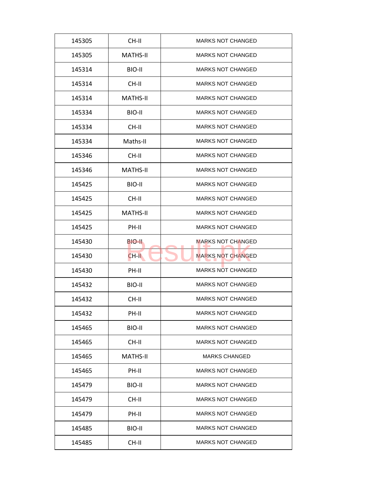| CH-II<br><b>MARKS NOT CHANGED</b><br>145305<br><b>MARKS NOT CHANGED</b><br>145305<br><b>MATHS-II</b><br><b>MARKS NOT CHANGED</b><br>145314<br>BIO-II<br><b>MARKS NOT CHANGED</b><br>CH-II<br>145314<br><b>MATHS-II</b><br><b>MARKS NOT CHANGED</b><br>145314<br><b>MARKS NOT CHANGED</b><br>145334<br>BIO-II<br>CH-II<br><b>MARKS NOT CHANGED</b><br>145334<br>Maths-II<br><b>MARKS NOT CHANGED</b><br>145334<br>CH-II<br><b>MARKS NOT CHANGED</b><br>145346<br><b>MARKS NOT CHANGED</b><br>145346<br><b>MATHS-II</b><br>145425<br>BIO-II<br><b>MARKS NOT CHANGED</b><br><b>MARKS NOT CHANGED</b><br>145425<br>CH-II<br><b>MATHS-II</b><br><b>MARKS NOT CHANGED</b><br>145425<br><b>MARKS NOT CHANGED</b><br>145425<br>PH-II<br><b>MARKS NOT CHANGED</b><br>145430<br>BIO-II<br><b>MARKS NOT CHANGED</b><br>145430<br>$CH-H$<br>PH-II<br><b>MARKS NOT CHANGED</b><br>145430<br><b>MARKS NOT CHANGED</b><br>145432<br>BIO-II<br>CH-II<br><b>MARKS NOT CHANGED</b><br>145432<br>145432<br>PH-II<br><b>MARKS NOT CHANGED</b><br>145465<br>BIO-II<br><b>MARKS NOT CHANGED</b><br>CH-II<br><b>MARKS NOT CHANGED</b><br>145465<br><b>MATHS-II</b><br><b>MARKS CHANGED</b><br>145465<br>145465<br>PH-II<br><b>MARKS NOT CHANGED</b><br><b>MARKS NOT CHANGED</b><br>145479<br>BIO-II<br><b>MARKS NOT CHANGED</b><br>145479<br>CH-II<br><b>MARKS NOT CHANGED</b><br>145479<br>PH-II<br><b>MARKS NOT CHANGED</b><br>145485<br>BIO-II |  |  |
|----------------------------------------------------------------------------------------------------------------------------------------------------------------------------------------------------------------------------------------------------------------------------------------------------------------------------------------------------------------------------------------------------------------------------------------------------------------------------------------------------------------------------------------------------------------------------------------------------------------------------------------------------------------------------------------------------------------------------------------------------------------------------------------------------------------------------------------------------------------------------------------------------------------------------------------------------------------------------------------------------------------------------------------------------------------------------------------------------------------------------------------------------------------------------------------------------------------------------------------------------------------------------------------------------------------------------------------------------------------------------------------------------------------------------|--|--|
|                                                                                                                                                                                                                                                                                                                                                                                                                                                                                                                                                                                                                                                                                                                                                                                                                                                                                                                                                                                                                                                                                                                                                                                                                                                                                                                                                                                                                            |  |  |
|                                                                                                                                                                                                                                                                                                                                                                                                                                                                                                                                                                                                                                                                                                                                                                                                                                                                                                                                                                                                                                                                                                                                                                                                                                                                                                                                                                                                                            |  |  |
|                                                                                                                                                                                                                                                                                                                                                                                                                                                                                                                                                                                                                                                                                                                                                                                                                                                                                                                                                                                                                                                                                                                                                                                                                                                                                                                                                                                                                            |  |  |
|                                                                                                                                                                                                                                                                                                                                                                                                                                                                                                                                                                                                                                                                                                                                                                                                                                                                                                                                                                                                                                                                                                                                                                                                                                                                                                                                                                                                                            |  |  |
|                                                                                                                                                                                                                                                                                                                                                                                                                                                                                                                                                                                                                                                                                                                                                                                                                                                                                                                                                                                                                                                                                                                                                                                                                                                                                                                                                                                                                            |  |  |
|                                                                                                                                                                                                                                                                                                                                                                                                                                                                                                                                                                                                                                                                                                                                                                                                                                                                                                                                                                                                                                                                                                                                                                                                                                                                                                                                                                                                                            |  |  |
|                                                                                                                                                                                                                                                                                                                                                                                                                                                                                                                                                                                                                                                                                                                                                                                                                                                                                                                                                                                                                                                                                                                                                                                                                                                                                                                                                                                                                            |  |  |
|                                                                                                                                                                                                                                                                                                                                                                                                                                                                                                                                                                                                                                                                                                                                                                                                                                                                                                                                                                                                                                                                                                                                                                                                                                                                                                                                                                                                                            |  |  |
|                                                                                                                                                                                                                                                                                                                                                                                                                                                                                                                                                                                                                                                                                                                                                                                                                                                                                                                                                                                                                                                                                                                                                                                                                                                                                                                                                                                                                            |  |  |
|                                                                                                                                                                                                                                                                                                                                                                                                                                                                                                                                                                                                                                                                                                                                                                                                                                                                                                                                                                                                                                                                                                                                                                                                                                                                                                                                                                                                                            |  |  |
|                                                                                                                                                                                                                                                                                                                                                                                                                                                                                                                                                                                                                                                                                                                                                                                                                                                                                                                                                                                                                                                                                                                                                                                                                                                                                                                                                                                                                            |  |  |
|                                                                                                                                                                                                                                                                                                                                                                                                                                                                                                                                                                                                                                                                                                                                                                                                                                                                                                                                                                                                                                                                                                                                                                                                                                                                                                                                                                                                                            |  |  |
|                                                                                                                                                                                                                                                                                                                                                                                                                                                                                                                                                                                                                                                                                                                                                                                                                                                                                                                                                                                                                                                                                                                                                                                                                                                                                                                                                                                                                            |  |  |
|                                                                                                                                                                                                                                                                                                                                                                                                                                                                                                                                                                                                                                                                                                                                                                                                                                                                                                                                                                                                                                                                                                                                                                                                                                                                                                                                                                                                                            |  |  |
|                                                                                                                                                                                                                                                                                                                                                                                                                                                                                                                                                                                                                                                                                                                                                                                                                                                                                                                                                                                                                                                                                                                                                                                                                                                                                                                                                                                                                            |  |  |
|                                                                                                                                                                                                                                                                                                                                                                                                                                                                                                                                                                                                                                                                                                                                                                                                                                                                                                                                                                                                                                                                                                                                                                                                                                                                                                                                                                                                                            |  |  |
|                                                                                                                                                                                                                                                                                                                                                                                                                                                                                                                                                                                                                                                                                                                                                                                                                                                                                                                                                                                                                                                                                                                                                                                                                                                                                                                                                                                                                            |  |  |
|                                                                                                                                                                                                                                                                                                                                                                                                                                                                                                                                                                                                                                                                                                                                                                                                                                                                                                                                                                                                                                                                                                                                                                                                                                                                                                                                                                                                                            |  |  |
|                                                                                                                                                                                                                                                                                                                                                                                                                                                                                                                                                                                                                                                                                                                                                                                                                                                                                                                                                                                                                                                                                                                                                                                                                                                                                                                                                                                                                            |  |  |
|                                                                                                                                                                                                                                                                                                                                                                                                                                                                                                                                                                                                                                                                                                                                                                                                                                                                                                                                                                                                                                                                                                                                                                                                                                                                                                                                                                                                                            |  |  |
|                                                                                                                                                                                                                                                                                                                                                                                                                                                                                                                                                                                                                                                                                                                                                                                                                                                                                                                                                                                                                                                                                                                                                                                                                                                                                                                                                                                                                            |  |  |
|                                                                                                                                                                                                                                                                                                                                                                                                                                                                                                                                                                                                                                                                                                                                                                                                                                                                                                                                                                                                                                                                                                                                                                                                                                                                                                                                                                                                                            |  |  |
|                                                                                                                                                                                                                                                                                                                                                                                                                                                                                                                                                                                                                                                                                                                                                                                                                                                                                                                                                                                                                                                                                                                                                                                                                                                                                                                                                                                                                            |  |  |
|                                                                                                                                                                                                                                                                                                                                                                                                                                                                                                                                                                                                                                                                                                                                                                                                                                                                                                                                                                                                                                                                                                                                                                                                                                                                                                                                                                                                                            |  |  |
|                                                                                                                                                                                                                                                                                                                                                                                                                                                                                                                                                                                                                                                                                                                                                                                                                                                                                                                                                                                                                                                                                                                                                                                                                                                                                                                                                                                                                            |  |  |
|                                                                                                                                                                                                                                                                                                                                                                                                                                                                                                                                                                                                                                                                                                                                                                                                                                                                                                                                                                                                                                                                                                                                                                                                                                                                                                                                                                                                                            |  |  |
|                                                                                                                                                                                                                                                                                                                                                                                                                                                                                                                                                                                                                                                                                                                                                                                                                                                                                                                                                                                                                                                                                                                                                                                                                                                                                                                                                                                                                            |  |  |
|                                                                                                                                                                                                                                                                                                                                                                                                                                                                                                                                                                                                                                                                                                                                                                                                                                                                                                                                                                                                                                                                                                                                                                                                                                                                                                                                                                                                                            |  |  |
| 145485<br>CH-II<br><b>MARKS NOT CHANGED</b>                                                                                                                                                                                                                                                                                                                                                                                                                                                                                                                                                                                                                                                                                                                                                                                                                                                                                                                                                                                                                                                                                                                                                                                                                                                                                                                                                                                |  |  |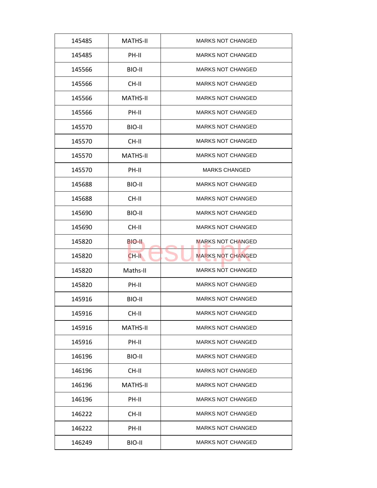| 145485 | <b>MATHS-II</b> | <b>MARKS NOT CHANGED</b> |
|--------|-----------------|--------------------------|
| 145485 | PH-II           | <b>MARKS NOT CHANGED</b> |
| 145566 | BIO-II          | <b>MARKS NOT CHANGED</b> |
| 145566 | CH-II           | <b>MARKS NOT CHANGED</b> |
| 145566 | <b>MATHS-II</b> | <b>MARKS NOT CHANGED</b> |
| 145566 | PH-II           | <b>MARKS NOT CHANGED</b> |
| 145570 | BIO-II          | <b>MARKS NOT CHANGED</b> |
| 145570 | CH-II           | <b>MARKS NOT CHANGED</b> |
| 145570 | <b>MATHS-II</b> | <b>MARKS NOT CHANGED</b> |
| 145570 | PH-II           | <b>MARKS CHANGED</b>     |
| 145688 | BIO-II          | <b>MARKS NOT CHANGED</b> |
| 145688 | CH-II           | <b>MARKS NOT CHANGED</b> |
| 145690 | BIO-II          | <b>MARKS NOT CHANGED</b> |
| 145690 | CH-II           | <b>MARKS NOT CHANGED</b> |
| 145820 | BIO-II.         | <b>MARKS NOT CHANGED</b> |
| 145820 | CH-II           | <b>MARKS NOT CHANGED</b> |
| 145820 | Maths-II        | <b>MARKS NOT CHANGED</b> |
| 145820 | PH-II           | <b>MARKS NOT CHANGED</b> |
| 145916 | BIO-II          | <b>MARKS NOT CHANGED</b> |
| 145916 | CH-II           | <b>MARKS NOT CHANGED</b> |
| 145916 | <b>MATHS-II</b> | <b>MARKS NOT CHANGED</b> |
| 145916 | PH-II           | <b>MARKS NOT CHANGED</b> |
| 146196 | BIO-II          | <b>MARKS NOT CHANGED</b> |
| 146196 | CH-II           | <b>MARKS NOT CHANGED</b> |
| 146196 | <b>MATHS-II</b> | <b>MARKS NOT CHANGED</b> |
| 146196 | PH-II           | <b>MARKS NOT CHANGED</b> |
| 146222 | CH-II           | <b>MARKS NOT CHANGED</b> |
| 146222 | PH-II           | <b>MARKS NOT CHANGED</b> |
| 146249 | BIO-II          | <b>MARKS NOT CHANGED</b> |
|        |                 |                          |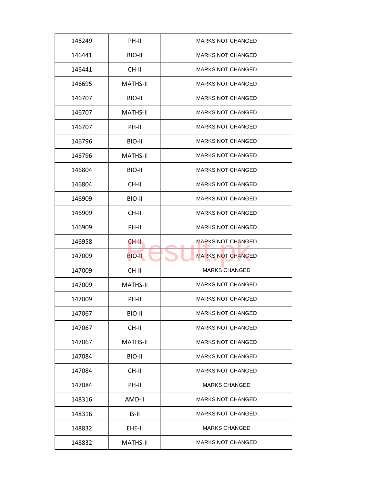| 146249 | PH-II           | <b>MARKS NOT CHANGED</b> |
|--------|-----------------|--------------------------|
| 146441 | BIO-II          | <b>MARKS NOT CHANGED</b> |
| 146441 | CH-II           | <b>MARKS NOT CHANGED</b> |
| 146695 | <b>MATHS-II</b> | <b>MARKS NOT CHANGED</b> |
| 146707 | BIO-II          | <b>MARKS NOT CHANGED</b> |
| 146707 | <b>MATHS-II</b> | <b>MARKS NOT CHANGED</b> |
| 146707 | PH-II           | <b>MARKS NOT CHANGED</b> |
| 146796 | BIO-II          | <b>MARKS NOT CHANGED</b> |
| 146796 | <b>MATHS-II</b> | <b>MARKS NOT CHANGED</b> |
| 146804 | BIO-II          | <b>MARKS NOT CHANGED</b> |
| 146804 | CH-II           | <b>MARKS NOT CHANGED</b> |
| 146909 | BIO-II          | <b>MARKS NOT CHANGED</b> |
| 146909 | CH-II           | <b>MARKS NOT CHANGED</b> |
| 146909 | PH-II           | <b>MARKS NOT CHANGED</b> |
| 146958 | CH-II           | <b>MARKS NOT CHANGED</b> |
| 147009 | <b>BIO-II</b>   | <b>MARKS NOT CHANGED</b> |
| 147009 | CH-II           | <b>MARKS CHANGED</b>     |
| 147009 | <b>MATHS-II</b> | <b>MARKS NOT CHANGED</b> |
| 147009 | PH-II           | <b>MARKS NOT CHANGED</b> |
| 147067 | BIO-II          | <b>MARKS NOT CHANGED</b> |
| 147067 | CH-II           | <b>MARKS NOT CHANGED</b> |
| 147067 | <b>MATHS-II</b> | <b>MARKS NOT CHANGED</b> |
| 147084 | BIO-II          | <b>MARKS NOT CHANGED</b> |
| 147084 | CH-II           | <b>MARKS NOT CHANGED</b> |
| 147084 | PH-II           | <b>MARKS CHANGED</b>     |
| 148316 | AMD-II          | <b>MARKS NOT CHANGED</b> |
| 148316 | $IS-II$         | <b>MARKS NOT CHANGED</b> |
| 148832 | EHE-II          | <b>MARKS CHANGED</b>     |
|        |                 |                          |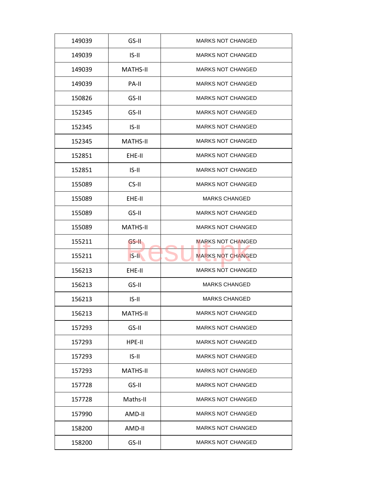| 149039 | $GS-H$          | <b>MARKS NOT CHANGED</b> |
|--------|-----------------|--------------------------|
| 149039 | $IS-II$         | <b>MARKS NOT CHANGED</b> |
| 149039 | <b>MATHS-II</b> | <b>MARKS NOT CHANGED</b> |
| 149039 | PA-II           | <b>MARKS NOT CHANGED</b> |
| 150826 | GS-II           | <b>MARKS NOT CHANGED</b> |
| 152345 | GS-II           | <b>MARKS NOT CHANGED</b> |
| 152345 | $IS-II$         | <b>MARKS NOT CHANGED</b> |
| 152345 | <b>MATHS-II</b> | <b>MARKS NOT CHANGED</b> |
| 152851 | EHE-II          | <b>MARKS NOT CHANGED</b> |
| 152851 | $IS-II$         | <b>MARKS NOT CHANGED</b> |
| 155089 | CS-II           | <b>MARKS NOT CHANGED</b> |
| 155089 | EHE-II          | <b>MARKS CHANGED</b>     |
| 155089 | GS-II           | <b>MARKS NOT CHANGED</b> |
| 155089 | <b>MATHS-II</b> | <b>MARKS NOT CHANGED</b> |
| 155211 | GS-II           | <b>MARKS NOT CHANGED</b> |
| 155211 | $IS-II$         | <b>MARKS NOT CHANGED</b> |
| 156213 | EHE-II          | <b>MARKS NOT CHANGED</b> |
| 156213 | GS-II           | <b>MARKS CHANGED</b>     |
| 156213 | $IS-II$         | <b>MARKS CHANGED</b>     |
| 156213 | <b>MATHS-II</b> | <b>MARKS NOT CHANGED</b> |
| 157293 | GS-II           | <b>MARKS NOT CHANGED</b> |
| 157293 | HPE-II          | <b>MARKS NOT CHANGED</b> |
| 157293 | $IS-II$         | <b>MARKS NOT CHANGED</b> |
| 157293 | <b>MATHS-II</b> | <b>MARKS NOT CHANGED</b> |
| 157728 | GS-II           | <b>MARKS NOT CHANGED</b> |
| 157728 | Maths-II        | <b>MARKS NOT CHANGED</b> |
| 157990 | AMD-II          | <b>MARKS NOT CHANGED</b> |
|        |                 |                          |
| 158200 | AMD-II          | <b>MARKS NOT CHANGED</b> |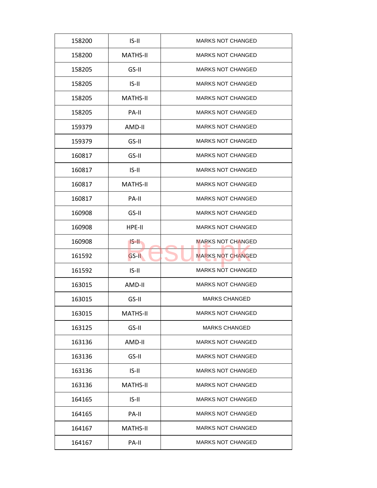| 158200 | $IS-II$         | <b>MARKS NOT CHANGED</b> |
|--------|-----------------|--------------------------|
| 158200 | <b>MATHS-II</b> | <b>MARKS NOT CHANGED</b> |
| 158205 | GS-II           | <b>MARKS NOT CHANGED</b> |
| 158205 | $IS-II$         | <b>MARKS NOT CHANGED</b> |
| 158205 | <b>MATHS-II</b> | <b>MARKS NOT CHANGED</b> |
| 158205 | PA-II           | <b>MARKS NOT CHANGED</b> |
| 159379 | AMD-II          | <b>MARKS NOT CHANGED</b> |
| 159379 | GS-II           | <b>MARKS NOT CHANGED</b> |
| 160817 | GS-II           | <b>MARKS NOT CHANGED</b> |
| 160817 | $IS-II$         | <b>MARKS NOT CHANGED</b> |
| 160817 | <b>MATHS-II</b> | <b>MARKS NOT CHANGED</b> |
| 160817 | PA-II           | <b>MARKS NOT CHANGED</b> |
| 160908 | GS-II           | <b>MARKS NOT CHANGED</b> |
| 160908 | HPE-II          | <b>MARKS NOT CHANGED</b> |
| 160908 | $IS-H$          | <b>MARKS NOT CHANGED</b> |
| 161592 | GS-II           | <b>MARKS NOT CHANGED</b> |
| 161592 | $IS-II$         | <b>MARKS NOT CHANGED</b> |
| 163015 | AMD-II          | <b>MARKS NOT CHANGED</b> |
| 163015 | GS-II           | <b>MARKS CHANGED</b>     |
| 163015 | <b>MATHS-II</b> | <b>MARKS NOT CHANGED</b> |
| 163125 | GS-II           | <b>MARKS CHANGED</b>     |
| 163136 | AMD-II          | <b>MARKS NOT CHANGED</b> |
| 163136 | GS-II           | <b>MARKS NOT CHANGED</b> |
| 163136 | $IS-II$         | <b>MARKS NOT CHANGED</b> |
| 163136 | <b>MATHS-II</b> | <b>MARKS NOT CHANGED</b> |
| 164165 | $IS-II$         | <b>MARKS NOT CHANGED</b> |
| 164165 | PA-II           | <b>MARKS NOT CHANGED</b> |
|        |                 |                          |
| 164167 | <b>MATHS-II</b> | <b>MARKS NOT CHANGED</b> |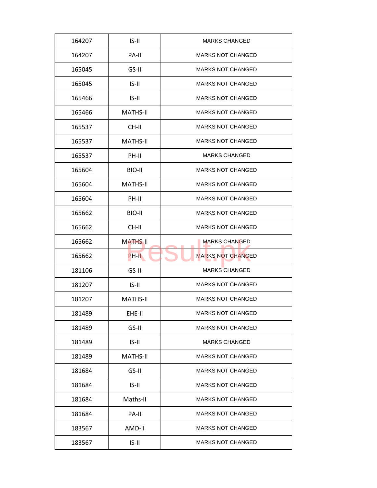| 164207 | $IS-II$         | <b>MARKS CHANGED</b>     |
|--------|-----------------|--------------------------|
| 164207 | PA-II           | <b>MARKS NOT CHANGED</b> |
| 165045 | GS-II           | <b>MARKS NOT CHANGED</b> |
| 165045 | $IS-II$         | <b>MARKS NOT CHANGED</b> |
| 165466 | $IS-II$         | <b>MARKS NOT CHANGED</b> |
| 165466 | <b>MATHS-II</b> | <b>MARKS NOT CHANGED</b> |
| 165537 | CH-II           | <b>MARKS NOT CHANGED</b> |
| 165537 | <b>MATHS-II</b> | <b>MARKS NOT CHANGED</b> |
| 165537 | PH-II           | <b>MARKS CHANGED</b>     |
| 165604 | BIO-II          | <b>MARKS NOT CHANGED</b> |
| 165604 | <b>MATHS-II</b> | <b>MARKS NOT CHANGED</b> |
| 165604 | PH-II           | <b>MARKS NOT CHANGED</b> |
| 165662 | BIO-II          | <b>MARKS NOT CHANGED</b> |
| 165662 | CH-II           | <b>MARKS NOT CHANGED</b> |
| 165662 | <b>MATHS-II</b> | <b>MARKS CHANGED</b>     |
| 165662 | PH-II           | <b>MARKS NOT CHANGED</b> |
| 181106 | GS-II           | <b>MARKS CHANGED</b>     |
| 181207 | $IS-II$         | <b>MARKS NOT CHANGED</b> |
| 181207 | <b>MATHS-II</b> | <b>MARKS NOT CHANGED</b> |
| 181489 | EHE-II          | <b>MARKS NOT CHANGED</b> |
| 181489 | GS-II           | <b>MARKS NOT CHANGED</b> |
| 181489 | $IS-II$         | <b>MARKS CHANGED</b>     |
| 181489 | <b>MATHS-II</b> | <b>MARKS NOT CHANGED</b> |
| 181684 | GS-II           | <b>MARKS NOT CHANGED</b> |
| 181684 | $IS-II$         | <b>MARKS NOT CHANGED</b> |
| 181684 | Maths-II        | <b>MARKS NOT CHANGED</b> |
| 181684 | PA-II           | <b>MARKS NOT CHANGED</b> |
| 183567 | AMD-II          | <b>MARKS NOT CHANGED</b> |
| 183567 | $IS-II$         | <b>MARKS NOT CHANGED</b> |
|        |                 |                          |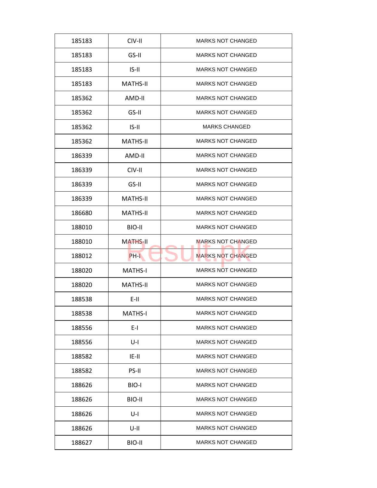| 185183 | CIV-II          | <b>MARKS NOT CHANGED</b> |
|--------|-----------------|--------------------------|
| 185183 | GS-II           | <b>MARKS NOT CHANGED</b> |
| 185183 | $IS-II$         | <b>MARKS NOT CHANGED</b> |
| 185183 | <b>MATHS-II</b> | <b>MARKS NOT CHANGED</b> |
| 185362 | AMD-II          | <b>MARKS NOT CHANGED</b> |
| 185362 | GS-II           | <b>MARKS NOT CHANGED</b> |
| 185362 | $IS-II$         | <b>MARKS CHANGED</b>     |
| 185362 | <b>MATHS-II</b> | <b>MARKS NOT CHANGED</b> |
| 186339 | AMD-II          | <b>MARKS NOT CHANGED</b> |
| 186339 | CIV-II          | <b>MARKS NOT CHANGED</b> |
| 186339 | GS-II           | <b>MARKS NOT CHANGED</b> |
| 186339 | <b>MATHS-II</b> | <b>MARKS NOT CHANGED</b> |
| 186680 | <b>MATHS-II</b> | <b>MARKS NOT CHANGED</b> |
| 188010 | BIO-II          | <b>MARKS NOT CHANGED</b> |
| 188010 | <b>MATHS-II</b> | <b>MARKS NOT CHANGED</b> |
| 188012 | PH-L            | <b>MARKS NOT CHANGED</b> |
| 188020 | <b>MATHS-I</b>  | <b>MARKS NOT CHANGED</b> |
| 188020 | <b>MATHS-II</b> | <b>MARKS NOT CHANGED</b> |
| 188538 | $E-H$           | <b>MARKS NOT CHANGED</b> |
| 188538 | <b>MATHS-I</b>  | <b>MARKS NOT CHANGED</b> |
| 188556 | $E-I$           | <b>MARKS NOT CHANGED</b> |
| 188556 | U-I             | <b>MARKS NOT CHANGED</b> |
| 188582 | $ E-1 $         | <b>MARKS NOT CHANGED</b> |
| 188582 | PS-II           | <b>MARKS NOT CHANGED</b> |
| 188626 | BIO-I           | <b>MARKS NOT CHANGED</b> |
| 188626 | BIO-II          | <b>MARKS NOT CHANGED</b> |
| 188626 | $U-I$           | <b>MARKS NOT CHANGED</b> |
| 188626 | U-II            | <b>MARKS NOT CHANGED</b> |
| 188627 | BIO-II          | <b>MARKS NOT CHANGED</b> |
|        |                 |                          |